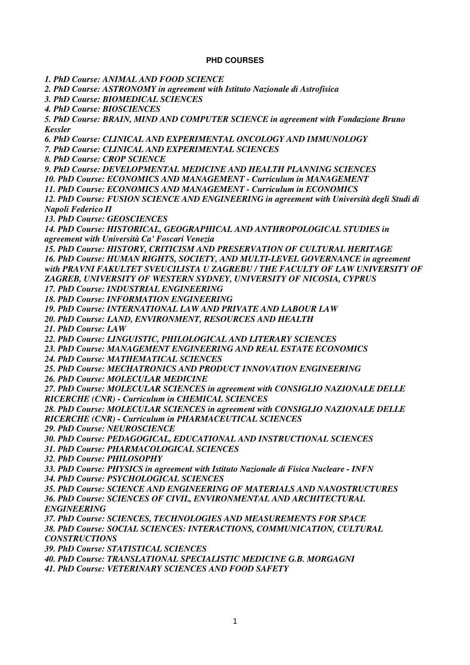## **PHD COURSES**

*1. PhD Course: ANIMAL AND FOOD SCIENCE*

*2. PhD Course: ASTRONOMY in agreement with Istituto Nazionale di Astrofisica*

*3. PhD Course: BIOMEDICAL SCIENCES*

*4. PhD Course: BIOSCIENCES*

*5. PhD Course: BRAIN, MIND AND COMPUTER SCIENCE in agreement with Fondazione Bruno Kessler*

*6. PhD Course: CLINICAL AND EXPERIMENTAL ONCOLOGY AND IMMUNOLOGY*

*7. PhD Course: CLINICAL AND EXPERIMENTAL SCIENCES*

*8. PhD Course: CROP SCIENCE*

*9. PhD Course: DEVELOPMENTAL MEDICINE AND HEALTH PLANNING SCIENCES*

*10. PhD Course: ECONOMICS AND MANAGEMENT - Curriculum in MANAGEMENT*

*11. PhD Course: ECONOMICS AND MANAGEMENT - Curriculum in ECONOMICS*

*12. PhD Course: FUSION SCIENCE AND ENGINEERING in agreement with Università degli Studi di Napoli Federico II*

*13. PhD Course: GEOSCIENCES*

*14. PhD Course: HISTORICAL, GEOGRAPHICAL AND ANTHROPOLOGICAL STUDIES in agreement with Università Ca' Foscari Venezia*

*15. PhD Course: HISTORY, CRITICISM AND PRESERVATION OF CULTURAL HERITAGE 16. PhD Course: HUMAN RIGHTS, SOCIETY, AND MULTI-LEVEL GOVERNANCE in agreement with PRAVNI FAKULTET SVEUCILISTA U ZAGREBU / THE FACULTY OF LAW UNIVERSITY OF ZAGREB, UNIVERSITY OF WESTERN SYDNEY, UNIVERSITY OF NICOSIA, CYPRUS*

*17. PhD Course: INDUSTRIAL ENGINEERING*

*18. PhD Course: INFORMATION ENGINEERING*

*19. PhD Course: INTERNATIONAL LAW AND PRIVATE AND LABOUR LAW*

*20. PhD Course: LAND, ENVIRONMENT, RESOURCES AND HEALTH*

*21. PhD Course: LAW*

*22. PhD Course: LINGUISTIC, PHILOLOGICAL AND LITERARY SCIENCES*

*23. PhD Course: MANAGEMENT ENGINEERING AND REAL ESTATE ECONOMICS*

*24. PhD Course: MATHEMATICAL SCIENCES*

*25. PhD Course: MECHATRONICS AND PRODUCT INNOVATION ENGINEERING*

*26. PhD Course: MOLECULAR MEDICINE*

*27. PhD Course: MOLECULAR SCIENCES in agreement with CONSIGLIO NAZIONALE DELLE RICERCHE (CNR) - Curriculum in CHEMICAL SCIENCES*

*28. PhD Course: MOLECULAR SCIENCES in agreement with CONSIGLIO NAZIONALE DELLE RICERCHE (CNR) - Curriculum in PHARMACEUTICAL SCIENCES*

*29. PhD Course: NEUROSCIENCE*

*30. PhD Course: PEDAGOGICAL, EDUCATIONAL AND INSTRUCTIONAL SCIENCES*

*31. PhD Course: PHARMACOLOGICAL SCIENCES*

*32. PhD Course: PHILOSOPHY*

*33. PhD Course: PHYSICS in agreement with Istituto Nazionale di Fisica Nucleare - INFN*

*34. PhD Course: PSYCHOLOGICAL SCIENCES*

*35. PhD Course: SCIENCE AND ENGINEERING OF MATERIALS AND NANOSTRUCTURES 36. PhD Course: SCIENCES OF CIVIL, ENVIRONMENTAL AND ARCHITECTURAL ENGINEERING*

*37. PhD Course: SCIENCES, TECHNOLOGIES AND MEASUREMENTS FOR SPACE 38. PhD Course: SOCIAL SCIENCES: INTERACTIONS, COMMUNICATION, CULTURAL CONSTRUCTIONS*

*39. PhD Course: STATISTICAL SCIENCES*

*40. PhD Course: TRANSLATIONAL SPECIALISTIC MEDICINE G.B. MORGAGNI*

*41. PhD Course: VETERINARY SCIENCES AND FOOD SAFETY*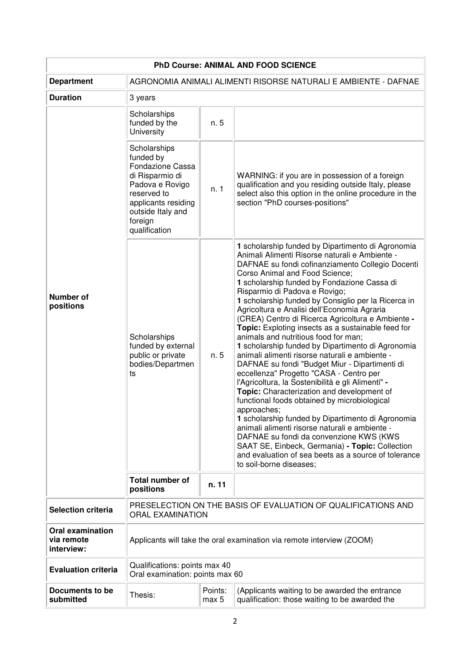| PhD Course: ANIMAL AND FOOD SCIENCE                 |                                                                                                                                                                            |       |                                                                                                                                                                                                                                                                                                                                                                                                                                                                                                                                                                                                                                                                                                                                                                                                                                                                                                                                                                                                                                                                                                                                                                                                         |  |  |
|-----------------------------------------------------|----------------------------------------------------------------------------------------------------------------------------------------------------------------------------|-------|---------------------------------------------------------------------------------------------------------------------------------------------------------------------------------------------------------------------------------------------------------------------------------------------------------------------------------------------------------------------------------------------------------------------------------------------------------------------------------------------------------------------------------------------------------------------------------------------------------------------------------------------------------------------------------------------------------------------------------------------------------------------------------------------------------------------------------------------------------------------------------------------------------------------------------------------------------------------------------------------------------------------------------------------------------------------------------------------------------------------------------------------------------------------------------------------------------|--|--|
| <b>Department</b>                                   | AGRONOMIA ANIMALI ALIMENTI RISORSE NATURALI E AMBIENTE - DAFNAE                                                                                                            |       |                                                                                                                                                                                                                                                                                                                                                                                                                                                                                                                                                                                                                                                                                                                                                                                                                                                                                                                                                                                                                                                                                                                                                                                                         |  |  |
| <b>Duration</b>                                     | 3 years                                                                                                                                                                    |       |                                                                                                                                                                                                                                                                                                                                                                                                                                                                                                                                                                                                                                                                                                                                                                                                                                                                                                                                                                                                                                                                                                                                                                                                         |  |  |
|                                                     | Scholarships<br>funded by the<br>University                                                                                                                                | n. 5  |                                                                                                                                                                                                                                                                                                                                                                                                                                                                                                                                                                                                                                                                                                                                                                                                                                                                                                                                                                                                                                                                                                                                                                                                         |  |  |
|                                                     | Scholarships<br>funded by<br>Fondazione Cassa<br>di Risparmio di<br>Padova e Rovigo<br>reserved to<br>applicants residing<br>outside Italy and<br>foreign<br>qualification | n. 1  | WARNING: if you are in possession of a foreign<br>qualification and you residing outside Italy, please<br>select also this option in the online procedure in the<br>section "PhD courses-positions"                                                                                                                                                                                                                                                                                                                                                                                                                                                                                                                                                                                                                                                                                                                                                                                                                                                                                                                                                                                                     |  |  |
| <b>Number of</b><br>positions                       | Scholarships<br>funded by external<br>public or private<br>bodies/Departmen<br>ts                                                                                          | n. 5  | 1 scholarship funded by Dipartimento di Agronomia<br>Animali Alimenti Risorse naturali e Ambiente -<br>DAFNAE su fondi cofinanziamento Collegio Docenti<br>Corso Animal and Food Science;<br>1 scholarship funded by Fondazione Cassa di<br>Risparmio di Padova e Rovigo;<br>1 scholarship funded by Consiglio per la Ricerca in<br>Agricoltura e Analisi dell'Economia Agraria<br>(CREA) Centro di Ricerca Agricoltura e Ambiente -<br><b>Topic:</b> Exploting insects as a sustainable feed for<br>animals and nutritious food for man;<br>1 scholarship funded by Dipartimento di Agronomia<br>animali alimenti risorse naturali e ambiente -<br>DAFNAE su fondi "Budget Miur - Dipartimenti di<br>eccellenza" Progetto "CASA - Centro per<br>l'Agricoltura, la Sostenibilità e gli Alimenti" -<br>Topic: Characterization and development of<br>functional foods obtained by microbiological<br>approaches;<br>1 scholarship funded by Dipartimento di Agronomia<br>animali alimenti risorse naturali e ambiente -<br>DAFNAE su fondi da convenzione KWS (KWS<br>SAAT SE, Einbeck, Germania) - Topic: Collection<br>and evaluation of sea beets as a source of tolerance<br>to soil-borne diseases; |  |  |
|                                                     | Total number of<br>positions                                                                                                                                               | n. 11 |                                                                                                                                                                                                                                                                                                                                                                                                                                                                                                                                                                                                                                                                                                                                                                                                                                                                                                                                                                                                                                                                                                                                                                                                         |  |  |
| <b>Selection criteria</b>                           | PRESELECTION ON THE BASIS OF EVALUATION OF QUALIFICATIONS AND<br><b>ORAL EXAMINATION</b>                                                                                   |       |                                                                                                                                                                                                                                                                                                                                                                                                                                                                                                                                                                                                                                                                                                                                                                                                                                                                                                                                                                                                                                                                                                                                                                                                         |  |  |
| <b>Oral examination</b><br>via remote<br>interview: | Applicants will take the oral examination via remote interview (ZOOM)                                                                                                      |       |                                                                                                                                                                                                                                                                                                                                                                                                                                                                                                                                                                                                                                                                                                                                                                                                                                                                                                                                                                                                                                                                                                                                                                                                         |  |  |
| <b>Evaluation criteria</b>                          | Qualifications: points max 40<br>Oral examination: points max 60                                                                                                           |       |                                                                                                                                                                                                                                                                                                                                                                                                                                                                                                                                                                                                                                                                                                                                                                                                                                                                                                                                                                                                                                                                                                                                                                                                         |  |  |
| <b>Documents to be</b><br>submitted                 | Points:<br>(Applicants waiting to be awarded the entrance<br>Thesis:<br>qualification: those waiting to be awarded the<br>max 5                                            |       |                                                                                                                                                                                                                                                                                                                                                                                                                                                                                                                                                                                                                                                                                                                                                                                                                                                                                                                                                                                                                                                                                                                                                                                                         |  |  |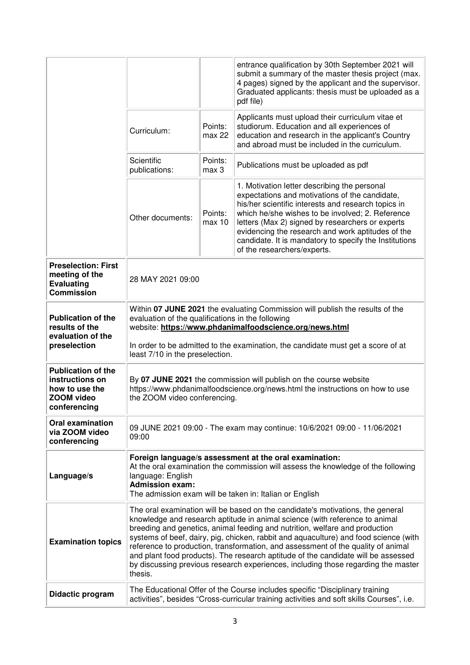|                                                                                                     |                                                                                                                                                                                                                                                                                                                                                                                                                                                                                                                                                                                                               |                   | entrance qualification by 30th September 2021 will<br>submit a summary of the master thesis project (max.<br>4 pages) signed by the applicant and the supervisor.<br>Graduated applicants: thesis must be uploaded as a<br>pdf file)                                                                                                                                                                        |
|-----------------------------------------------------------------------------------------------------|---------------------------------------------------------------------------------------------------------------------------------------------------------------------------------------------------------------------------------------------------------------------------------------------------------------------------------------------------------------------------------------------------------------------------------------------------------------------------------------------------------------------------------------------------------------------------------------------------------------|-------------------|-------------------------------------------------------------------------------------------------------------------------------------------------------------------------------------------------------------------------------------------------------------------------------------------------------------------------------------------------------------------------------------------------------------|
|                                                                                                     | Curriculum:                                                                                                                                                                                                                                                                                                                                                                                                                                                                                                                                                                                                   | Points:<br>max 22 | Applicants must upload their curriculum vitae et<br>studiorum. Education and all experiences of<br>education and research in the applicant's Country<br>and abroad must be included in the curriculum.                                                                                                                                                                                                      |
|                                                                                                     | Scientific<br>publications:                                                                                                                                                                                                                                                                                                                                                                                                                                                                                                                                                                                   | Points:<br>max 3  | Publications must be uploaded as pdf                                                                                                                                                                                                                                                                                                                                                                        |
|                                                                                                     | Other documents:                                                                                                                                                                                                                                                                                                                                                                                                                                                                                                                                                                                              | Points:<br>max 10 | 1. Motivation letter describing the personal<br>expectations and motivations of the candidate,<br>his/her scientific interests and research topics in<br>which he/she wishes to be involved; 2. Reference<br>letters (Max 2) signed by researchers or experts<br>evidencing the research and work aptitudes of the<br>candidate. It is mandatory to specify the Institutions<br>of the researchers/experts. |
| <b>Preselection: First</b><br>meeting of the<br><b>Evaluating</b><br><b>Commission</b>              | 28 MAY 2021 09:00                                                                                                                                                                                                                                                                                                                                                                                                                                                                                                                                                                                             |                   |                                                                                                                                                                                                                                                                                                                                                                                                             |
| <b>Publication of the</b><br>results of the<br>evaluation of the<br>preselection                    | Within 07 JUNE 2021 the evaluating Commission will publish the results of the<br>evaluation of the qualifications in the following<br>website: https://www.phdanimalfoodscience.org/news.html<br>In order to be admitted to the examination, the candidate must get a score of at<br>least 7/10 in the preselection.                                                                                                                                                                                                                                                                                          |                   |                                                                                                                                                                                                                                                                                                                                                                                                             |
| <b>Publication of the</b><br>instructions on<br>how to use the<br><b>ZOOM video</b><br>conferencina | By 07 JUNE 2021 the commission will publish on the course website<br>https://www.phdanimalfoodscience.org/news.html the instructions on how to use<br>the ZOOM video conferencing.                                                                                                                                                                                                                                                                                                                                                                                                                            |                   |                                                                                                                                                                                                                                                                                                                                                                                                             |
| <b>Oral examination</b><br>via ZOOM video<br>conferencing                                           | 09 JUNE 2021 09:00 - The exam may continue: 10/6/2021 09:00 - 11/06/2021<br>09:00                                                                                                                                                                                                                                                                                                                                                                                                                                                                                                                             |                   |                                                                                                                                                                                                                                                                                                                                                                                                             |
| Language/s                                                                                          | Foreign language/s assessment at the oral examination:<br>At the oral examination the commission will assess the knowledge of the following<br>language: English<br><b>Admission exam:</b><br>The admission exam will be taken in: Italian or English                                                                                                                                                                                                                                                                                                                                                         |                   |                                                                                                                                                                                                                                                                                                                                                                                                             |
| <b>Examination topics</b>                                                                           | The oral examination will be based on the candidate's motivations, the general<br>knowledge and research aptitude in animal science (with reference to animal<br>breeding and genetics, animal feeding and nutrition, welfare and production<br>systems of beef, dairy, pig, chicken, rabbit and aquaculture) and food science (with<br>reference to production, transformation, and assessment of the quality of animal<br>and plant food products). The research aptitude of the candidate will be assessed<br>by discussing previous research experiences, including those regarding the master<br>thesis. |                   |                                                                                                                                                                                                                                                                                                                                                                                                             |
| Didactic program                                                                                    | The Educational Offer of the Course includes specific "Disciplinary training<br>activities", besides "Cross-curricular training activities and soft skills Courses", i.e.                                                                                                                                                                                                                                                                                                                                                                                                                                     |                   |                                                                                                                                                                                                                                                                                                                                                                                                             |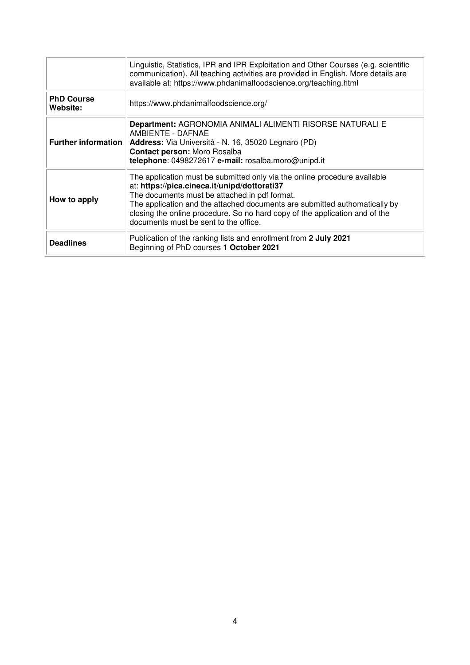|                               | Linguistic, Statistics, IPR and IPR Exploitation and Other Courses (e.g. scientific<br>communication). All teaching activities are provided in English. More details are<br>available at: https://www.phdanimalfoodscience.org/teaching.html                                                                                                                                     |
|-------------------------------|----------------------------------------------------------------------------------------------------------------------------------------------------------------------------------------------------------------------------------------------------------------------------------------------------------------------------------------------------------------------------------|
| <b>PhD Course</b><br>Website: | https://www.phdanimalfoodscience.org/                                                                                                                                                                                                                                                                                                                                            |
| <b>Further information</b>    | Department: AGRONOMIA ANIMALI ALIMENTI RISORSE NATURALI E<br>AMBIENTE - DAFNAE<br>Address: Via Università - N. 16, 35020 Legnaro (PD)<br>Contact person: Moro Rosalba<br>telephone: 0498272617 e-mail: rosalba.moro@unipd.it                                                                                                                                                     |
| How to apply                  | The application must be submitted only via the online procedure available<br>at: https://pica.cineca.it/unipd/dottorati37<br>The documents must be attached in pdf format.<br>The application and the attached documents are submitted authomatically by<br>closing the online procedure. So no hard copy of the application and of the<br>documents must be sent to the office. |
| <b>Deadlines</b>              | Publication of the ranking lists and enrollment from 2 July 2021<br>Beginning of PhD courses 1 October 2021                                                                                                                                                                                                                                                                      |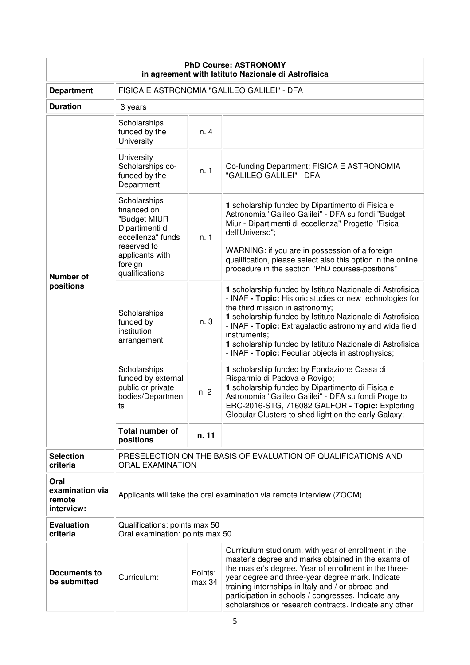| <b>PhD Course: ASTRONOMY</b><br>in agreement with Istituto Nazionale di Astrofisica |                                                                                                                                                    |                                                                                                                                                                                                                                                                                                                                                                                                                    |                                                                                                                                                                                                                                                                                                                                                                                                                   |  |
|-------------------------------------------------------------------------------------|----------------------------------------------------------------------------------------------------------------------------------------------------|--------------------------------------------------------------------------------------------------------------------------------------------------------------------------------------------------------------------------------------------------------------------------------------------------------------------------------------------------------------------------------------------------------------------|-------------------------------------------------------------------------------------------------------------------------------------------------------------------------------------------------------------------------------------------------------------------------------------------------------------------------------------------------------------------------------------------------------------------|--|
| <b>Department</b>                                                                   | FISICA E ASTRONOMIA "GALILEO GALILEI" - DFA                                                                                                        |                                                                                                                                                                                                                                                                                                                                                                                                                    |                                                                                                                                                                                                                                                                                                                                                                                                                   |  |
| <b>Duration</b>                                                                     | 3 years                                                                                                                                            |                                                                                                                                                                                                                                                                                                                                                                                                                    |                                                                                                                                                                                                                                                                                                                                                                                                                   |  |
|                                                                                     | Scholarships<br>funded by the<br>University                                                                                                        | n. 4                                                                                                                                                                                                                                                                                                                                                                                                               |                                                                                                                                                                                                                                                                                                                                                                                                                   |  |
|                                                                                     | University<br>Scholarships co-<br>funded by the<br>Department                                                                                      | n. 1                                                                                                                                                                                                                                                                                                                                                                                                               | Co-funding Department: FISICA E ASTRONOMIA<br>"GALILEO GALILEI" - DFA                                                                                                                                                                                                                                                                                                                                             |  |
| <b>Number of</b>                                                                    | Scholarships<br>financed on<br>"Budget MIUR<br>Dipartimenti di<br>eccellenza" funds<br>reserved to<br>applicants with<br>foreign<br>qualifications | n. 1                                                                                                                                                                                                                                                                                                                                                                                                               | 1 scholarship funded by Dipartimento di Fisica e<br>Astronomia "Galileo Galilei" - DFA su fondi "Budget<br>Miur - Dipartimenti di eccellenza" Progetto "Fisica<br>dell'Universo";<br>WARNING: if you are in possession of a foreign<br>qualification, please select also this option in the online<br>procedure in the section "PhD courses-positions"                                                            |  |
| positions                                                                           | Scholarships<br>funded by<br>institution<br>arrangement                                                                                            | n. 3                                                                                                                                                                                                                                                                                                                                                                                                               | 1 scholarship funded by Istituto Nazionale di Astrofisica<br>- INAF - Topic: Historic studies or new technologies for<br>the third mission in astronomy;<br>1 scholarship funded by Istituto Nazionale di Astrofisica<br>- INAF - Topic: Extragalactic astronomy and wide field<br>instruments;<br>1 scholarship funded by Istituto Nazionale di Astrofisica<br>- INAF - Topic: Peculiar objects in astrophysics; |  |
|                                                                                     | Scholarships<br>funded by external<br>public or private<br>bodies/Departmen<br>ts                                                                  | n. 2                                                                                                                                                                                                                                                                                                                                                                                                               | 1 scholarship funded by Fondazione Cassa di<br>Risparmio di Padova e Rovigo;<br>1 scholarship funded by Dipartimento di Fisica e<br>Astronomia "Galileo Galilei" - DFA su fondi Progetto<br>ERC-2016-STG, 716082 GALFOR - Topic: Exploiting<br>Globular Clusters to shed light on the early Galaxy;                                                                                                               |  |
|                                                                                     | <b>Total number of</b><br>positions                                                                                                                | n. 11                                                                                                                                                                                                                                                                                                                                                                                                              |                                                                                                                                                                                                                                                                                                                                                                                                                   |  |
| <b>Selection</b><br>criteria                                                        | PRESELECTION ON THE BASIS OF EVALUATION OF QUALIFICATIONS AND<br><b>ORAL EXAMINATION</b>                                                           |                                                                                                                                                                                                                                                                                                                                                                                                                    |                                                                                                                                                                                                                                                                                                                                                                                                                   |  |
| Oral<br>examination via<br>remote<br>interview:                                     | Applicants will take the oral examination via remote interview (ZOOM)                                                                              |                                                                                                                                                                                                                                                                                                                                                                                                                    |                                                                                                                                                                                                                                                                                                                                                                                                                   |  |
| <b>Evaluation</b><br>criteria                                                       | Qualifications: points max 50<br>Oral examination: points max 50                                                                                   |                                                                                                                                                                                                                                                                                                                                                                                                                    |                                                                                                                                                                                                                                                                                                                                                                                                                   |  |
| <b>Documents to</b><br>be submitted                                                 | Curriculum:                                                                                                                                        | Curriculum studiorum, with year of enrollment in the<br>master's degree and marks obtained in the exams of<br>the master's degree. Year of enrollment in the three-<br>Points:<br>year degree and three-year degree mark. Indicate<br>max 34<br>training internships in Italy and / or abroad and<br>participation in schools / congresses. Indicate any<br>scholarships or research contracts. Indicate any other |                                                                                                                                                                                                                                                                                                                                                                                                                   |  |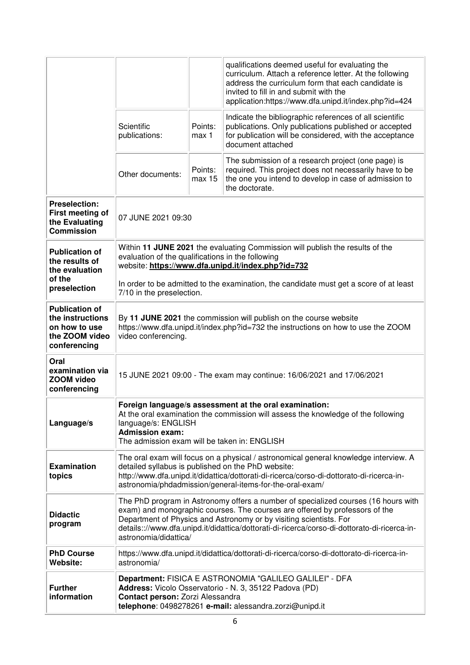|                                                                                              |                                                                                                                                                                                                                                                                                                                                                                  |                   | qualifications deemed useful for evaluating the<br>curriculum. Attach a reference letter. At the following<br>address the curriculum form that each candidate is<br>invited to fill in and submit with the<br>application:https://www.dfa.unipd.it/index.php?id=424 |
|----------------------------------------------------------------------------------------------|------------------------------------------------------------------------------------------------------------------------------------------------------------------------------------------------------------------------------------------------------------------------------------------------------------------------------------------------------------------|-------------------|---------------------------------------------------------------------------------------------------------------------------------------------------------------------------------------------------------------------------------------------------------------------|
|                                                                                              | Scientific<br>publications:                                                                                                                                                                                                                                                                                                                                      | Points:<br>max 1  | Indicate the bibliographic references of all scientific<br>publications. Only publications published or accepted<br>for publication will be considered, with the acceptance<br>document attached                                                                    |
|                                                                                              | Other documents:                                                                                                                                                                                                                                                                                                                                                 | Points:<br>max 15 | The submission of a research project (one page) is<br>required. This project does not necessarily have to be<br>the one you intend to develop in case of admission to<br>the doctorate.                                                                             |
| <b>Preselection:</b><br>First meeting of<br>the Evaluating<br><b>Commission</b>              | 07 JUNE 2021 09:30                                                                                                                                                                                                                                                                                                                                               |                   |                                                                                                                                                                                                                                                                     |
| <b>Publication of</b><br>the results of<br>the evaluation                                    | Within 11 JUNE 2021 the evaluating Commission will publish the results of the<br>evaluation of the qualifications in the following<br>website: https://www.dfa.unipd.it/index.php?id=732                                                                                                                                                                         |                   |                                                                                                                                                                                                                                                                     |
| of the<br>preselection                                                                       | 7/10 in the preselection.                                                                                                                                                                                                                                                                                                                                        |                   | In order to be admitted to the examination, the candidate must get a score of at least                                                                                                                                                                              |
| <b>Publication of</b><br>the instructions<br>on how to use<br>the ZOOM video<br>conferencing | By 11 JUNE 2021 the commission will publish on the course website<br>https://www.dfa.unipd.it/index.php?id=732 the instructions on how to use the ZOOM<br>video conferencing.                                                                                                                                                                                    |                   |                                                                                                                                                                                                                                                                     |
| Oral<br>examination via<br><b>ZOOM video</b><br>conferencing                                 | 15 JUNE 2021 09:00 - The exam may continue: 16/06/2021 and 17/06/2021                                                                                                                                                                                                                                                                                            |                   |                                                                                                                                                                                                                                                                     |
| Language/s                                                                                   | Foreign language/s assessment at the oral examination:<br>At the oral examination the commission will assess the knowledge of the following<br>language/s: ENGLISH<br><b>Admission exam:</b><br>The admission exam will be taken in: ENGLISH                                                                                                                     |                   |                                                                                                                                                                                                                                                                     |
| <b>Examination</b><br>topics                                                                 | The oral exam will focus on a physical / astronomical general knowledge interview. A<br>detailed syllabus is published on the PhD website:<br>http://www.dfa.unipd.it/didattica/dottorati-di-ricerca/corso-di-dottorato-di-ricerca-in-<br>astronomia/phdadmission/general-items-for-the-oral-exam/                                                               |                   |                                                                                                                                                                                                                                                                     |
| <b>Didactic</b><br>program                                                                   | The PhD program in Astronomy offers a number of specialized courses (16 hours with<br>exam) and monographic courses. The courses are offered by professors of the<br>Department of Physics and Astronomy or by visiting scientists. For<br>details:://www.dfa.unipd.it/didattica/dottorati-di-ricerca/corso-di-dottorato-di-ricerca-in-<br>astronomia/didattica/ |                   |                                                                                                                                                                                                                                                                     |
| <b>PhD Course</b><br>Website:                                                                | astronomia/                                                                                                                                                                                                                                                                                                                                                      |                   | https://www.dfa.unipd.it/didattica/dottorati-di-ricerca/corso-di-dottorato-di-ricerca-in-                                                                                                                                                                           |
| <b>Further</b><br>information                                                                | Department: FISICA E ASTRONOMIA "GALILEO GALILEI" - DFA<br>Address: Vicolo Osservatorio - N. 3, 35122 Padova (PD)<br>Contact person: Zorzi Alessandra<br>telephone: 0498278261 e-mail: alessandra.zorzi@unipd.it                                                                                                                                                 |                   |                                                                                                                                                                                                                                                                     |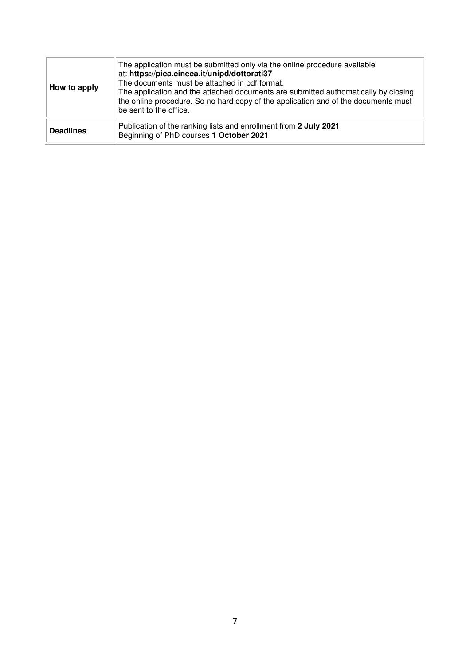| How to apply     | The application must be submitted only via the online procedure available<br>at: https://pica.cineca.it/unipd/dottorati37<br>The documents must be attached in pdf format.<br>The application and the attached documents are submitted authomatically by closing<br>the online procedure. So no hard copy of the application and of the documents must<br>be sent to the office. |
|------------------|----------------------------------------------------------------------------------------------------------------------------------------------------------------------------------------------------------------------------------------------------------------------------------------------------------------------------------------------------------------------------------|
| <b>Deadlines</b> | Publication of the ranking lists and enrollment from 2 July 2021<br>Beginning of PhD courses 1 October 2021                                                                                                                                                                                                                                                                      |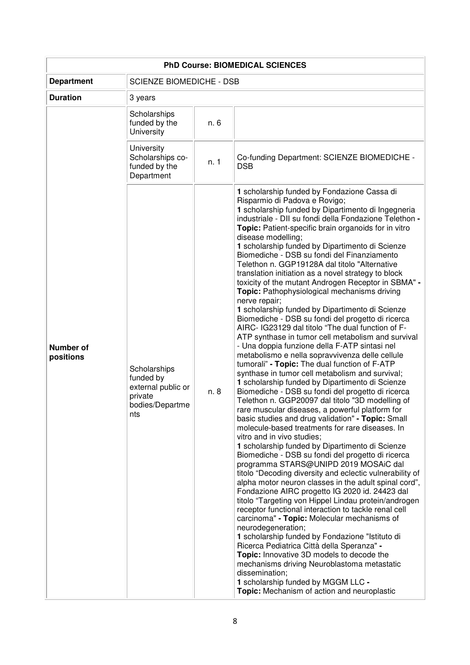| <b>PhD Course: BIOMEDICAL SCIENCES</b> |                                                                                      |      |                                                                                                                                                                                                                                                                                                                                                                                                                                                                                                                                                                                                                                                                                                                                                                                                                                                                                                                                                                                                                                                                                                                                                                                                                                                                                                                                                                                                                                                                                                                                                                                                                                                                                                                                                                                                                                                                                                                                                                                                                                                                                                                                                                                                               |  |
|----------------------------------------|--------------------------------------------------------------------------------------|------|---------------------------------------------------------------------------------------------------------------------------------------------------------------------------------------------------------------------------------------------------------------------------------------------------------------------------------------------------------------------------------------------------------------------------------------------------------------------------------------------------------------------------------------------------------------------------------------------------------------------------------------------------------------------------------------------------------------------------------------------------------------------------------------------------------------------------------------------------------------------------------------------------------------------------------------------------------------------------------------------------------------------------------------------------------------------------------------------------------------------------------------------------------------------------------------------------------------------------------------------------------------------------------------------------------------------------------------------------------------------------------------------------------------------------------------------------------------------------------------------------------------------------------------------------------------------------------------------------------------------------------------------------------------------------------------------------------------------------------------------------------------------------------------------------------------------------------------------------------------------------------------------------------------------------------------------------------------------------------------------------------------------------------------------------------------------------------------------------------------------------------------------------------------------------------------------------------------|--|
| <b>Department</b>                      | <b>SCIENZE BIOMEDICHE - DSB</b>                                                      |      |                                                                                                                                                                                                                                                                                                                                                                                                                                                                                                                                                                                                                                                                                                                                                                                                                                                                                                                                                                                                                                                                                                                                                                                                                                                                                                                                                                                                                                                                                                                                                                                                                                                                                                                                                                                                                                                                                                                                                                                                                                                                                                                                                                                                               |  |
| <b>Duration</b>                        | 3 years                                                                              |      |                                                                                                                                                                                                                                                                                                                                                                                                                                                                                                                                                                                                                                                                                                                                                                                                                                                                                                                                                                                                                                                                                                                                                                                                                                                                                                                                                                                                                                                                                                                                                                                                                                                                                                                                                                                                                                                                                                                                                                                                                                                                                                                                                                                                               |  |
|                                        | Scholarships<br>funded by the<br>University                                          | n. 6 |                                                                                                                                                                                                                                                                                                                                                                                                                                                                                                                                                                                                                                                                                                                                                                                                                                                                                                                                                                                                                                                                                                                                                                                                                                                                                                                                                                                                                                                                                                                                                                                                                                                                                                                                                                                                                                                                                                                                                                                                                                                                                                                                                                                                               |  |
|                                        | University<br>Scholarships co-<br>funded by the<br>Department                        | n. 1 | Co-funding Department: SCIENZE BIOMEDICHE -<br><b>DSB</b>                                                                                                                                                                                                                                                                                                                                                                                                                                                                                                                                                                                                                                                                                                                                                                                                                                                                                                                                                                                                                                                                                                                                                                                                                                                                                                                                                                                                                                                                                                                                                                                                                                                                                                                                                                                                                                                                                                                                                                                                                                                                                                                                                     |  |
| <b>Number of</b><br>positions          | Scholarships<br>funded by<br>external public or<br>private<br>bodies/Departme<br>nts | n. 8 | 1 scholarship funded by Fondazione Cassa di<br>Risparmio di Padova e Rovigo;<br>1 scholarship funded by Dipartimento di Ingegneria<br>industriale - DII su fondi della Fondazione Telethon -<br>Topic: Patient-specific brain organoids for in vitro<br>disease modelling;<br>1 scholarship funded by Dipartimento di Scienze<br>Biomediche - DSB su fondi del Finanziamento<br>Telethon n. GGP19128A dal titolo "Alternative<br>translation initiation as a novel strategy to block<br>toxicity of the mutant Androgen Receptor in SBMA" -<br>Topic: Pathophysiological mechanisms driving<br>nerve repair;<br>1 scholarship funded by Dipartimento di Scienze<br>Biomediche - DSB su fondi del progetto di ricerca<br>AIRC- IG23129 dal titolo "The dual function of F-<br>ATP synthase in tumor cell metabolism and survival<br>- Una doppia funzione della F-ATP sintasi nel<br>metabolismo e nella sopravvivenza delle cellule<br>tumorali" - Topic: The dual function of F-ATP<br>synthase in tumor cell metabolism and survival;<br>1 scholarship funded by Dipartimento di Scienze<br>Biomediche - DSB su fondi del progetto di ricerca<br>Telethon n. GGP20097 dal titolo "3D modelling of<br>rare muscular diseases, a powerful platform for<br>basic studies and drug validation" - Topic: Small<br>molecule-based treatments for rare diseases. In<br>vitro and in vivo studies;<br>1 scholarship funded by Dipartimento di Scienze<br>Biomediche - DSB su fondi del progetto di ricerca<br>programma STARS@UNIPD 2019 MOSAiC dal<br>titolo "Decoding diversity and eclectic vulnerability of<br>alpha motor neuron classes in the adult spinal cord",<br>Fondazione AIRC progetto IG 2020 id. 24423 dal<br>titolo "Targeting von Hippel Lindau protein/androgen<br>receptor functional interaction to tackle renal cell<br>carcinoma" - Topic: Molecular mechanisms of<br>neurodegeneration;<br>1 scholarship funded by Fondazione "Istituto di<br>Ricerca Pediatrica Città della Speranza" -<br>Topic: Innovative 3D models to decode the<br>mechanisms driving Neuroblastoma metastatic<br>dissemination;<br>1 scholarship funded by MGGM LLC -<br>Topic: Mechanism of action and neuroplastic |  |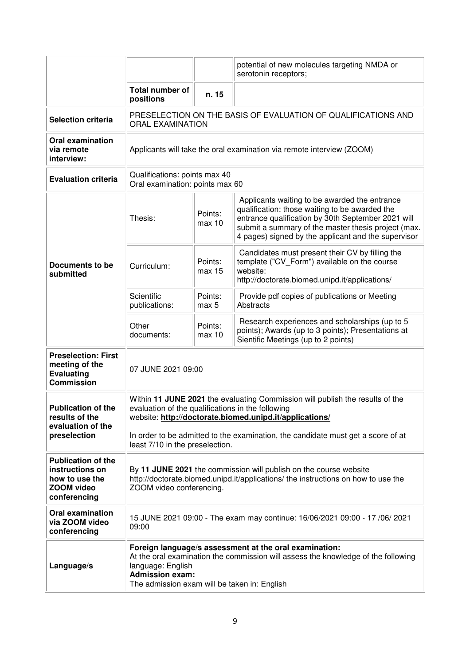|                                                                                                     |                                                                                                                                                                                                                                                                                                                      |                   | potential of new molecules targeting NMDA or<br>serotonin receptors;                                                                                                                                                                                                |
|-----------------------------------------------------------------------------------------------------|----------------------------------------------------------------------------------------------------------------------------------------------------------------------------------------------------------------------------------------------------------------------------------------------------------------------|-------------------|---------------------------------------------------------------------------------------------------------------------------------------------------------------------------------------------------------------------------------------------------------------------|
|                                                                                                     | <b>Total number of</b><br>positions                                                                                                                                                                                                                                                                                  | n. 15             |                                                                                                                                                                                                                                                                     |
| <b>Selection criteria</b>                                                                           | <b>ORAL EXAMINATION</b>                                                                                                                                                                                                                                                                                              |                   | PRESELECTION ON THE BASIS OF EVALUATION OF QUALIFICATIONS AND                                                                                                                                                                                                       |
| <b>Oral examination</b><br>via remote<br>interview:                                                 | Applicants will take the oral examination via remote interview (ZOOM)                                                                                                                                                                                                                                                |                   |                                                                                                                                                                                                                                                                     |
| <b>Evaluation criteria</b>                                                                          | Qualifications: points max 40<br>Oral examination: points max 60                                                                                                                                                                                                                                                     |                   |                                                                                                                                                                                                                                                                     |
|                                                                                                     | Thesis:                                                                                                                                                                                                                                                                                                              | Points:<br>max 10 | Applicants waiting to be awarded the entrance<br>qualification: those waiting to be awarded the<br>entrance qualification by 30th September 2021 will<br>submit a summary of the master thesis project (max.<br>4 pages) signed by the applicant and the supervisor |
| Documents to be<br>submitted                                                                        | Curriculum:                                                                                                                                                                                                                                                                                                          | Points:<br>max 15 | Candidates must present their CV by filling the<br>template ("CV_Form") available on the course<br>website:<br>http://doctorate.biomed.unipd.it/applications/                                                                                                       |
|                                                                                                     | Scientific<br>publications:                                                                                                                                                                                                                                                                                          | Points:<br>max 5  | Provide pdf copies of publications or Meeting<br>Abstracts                                                                                                                                                                                                          |
|                                                                                                     | Other<br>documents:                                                                                                                                                                                                                                                                                                  | Points:<br>max 10 | Research experiences and scholarships (up to 5<br>points); Awards (up to 3 points); Presentations at<br>Sientific Meetings (up to 2 points)                                                                                                                         |
| <b>Preselection: First</b><br>meeting of the<br><b>Evaluating</b><br><b>Commission</b>              | 07 JUNE 2021 09:00                                                                                                                                                                                                                                                                                                   |                   |                                                                                                                                                                                                                                                                     |
| <b>Publication of the</b><br>results of the<br>evaluation of the<br>preselection                    | Within 11 JUNE 2021 the evaluating Commission will publish the results of the<br>evaluation of the qualifications in the following<br>website: http://doctorate.biomed.unipd.it/applications/<br>In order to be admitted to the examination, the candidate must get a score of at<br>least 7/10 in the preselection. |                   |                                                                                                                                                                                                                                                                     |
| <b>Publication of the</b><br>instructions on<br>how to use the<br><b>ZOOM video</b><br>conferencing | By 11 JUNE 2021 the commission will publish on the course website<br>http://doctorate.biomed.unipd.it/applications/ the instructions on how to use the<br>ZOOM video conferencing.                                                                                                                                   |                   |                                                                                                                                                                                                                                                                     |
| <b>Oral examination</b><br>via ZOOM video<br>conferencing                                           | 15 JUNE 2021 09:00 - The exam may continue: 16/06/2021 09:00 - 17 /06/ 2021<br>09:00                                                                                                                                                                                                                                 |                   |                                                                                                                                                                                                                                                                     |
| Language/s                                                                                          | Foreign language/s assessment at the oral examination:<br>At the oral examination the commission will assess the knowledge of the following<br>language: English<br><b>Admission exam:</b><br>The admission exam will be taken in: English                                                                           |                   |                                                                                                                                                                                                                                                                     |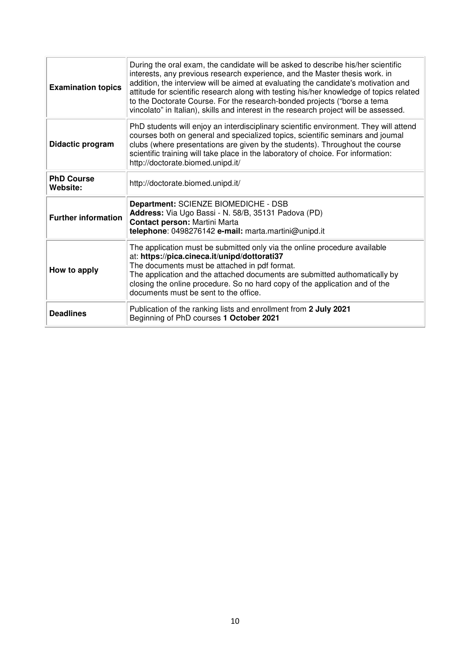| <b>Examination topics</b>     | During the oral exam, the candidate will be asked to describe his/her scientific<br>interests, any previous research experience, and the Master thesis work. in<br>addition, the interview will be aimed at evaluating the candidate's motivation and<br>attitude for scientific research along with testing his/her knowledge of topics related<br>to the Doctorate Course. For the research-bonded projects ("borse a tema<br>vincolato" in Italian), skills and interest in the research project will be assessed. |
|-------------------------------|-----------------------------------------------------------------------------------------------------------------------------------------------------------------------------------------------------------------------------------------------------------------------------------------------------------------------------------------------------------------------------------------------------------------------------------------------------------------------------------------------------------------------|
| Didactic program              | PhD students will enjoy an interdisciplinary scientific environment. They will attend<br>courses both on general and specialized topics, scientific seminars and joumal<br>clubs (where presentations are given by the students). Throughout the course<br>scientific training will take place in the laboratory of choice. For information:<br>http://doctorate.biomed.unipd.it/                                                                                                                                     |
| <b>PhD Course</b><br>Website: | http://doctorate.biomed.unipd.it/                                                                                                                                                                                                                                                                                                                                                                                                                                                                                     |
| <b>Further information</b>    | Department: SCIENZE BIOMEDICHE - DSB<br>Address: Via Ugo Bassi - N. 58/B, 35131 Padova (PD)<br>Contact person: Martini Marta<br>telephone: 0498276142 e-mail: marta.martini@unipd.it                                                                                                                                                                                                                                                                                                                                  |
| How to apply                  | The application must be submitted only via the online procedure available<br>at: https://pica.cineca.it/unipd/dottorati37<br>The documents must be attached in pdf format.<br>The application and the attached documents are submitted authomatically by<br>closing the online procedure. So no hard copy of the application and of the<br>documents must be sent to the office.                                                                                                                                      |
| <b>Deadlines</b>              | Publication of the ranking lists and enrollment from 2 July 2021<br>Beginning of PhD courses 1 October 2021                                                                                                                                                                                                                                                                                                                                                                                                           |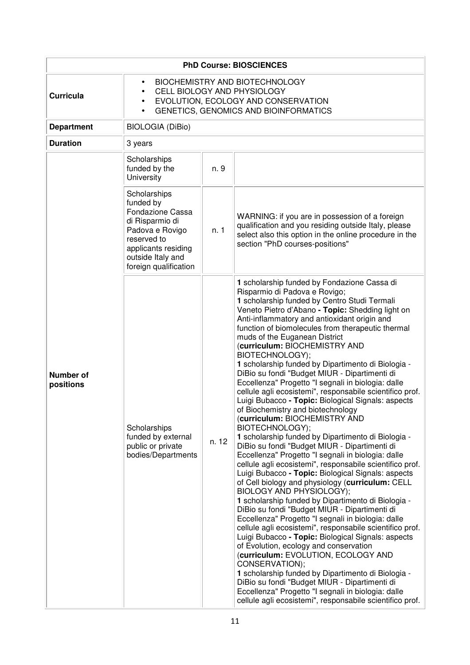| <b>PhD Course: BIOSCIENCES</b> |                                                                                                                                                                                                   |       |                                                                                                                                                                                                                                                                                                                                                                                                                                                                                                                                                                                                                                                                                                                                                                                                                                                                                                                                                                                                                                                                                                                                                                                                                                                                                                                                                                                                                                                                                                                                                                                                                                                                                                                              |  |
|--------------------------------|---------------------------------------------------------------------------------------------------------------------------------------------------------------------------------------------------|-------|------------------------------------------------------------------------------------------------------------------------------------------------------------------------------------------------------------------------------------------------------------------------------------------------------------------------------------------------------------------------------------------------------------------------------------------------------------------------------------------------------------------------------------------------------------------------------------------------------------------------------------------------------------------------------------------------------------------------------------------------------------------------------------------------------------------------------------------------------------------------------------------------------------------------------------------------------------------------------------------------------------------------------------------------------------------------------------------------------------------------------------------------------------------------------------------------------------------------------------------------------------------------------------------------------------------------------------------------------------------------------------------------------------------------------------------------------------------------------------------------------------------------------------------------------------------------------------------------------------------------------------------------------------------------------------------------------------------------------|--|
| <b>Curricula</b>               | BIOCHEMISTRY AND BIOTECHNOLOGY<br>$\bullet$<br>CELL BIOLOGY AND PHYSIOLOGY<br>$\bullet$<br>EVOLUTION, ECOLOGY AND CONSERVATION<br>$\bullet$<br>GENETICS, GENOMICS AND BIOINFORMATICS<br>$\bullet$ |       |                                                                                                                                                                                                                                                                                                                                                                                                                                                                                                                                                                                                                                                                                                                                                                                                                                                                                                                                                                                                                                                                                                                                                                                                                                                                                                                                                                                                                                                                                                                                                                                                                                                                                                                              |  |
| <b>Department</b>              | <b>BIOLOGIA (DiBio)</b>                                                                                                                                                                           |       |                                                                                                                                                                                                                                                                                                                                                                                                                                                                                                                                                                                                                                                                                                                                                                                                                                                                                                                                                                                                                                                                                                                                                                                                                                                                                                                                                                                                                                                                                                                                                                                                                                                                                                                              |  |
| <b>Duration</b>                | 3 years                                                                                                                                                                                           |       |                                                                                                                                                                                                                                                                                                                                                                                                                                                                                                                                                                                                                                                                                                                                                                                                                                                                                                                                                                                                                                                                                                                                                                                                                                                                                                                                                                                                                                                                                                                                                                                                                                                                                                                              |  |
|                                | Scholarships<br>funded by the<br>University                                                                                                                                                       | n. 9  |                                                                                                                                                                                                                                                                                                                                                                                                                                                                                                                                                                                                                                                                                                                                                                                                                                                                                                                                                                                                                                                                                                                                                                                                                                                                                                                                                                                                                                                                                                                                                                                                                                                                                                                              |  |
|                                | Scholarships<br>funded by<br>Fondazione Cassa<br>di Risparmio di<br>Padova e Rovigo<br>reserved to<br>applicants residing<br>outside Italy and<br>foreign qualification                           | n. 1  | WARNING: if you are in possession of a foreign<br>qualification and you residing outside Italy, please<br>select also this option in the online procedure in the<br>section "PhD courses-positions"                                                                                                                                                                                                                                                                                                                                                                                                                                                                                                                                                                                                                                                                                                                                                                                                                                                                                                                                                                                                                                                                                                                                                                                                                                                                                                                                                                                                                                                                                                                          |  |
| <b>Number of</b><br>positions  | Scholarships<br>funded by external<br>public or private<br>bodies/Departments                                                                                                                     | n. 12 | 1 scholarship funded by Fondazione Cassa di<br>Risparmio di Padova e Rovigo;<br>1 scholarship funded by Centro Studi Termali<br>Veneto Pietro d'Abano - Topic: Shedding light on<br>Anti-inflammatory and antioxidant origin and<br>function of biomolecules from therapeutic thermal<br>muds of the Euganean District<br>(curriculum: BIOCHEMISTRY AND<br>BIOTECHNOLOGY);<br>1 scholarship funded by Dipartimento di Biologia -<br>DiBio su fondi "Budget MIUR - Dipartimenti di<br>Eccellenza" Progetto "I segnali in biologia: dalle<br>cellule agli ecosistemi", responsabile scientifico prof.<br>Luigi Bubacco - Topic: Biological Signals: aspects<br>of Biochemistry and biotechnology<br>(curriculum: BIOCHEMISTRY AND<br>BIOTECHNOLOGY);<br>1 scholarship funded by Dipartimento di Biologia -<br>DiBio su fondi "Budget MIUR - Dipartimenti di<br>Eccellenza" Progetto "I segnali in biologia: dalle<br>cellule agli ecosistemi", responsabile scientifico prof.<br>Luigi Bubacco - Topic: Biological Signals: aspects<br>of Cell biology and physiology (curriculum: CELL<br>BIOLOGY AND PHYSIOLOGY);<br>1 scholarship funded by Dipartimento di Biologia -<br>DiBio su fondi "Budget MIUR - Dipartimenti di<br>Eccellenza" Progetto "I segnali in biologia: dalle<br>cellule agli ecosistemi", responsabile scientifico prof.<br>Luigi Bubacco - Topic: Biological Signals: aspects<br>of Evolution, ecology and conservation<br>(curriculum: EVOLUTION, ECOLOGY AND<br>CONSERVATION);<br>1 scholarship funded by Dipartimento di Biologia -<br>DiBio su fondi "Budget MIUR - Dipartimenti di<br>Eccellenza" Progetto "I segnali in biologia: dalle<br>cellule agli ecosistemi", responsabile scientifico prof. |  |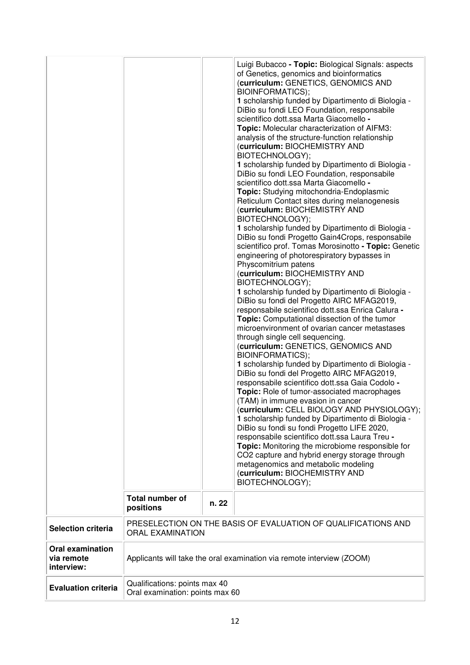|                                                     | <b>Total number of</b><br>positions                              | n. 22 | Luigi Bubacco - Topic: Biological Signals: aspects<br>of Genetics, genomics and bioinformatics<br>(curriculum: GENETICS, GENOMICS AND<br><b>BIOINFORMATICS);</b><br>1 scholarship funded by Dipartimento di Biologia -<br>DiBio su fondi LEO Foundation, responsabile<br>scientifico dott.ssa Marta Giacomello -<br>Topic: Molecular characterization of AIFM3:<br>analysis of the structure-function relationship<br>(curriculum: BIOCHEMISTRY AND<br>BIOTECHNOLOGY);<br>1 scholarship funded by Dipartimento di Biologia -<br>DiBio su fondi LEO Foundation, responsabile<br>scientifico dott.ssa Marta Giacomello -<br>Topic: Studying mitochondria-Endoplasmic<br>Reticulum Contact sites during melanogenesis<br>(curriculum: BIOCHEMISTRY AND<br>BIOTECHNOLOGY);<br>1 scholarship funded by Dipartimento di Biologia -<br>DiBio su fondi Progetto Gain4Crops, responsabile<br>scientifico prof. Tomas Morosinotto - Topic: Genetic<br>engineering of photorespiratory bypasses in<br>Physcomitrium patens<br>(curriculum: BIOCHEMISTRY AND<br>BIOTECHNOLOGY);<br>1 scholarship funded by Dipartimento di Biologia -<br>DiBio su fondi del Progetto AIRC MFAG2019,<br>responsabile scientifico dott.ssa Enrica Calura -<br>Topic: Computational dissection of the tumor<br>microenvironment of ovarian cancer metastases<br>through single cell sequencing.<br>(curriculum: GENETICS, GENOMICS AND<br><b>BIOINFORMATICS);</b><br>1 scholarship funded by Dipartimento di Biologia -<br>DiBio su fondi del Progetto AIRC MFAG2019,<br>responsabile scientifico dott.ssa Gaia Codolo -<br>Topic: Role of tumor-associated macrophages<br>(TAM) in immune evasion in cancer<br>(curriculum: CELL BIOLOGY AND PHYSIOLOGY);<br>1 scholarship funded by Dipartimento di Biologia -<br>DiBio su fondi su fondi Progetto LIFE 2020,<br>responsabile scientifico dott.ssa Laura Treu -<br>Topic: Monitoring the microbiome responsible for<br>CO2 capture and hybrid energy storage through<br>metagenomics and metabolic modeling<br>(curriculum: BIOCHEMISTRY AND<br>BIOTECHNOLOGY); |
|-----------------------------------------------------|------------------------------------------------------------------|-------|------------------------------------------------------------------------------------------------------------------------------------------------------------------------------------------------------------------------------------------------------------------------------------------------------------------------------------------------------------------------------------------------------------------------------------------------------------------------------------------------------------------------------------------------------------------------------------------------------------------------------------------------------------------------------------------------------------------------------------------------------------------------------------------------------------------------------------------------------------------------------------------------------------------------------------------------------------------------------------------------------------------------------------------------------------------------------------------------------------------------------------------------------------------------------------------------------------------------------------------------------------------------------------------------------------------------------------------------------------------------------------------------------------------------------------------------------------------------------------------------------------------------------------------------------------------------------------------------------------------------------------------------------------------------------------------------------------------------------------------------------------------------------------------------------------------------------------------------------------------------------------------------------------------------------------------------------------------------------------------------------------------------------------------------------------------------------------|
| <b>Selection criteria</b>                           | <b>ORAL EXAMINATION</b>                                          |       | PRESELECTION ON THE BASIS OF EVALUATION OF QUALIFICATIONS AND                                                                                                                                                                                                                                                                                                                                                                                                                                                                                                                                                                                                                                                                                                                                                                                                                                                                                                                                                                                                                                                                                                                                                                                                                                                                                                                                                                                                                                                                                                                                                                                                                                                                                                                                                                                                                                                                                                                                                                                                                      |
| <b>Oral examination</b><br>via remote<br>interview: |                                                                  |       | Applicants will take the oral examination via remote interview (ZOOM)                                                                                                                                                                                                                                                                                                                                                                                                                                                                                                                                                                                                                                                                                                                                                                                                                                                                                                                                                                                                                                                                                                                                                                                                                                                                                                                                                                                                                                                                                                                                                                                                                                                                                                                                                                                                                                                                                                                                                                                                              |
| <b>Evaluation criteria</b>                          | Qualifications: points max 40<br>Oral examination: points max 60 |       |                                                                                                                                                                                                                                                                                                                                                                                                                                                                                                                                                                                                                                                                                                                                                                                                                                                                                                                                                                                                                                                                                                                                                                                                                                                                                                                                                                                                                                                                                                                                                                                                                                                                                                                                                                                                                                                                                                                                                                                                                                                                                    |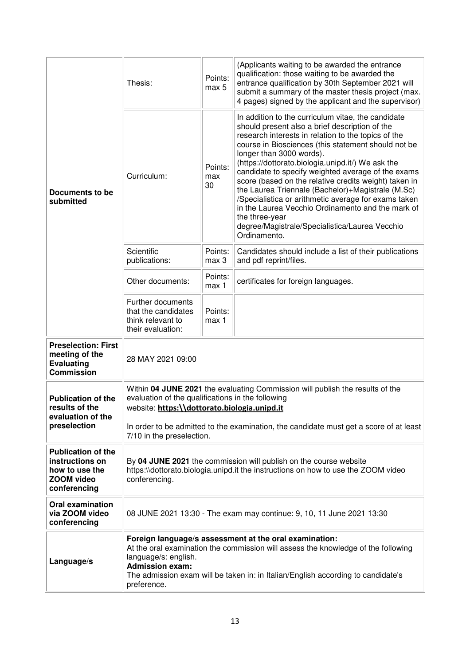| Documents to be<br>submitted                                                                        | Thesis:                                                                                                                                                                                                                                                                                                   | Points:<br>max 5     | (Applicants waiting to be awarded the entrance<br>qualification: those waiting to be awarded the<br>entrance qualification by 30th September 2021 will<br>submit a summary of the master thesis project (max.<br>4 pages) signed by the applicant and the supervisor)                                                                                                                                                                                                                                                                                                                                                                                                    |  |
|-----------------------------------------------------------------------------------------------------|-----------------------------------------------------------------------------------------------------------------------------------------------------------------------------------------------------------------------------------------------------------------------------------------------------------|----------------------|--------------------------------------------------------------------------------------------------------------------------------------------------------------------------------------------------------------------------------------------------------------------------------------------------------------------------------------------------------------------------------------------------------------------------------------------------------------------------------------------------------------------------------------------------------------------------------------------------------------------------------------------------------------------------|--|
|                                                                                                     | Curriculum:                                                                                                                                                                                                                                                                                               | Points:<br>max<br>30 | In addition to the curriculum vitae, the candidate<br>should present also a brief description of the<br>research interests in relation to the topics of the<br>course in Biosciences (this statement should not be<br>longer than 3000 words).<br>(https://dottorato.biologia.unipd.it/) We ask the<br>candidate to specify weighted average of the exams<br>score (based on the relative credits weight) taken in<br>the Laurea Triennale (Bachelor)+Magistrale (M.Sc)<br>/Specialistica or arithmetic average for exams taken<br>in the Laurea Vecchio Ordinamento and the mark of<br>the three-year<br>degree/Magistrale/Specialistica/Laurea Vecchio<br>Ordinamento. |  |
|                                                                                                     | Scientific<br>publications:                                                                                                                                                                                                                                                                               | Points:<br>max 3     | Candidates should include a list of their publications<br>and pdf reprint/files.                                                                                                                                                                                                                                                                                                                                                                                                                                                                                                                                                                                         |  |
|                                                                                                     | Other documents:                                                                                                                                                                                                                                                                                          | Points:<br>max 1     | certificates for foreign languages.                                                                                                                                                                                                                                                                                                                                                                                                                                                                                                                                                                                                                                      |  |
|                                                                                                     | Further documents<br>that the candidates<br>think relevant to<br>their evaluation:                                                                                                                                                                                                                        | Points:<br>max 1     |                                                                                                                                                                                                                                                                                                                                                                                                                                                                                                                                                                                                                                                                          |  |
| <b>Preselection: First</b><br>meeting of the<br><b>Evaluating</b><br><b>Commission</b>              | 28 MAY 2021 09:00                                                                                                                                                                                                                                                                                         |                      |                                                                                                                                                                                                                                                                                                                                                                                                                                                                                                                                                                                                                                                                          |  |
| <b>Publication of the</b><br>results of the<br>evaluation of the<br>preselection                    | Within 04 JUNE 2021 the evaluating Commission will publish the results of the<br>evaluation of the qualifications in the following<br>website: https:\\dottorato.biologia.unipd.it<br>In order to be admitted to the examination, the candidate must get a score of at least<br>7/10 in the preselection. |                      |                                                                                                                                                                                                                                                                                                                                                                                                                                                                                                                                                                                                                                                                          |  |
| <b>Publication of the</b><br>instructions on<br>how to use the<br><b>ZOOM</b> video<br>conferencing | By 04 JUNE 2021 the commission will publish on the course website<br>https:\\dottorato.biologia.unipd.it the instructions on how to use the ZOOM video<br>conferencing.                                                                                                                                   |                      |                                                                                                                                                                                                                                                                                                                                                                                                                                                                                                                                                                                                                                                                          |  |
| <b>Oral examination</b><br>via ZOOM video<br>conferencing                                           |                                                                                                                                                                                                                                                                                                           |                      | 08 JUNE 2021 13:30 - The exam may continue: 9, 10, 11 June 2021 13:30                                                                                                                                                                                                                                                                                                                                                                                                                                                                                                                                                                                                    |  |
| Language/s                                                                                          | Foreign language/s assessment at the oral examination:<br>At the oral examination the commission will assess the knowledge of the following<br>language/s: english.<br><b>Admission exam:</b><br>The admission exam will be taken in: in Italian/English according to candidate's<br>preference.          |                      |                                                                                                                                                                                                                                                                                                                                                                                                                                                                                                                                                                                                                                                                          |  |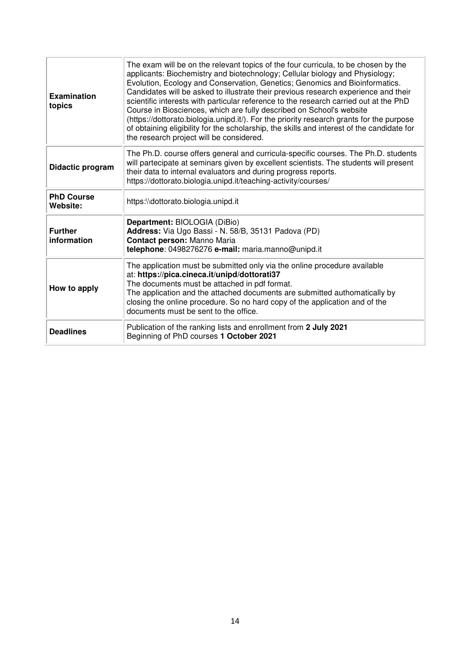| <b>Examination</b><br>topics  | The exam will be on the relevant topics of the four curricula, to be chosen by the<br>applicants: Biochemistry and biotechnology; Cellular biology and Physiology;<br>Evolution, Ecology and Conservation, Genetics; Genomics and Bioinformatics.<br>Candidates will be asked to illustrate their previous research experience and their<br>scientific interests with particular reference to the research carried out at the PhD<br>Course in Biosciences, which are fully described on School's website<br>(https://dottorato.biologia.unipd.it/). For the priority research grants for the purpose<br>of obtaining eligibility for the scholarship, the skills and interest of the candidate for<br>the research project will be considered. |
|-------------------------------|-------------------------------------------------------------------------------------------------------------------------------------------------------------------------------------------------------------------------------------------------------------------------------------------------------------------------------------------------------------------------------------------------------------------------------------------------------------------------------------------------------------------------------------------------------------------------------------------------------------------------------------------------------------------------------------------------------------------------------------------------|
| Didactic program              | The Ph.D. course offers general and curricula-specific courses. The Ph.D. students<br>will partecipate at seminars given by excellent scientists. The students will present<br>their data to internal evaluators and during progress reports.<br>https://dottorato.biologia.unipd.it/teaching-activity/courses/                                                                                                                                                                                                                                                                                                                                                                                                                                 |
| <b>PhD Course</b><br>Website: | https:\\dottorato.biologia.unipd.it                                                                                                                                                                                                                                                                                                                                                                                                                                                                                                                                                                                                                                                                                                             |
| <b>Further</b><br>information | Department: BIOLOGIA (DiBio)<br>Address: Via Ugo Bassi - N. 58/B, 35131 Padova (PD)<br>Contact person: Manno Maria<br>telephone: 0498276276 e-mail: maria.manno@unipd.it                                                                                                                                                                                                                                                                                                                                                                                                                                                                                                                                                                        |
| How to apply                  | The application must be submitted only via the online procedure available<br>at: https://pica.cineca.it/unipd/dottorati37<br>The documents must be attached in pdf format.<br>The application and the attached documents are submitted authomatically by<br>closing the online procedure. So no hard copy of the application and of the<br>documents must be sent to the office.                                                                                                                                                                                                                                                                                                                                                                |
| <b>Deadlines</b>              | Publication of the ranking lists and enrollment from 2 July 2021<br>Beginning of PhD courses 1 October 2021                                                                                                                                                                                                                                                                                                                                                                                                                                                                                                                                                                                                                                     |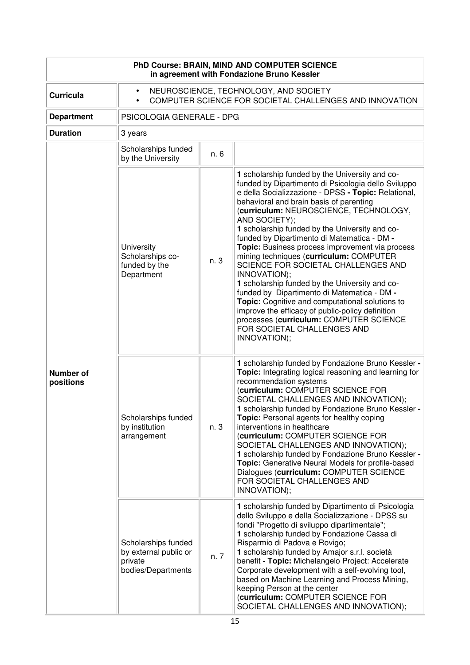| PhD Course: BRAIN, MIND AND COMPUTER SCIENCE<br>in agreement with Fondazione Bruno Kessler |                                                                                                                            |      |                                                                                                                                                                                                                                                                                                                                                                                                                                                                                                                                                                                                                                                                                                                                                                                                                            |  |
|--------------------------------------------------------------------------------------------|----------------------------------------------------------------------------------------------------------------------------|------|----------------------------------------------------------------------------------------------------------------------------------------------------------------------------------------------------------------------------------------------------------------------------------------------------------------------------------------------------------------------------------------------------------------------------------------------------------------------------------------------------------------------------------------------------------------------------------------------------------------------------------------------------------------------------------------------------------------------------------------------------------------------------------------------------------------------------|--|
| <b>Curricula</b>                                                                           | NEUROSCIENCE, TECHNOLOGY, AND SOCIETY<br>$\bullet$<br>COMPUTER SCIENCE FOR SOCIETAL CHALLENGES AND INNOVATION<br>$\bullet$ |      |                                                                                                                                                                                                                                                                                                                                                                                                                                                                                                                                                                                                                                                                                                                                                                                                                            |  |
| <b>Department</b>                                                                          | PSICOLOGIA GENERALE - DPG                                                                                                  |      |                                                                                                                                                                                                                                                                                                                                                                                                                                                                                                                                                                                                                                                                                                                                                                                                                            |  |
| <b>Duration</b>                                                                            | 3 years                                                                                                                    |      |                                                                                                                                                                                                                                                                                                                                                                                                                                                                                                                                                                                                                                                                                                                                                                                                                            |  |
|                                                                                            | Scholarships funded<br>by the University                                                                                   | n. 6 |                                                                                                                                                                                                                                                                                                                                                                                                                                                                                                                                                                                                                                                                                                                                                                                                                            |  |
| <b>Number of</b><br>positions                                                              | University<br>Scholarships co-<br>funded by the<br>Department                                                              | n. 3 | 1 scholarship funded by the University and co-<br>funded by Dipartimento di Psicologia dello Sviluppo<br>e della Socializzazione - DPSS - Topic: Relational,<br>behavioral and brain basis of parenting<br>(curriculum: NEUROSCIENCE, TECHNOLOGY,<br>AND SOCIETY);<br>1 scholarship funded by the University and co-<br>funded by Dipartimento di Matematica - DM -<br>Topic: Business process improvement via process<br>mining techniques (curriculum: COMPUTER<br>SCIENCE FOR SOCIETAL CHALLENGES AND<br>INNOVATION);<br>1 scholarship funded by the University and co-<br>funded by Dipartimento di Matematica - DM -<br>Topic: Cognitive and computational solutions to<br>improve the efficacy of public-policy definition<br>processes (curriculum: COMPUTER SCIENCE<br>FOR SOCIETAL CHALLENGES AND<br>INNOVATION); |  |
|                                                                                            | Scholarships funded<br>by institution<br>arrangement                                                                       | n. 3 | 1 scholarship funded by Fondazione Bruno Kessler -<br>Topic: Integrating logical reasoning and learning for<br>recommendation systems<br>(curriculum: COMPUTER SCIENCE FOR<br>SOCIETAL CHALLENGES AND INNOVATION);<br>1 scholarship funded by Fondazione Bruno Kessler -<br>Topic: Personal agents for healthy coping<br>interventions in healthcare<br>(curriculum: COMPUTER SCIENCE FOR<br>SOCIETAL CHALLENGES AND INNOVATION);<br>1 scholarship funded by Fondazione Bruno Kessler -<br>Topic: Generative Neural Models for profile-based<br>Dialogues (curriculum: COMPUTER SCIENCE<br>FOR SOCIETAL CHALLENGES AND<br>INNOVATION);                                                                                                                                                                                     |  |
|                                                                                            | Scholarships funded<br>by external public or<br>private<br>bodies/Departments                                              | n. 7 | 1 scholarship funded by Dipartimento di Psicologia<br>dello Sviluppo e della Socializzazione - DPSS su<br>fondi "Progetto di sviluppo dipartimentale";<br>1 scholarship funded by Fondazione Cassa di<br>Risparmio di Padova e Rovigo;<br>1 scholarship funded by Amajor s.r.l. società<br>benefit - Topic: Michelangelo Project: Accelerate<br>Corporate development with a self-evolving tool,<br>based on Machine Learning and Process Mining,<br>keeping Person at the center<br>(curriculum: COMPUTER SCIENCE FOR<br>SOCIETAL CHALLENGES AND INNOVATION);                                                                                                                                                                                                                                                             |  |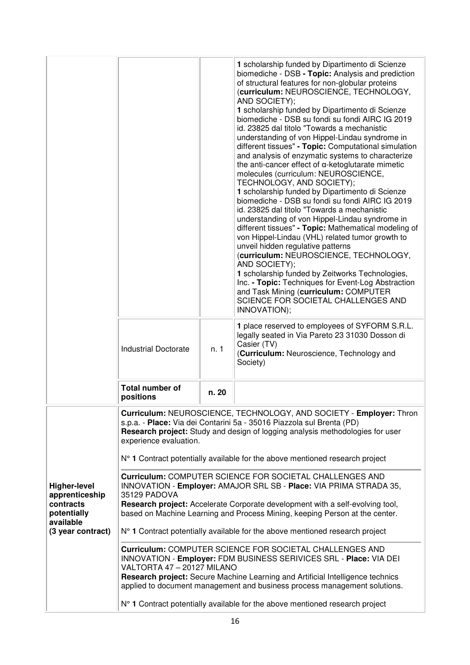|                                                                                                     | <b>Industrial Doctorate</b>                                                                                                                                                                                                                                                                                                                                                                                                                                                                                                                                                                                                                                                                                                                                                                                                                                                                                                                                                                                                                                                                                                                              | n. 1  | 1 scholarship funded by Dipartimento di Scienze<br>biomediche - DSB - Topic: Analysis and prediction<br>of structural features for non-globular proteins<br>(curriculum: NEUROSCIENCE, TECHNOLOGY,<br>AND SOCIETY);<br>1 scholarship funded by Dipartimento di Scienze<br>biomediche - DSB su fondi su fondi AIRC IG 2019<br>id. 23825 dal titolo "Towards a mechanistic<br>understanding of von Hippel-Lindau syndrome in<br>different tissues" - Topic: Computational simulation<br>and analysis of enzymatic systems to characterize<br>the anti-cancer effect of $\alpha$ -ketoglutarate mimetic<br>molecules (curriculum: NEUROSCIENCE,<br>TECHNOLOGY, AND SOCIETY);<br>1 scholarship funded by Dipartimento di Scienze<br>biomediche - DSB su fondi su fondi AIRC IG 2019<br>id. 23825 dal titolo "Towards a mechanistic<br>understanding of von Hippel-Lindau syndrome in<br>different tissues" - Topic: Mathematical modeling of<br>von Hippel-Lindau (VHL) related tumor growth to<br>unveil hidden regulative patterns<br>(curriculum: NEUROSCIENCE, TECHNOLOGY,<br>AND SOCIETY);<br>1 scholarship funded by Zeitworks Technologies,<br>Inc. - Topic: Techniques for Event-Log Abstraction<br>and Task Mining (curriculum: COMPUTER<br>SCIENCE FOR SOCIETAL CHALLENGES AND<br>INNOVATION);<br>1 place reserved to employees of SYFORM S.R.L.<br>legally seated in Via Pareto 23 31030 Dosson di<br>Casier (TV)<br>(Curriculum: Neuroscience, Technology and<br>Society) |
|-----------------------------------------------------------------------------------------------------|----------------------------------------------------------------------------------------------------------------------------------------------------------------------------------------------------------------------------------------------------------------------------------------------------------------------------------------------------------------------------------------------------------------------------------------------------------------------------------------------------------------------------------------------------------------------------------------------------------------------------------------------------------------------------------------------------------------------------------------------------------------------------------------------------------------------------------------------------------------------------------------------------------------------------------------------------------------------------------------------------------------------------------------------------------------------------------------------------------------------------------------------------------|-------|-----------------------------------------------------------------------------------------------------------------------------------------------------------------------------------------------------------------------------------------------------------------------------------------------------------------------------------------------------------------------------------------------------------------------------------------------------------------------------------------------------------------------------------------------------------------------------------------------------------------------------------------------------------------------------------------------------------------------------------------------------------------------------------------------------------------------------------------------------------------------------------------------------------------------------------------------------------------------------------------------------------------------------------------------------------------------------------------------------------------------------------------------------------------------------------------------------------------------------------------------------------------------------------------------------------------------------------------------------------------------------------------------------------------------------------------------------------------------------------|
|                                                                                                     | <b>Total number of</b>                                                                                                                                                                                                                                                                                                                                                                                                                                                                                                                                                                                                                                                                                                                                                                                                                                                                                                                                                                                                                                                                                                                                   | n. 20 |                                                                                                                                                                                                                                                                                                                                                                                                                                                                                                                                                                                                                                                                                                                                                                                                                                                                                                                                                                                                                                                                                                                                                                                                                                                                                                                                                                                                                                                                                   |
|                                                                                                     | positions                                                                                                                                                                                                                                                                                                                                                                                                                                                                                                                                                                                                                                                                                                                                                                                                                                                                                                                                                                                                                                                                                                                                                |       |                                                                                                                                                                                                                                                                                                                                                                                                                                                                                                                                                                                                                                                                                                                                                                                                                                                                                                                                                                                                                                                                                                                                                                                                                                                                                                                                                                                                                                                                                   |
| <b>Higher-level</b><br>apprenticeship<br>contracts<br>potentially<br>available<br>(3 year contract) | Curriculum: NEUROSCIENCE, TECHNOLOGY, AND SOCIETY - Employer: Thron<br>s.p.a. - Place: Via dei Contarini 5a - 35016 Piazzola sul Brenta (PD)<br>Research project: Study and design of logging analysis methodologies for user<br>experience evaluation.<br>N° 1 Contract potentially available for the above mentioned research project<br>Curriculum: COMPUTER SCIENCE FOR SOCIETAL CHALLENGES AND<br>INNOVATION - Employer: AMAJOR SRL SB - Place: VIA PRIMA STRADA 35,<br>35129 PADOVA<br>Research project: Accelerate Corporate development with a self-evolving tool,<br>based on Machine Learning and Process Mining, keeping Person at the center.<br>N° 1 Contract potentially available for the above mentioned research project<br>Curriculum: COMPUTER SCIENCE FOR SOCIETAL CHALLENGES AND<br>INNOVATION - Employer: FDM BUSINESS SERIVICES SRL - Place: VIA DEI<br>VALTORTA 47 - 20127 MILANO<br>Research project: Secure Machine Learning and Artificial Intelligence technics<br>applied to document management and business process management solutions.<br>N° 1 Contract potentially available for the above mentioned research project |       |                                                                                                                                                                                                                                                                                                                                                                                                                                                                                                                                                                                                                                                                                                                                                                                                                                                                                                                                                                                                                                                                                                                                                                                                                                                                                                                                                                                                                                                                                   |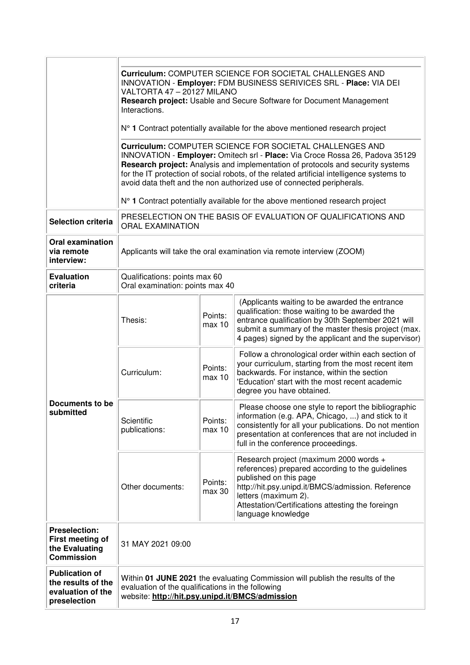|                                                                                  | Curriculum: COMPUTER SCIENCE FOR SOCIETAL CHALLENGES AND<br>INNOVATION - Employer: FDM BUSINESS SERIVICES SRL - Place: VIA DEI<br>VALTORTA 47 - 20127 MILANO<br>Research project: Usable and Secure Software for Document Management<br>Interactions.                                                                                                                                                    |                                                                                          |                                                                                                                                                                                                                                                                              |  |  |
|----------------------------------------------------------------------------------|----------------------------------------------------------------------------------------------------------------------------------------------------------------------------------------------------------------------------------------------------------------------------------------------------------------------------------------------------------------------------------------------------------|------------------------------------------------------------------------------------------|------------------------------------------------------------------------------------------------------------------------------------------------------------------------------------------------------------------------------------------------------------------------------|--|--|
|                                                                                  | N° 1 Contract potentially available for the above mentioned research project                                                                                                                                                                                                                                                                                                                             |                                                                                          |                                                                                                                                                                                                                                                                              |  |  |
|                                                                                  | <b>Curriculum: COMPUTER SCIENCE FOR SOCIETAL CHALLENGES AND</b><br>INNOVATION - Employer: Omitech srl - Place: Via Croce Rossa 26, Padova 35129<br>Research project: Analysis and implementation of protocols and security systems<br>for the IT protection of social robots, of the related artificial intelligence systems to<br>avoid data theft and the non authorized use of connected peripherals. |                                                                                          |                                                                                                                                                                                                                                                                              |  |  |
|                                                                                  |                                                                                                                                                                                                                                                                                                                                                                                                          |                                                                                          | N° 1 Contract potentially available for the above mentioned research project                                                                                                                                                                                                 |  |  |
| <b>Selection criteria</b>                                                        |                                                                                                                                                                                                                                                                                                                                                                                                          | PRESELECTION ON THE BASIS OF EVALUATION OF QUALIFICATIONS AND<br><b>ORAL EXAMINATION</b> |                                                                                                                                                                                                                                                                              |  |  |
| <b>Oral examination</b><br>via remote<br>interview:                              | Applicants will take the oral examination via remote interview (ZOOM)                                                                                                                                                                                                                                                                                                                                    |                                                                                          |                                                                                                                                                                                                                                                                              |  |  |
| <b>Evaluation</b><br>criteria                                                    | Qualifications: points max 60<br>Oral examination: points max 40                                                                                                                                                                                                                                                                                                                                         |                                                                                          |                                                                                                                                                                                                                                                                              |  |  |
| Documents to be<br>submitted                                                     | Thesis:                                                                                                                                                                                                                                                                                                                                                                                                  | Points:<br>max 10                                                                        | (Applicants waiting to be awarded the entrance<br>qualification: those waiting to be awarded the<br>entrance qualification by 30th September 2021 will<br>submit a summary of the master thesis project (max.<br>4 pages) signed by the applicant and the supervisor)        |  |  |
|                                                                                  | Curriculum:                                                                                                                                                                                                                                                                                                                                                                                              | Points:<br>max 10                                                                        | Follow a chronological order within each section of<br>your curriculum, starting from the most recent item<br>backwards. For instance, within the section<br>'Education' start with the most recent academic<br>degree you have obtained.                                    |  |  |
|                                                                                  | Scientific<br>publications:                                                                                                                                                                                                                                                                                                                                                                              | Points:<br>max 10                                                                        | Please choose one style to report the bibliographic<br>information (e.g. APA, Chicago, ) and stick to it<br>consistently for all your publications. Do not mention<br>presentation at conferences that are not included in<br>full in the conference proceedings.            |  |  |
|                                                                                  | Other documents:                                                                                                                                                                                                                                                                                                                                                                                         | Points:<br>max 30                                                                        | Research project (maximum 2000 words +<br>references) prepared according to the guidelines<br>published on this page<br>http://hit.psy.unipd.it/BMCS/admission. Reference<br>letters (maximum 2).<br>Attestation/Certifications attesting the foreingn<br>language knowledge |  |  |
| <b>Preselection:</b><br>First meeting of<br>the Evaluating<br><b>Commission</b>  | 31 MAY 2021 09:00                                                                                                                                                                                                                                                                                                                                                                                        |                                                                                          |                                                                                                                                                                                                                                                                              |  |  |
| <b>Publication of</b><br>the results of the<br>evaluation of the<br>preselection | Within 01 JUNE 2021 the evaluating Commission will publish the results of the<br>evaluation of the qualifications in the following<br>website: http://hit.psy.unipd.it/BMCS/admission                                                                                                                                                                                                                    |                                                                                          |                                                                                                                                                                                                                                                                              |  |  |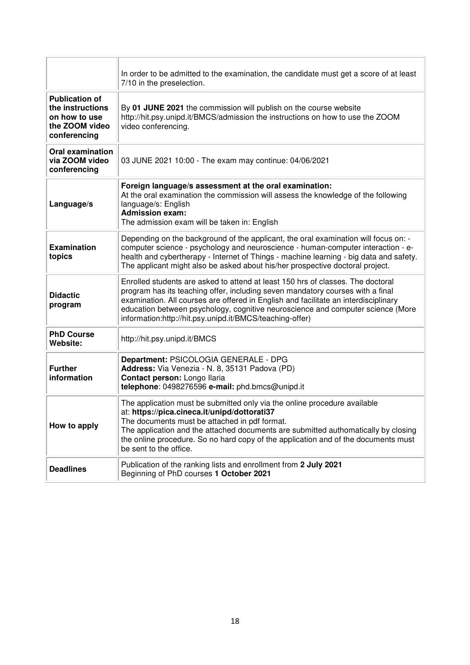|                                                                                              | In order to be admitted to the examination, the candidate must get a score of at least<br>7/10 in the preselection.                                                                                                                                                                                                                                                                                     |  |  |  |
|----------------------------------------------------------------------------------------------|---------------------------------------------------------------------------------------------------------------------------------------------------------------------------------------------------------------------------------------------------------------------------------------------------------------------------------------------------------------------------------------------------------|--|--|--|
| <b>Publication of</b><br>the instructions<br>on how to use<br>the ZOOM video<br>conferencing | By 01 JUNE 2021 the commission will publish on the course website<br>http://hit.psy.unipd.it/BMCS/admission the instructions on how to use the ZOOM<br>video conferencing.                                                                                                                                                                                                                              |  |  |  |
| <b>Oral examination</b><br>via ZOOM video<br>conferencing                                    | 03 JUNE 2021 10:00 - The exam may continue: 04/06/2021                                                                                                                                                                                                                                                                                                                                                  |  |  |  |
| Language/s                                                                                   | Foreign language/s assessment at the oral examination:<br>At the oral examination the commission will assess the knowledge of the following<br>language/s: English<br><b>Admission exam:</b><br>The admission exam will be taken in: English                                                                                                                                                            |  |  |  |
| <b>Examination</b><br>topics                                                                 | Depending on the background of the applicant, the oral examination will focus on: -<br>computer science - psychology and neuroscience - human-computer interaction - e-<br>health and cybertherapy - Internet of Things - machine learning - big data and safety.<br>The applicant might also be asked about his/her prospective doctoral project.                                                      |  |  |  |
| <b>Didactic</b><br>program                                                                   | Enrolled students are asked to attend at least 150 hrs of classes. The doctoral<br>program has its teaching offer, including seven mandatory courses with a final<br>examination. All courses are offered in English and facilitate an interdisciplinary<br>education between psychology, cognitive neuroscience and computer science (More<br>information:http://hit.psy.unipd.it/BMCS/teaching-offer) |  |  |  |
| <b>PhD Course</b><br>Website:                                                                | http://hit.psy.unipd.it/BMCS                                                                                                                                                                                                                                                                                                                                                                            |  |  |  |
| <b>Further</b><br>information                                                                | Department: PSICOLOGIA GENERALE - DPG<br>Address: Via Venezia - N. 8, 35131 Padova (PD)<br>Contact person: Longo Ilaria<br>telephone: 0498276596 e-mail: phd.bmcs@unipd.it                                                                                                                                                                                                                              |  |  |  |
| How to apply                                                                                 | The application must be submitted only via the online procedure available<br>at: https://pica.cineca.it/unipd/dottorati37<br>The documents must be attached in pdf format.<br>The application and the attached documents are submitted authomatically by closing<br>the online procedure. So no hard copy of the application and of the documents must<br>be sent to the office.                        |  |  |  |
| <b>Deadlines</b>                                                                             | Publication of the ranking lists and enrollment from 2 July 2021<br>Beginning of PhD courses 1 October 2021                                                                                                                                                                                                                                                                                             |  |  |  |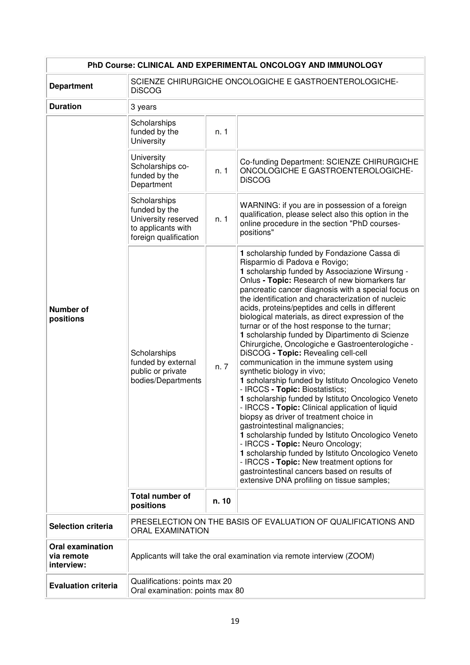| PhD Course: CLINICAL AND EXPERIMENTAL ONCOLOGY AND IMMUNOLOGY |                                                                                                     |                                                                                          |                                                                                                                                                                                                                                                                                                                                                                                                                                                                                                                                                                                                                                                                                                                                                                                                                                                                                                                                                                                                                                                                                                                                                                                                                                                          |  |
|---------------------------------------------------------------|-----------------------------------------------------------------------------------------------------|------------------------------------------------------------------------------------------|----------------------------------------------------------------------------------------------------------------------------------------------------------------------------------------------------------------------------------------------------------------------------------------------------------------------------------------------------------------------------------------------------------------------------------------------------------------------------------------------------------------------------------------------------------------------------------------------------------------------------------------------------------------------------------------------------------------------------------------------------------------------------------------------------------------------------------------------------------------------------------------------------------------------------------------------------------------------------------------------------------------------------------------------------------------------------------------------------------------------------------------------------------------------------------------------------------------------------------------------------------|--|
| <b>Department</b>                                             | SCIENZE CHIRURGICHE ONCOLOGICHE E GASTROENTEROLOGICHE-<br><b>DiSCOG</b>                             |                                                                                          |                                                                                                                                                                                                                                                                                                                                                                                                                                                                                                                                                                                                                                                                                                                                                                                                                                                                                                                                                                                                                                                                                                                                                                                                                                                          |  |
| <b>Duration</b>                                               | 3 years                                                                                             |                                                                                          |                                                                                                                                                                                                                                                                                                                                                                                                                                                                                                                                                                                                                                                                                                                                                                                                                                                                                                                                                                                                                                                                                                                                                                                                                                                          |  |
|                                                               | Scholarships<br>funded by the<br>University                                                         | n. 1                                                                                     |                                                                                                                                                                                                                                                                                                                                                                                                                                                                                                                                                                                                                                                                                                                                                                                                                                                                                                                                                                                                                                                                                                                                                                                                                                                          |  |
|                                                               | University<br>Scholarships co-<br>funded by the<br>Department                                       | n. 1                                                                                     | Co-funding Department: SCIENZE CHIRURGICHE<br>ONCOLOGICHE E GASTROENTEROLOGICHE-<br><b>DiSCOG</b>                                                                                                                                                                                                                                                                                                                                                                                                                                                                                                                                                                                                                                                                                                                                                                                                                                                                                                                                                                                                                                                                                                                                                        |  |
|                                                               | Scholarships<br>funded by the<br>University reserved<br>to applicants with<br>foreign qualification | n. 1                                                                                     | WARNING: if you are in possession of a foreign<br>qualification, please select also this option in the<br>online procedure in the section "PhD courses-<br>positions"                                                                                                                                                                                                                                                                                                                                                                                                                                                                                                                                                                                                                                                                                                                                                                                                                                                                                                                                                                                                                                                                                    |  |
| <b>Number of</b><br>positions                                 | Scholarships<br>funded by external<br>public or private<br>bodies/Departments                       | n. 7                                                                                     | 1 scholarship funded by Fondazione Cassa di<br>Risparmio di Padova e Rovigo;<br>1 scholarship funded by Associazione Wirsung -<br>Onlus - Topic: Research of new biomarkers far<br>pancreatic cancer diagnosis with a special focus on<br>the identification and characterization of nucleic<br>acids, proteins/peptides and cells in different<br>biological materials, as direct expression of the<br>turnar or of the host response to the turnar;<br>1 scholarship funded by Dipartimento di Scienze<br>Chirurgiche, Oncologiche e Gastroenterologiche -<br>DiSCOG - Topic: Revealing cell-cell<br>communication in the immune system using<br>synthetic biology in vivo;<br>1 scholarship funded by Istituto Oncologico Veneto<br>- IRCCS - Topic: Biostatistics;<br>1 scholarship funded by Istituto Oncologico Veneto<br>- IRCCS - Topic: Clinical application of liquid<br>biopsy as driver of treatment choice in<br>gastrointestinal malignancies;<br>1 scholarship funded by Istituto Oncologico Veneto<br>- IRCCS - Topic: Neuro Oncology;<br>1 scholarship funded by Istituto Oncologico Veneto<br>- IRCCS - Topic: New treatment options for<br>gastrointestinal cancers based on results of<br>extensive DNA profiling on tissue samples; |  |
|                                                               | <b>Total number of</b><br>positions                                                                 | n. 10                                                                                    |                                                                                                                                                                                                                                                                                                                                                                                                                                                                                                                                                                                                                                                                                                                                                                                                                                                                                                                                                                                                                                                                                                                                                                                                                                                          |  |
| <b>Selection criteria</b>                                     |                                                                                                     | PRESELECTION ON THE BASIS OF EVALUATION OF QUALIFICATIONS AND<br><b>ORAL EXAMINATION</b> |                                                                                                                                                                                                                                                                                                                                                                                                                                                                                                                                                                                                                                                                                                                                                                                                                                                                                                                                                                                                                                                                                                                                                                                                                                                          |  |
| <b>Oral examination</b><br>via remote<br>interview:           | Applicants will take the oral examination via remote interview (ZOOM)                               |                                                                                          |                                                                                                                                                                                                                                                                                                                                                                                                                                                                                                                                                                                                                                                                                                                                                                                                                                                                                                                                                                                                                                                                                                                                                                                                                                                          |  |
| <b>Evaluation criteria</b>                                    | Qualifications: points max 20<br>Oral examination: points max 80                                    |                                                                                          |                                                                                                                                                                                                                                                                                                                                                                                                                                                                                                                                                                                                                                                                                                                                                                                                                                                                                                                                                                                                                                                                                                                                                                                                                                                          |  |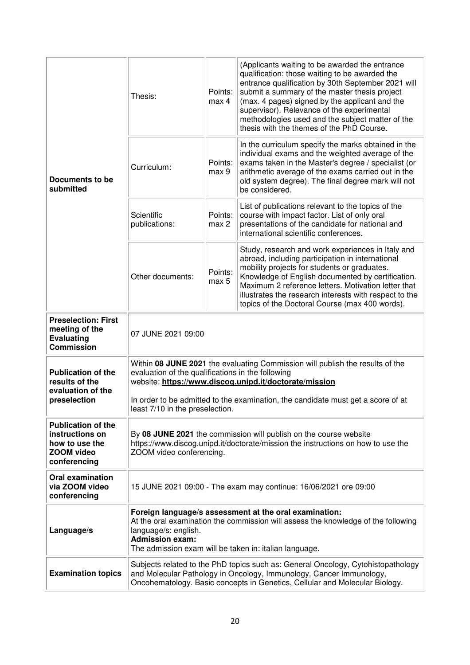| Documents to be<br>submitted                                                                        | Thesis:                                                                                                                                                                                                                                                 | Points:<br>max <sub>4</sub> | (Applicants waiting to be awarded the entrance<br>qualification: those waiting to be awarded the<br>entrance qualification by 30th September 2021 will<br>submit a summary of the master thesis project<br>(max. 4 pages) signed by the applicant and the<br>supervisor). Relevance of the experimental<br>methodologies used and the subject matter of the<br>thesis with the themes of the PhD Course. |  |
|-----------------------------------------------------------------------------------------------------|---------------------------------------------------------------------------------------------------------------------------------------------------------------------------------------------------------------------------------------------------------|-----------------------------|----------------------------------------------------------------------------------------------------------------------------------------------------------------------------------------------------------------------------------------------------------------------------------------------------------------------------------------------------------------------------------------------------------|--|
|                                                                                                     | Curriculum:                                                                                                                                                                                                                                             | Points:<br>max 9            | In the curriculum specify the marks obtained in the<br>individual exams and the weighted average of the<br>exams taken in the Master's degree / specialist (or<br>arithmetic average of the exams carried out in the<br>old system degree). The final degree mark will not<br>be considered.                                                                                                             |  |
|                                                                                                     | Scientific<br>publications:                                                                                                                                                                                                                             | Points:<br>max 2            | List of publications relevant to the topics of the<br>course with impact factor. List of only oral<br>presentations of the candidate for national and<br>international scientific conferences.                                                                                                                                                                                                           |  |
|                                                                                                     | Other documents:                                                                                                                                                                                                                                        | Points:<br>max 5            | Study, research and work experiences in Italy and<br>abroad, including participation in international<br>mobility projects for students or graduates.<br>Knowledge of English documented by certification.<br>Maximum 2 reference letters. Motivation letter that<br>illustrates the research interests with respect to the<br>topics of the Doctoral Course (max 400 words).                            |  |
| <b>Preselection: First</b><br>meeting of the<br><b>Evaluating</b><br><b>Commission</b>              | 07 JUNE 2021 09:00                                                                                                                                                                                                                                      |                             |                                                                                                                                                                                                                                                                                                                                                                                                          |  |
| <b>Publication of the</b><br>results of the<br>evaluation of the<br>preselection                    | Within 08 JUNE 2021 the evaluating Commission will publish the results of the<br>evaluation of the qualifications in the following<br>website: https://www.discog.unipd.it/doctorate/mission                                                            |                             |                                                                                                                                                                                                                                                                                                                                                                                                          |  |
|                                                                                                     | In order to be admitted to the examination, the candidate must get a score of at<br>least 7/10 in the preselection.                                                                                                                                     |                             |                                                                                                                                                                                                                                                                                                                                                                                                          |  |
| <b>Publication of the</b><br>instructions on<br>how to use the<br><b>ZOOM video</b><br>conferencing | By 08 JUNE 2021 the commission will publish on the course website<br>https://www.discog.unipd.it/doctorate/mission the instructions on how to use the<br>ZOOM video conferencing.                                                                       |                             |                                                                                                                                                                                                                                                                                                                                                                                                          |  |
| <b>Oral examination</b><br>via ZOOM video<br>conferencing                                           | 15 JUNE 2021 09:00 - The exam may continue: 16/06/2021 ore 09:00                                                                                                                                                                                        |                             |                                                                                                                                                                                                                                                                                                                                                                                                          |  |
| Language/s                                                                                          | Foreign language/s assessment at the oral examination:<br>At the oral examination the commission will assess the knowledge of the following<br>language/s: english.<br><b>Admission exam:</b><br>The admission exam will be taken in: italian language. |                             |                                                                                                                                                                                                                                                                                                                                                                                                          |  |
| <b>Examination topics</b>                                                                           | Subjects related to the PhD topics such as: General Oncology, Cytohistopathology<br>and Molecular Pathology in Oncology, Immunology, Cancer Immunology,<br>Oncohematology. Basic concepts in Genetics, Cellular and Molecular Biology.                  |                             |                                                                                                                                                                                                                                                                                                                                                                                                          |  |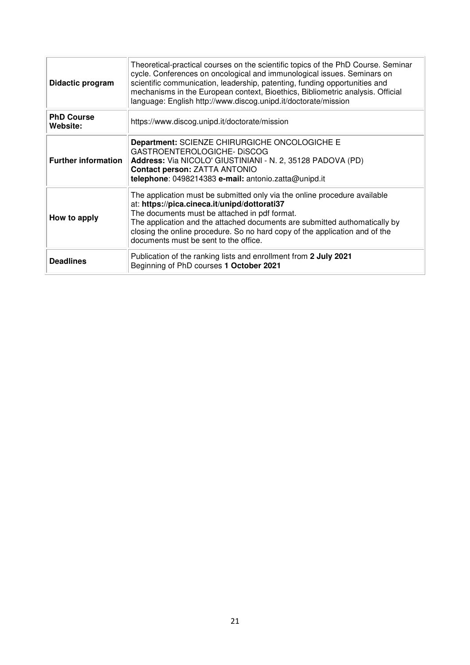| Didactic program              | Theoretical-practical courses on the scientific topics of the PhD Course. Seminar<br>cycle. Conferences on oncological and immunological issues. Seminars on<br>scientific communication, leadership, patenting, funding opportunities and<br>mechanisms in the European context, Bioethics, Bibliometric analysis. Official<br>language: English http://www.discog.unipd.it/doctorate/mission |
|-------------------------------|------------------------------------------------------------------------------------------------------------------------------------------------------------------------------------------------------------------------------------------------------------------------------------------------------------------------------------------------------------------------------------------------|
| <b>PhD Course</b><br>Website: | https://www.discog.unipd.it/doctorate/mission                                                                                                                                                                                                                                                                                                                                                  |
| <b>Further information</b>    | Department: SCIENZE CHIRURGICHE ONCOLOGICHE E<br>GASTROENTEROLOGICHE-DISCOG<br>Address: Via NICOLO' GIUSTINIANI - N. 2, 35128 PADOVA (PD)<br>Contact person: ZATTA ANTONIO<br>telephone: 0498214383 e-mail: antonio.zatta@unipd.it                                                                                                                                                             |
| How to apply                  | The application must be submitted only via the online procedure available<br>at: https://pica.cineca.it/unipd/dottorati37<br>The documents must be attached in pdf format.<br>The application and the attached documents are submitted authomatically by<br>closing the online procedure. So no hard copy of the application and of the<br>documents must be sent to the office.               |
| <b>Deadlines</b>              | Publication of the ranking lists and enrollment from 2 July 2021<br>Beginning of PhD courses 1 October 2021                                                                                                                                                                                                                                                                                    |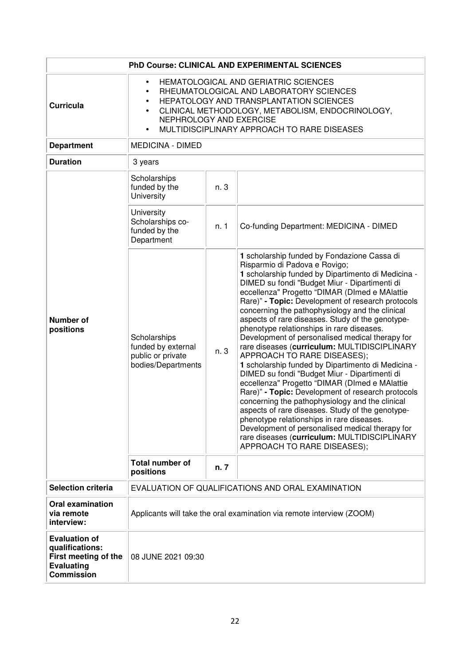| PhD Course: CLINICAL AND EXPERIMENTAL SCIENCES                                                            |                                                                                                                                                                                                                                                                                                              |      |                                                                                                                                                                                                                                                                                                                                                                                                                                                                                                                                                                                                                                                                                                                                                                                                                                                                                                                                                                                                                                                                                    |  |
|-----------------------------------------------------------------------------------------------------------|--------------------------------------------------------------------------------------------------------------------------------------------------------------------------------------------------------------------------------------------------------------------------------------------------------------|------|------------------------------------------------------------------------------------------------------------------------------------------------------------------------------------------------------------------------------------------------------------------------------------------------------------------------------------------------------------------------------------------------------------------------------------------------------------------------------------------------------------------------------------------------------------------------------------------------------------------------------------------------------------------------------------------------------------------------------------------------------------------------------------------------------------------------------------------------------------------------------------------------------------------------------------------------------------------------------------------------------------------------------------------------------------------------------------|--|
| <b>Curricula</b>                                                                                          | HEMATOLOGICAL AND GERIATRIC SCIENCES<br>$\bullet$<br>RHEUMATOLOGICAL AND LABORATORY SCIENCES<br>$\bullet$<br>HEPATOLOGY AND TRANSPLANTATION SCIENCES<br>CLINICAL METHODOLOGY, METABOLISM, ENDOCRINOLOGY,<br>$\bullet$<br>NEPHROLOGY AND EXERCISE<br>MULTIDISCIPLINARY APPROACH TO RARE DISEASES<br>$\bullet$ |      |                                                                                                                                                                                                                                                                                                                                                                                                                                                                                                                                                                                                                                                                                                                                                                                                                                                                                                                                                                                                                                                                                    |  |
| <b>Department</b>                                                                                         | <b>MEDICINA - DIMED</b>                                                                                                                                                                                                                                                                                      |      |                                                                                                                                                                                                                                                                                                                                                                                                                                                                                                                                                                                                                                                                                                                                                                                                                                                                                                                                                                                                                                                                                    |  |
| <b>Duration</b>                                                                                           | 3 years                                                                                                                                                                                                                                                                                                      |      |                                                                                                                                                                                                                                                                                                                                                                                                                                                                                                                                                                                                                                                                                                                                                                                                                                                                                                                                                                                                                                                                                    |  |
|                                                                                                           | Scholarships<br>funded by the<br>University                                                                                                                                                                                                                                                                  | n. 3 |                                                                                                                                                                                                                                                                                                                                                                                                                                                                                                                                                                                                                                                                                                                                                                                                                                                                                                                                                                                                                                                                                    |  |
|                                                                                                           | University<br>Scholarships co-<br>funded by the<br>Department                                                                                                                                                                                                                                                | n. 1 | Co-funding Department: MEDICINA - DIMED                                                                                                                                                                                                                                                                                                                                                                                                                                                                                                                                                                                                                                                                                                                                                                                                                                                                                                                                                                                                                                            |  |
| <b>Number of</b><br>positions                                                                             | Scholarships<br>funded by external<br>public or private<br>bodies/Departments                                                                                                                                                                                                                                | n. 3 | 1 scholarship funded by Fondazione Cassa di<br>Risparmio di Padova e Rovigo;<br>1 scholarship funded by Dipartimento di Medicina -<br>DIMED su fondi "Budget Miur - Dipartimenti di<br>eccellenza" Progetto "DIMAR (DImed e MAlattie<br>Rare)" - Topic: Development of research protocols<br>concerning the pathophysiology and the clinical<br>aspects of rare diseases. Study of the genotype-<br>phenotype relationships in rare diseases.<br>Development of personalised medical therapy for<br>rare diseases (curriculum: MULTIDISCIPLINARY<br>APPROACH TO RARE DISEASES);<br>1 scholarship funded by Dipartimento di Medicina -<br>DIMED su fondi "Budget Miur - Dipartimenti di<br>eccellenza" Progetto "DIMAR (DImed e MAlattie<br>Rare)" - Topic: Development of research protocols<br>concerning the pathophysiology and the clinical<br>aspects of rare diseases. Study of the genotype-<br>phenotype relationships in rare diseases.<br>Development of personalised medical therapy for<br>rare diseases (curriculum: MULTIDISCIPLINARY<br>APPROACH TO RARE DISEASES); |  |
|                                                                                                           | <b>Total number of</b><br>positions                                                                                                                                                                                                                                                                          | n. 7 |                                                                                                                                                                                                                                                                                                                                                                                                                                                                                                                                                                                                                                                                                                                                                                                                                                                                                                                                                                                                                                                                                    |  |
| <b>Selection criteria</b>                                                                                 |                                                                                                                                                                                                                                                                                                              |      | EVALUATION OF QUALIFICATIONS AND ORAL EXAMINATION                                                                                                                                                                                                                                                                                                                                                                                                                                                                                                                                                                                                                                                                                                                                                                                                                                                                                                                                                                                                                                  |  |
| <b>Oral examination</b><br>via remote<br>interview:                                                       | Applicants will take the oral examination via remote interview (ZOOM)                                                                                                                                                                                                                                        |      |                                                                                                                                                                                                                                                                                                                                                                                                                                                                                                                                                                                                                                                                                                                                                                                                                                                                                                                                                                                                                                                                                    |  |
| <b>Evaluation of</b><br>qualifications:<br>First meeting of the<br><b>Evaluating</b><br><b>Commission</b> | 08 JUNE 2021 09:30                                                                                                                                                                                                                                                                                           |      |                                                                                                                                                                                                                                                                                                                                                                                                                                                                                                                                                                                                                                                                                                                                                                                                                                                                                                                                                                                                                                                                                    |  |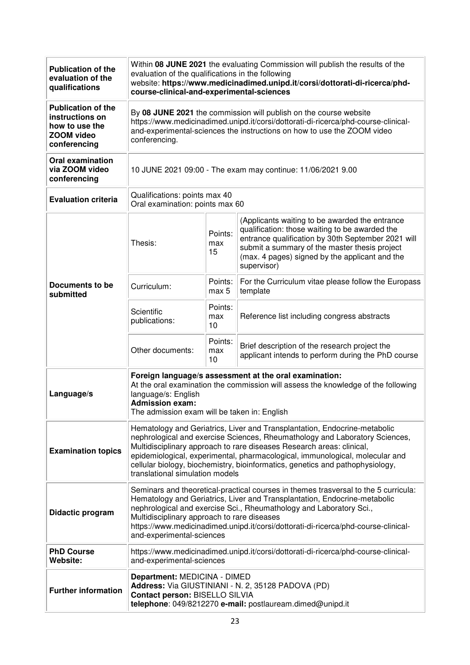| <b>Publication of the</b><br>evaluation of the<br>qualifications                                    | Within 08 JUNE 2021 the evaluating Commission will publish the results of the<br>evaluation of the qualifications in the following<br>website: https://www.medicinadimed.unipd.it/corsi/dottorati-di-ricerca/phd-<br>course-clinical-and-experimental-sciences                                                                                                                                                                        |                      |                                                                                                                                                                                                                                                                          |
|-----------------------------------------------------------------------------------------------------|---------------------------------------------------------------------------------------------------------------------------------------------------------------------------------------------------------------------------------------------------------------------------------------------------------------------------------------------------------------------------------------------------------------------------------------|----------------------|--------------------------------------------------------------------------------------------------------------------------------------------------------------------------------------------------------------------------------------------------------------------------|
| <b>Publication of the</b><br>instructions on<br>how to use the<br><b>ZOOM video</b><br>conferencing | By 08 JUNE 2021 the commission will publish on the course website<br>https://www.medicinadimed.unipd.it/corsi/dottorati-di-ricerca/phd-course-clinical-<br>and-experimental-sciences the instructions on how to use the ZOOM video<br>conferencing.                                                                                                                                                                                   |                      |                                                                                                                                                                                                                                                                          |
| <b>Oral examination</b><br>via ZOOM video<br>conferencing                                           | 10 JUNE 2021 09:00 - The exam may continue: 11/06/2021 9.00                                                                                                                                                                                                                                                                                                                                                                           |                      |                                                                                                                                                                                                                                                                          |
| <b>Evaluation criteria</b>                                                                          | Qualifications: points max 40<br>Oral examination: points max 60                                                                                                                                                                                                                                                                                                                                                                      |                      |                                                                                                                                                                                                                                                                          |
|                                                                                                     | Thesis:                                                                                                                                                                                                                                                                                                                                                                                                                               | Points:<br>max<br>15 | (Applicants waiting to be awarded the entrance<br>qualification: those waiting to be awarded the<br>entrance qualification by 30th September 2021 will<br>submit a summary of the master thesis project<br>(max. 4 pages) signed by the applicant and the<br>supervisor) |
| Documents to be<br>submitted                                                                        | Curriculum:                                                                                                                                                                                                                                                                                                                                                                                                                           | Points:<br>max 5     | For the Curriculum vitae please follow the Europass<br>template                                                                                                                                                                                                          |
|                                                                                                     | Scientific<br>publications:                                                                                                                                                                                                                                                                                                                                                                                                           | Points:<br>max<br>10 | Reference list including congress abstracts                                                                                                                                                                                                                              |
|                                                                                                     | Other documents:                                                                                                                                                                                                                                                                                                                                                                                                                      | Points:<br>max<br>10 | Brief description of the research project the<br>applicant intends to perform during the PhD course                                                                                                                                                                      |
| Language/s                                                                                          | Foreign language/s assessment at the oral examination:<br>At the oral examination the commission will assess the knowledge of the following<br>language/s: English<br><b>Admission exam:</b><br>The admission exam will be taken in: English                                                                                                                                                                                          |                      |                                                                                                                                                                                                                                                                          |
| <b>Examination topics</b>                                                                           | Hematology and Geriatrics, Liver and Transplantation, Endocrine-metabolic<br>nephrological and exercise Sciences, Rheumathology and Laboratory Sciences,<br>Multidisciplinary approach to rare diseases Research areas: clinical,<br>epidemiological, experimental, pharmacological, immunological, molecular and<br>cellular biology, biochemistry, bioinformatics, genetics and pathophysiology,<br>translational simulation models |                      |                                                                                                                                                                                                                                                                          |
| Didactic program                                                                                    | Seminars and theoretical-practical courses in themes trasversal to the 5 curricula:<br>Hematology and Geriatrics, Liver and Transplantation, Endocrine-metabolic<br>nephrological and exercise Sci., Rheumathology and Laboratory Sci.,<br>Multidisciplinary approach to rare diseases<br>https://www.medicinadimed.unipd.it/corsi/dottorati-di-ricerca/phd-course-clinical-<br>and-experimental-sciences                             |                      |                                                                                                                                                                                                                                                                          |
| <b>PhD Course</b><br>Website:                                                                       | https://www.medicinadimed.unipd.it/corsi/dottorati-di-ricerca/phd-course-clinical-<br>and-experimental-sciences                                                                                                                                                                                                                                                                                                                       |                      |                                                                                                                                                                                                                                                                          |
| <b>Further information</b>                                                                          | Department: MEDICINA - DIMED<br>Address: Via GIUSTINIANI - N. 2, 35128 PADOVA (PD)<br>Contact person: BISELLO SILVIA<br>telephone: 049/8212270 e-mail: postlauream.dimed@unipd.it                                                                                                                                                                                                                                                     |                      |                                                                                                                                                                                                                                                                          |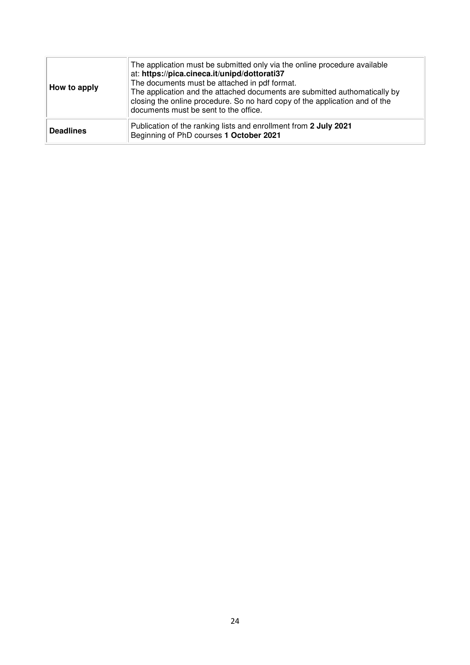| How to apply     | The application must be submitted only via the online procedure available<br>at: https://pica.cineca.it/unipd/dottorati37<br>The documents must be attached in pdf format.<br>The application and the attached documents are submitted authomatically by<br>closing the online procedure. So no hard copy of the application and of the<br>documents must be sent to the office. |
|------------------|----------------------------------------------------------------------------------------------------------------------------------------------------------------------------------------------------------------------------------------------------------------------------------------------------------------------------------------------------------------------------------|
| <b>Deadlines</b> | Publication of the ranking lists and enrollment from 2 July 2021<br>Beginning of PhD courses 1 October 2021                                                                                                                                                                                                                                                                      |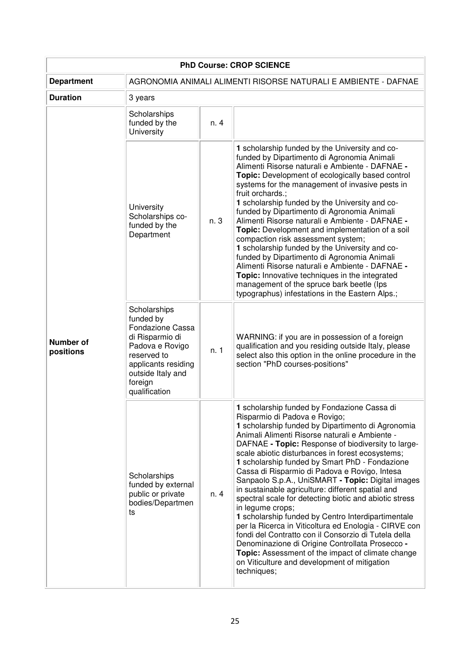| <b>PhD Course: CROP SCIENCE</b> |                                                                                                                                                                                   |      |                                                                                                                                                                                                                                                                                                                                                                                                                                                                                                                                                                                                                                                                                                                                                                                                                                                                                                                                        |  |
|---------------------------------|-----------------------------------------------------------------------------------------------------------------------------------------------------------------------------------|------|----------------------------------------------------------------------------------------------------------------------------------------------------------------------------------------------------------------------------------------------------------------------------------------------------------------------------------------------------------------------------------------------------------------------------------------------------------------------------------------------------------------------------------------------------------------------------------------------------------------------------------------------------------------------------------------------------------------------------------------------------------------------------------------------------------------------------------------------------------------------------------------------------------------------------------------|--|
| <b>Department</b>               | AGRONOMIA ANIMALI ALIMENTI RISORSE NATURALI E AMBIENTE - DAFNAE                                                                                                                   |      |                                                                                                                                                                                                                                                                                                                                                                                                                                                                                                                                                                                                                                                                                                                                                                                                                                                                                                                                        |  |
| <b>Duration</b>                 | 3 years                                                                                                                                                                           |      |                                                                                                                                                                                                                                                                                                                                                                                                                                                                                                                                                                                                                                                                                                                                                                                                                                                                                                                                        |  |
|                                 | Scholarships<br>funded by the<br>University                                                                                                                                       | n. 4 |                                                                                                                                                                                                                                                                                                                                                                                                                                                                                                                                                                                                                                                                                                                                                                                                                                                                                                                                        |  |
| <b>Number of</b><br>positions   | University<br>Scholarships co-<br>funded by the<br>Department                                                                                                                     | n. 3 | 1 scholarship funded by the University and co-<br>funded by Dipartimento di Agronomia Animali<br>Alimenti Risorse naturali e Ambiente - DAFNAE -<br>Topic: Development of ecologically based control<br>systems for the management of invasive pests in<br>fruit orchards.;<br>1 scholarship funded by the University and co-<br>funded by Dipartimento di Agronomia Animali<br>Alimenti Risorse naturali e Ambiente - DAFNAE -<br>Topic: Development and implementation of a soil<br>compaction risk assessment system;<br>1 scholarship funded by the University and co-<br>funded by Dipartimento di Agronomia Animali<br>Alimenti Risorse naturali e Ambiente - DAFNAE -<br>Topic: Innovative techniques in the integrated<br>management of the spruce bark beetle (lps<br>typographus) infestations in the Eastern Alps.;                                                                                                         |  |
|                                 | Scholarships<br>funded by<br><b>Fondazione Cassa</b><br>di Risparmio di<br>Padova e Rovigo<br>reserved to<br>applicants residing<br>outside Italy and<br>foreign<br>qualification | n. 1 | WARNING: if you are in possession of a foreign<br>qualification and you residing outside Italy, please<br>select also this option in the online procedure in the<br>section "PhD courses-positions"                                                                                                                                                                                                                                                                                                                                                                                                                                                                                                                                                                                                                                                                                                                                    |  |
|                                 | Scholarships<br>funded by external<br>public or private<br>bodies/Departmen<br>ts                                                                                                 | n. 4 | 1 scholarship funded by Fondazione Cassa di<br>Risparmio di Padova e Rovigo;<br>1 scholarship funded by Dipartimento di Agronomia<br>Animali Alimenti Risorse naturali e Ambiente -<br>DAFNAE - Topic: Response of biodiversity to large-<br>scale abiotic disturbances in forest ecosystems;<br>1 scholarship funded by Smart PhD - Fondazione<br>Cassa di Risparmio di Padova e Rovigo, Intesa<br>Sanpaolo S.p.A., UniSMART - Topic: Digital images<br>in sustainable agriculture: different spatial and<br>spectral scale for detecting biotic and abiotic stress<br>in legume crops;<br>1 scholarship funded by Centro Interdipartimentale<br>per la Ricerca in Viticoltura ed Enologia - CIRVE con<br>fondi del Contratto con il Consorzio di Tutela della<br>Denominazione di Origine Controllata Prosecco -<br>Topic: Assessment of the impact of climate change<br>on Viticulture and development of mitigation<br>techniques; |  |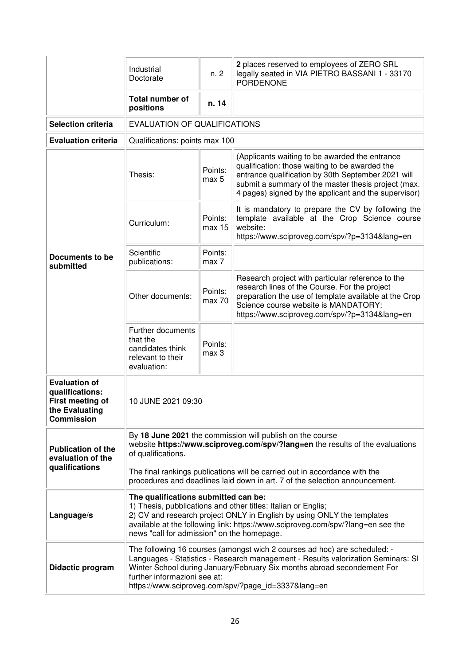|                                                                                                    | Industrial<br>Doctorate                                                                                                                                                                                                                                                                                                     | n. 2              | 2 places reserved to employees of ZERO SRL<br>legally seated in VIA PIETRO BASSANI 1 - 33170<br><b>PORDENONE</b>                                                                                                                                                      |  |
|----------------------------------------------------------------------------------------------------|-----------------------------------------------------------------------------------------------------------------------------------------------------------------------------------------------------------------------------------------------------------------------------------------------------------------------------|-------------------|-----------------------------------------------------------------------------------------------------------------------------------------------------------------------------------------------------------------------------------------------------------------------|--|
|                                                                                                    | <b>Total number of</b><br>positions                                                                                                                                                                                                                                                                                         | n. 14             |                                                                                                                                                                                                                                                                       |  |
| <b>Selection criteria</b>                                                                          | <b>EVALUATION OF QUALIFICATIONS</b>                                                                                                                                                                                                                                                                                         |                   |                                                                                                                                                                                                                                                                       |  |
| <b>Evaluation criteria</b>                                                                         | Qualifications: points max 100                                                                                                                                                                                                                                                                                              |                   |                                                                                                                                                                                                                                                                       |  |
|                                                                                                    | Thesis:                                                                                                                                                                                                                                                                                                                     | Points:<br>max 5  | (Applicants waiting to be awarded the entrance<br>qualification: those waiting to be awarded the<br>entrance qualification by 30th September 2021 will<br>submit a summary of the master thesis project (max.<br>4 pages) signed by the applicant and the supervisor) |  |
|                                                                                                    | Curriculum:                                                                                                                                                                                                                                                                                                                 | Points:<br>max 15 | It is mandatory to prepare the CV by following the<br>template available at the Crop Science course<br>website:<br>https://www.sciproveg.com/spv/?p=3134⟨=en                                                                                                          |  |
| Documents to be<br>submitted                                                                       | Scientific<br>publications:                                                                                                                                                                                                                                                                                                 | Points:<br>max 7  |                                                                                                                                                                                                                                                                       |  |
|                                                                                                    | Other documents:                                                                                                                                                                                                                                                                                                            | Points:<br>max 70 | Research project with particular reference to the<br>research lines of the Course. For the project<br>preparation the use of template available at the Crop<br>Science course website is MANDATORY:<br>https://www.sciproveg.com/spv/?p=3134⟨=en                      |  |
|                                                                                                    | Further documents<br>that the<br>candidates think<br>relevant to their<br>evaluation:                                                                                                                                                                                                                                       | Points:<br>max 3  |                                                                                                                                                                                                                                                                       |  |
| <b>Evaluation of</b><br>qualifications:<br>First meeting of<br>the Evaluating<br><b>Commission</b> | 10 JUNE 2021 09:30                                                                                                                                                                                                                                                                                                          |                   |                                                                                                                                                                                                                                                                       |  |
| <b>Publication of the</b><br>evaluation of the                                                     | By 18 June 2021 the commission will publish on the course<br>website https://www.sciproveg.com/spv/?lang=en the results of the evaluations<br>of qualifications.                                                                                                                                                            |                   |                                                                                                                                                                                                                                                                       |  |
| qualifications                                                                                     | The final rankings publications will be carried out in accordance with the<br>procedures and deadlines laid down in art. 7 of the selection announcement.                                                                                                                                                                   |                   |                                                                                                                                                                                                                                                                       |  |
| Language/s                                                                                         | The qualifications submitted can be:<br>1) Thesis, pubblications and other titles: Italian or Englis;<br>2) CV and research project ONLY in English by using ONLY the templates<br>available at the following link: https://www.sciproveg.com/spv/?lang=en see the<br>news "call for admission" on the homepage.            |                   |                                                                                                                                                                                                                                                                       |  |
| Didactic program                                                                                   | The following 16 courses (amongst wich 2 courses ad hoc) are scheduled: -<br>Languages - Statistics - Research management - Results valorization Seminars: SI<br>Winter School during January/February Six months abroad secondement For<br>further informazioni see at:<br>https://www.sciproveg.com/spv/?page_id=3337⟨=en |                   |                                                                                                                                                                                                                                                                       |  |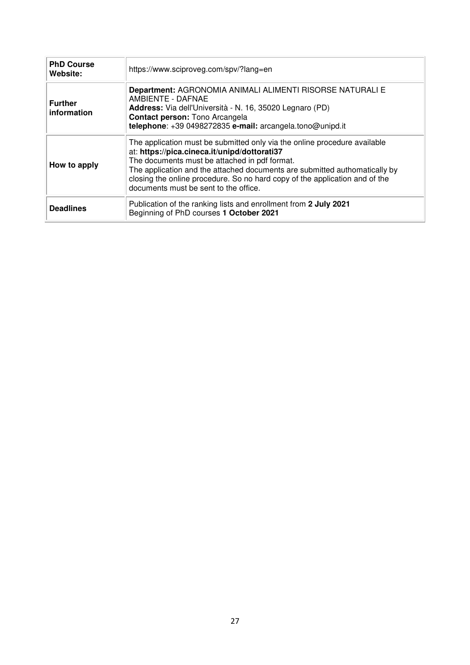| <b>PhD Course</b><br>Website: | https://www.sciproveg.com/spv/?lang=en                                                                                                                                                                                                                                                                                                                                           |
|-------------------------------|----------------------------------------------------------------------------------------------------------------------------------------------------------------------------------------------------------------------------------------------------------------------------------------------------------------------------------------------------------------------------------|
| <b>Further</b><br>information | Department: AGRONOMIA ANIMALI ALIMENTI RISORSE NATURALI E<br>AMBIENTE - DAFNAE<br>Address: Via dell'Università - N. 16, 35020 Legnaro (PD)<br><b>Contact person: Tono Arcangela</b><br>telephone: +39 0498272835 e-mail: arcangela.tono@unipd.it                                                                                                                                 |
| How to apply                  | The application must be submitted only via the online procedure available<br>at: https://pica.cineca.it/unipd/dottorati37<br>The documents must be attached in pdf format.<br>The application and the attached documents are submitted authomatically by<br>closing the online procedure. So no hard copy of the application and of the<br>documents must be sent to the office. |
| <b>Deadlines</b>              | Publication of the ranking lists and enrollment from 2 July 2021<br>Beginning of PhD courses 1 October 2021                                                                                                                                                                                                                                                                      |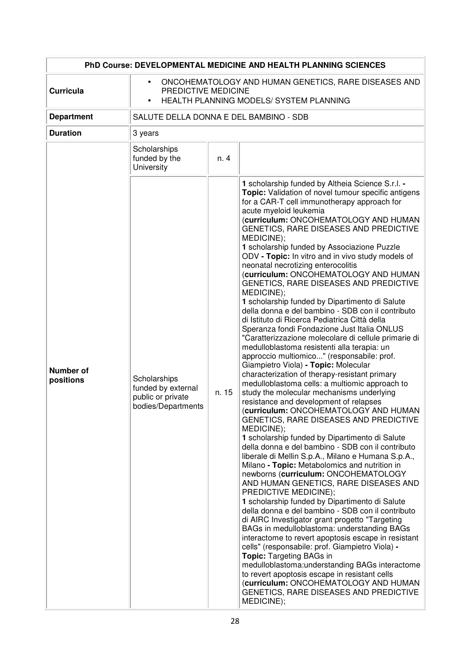|                               |                                                                                                                                                  |       | PhD Course: DEVELOPMENTAL MEDICINE AND HEALTH PLANNING SCIENCES                                                                                                                                                                                                                                                                                                                                                                                                                                                                                                                                                                                                                                                                                                                                                                                                                                                                                                                                                                                                                                                                                                                                                                                                                                                                                                                                                                                                                                                                                                                                                                                                                                                                                                                                                                                                                                                                                                                                                                                                                                               |
|-------------------------------|--------------------------------------------------------------------------------------------------------------------------------------------------|-------|---------------------------------------------------------------------------------------------------------------------------------------------------------------------------------------------------------------------------------------------------------------------------------------------------------------------------------------------------------------------------------------------------------------------------------------------------------------------------------------------------------------------------------------------------------------------------------------------------------------------------------------------------------------------------------------------------------------------------------------------------------------------------------------------------------------------------------------------------------------------------------------------------------------------------------------------------------------------------------------------------------------------------------------------------------------------------------------------------------------------------------------------------------------------------------------------------------------------------------------------------------------------------------------------------------------------------------------------------------------------------------------------------------------------------------------------------------------------------------------------------------------------------------------------------------------------------------------------------------------------------------------------------------------------------------------------------------------------------------------------------------------------------------------------------------------------------------------------------------------------------------------------------------------------------------------------------------------------------------------------------------------------------------------------------------------------------------------------------------------|
| <b>Curricula</b>              | ONCOHEMATOLOGY AND HUMAN GENETICS, RARE DISEASES AND<br>$\bullet$<br>PREDICTIVE MEDICINE<br>HEALTH PLANNING MODELS/ SYSTEM PLANNING<br>$\bullet$ |       |                                                                                                                                                                                                                                                                                                                                                                                                                                                                                                                                                                                                                                                                                                                                                                                                                                                                                                                                                                                                                                                                                                                                                                                                                                                                                                                                                                                                                                                                                                                                                                                                                                                                                                                                                                                                                                                                                                                                                                                                                                                                                                               |
| <b>Department</b>             | SALUTE DELLA DONNA E DEL BAMBINO - SDB                                                                                                           |       |                                                                                                                                                                                                                                                                                                                                                                                                                                                                                                                                                                                                                                                                                                                                                                                                                                                                                                                                                                                                                                                                                                                                                                                                                                                                                                                                                                                                                                                                                                                                                                                                                                                                                                                                                                                                                                                                                                                                                                                                                                                                                                               |
| <b>Duration</b>               | 3 years                                                                                                                                          |       |                                                                                                                                                                                                                                                                                                                                                                                                                                                                                                                                                                                                                                                                                                                                                                                                                                                                                                                                                                                                                                                                                                                                                                                                                                                                                                                                                                                                                                                                                                                                                                                                                                                                                                                                                                                                                                                                                                                                                                                                                                                                                                               |
|                               | Scholarships<br>funded by the<br>University                                                                                                      | n. 4  |                                                                                                                                                                                                                                                                                                                                                                                                                                                                                                                                                                                                                                                                                                                                                                                                                                                                                                                                                                                                                                                                                                                                                                                                                                                                                                                                                                                                                                                                                                                                                                                                                                                                                                                                                                                                                                                                                                                                                                                                                                                                                                               |
| <b>Number of</b><br>positions | Scholarships<br>funded by external<br>public or private<br>bodies/Departments                                                                    | n. 15 | 1 scholarship funded by Altheia Science S.r.l. -<br>Topic: Validation of novel tumour specific antigens<br>for a CAR-T cell immunotherapy approach for<br>acute myeloid leukemia<br>(curriculum: ONCOHEMATOLOGY AND HUMAN<br>GENETICS, RARE DISEASES AND PREDICTIVE<br>MEDICINE);<br>1 scholarship funded by Associazione Puzzle<br>ODV - Topic: In vitro and in vivo study models of<br>neonatal necrotizing enterocolitis<br>(curriculum: ONCOHEMATOLOGY AND HUMAN<br>GENETICS, RARE DISEASES AND PREDICTIVE<br>MEDICINE);<br>1 scholarship funded by Dipartimento di Salute<br>della donna e del bambino - SDB con il contributo<br>di Istituto di Ricerca Pediatrica Città della<br>Speranza fondi Fondazione Just Italia ONLUS<br>"Caratterizzazione molecolare di cellule primarie di<br>medulloblastoma resistenti alla terapia: un<br>approccio multiomico" (responsabile: prof.<br>Giampietro Viola) - Topic: Molecular<br>characterization of therapy-resistant primary<br>medulloblastoma cells: a multiomic approach to<br>study the molecular mechanisms underlying<br>resistance and development of relapses<br>(curriculum: ONCOHEMATOLOGY AND HUMAN<br>GENETICS, RARE DISEASES AND PREDICTIVE<br>MEDICINE);<br>1 scholarship funded by Dipartimento di Salute<br>della donna e del bambino - SDB con il contributo<br>liberale di Mellin S.p.A., Milano e Humana S.p.A.,<br>Milano - Topic: Metabolomics and nutrition in<br>newborns (curriculum: ONCOHEMATOLOGY<br>AND HUMAN GENETICS, RARE DISEASES AND<br>PREDICTIVE MEDICINE);<br>1 scholarship funded by Dipartimento di Salute<br>della donna e del bambino - SDB con il contributo<br>di AIRC Investigator grant progetto "Targeting<br>BAGs in medulloblastoma: understanding BAGs<br>interactome to revert apoptosis escape in resistant<br>cells" (responsabile: prof. Giampietro Viola) -<br><b>Topic:</b> Targeting BAGs in<br>medulloblastoma: understanding BAGs interactome<br>to revert apoptosis escape in resistant cells<br>(curriculum: ONCOHEMATOLOGY AND HUMAN<br>GENETICS, RARE DISEASES AND PREDICTIVE<br>MEDICINE); |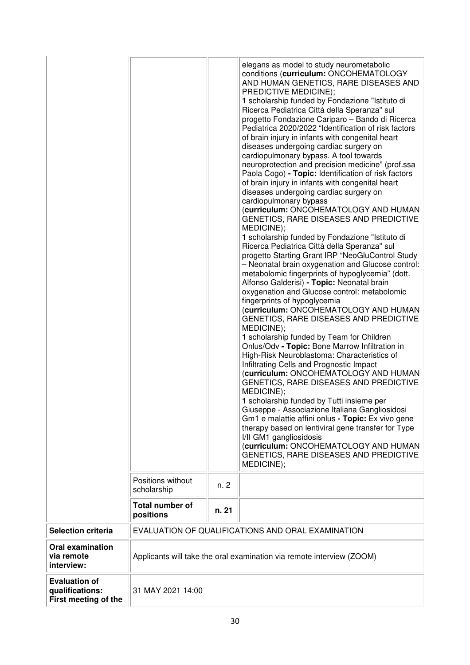|                                                                 | Positions without<br>scholarship<br><b>Total number of</b><br>positions | n. 2<br>n. 21 | elegans as model to study neurometabolic<br>conditions (curriculum: ONCOHEMATOLOGY<br>AND HUMAN GENETICS, RARE DISEASES AND<br>PREDICTIVE MEDICINE);<br>1 scholarship funded by Fondazione "Istituto di<br>Ricerca Pediatrica Città della Speranza" sul<br>progetto Fondazione Cariparo - Bando di Ricerca<br>Pediatrica 2020/2022 "Identification of risk factors<br>of brain injury in infants with congenital heart<br>diseases undergoing cardiac surgery on<br>cardiopulmonary bypass. A tool towards<br>neuroprotection and precision medicine" (prof.ssa<br>Paola Cogo) - Topic: Identification of risk factors<br>of brain injury in infants with congenital heart<br>diseases undergoing cardiac surgery on<br>cardiopulmonary bypass<br>(curriculum: ONCOHEMATOLOGY AND HUMAN<br>GENETICS, RARE DISEASES AND PREDICTIVE<br>MEDICINE);<br>1 scholarship funded by Fondazione "Istituto di<br>Ricerca Pediatrica Città della Speranza" sul<br>progetto Starting Grant IRP "NeoGluControl Study<br>- Neonatal brain oxygenation and Glucose control:<br>metabolomic fingerprints of hypoglycemia" (dott.<br>Alfonso Galderisi) - Topic: Neonatal brain<br>oxygenation and Glucose control: metabolomic<br>fingerprints of hypoglycemia<br>(curriculum: ONCOHEMATOLOGY AND HUMAN<br>GENETICS, RARE DISEASES AND PREDICTIVE<br>MEDICINE);<br>1 scholarship funded by Team for Children<br>Onlus/Odv - Topic: Bone Marrow Infiltration in<br>High-Risk Neuroblastoma: Characteristics of<br>Infiltrating Cells and Prognostic Impact<br>(curriculum: ONCOHEMATOLOGY AND HUMAN<br>GENETICS, RARE DISEASES AND PREDICTIVE<br>MEDICINE);<br>1 scholarship funded by Tutti insieme per<br>Giuseppe - Associazione Italiana Gangliosidosi<br>Gm1 e malattie affini onlus - Topic: Ex vivo gene<br>therapy based on lentiviral gene transfer for Type<br>I/II GM1 gangliosidosis<br>(curriculum: ONCOHEMATOLOGY AND HUMAN<br>GENETICS, RARE DISEASES AND PREDICTIVE<br>MEDICINE); |
|-----------------------------------------------------------------|-------------------------------------------------------------------------|---------------|---------------------------------------------------------------------------------------------------------------------------------------------------------------------------------------------------------------------------------------------------------------------------------------------------------------------------------------------------------------------------------------------------------------------------------------------------------------------------------------------------------------------------------------------------------------------------------------------------------------------------------------------------------------------------------------------------------------------------------------------------------------------------------------------------------------------------------------------------------------------------------------------------------------------------------------------------------------------------------------------------------------------------------------------------------------------------------------------------------------------------------------------------------------------------------------------------------------------------------------------------------------------------------------------------------------------------------------------------------------------------------------------------------------------------------------------------------------------------------------------------------------------------------------------------------------------------------------------------------------------------------------------------------------------------------------------------------------------------------------------------------------------------------------------------------------------------------------------------------------------------------------------------------------------------------------------------------------------------------|
| <b>Selection criteria</b>                                       |                                                                         |               | EVALUATION OF QUALIFICATIONS AND ORAL EXAMINATION                                                                                                                                                                                                                                                                                                                                                                                                                                                                                                                                                                                                                                                                                                                                                                                                                                                                                                                                                                                                                                                                                                                                                                                                                                                                                                                                                                                                                                                                                                                                                                                                                                                                                                                                                                                                                                                                                                                               |
| <b>Oral examination</b><br>via remote<br>interview:             |                                                                         |               | Applicants will take the oral examination via remote interview (ZOOM)                                                                                                                                                                                                                                                                                                                                                                                                                                                                                                                                                                                                                                                                                                                                                                                                                                                                                                                                                                                                                                                                                                                                                                                                                                                                                                                                                                                                                                                                                                                                                                                                                                                                                                                                                                                                                                                                                                           |
| <b>Evaluation of</b><br>qualifications:<br>First meeting of the | 31 MAY 2021 14:00                                                       |               |                                                                                                                                                                                                                                                                                                                                                                                                                                                                                                                                                                                                                                                                                                                                                                                                                                                                                                                                                                                                                                                                                                                                                                                                                                                                                                                                                                                                                                                                                                                                                                                                                                                                                                                                                                                                                                                                                                                                                                                 |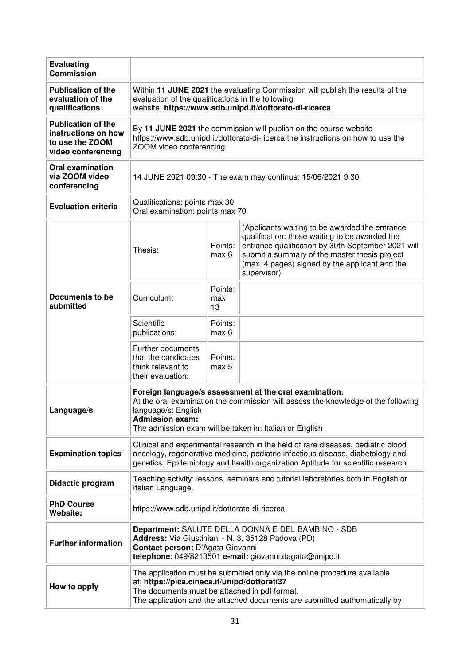| <b>Evaluating</b><br><b>Commission</b>                                                    |                                                                                                                                                                                                                                                          |                      |                                                                                                                                                                                                                                                                          |
|-------------------------------------------------------------------------------------------|----------------------------------------------------------------------------------------------------------------------------------------------------------------------------------------------------------------------------------------------------------|----------------------|--------------------------------------------------------------------------------------------------------------------------------------------------------------------------------------------------------------------------------------------------------------------------|
| <b>Publication of the</b><br>evaluation of the<br>qualifications                          | Within 11 JUNE 2021 the evaluating Commission will publish the results of the<br>evaluation of the qualifications in the following<br>website: https://www.sdb.unipd.it/dottorato-di-ricerca                                                             |                      |                                                                                                                                                                                                                                                                          |
| <b>Publication of the</b><br>instructions on how<br>to use the ZOOM<br>video conferencing | By 11 JUNE 2021 the commission will publish on the course website<br>https://www.sdb.unipd.it/dottorato-di-ricerca the instructions on how to use the<br>ZOOM video conferencing.                                                                        |                      |                                                                                                                                                                                                                                                                          |
| <b>Oral examination</b><br>via ZOOM video<br>conferencing                                 | 14 JUNE 2021 09:30 - The exam may continue: 15/06/2021 9.30                                                                                                                                                                                              |                      |                                                                                                                                                                                                                                                                          |
| <b>Evaluation criteria</b>                                                                | Qualifications: points max 30<br>Oral examination: points max 70                                                                                                                                                                                         |                      |                                                                                                                                                                                                                                                                          |
| Documents to be<br>submitted                                                              | Thesis:                                                                                                                                                                                                                                                  | Points:<br>max 6     | (Applicants waiting to be awarded the entrance<br>qualification: those waiting to be awarded the<br>entrance qualification by 30th September 2021 will<br>submit a summary of the master thesis project<br>(max. 4 pages) signed by the applicant and the<br>supervisor) |
|                                                                                           | Curriculum:                                                                                                                                                                                                                                              | Points:<br>max<br>13 |                                                                                                                                                                                                                                                                          |
|                                                                                           | Scientific<br>publications:                                                                                                                                                                                                                              | Points:<br>max 6     |                                                                                                                                                                                                                                                                          |
|                                                                                           | Further documents<br>that the candidates<br>think relevant to<br>their evaluation:                                                                                                                                                                       | Points:<br>max 5     |                                                                                                                                                                                                                                                                          |
| Language/s                                                                                | Foreign language/s assessment at the oral examination:<br>At the oral examination the commission will assess the knowledge of the following<br>language/s: English<br><b>Admission exam:</b><br>The admission exam will be taken in: Italian or English  |                      |                                                                                                                                                                                                                                                                          |
| <b>Examination topics</b>                                                                 | Clinical and experimental research in the field of rare diseases, pediatric blood<br>oncology, regenerative medicine, pediatric infectious disease, diabetology and<br>genetics. Epidemiology and health organization Aptitude for scientific research   |                      |                                                                                                                                                                                                                                                                          |
| Didactic program                                                                          | Teaching activity: lessons, seminars and tutorial laboratories both in English or<br>Italian Language.                                                                                                                                                   |                      |                                                                                                                                                                                                                                                                          |
| <b>PhD Course</b><br>Website:                                                             | https://www.sdb.unipd.it/dottorato-di-ricerca                                                                                                                                                                                                            |                      |                                                                                                                                                                                                                                                                          |
| <b>Further information</b>                                                                | Department: SALUTE DELLA DONNA E DEL BAMBINO - SDB<br>Address: Via Giustiniani - N. 3, 35128 Padova (PD)<br>Contact person: D'Agata Giovanni<br>telephone: 049/8213501 e-mail: giovanni.dagata@unipd.it                                                  |                      |                                                                                                                                                                                                                                                                          |
| How to apply                                                                              | The application must be submitted only via the online procedure available<br>at: https://pica.cineca.it/unipd/dottorati37<br>The documents must be attached in pdf format.<br>The application and the attached documents are submitted authomatically by |                      |                                                                                                                                                                                                                                                                          |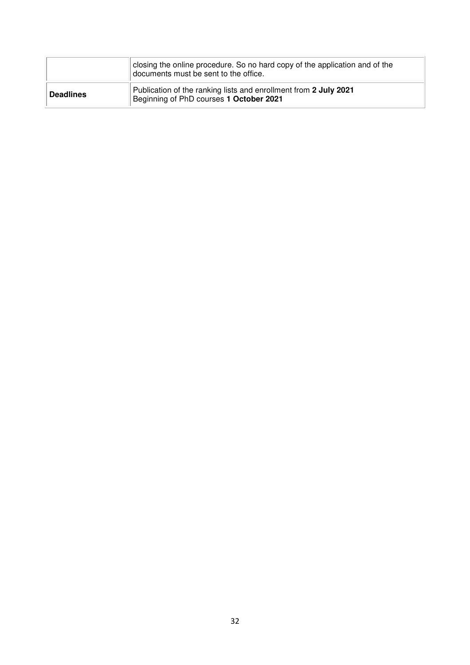|                  | closing the online procedure. So no hard copy of the application and of the<br>documents must be sent to the office. |  |  |  |
|------------------|----------------------------------------------------------------------------------------------------------------------|--|--|--|
| <b>Deadlines</b> | Publication of the ranking lists and enrollment from 2 July 2021<br>Beginning of PhD courses 1 October 2021          |  |  |  |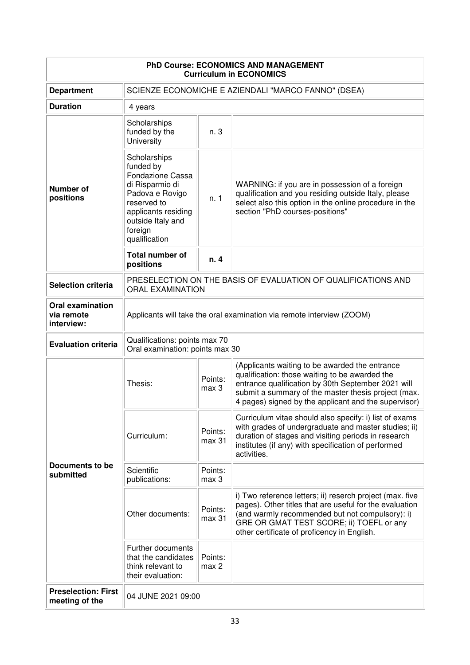| <b>PhD Course: ECONOMICS AND MANAGEMENT</b><br><b>Curriculum in ECONOMICS</b> |                                                                                                                                                                            |                   |                                                                                                                                                                                                                                                                       |  |
|-------------------------------------------------------------------------------|----------------------------------------------------------------------------------------------------------------------------------------------------------------------------|-------------------|-----------------------------------------------------------------------------------------------------------------------------------------------------------------------------------------------------------------------------------------------------------------------|--|
| <b>Department</b>                                                             | SCIENZE ECONOMICHE E AZIENDALI "MARCO FANNO" (DSEA)                                                                                                                        |                   |                                                                                                                                                                                                                                                                       |  |
| <b>Duration</b>                                                               | 4 years                                                                                                                                                                    |                   |                                                                                                                                                                                                                                                                       |  |
| <b>Number of</b><br>positions                                                 | Scholarships<br>funded by the<br>University                                                                                                                                | n. 3              |                                                                                                                                                                                                                                                                       |  |
|                                                                               | Scholarships<br>funded by<br>Fondazione Cassa<br>di Risparmio di<br>Padova e Rovigo<br>reserved to<br>applicants residing<br>outside Italy and<br>foreign<br>qualification | n.1               | WARNING: if you are in possession of a foreign<br>qualification and you residing outside Italy, please<br>select also this option in the online procedure in the<br>section "PhD courses-positions"                                                                   |  |
|                                                                               | <b>Total number of</b><br>positions                                                                                                                                        | n.4               |                                                                                                                                                                                                                                                                       |  |
| <b>Selection criteria</b>                                                     | PRESELECTION ON THE BASIS OF EVALUATION OF QUALIFICATIONS AND<br><b>ORAL EXAMINATION</b>                                                                                   |                   |                                                                                                                                                                                                                                                                       |  |
| <b>Oral examination</b><br>via remote<br>interview:                           | Applicants will take the oral examination via remote interview (ZOOM)                                                                                                      |                   |                                                                                                                                                                                                                                                                       |  |
| <b>Evaluation criteria</b>                                                    | Qualifications: points max 70<br>Oral examination: points max 30                                                                                                           |                   |                                                                                                                                                                                                                                                                       |  |
| Documents to be<br>submitted                                                  | Thesis:                                                                                                                                                                    | Points:<br>max 3  | (Applicants waiting to be awarded the entrance<br>qualification: those waiting to be awarded the<br>entrance qualification by 30th September 2021 will<br>submit a summary of the master thesis project (max.<br>4 pages) signed by the applicant and the supervisor) |  |
|                                                                               | Curriculum:                                                                                                                                                                | Points:<br>max 31 | Curriculum vitae should also specify: i) list of exams<br>with grades of undergraduate and master studies; ii)<br>duration of stages and visiting periods in research<br>institutes (if any) with specification of performed<br>activities.                           |  |
|                                                                               | Scientific<br>publications:                                                                                                                                                | Points:<br>max 3  |                                                                                                                                                                                                                                                                       |  |
|                                                                               | Other documents:                                                                                                                                                           | Points:<br>max 31 | i) Two reference letters; ii) reserch project (max. five<br>pages). Other titles that are useful for the evaluation<br>(and warmly recommended but not compulsory): i)<br>GRE OR GMAT TEST SCORE; ii) TOEFL or any<br>other certificate of proficency in English.     |  |
|                                                                               | Further documents<br>that the candidates<br>think relevant to<br>their evaluation:                                                                                         | Points:<br>max 2  |                                                                                                                                                                                                                                                                       |  |
| <b>Preselection: First</b><br>meeting of the                                  | 04 JUNE 2021 09:00                                                                                                                                                         |                   |                                                                                                                                                                                                                                                                       |  |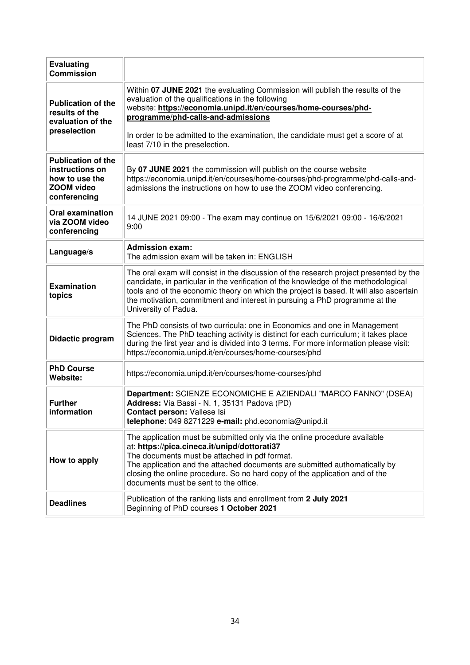| <b>Evaluating</b><br><b>Commission</b>                                                       |                                                                                                                                                                                                                                                                                                                                                                                  |
|----------------------------------------------------------------------------------------------|----------------------------------------------------------------------------------------------------------------------------------------------------------------------------------------------------------------------------------------------------------------------------------------------------------------------------------------------------------------------------------|
| <b>Publication of the</b><br>results of the<br>evaluation of the<br>preselection             | Within 07 JUNE 2021 the evaluating Commission will publish the results of the<br>evaluation of the qualifications in the following<br>website: https://economia.unipd.it/en/courses/home-courses/phd-<br>programme/phd-calls-and-admissions<br>In order to be admitted to the examination, the candidate must get a score of at<br>least 7/10 in the preselection.               |
| <b>Publication of the</b><br>instructions on<br>how to use the<br>ZOOM video<br>conferencing | By 07 JUNE 2021 the commission will publish on the course website<br>https://economia.unipd.it/en/courses/home-courses/phd-programme/phd-calls-and-<br>admissions the instructions on how to use the ZOOM video conferencing.                                                                                                                                                    |
| <b>Oral examination</b><br>via ZOOM video<br>conferencing                                    | 14 JUNE 2021 09:00 - The exam may continue on 15/6/2021 09:00 - 16/6/2021<br>9:00                                                                                                                                                                                                                                                                                                |
| Language/s                                                                                   | <b>Admission exam:</b><br>The admission exam will be taken in: ENGLISH                                                                                                                                                                                                                                                                                                           |
| <b>Examination</b><br>topics                                                                 | The oral exam will consist in the discussion of the research project presented by the<br>candidate, in particular in the verification of the knowledge of the methodological<br>tools and of the economic theory on which the project is based. It will also ascertain<br>the motivation, commitment and interest in pursuing a PhD programme at the<br>University of Padua.     |
| Didactic program                                                                             | The PhD consists of two curricula: one in Economics and one in Management<br>Sciences. The PhD teaching activity is distinct for each curriculum; it takes place<br>during the first year and is divided into 3 terms. For more information please visit:<br>https://economia.unipd.it/en/courses/home-courses/phd                                                               |
| <b>PhD Course</b><br>Website:                                                                | https://economia.unipd.it/en/courses/home-courses/phd                                                                                                                                                                                                                                                                                                                            |
| <b>Further</b><br>information                                                                | Department: SCIENZE ECONOMICHE E AZIENDALI "MARCO FANNO" (DSEA)<br>Address: Via Bassi - N. 1, 35131 Padova (PD)<br>Contact person: Vallese Isi<br>telephone: 049 8271229 e-mail: phd.economia@unipd.it                                                                                                                                                                           |
| How to apply                                                                                 | The application must be submitted only via the online procedure available<br>at: https://pica.cineca.it/unipd/dottorati37<br>The documents must be attached in pdf format.<br>The application and the attached documents are submitted authomatically by<br>closing the online procedure. So no hard copy of the application and of the<br>documents must be sent to the office. |
| <b>Deadlines</b>                                                                             | Publication of the ranking lists and enrollment from 2 July 2021<br>Beginning of PhD courses 1 October 2021                                                                                                                                                                                                                                                                      |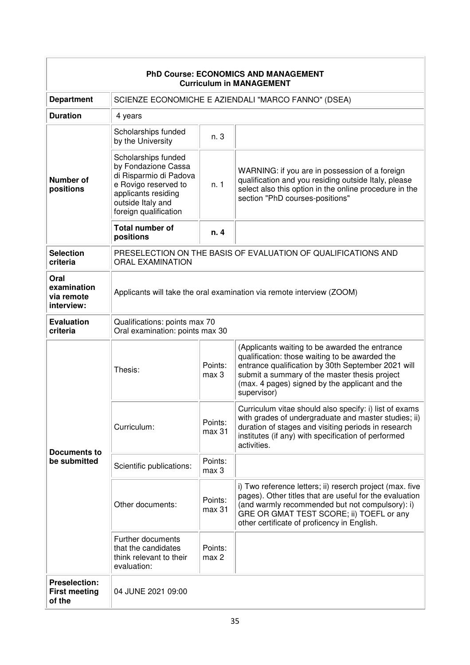| <b>PhD Course: ECONOMICS AND MANAGEMENT</b><br><b>Curriculum in MANAGEMENT</b> |                                                                                                                                                                   |                   |                                                                                                                                                                                                                                                                          |  |  |
|--------------------------------------------------------------------------------|-------------------------------------------------------------------------------------------------------------------------------------------------------------------|-------------------|--------------------------------------------------------------------------------------------------------------------------------------------------------------------------------------------------------------------------------------------------------------------------|--|--|
| <b>Department</b>                                                              | SCIENZE ECONOMICHE E AZIENDALI "MARCO FANNO" (DSEA)                                                                                                               |                   |                                                                                                                                                                                                                                                                          |  |  |
| <b>Duration</b>                                                                | 4 years                                                                                                                                                           |                   |                                                                                                                                                                                                                                                                          |  |  |
| Number of<br>positions                                                         | Scholarships funded<br>by the University                                                                                                                          | n. 3              |                                                                                                                                                                                                                                                                          |  |  |
|                                                                                | Scholarships funded<br>by Fondazione Cassa<br>di Risparmio di Padova<br>e Rovigo reserved to<br>applicants residing<br>outside Italy and<br>foreign qualification | n. 1              | WARNING: if you are in possession of a foreign<br>qualification and you residing outside Italy, please<br>select also this option in the online procedure in the<br>section "PhD courses-positions"                                                                      |  |  |
|                                                                                | <b>Total number of</b><br>positions                                                                                                                               | n. 4              |                                                                                                                                                                                                                                                                          |  |  |
| <b>Selection</b><br>criteria                                                   | PRESELECTION ON THE BASIS OF EVALUATION OF QUALIFICATIONS AND<br><b>ORAL EXAMINATION</b>                                                                          |                   |                                                                                                                                                                                                                                                                          |  |  |
| Oral<br>examination<br>via remote<br>interview:                                | Applicants will take the oral examination via remote interview (ZOOM)                                                                                             |                   |                                                                                                                                                                                                                                                                          |  |  |
| <b>Evaluation</b><br>criteria                                                  | Qualifications: points max 70<br>Oral examination: points max 30                                                                                                  |                   |                                                                                                                                                                                                                                                                          |  |  |
| Documents to<br>be submitted                                                   | Thesis:                                                                                                                                                           | Points:<br>max 3  | (Applicants waiting to be awarded the entrance<br>qualification: those waiting to be awarded the<br>entrance qualification by 30th September 2021 will<br>submit a summary of the master thesis project<br>(max. 4 pages) signed by the applicant and the<br>supervisor) |  |  |
|                                                                                | Curriculum:                                                                                                                                                       | Points:<br>max 31 | Curriculum vitae should also specify: i) list of exams<br>with grades of undergraduate and master studies; ii)<br>duration of stages and visiting periods in research<br>institutes (if any) with specification of performed<br>activities.                              |  |  |
|                                                                                | Scientific publications:                                                                                                                                          | Points:<br>max 3  |                                                                                                                                                                                                                                                                          |  |  |
|                                                                                | Other documents:                                                                                                                                                  | Points:<br>max 31 | i) Two reference letters; ii) reserch project (max. five<br>pages). Other titles that are useful for the evaluation<br>(and warmly recommended but not compulsory): i)<br>GRE OR GMAT TEST SCORE; ii) TOEFL or any<br>other certificate of proficency in English.        |  |  |
|                                                                                | Further documents<br>that the candidates<br>think relevant to their<br>evaluation:                                                                                | Points:<br>max 2  |                                                                                                                                                                                                                                                                          |  |  |
| <b>Preselection:</b><br><b>First meeting</b><br>of the                         | 04 JUNE 2021 09:00                                                                                                                                                |                   |                                                                                                                                                                                                                                                                          |  |  |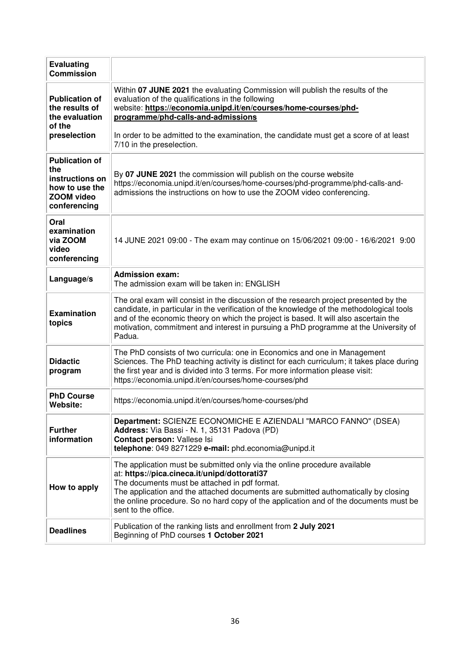| <b>Evaluating</b><br><b>Commission</b>                                                                 |                                                                                                                                                                                                                                                                                                                                                                                  |  |  |  |  |  |
|--------------------------------------------------------------------------------------------------------|----------------------------------------------------------------------------------------------------------------------------------------------------------------------------------------------------------------------------------------------------------------------------------------------------------------------------------------------------------------------------------|--|--|--|--|--|
| <b>Publication of</b><br>the results of<br>the evaluation<br>of the                                    | Within 07 JUNE 2021 the evaluating Commission will publish the results of the<br>evaluation of the qualifications in the following<br>website: https://economia.unipd.it/en/courses/home-courses/phd-<br>programme/phd-calls-and-admissions                                                                                                                                      |  |  |  |  |  |
| preselection                                                                                           | In order to be admitted to the examination, the candidate must get a score of at least<br>7/10 in the preselection.                                                                                                                                                                                                                                                              |  |  |  |  |  |
| <b>Publication of</b><br>the<br>instructions on<br>how to use the<br><b>ZOOM</b> video<br>conferencing | By 07 JUNE 2021 the commission will publish on the course website<br>https://economia.unipd.it/en/courses/home-courses/phd-programme/phd-calls-and-<br>admissions the instructions on how to use the ZOOM video conferencing.                                                                                                                                                    |  |  |  |  |  |
| Oral<br>examination<br>via ZOOM<br>video<br>conferencing                                               | 14 JUNE 2021 09:00 - The exam may continue on 15/06/2021 09:00 - 16/6/2021 9:00                                                                                                                                                                                                                                                                                                  |  |  |  |  |  |
| Language/s                                                                                             | <b>Admission exam:</b><br>The admission exam will be taken in: ENGLISH                                                                                                                                                                                                                                                                                                           |  |  |  |  |  |
| <b>Examination</b><br>topics                                                                           | The oral exam will consist in the discussion of the research project presented by the<br>candidate, in particular in the verification of the knowledge of the methodological tools<br>and of the economic theory on which the project is based. It will also ascertain the<br>motivation, commitment and interest in pursuing a PhD programme at the University of<br>Padua.     |  |  |  |  |  |
| <b>Didactic</b><br>program                                                                             | The PhD consists of two curricula: one in Economics and one in Management<br>Sciences. The PhD teaching activity is distinct for each curriculum; it takes place during<br>the first year and is divided into 3 terms. For more information please visit:<br>https://economia.unipd.it/en/courses/home-courses/phd                                                               |  |  |  |  |  |
| <b>PhD Course</b><br>Website:                                                                          | https://economia.unipd.it/en/courses/home-courses/phd                                                                                                                                                                                                                                                                                                                            |  |  |  |  |  |
| <b>Further</b><br>information                                                                          | Department: SCIENZE ECONOMICHE E AZIENDALI "MARCO FANNO" (DSEA)<br>Address: Via Bassi - N. 1, 35131 Padova (PD)<br>Contact person: Vallese Isi<br>telephone: 049 8271229 e-mail: phd.economia@unipd.it                                                                                                                                                                           |  |  |  |  |  |
| How to apply                                                                                           | The application must be submitted only via the online procedure available<br>at: https://pica.cineca.it/unipd/dottorati37<br>The documents must be attached in pdf format.<br>The application and the attached documents are submitted authomatically by closing<br>the online procedure. So no hard copy of the application and of the documents must be<br>sent to the office. |  |  |  |  |  |
| <b>Deadlines</b>                                                                                       | Publication of the ranking lists and enrollment from 2 July 2021<br>Beginning of PhD courses 1 October 2021                                                                                                                                                                                                                                                                      |  |  |  |  |  |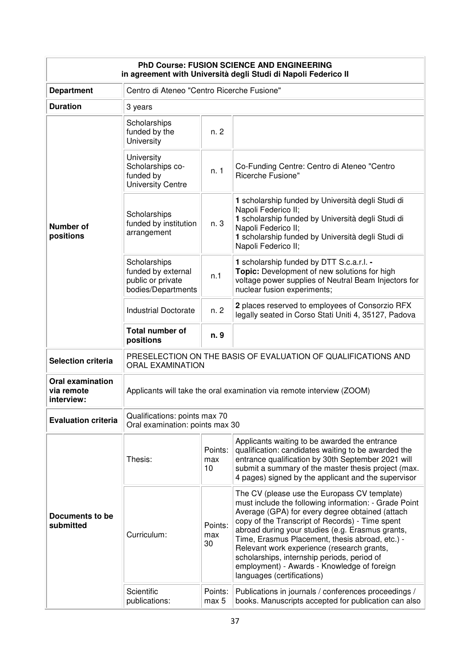| PhD Course: FUSION SCIENCE AND ENGINEERING<br>in agreement with Università degli Studi di Napoli Federico II |                                                                               |                                                                  |                                                                                                                                                                                                                                                                                                                                                                                                                                                                                              |  |
|--------------------------------------------------------------------------------------------------------------|-------------------------------------------------------------------------------|------------------------------------------------------------------|----------------------------------------------------------------------------------------------------------------------------------------------------------------------------------------------------------------------------------------------------------------------------------------------------------------------------------------------------------------------------------------------------------------------------------------------------------------------------------------------|--|
| <b>Department</b>                                                                                            | Centro di Ateneo "Centro Ricerche Fusione"                                    |                                                                  |                                                                                                                                                                                                                                                                                                                                                                                                                                                                                              |  |
| <b>Duration</b>                                                                                              | 3 years                                                                       |                                                                  |                                                                                                                                                                                                                                                                                                                                                                                                                                                                                              |  |
|                                                                                                              | Scholarships<br>funded by the<br>University                                   | n. 2                                                             |                                                                                                                                                                                                                                                                                                                                                                                                                                                                                              |  |
|                                                                                                              | University<br>Scholarships co-<br>funded by<br><b>University Centre</b>       | n. 1                                                             | Co-Funding Centre: Centro di Ateneo "Centro<br>Ricerche Fusione"                                                                                                                                                                                                                                                                                                                                                                                                                             |  |
| Number of<br>positions                                                                                       | Scholarships<br>funded by institution<br>arrangement                          | n. 3                                                             | 1 scholarship funded by Università degli Studi di<br>Napoli Federico II;<br>1 scholarship funded by Università degli Studi di<br>Napoli Federico II;<br>1 scholarship funded by Università degli Studi di<br>Napoli Federico II;                                                                                                                                                                                                                                                             |  |
|                                                                                                              | Scholarships<br>funded by external<br>public or private<br>bodies/Departments | n.1                                                              | 1 scholarship funded by DTT S.c.a.r.l. -<br>Topic: Development of new solutions for high<br>voltage power supplies of Neutral Beam Injectors for<br>nuclear fusion experiments;                                                                                                                                                                                                                                                                                                              |  |
|                                                                                                              | <b>Industrial Doctorate</b>                                                   | n.2                                                              | 2 places reserved to employees of Consorzio RFX<br>legally seated in Corso Stati Uniti 4, 35127, Padova                                                                                                                                                                                                                                                                                                                                                                                      |  |
|                                                                                                              | <b>Total number of</b><br>positions                                           | n. 9                                                             |                                                                                                                                                                                                                                                                                                                                                                                                                                                                                              |  |
| <b>Selection criteria</b>                                                                                    | <b>ORAL EXAMINATION</b>                                                       |                                                                  | PRESELECTION ON THE BASIS OF EVALUATION OF QUALIFICATIONS AND                                                                                                                                                                                                                                                                                                                                                                                                                                |  |
| <b>Oral examination</b><br>via remote<br>interview:                                                          |                                                                               |                                                                  | Applicants will take the oral examination via remote interview (ZOOM)                                                                                                                                                                                                                                                                                                                                                                                                                        |  |
| <b>Evaluation criteria</b>                                                                                   |                                                                               | Qualifications: points max 70<br>Oral examination: points max 30 |                                                                                                                                                                                                                                                                                                                                                                                                                                                                                              |  |
|                                                                                                              | Thesis:                                                                       | Points:<br>max<br>10                                             | Applicants waiting to be awarded the entrance<br>qualification: candidates waiting to be awarded the<br>entrance qualification by 30th September 2021 will<br>submit a summary of the master thesis project (max.<br>4 pages) signed by the applicant and the supervisor                                                                                                                                                                                                                     |  |
| Documents to be<br>submitted                                                                                 | Curriculum:                                                                   | Points:<br>max<br>30                                             | The CV (please use the Europass CV template)<br>must include the following information: - Grade Point<br>Average (GPA) for every degree obtained (attach<br>copy of the Transcript of Records) - Time spent<br>abroad during your studies (e.g. Erasmus grants,<br>Time, Erasmus Placement, thesis abroad, etc.) -<br>Relevant work experience (research grants,<br>scholarships, internship periods, period of<br>employment) - Awards - Knowledge of foreign<br>languages (certifications) |  |
|                                                                                                              | Scientific<br>publications:                                                   | Points:<br>max 5                                                 | Publications in journals / conferences proceedings /<br>books. Manuscripts accepted for publication can also                                                                                                                                                                                                                                                                                                                                                                                 |  |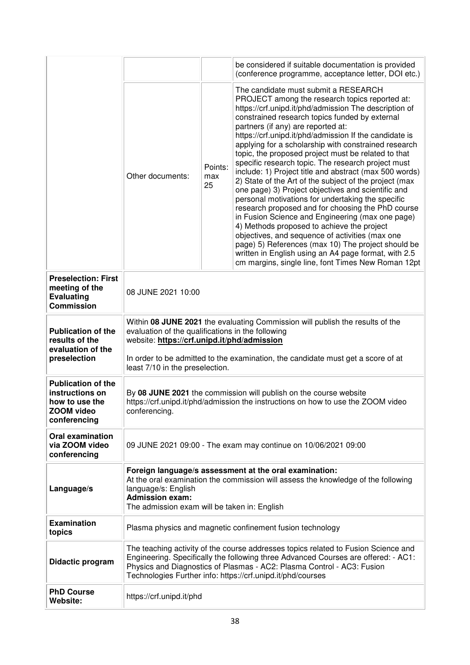|                                                                                        |                                                                                                                                                                                                                                                                                                          |                      | be considered if suitable documentation is provided<br>(conference programme, acceptance letter, DOI etc.)                                                                                                                                                                                                                                                                                                                                                                                                                                                                                                                                                                                                                                                                                                                                                                                                                                                                                                                                                                          |
|----------------------------------------------------------------------------------------|----------------------------------------------------------------------------------------------------------------------------------------------------------------------------------------------------------------------------------------------------------------------------------------------------------|----------------------|-------------------------------------------------------------------------------------------------------------------------------------------------------------------------------------------------------------------------------------------------------------------------------------------------------------------------------------------------------------------------------------------------------------------------------------------------------------------------------------------------------------------------------------------------------------------------------------------------------------------------------------------------------------------------------------------------------------------------------------------------------------------------------------------------------------------------------------------------------------------------------------------------------------------------------------------------------------------------------------------------------------------------------------------------------------------------------------|
|                                                                                        | Other documents:                                                                                                                                                                                                                                                                                         | Points:<br>max<br>25 | The candidate must submit a RESEARCH<br>PROJECT among the research topics reported at:<br>https://crf.unipd.it/phd/admission The description of<br>constrained research topics funded by external<br>partners (if any) are reported at:<br>https://crf.unipd.it/phd/admission If the candidate is<br>applying for a scholarship with constrained research<br>topic, the proposed project must be related to that<br>specific research topic. The research project must<br>include: 1) Project title and abstract (max 500 words)<br>2) State of the Art of the subject of the project (max<br>one page) 3) Project objectives and scientific and<br>personal motivations for undertaking the specific<br>research proposed and for choosing the PhD course<br>in Fusion Science and Engineering (max one page)<br>4) Methods proposed to achieve the project<br>objectives, and sequence of activities (max one<br>page) 5) References (max 10) The project should be<br>written in English using an A4 page format, with 2.5<br>cm margins, single line, font Times New Roman 12pt |
| <b>Preselection: First</b><br>meeting of the<br><b>Evaluating</b><br><b>Commission</b> | 08 JUNE 2021 10:00                                                                                                                                                                                                                                                                                       |                      |                                                                                                                                                                                                                                                                                                                                                                                                                                                                                                                                                                                                                                                                                                                                                                                                                                                                                                                                                                                                                                                                                     |
| <b>Publication of the</b><br>results of the<br>evaluation of the<br>preselection       | Within 08 JUNE 2021 the evaluating Commission will publish the results of the<br>evaluation of the qualifications in the following<br>website: https://crf.unipd.it/phd/admission<br>In order to be admitted to the examination, the candidate must get a score of at<br>least 7/10 in the preselection. |                      |                                                                                                                                                                                                                                                                                                                                                                                                                                                                                                                                                                                                                                                                                                                                                                                                                                                                                                                                                                                                                                                                                     |
| <b>Publication of the</b><br>instructions on<br>how to use the<br>ZOOM video           | By 08 JUNE 2021 the commission will publish on the course website<br>https://crf.unipd.it/phd/admission the instructions on how to use the ZOOM video<br>conferencing.                                                                                                                                   |                      |                                                                                                                                                                                                                                                                                                                                                                                                                                                                                                                                                                                                                                                                                                                                                                                                                                                                                                                                                                                                                                                                                     |
| conferencing                                                                           |                                                                                                                                                                                                                                                                                                          |                      |                                                                                                                                                                                                                                                                                                                                                                                                                                                                                                                                                                                                                                                                                                                                                                                                                                                                                                                                                                                                                                                                                     |
| <b>Oral examination</b><br>via ZOOM video<br>conferencing                              |                                                                                                                                                                                                                                                                                                          |                      | 09 JUNE 2021 09:00 - The exam may continue on 10/06/2021 09:00                                                                                                                                                                                                                                                                                                                                                                                                                                                                                                                                                                                                                                                                                                                                                                                                                                                                                                                                                                                                                      |
| Language/s                                                                             | language/s: English<br><b>Admission exam:</b><br>The admission exam will be taken in: English                                                                                                                                                                                                            |                      | Foreign language/s assessment at the oral examination:<br>At the oral examination the commission will assess the knowledge of the following                                                                                                                                                                                                                                                                                                                                                                                                                                                                                                                                                                                                                                                                                                                                                                                                                                                                                                                                         |
| <b>Examination</b><br>topics                                                           |                                                                                                                                                                                                                                                                                                          |                      | Plasma physics and magnetic confinement fusion technology                                                                                                                                                                                                                                                                                                                                                                                                                                                                                                                                                                                                                                                                                                                                                                                                                                                                                                                                                                                                                           |
| Didactic program                                                                       |                                                                                                                                                                                                                                                                                                          |                      | The teaching activity of the course addresses topics related to Fusion Science and<br>Engineering. Specifically the following three Advanced Courses are offered: - AC1:<br>Physics and Diagnostics of Plasmas - AC2: Plasma Control - AC3: Fusion<br>Technologies Further info: https://crf.unipd.it/phd/courses                                                                                                                                                                                                                                                                                                                                                                                                                                                                                                                                                                                                                                                                                                                                                                   |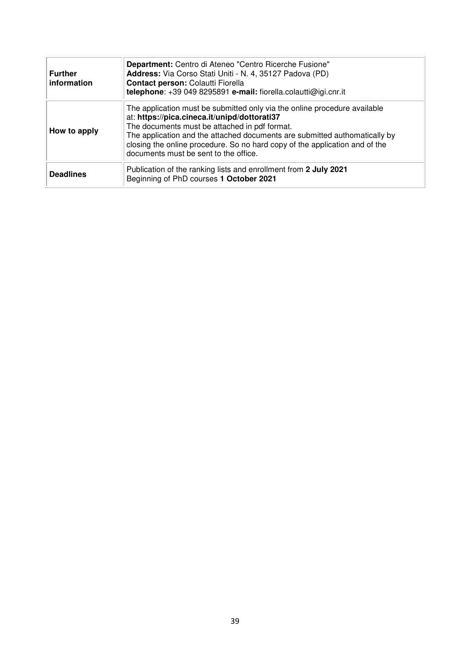| <b>Further</b><br>information | Department: Centro di Ateneo "Centro Ricerche Fusione"<br>Address: Via Corso Stati Uniti - N. 4, 35127 Padova (PD)<br>Contact person: Colautti Fiorella<br>telephone: +39 049 8295891 e-mail: fiorella.colautti@igi.cnr.it                                                                                                                                                       |
|-------------------------------|----------------------------------------------------------------------------------------------------------------------------------------------------------------------------------------------------------------------------------------------------------------------------------------------------------------------------------------------------------------------------------|
| How to apply                  | The application must be submitted only via the online procedure available<br>at: https://pica.cineca.it/unipd/dottorati37<br>The documents must be attached in pdf format.<br>The application and the attached documents are submitted authomatically by<br>closing the online procedure. So no hard copy of the application and of the<br>documents must be sent to the office. |
| <b>Deadlines</b>              | Publication of the ranking lists and enrollment from 2 July 2021<br>Beginning of PhD courses 1 October 2021                                                                                                                                                                                                                                                                      |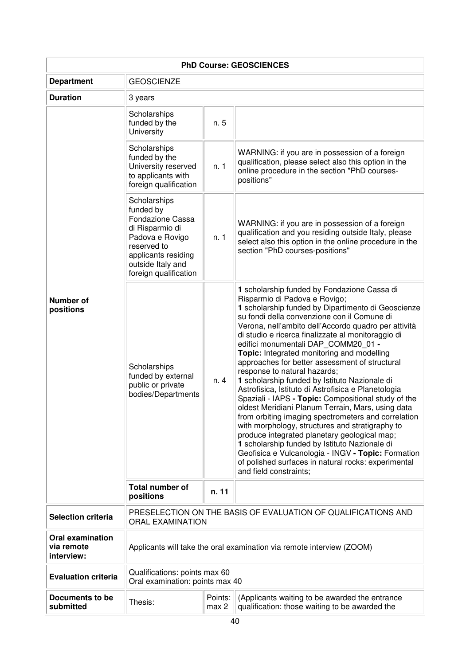|                                                     | <b>PhD Course: GEOSCIENCES</b>                                                                                                                                                 |                                                                                          |                                                                                                                                                                                                                                                                                                                                                                                                                                                                                                                                                                                                                                                                                                                                                                                                                                                                                                                                                                                                                                              |  |
|-----------------------------------------------------|--------------------------------------------------------------------------------------------------------------------------------------------------------------------------------|------------------------------------------------------------------------------------------|----------------------------------------------------------------------------------------------------------------------------------------------------------------------------------------------------------------------------------------------------------------------------------------------------------------------------------------------------------------------------------------------------------------------------------------------------------------------------------------------------------------------------------------------------------------------------------------------------------------------------------------------------------------------------------------------------------------------------------------------------------------------------------------------------------------------------------------------------------------------------------------------------------------------------------------------------------------------------------------------------------------------------------------------|--|
| <b>Department</b>                                   | <b>GEOSCIENZE</b>                                                                                                                                                              |                                                                                          |                                                                                                                                                                                                                                                                                                                                                                                                                                                                                                                                                                                                                                                                                                                                                                                                                                                                                                                                                                                                                                              |  |
| <b>Duration</b>                                     | 3 years                                                                                                                                                                        |                                                                                          |                                                                                                                                                                                                                                                                                                                                                                                                                                                                                                                                                                                                                                                                                                                                                                                                                                                                                                                                                                                                                                              |  |
|                                                     | Scholarships<br>funded by the<br>University                                                                                                                                    | n. 5                                                                                     |                                                                                                                                                                                                                                                                                                                                                                                                                                                                                                                                                                                                                                                                                                                                                                                                                                                                                                                                                                                                                                              |  |
|                                                     | Scholarships<br>funded by the<br>University reserved<br>to applicants with<br>foreign qualification                                                                            | n. 1                                                                                     | WARNING: if you are in possession of a foreign<br>qualification, please select also this option in the<br>online procedure in the section "PhD courses-<br>positions"                                                                                                                                                                                                                                                                                                                                                                                                                                                                                                                                                                                                                                                                                                                                                                                                                                                                        |  |
|                                                     | Scholarships<br>funded by<br><b>Fondazione Cassa</b><br>di Risparmio di<br>Padova e Rovigo<br>reserved to<br>applicants residing<br>outside Italy and<br>foreign qualification | n. 1                                                                                     | WARNING: if you are in possession of a foreign<br>qualification and you residing outside Italy, please<br>select also this option in the online procedure in the<br>section "PhD courses-positions"                                                                                                                                                                                                                                                                                                                                                                                                                                                                                                                                                                                                                                                                                                                                                                                                                                          |  |
| <b>Number of</b><br>positions                       | Scholarships<br>funded by external<br>public or private<br>bodies/Departments                                                                                                  | n. 4                                                                                     | 1 scholarship funded by Fondazione Cassa di<br>Risparmio di Padova e Rovigo;<br>1 scholarship funded by Dipartimento di Geoscienze<br>su fondi della convenzione con il Comune di<br>Verona, nell'ambito dell'Accordo quadro per attività<br>di studio e ricerca finalizzate al monitoraggio di<br>edifici monumentali DAP_COMM20_01 -<br>Topic: Integrated monitoring and modelling<br>approaches for better assessment of structural<br>response to natural hazards;<br>1 scholarship funded by Istituto Nazionale di<br>Astrofisica, Istituto di Astrofisica e Planetologia<br>Spaziali - IAPS - Topic: Compositional study of the<br>oldest Meridiani Planum Terrain, Mars, using data<br>from orbiting imaging spectrometers and correlation<br>with morphology, structures and stratigraphy to<br>produce integrated planetary geological map;<br>1 scholarship funded by Istituto Nazionale di<br>Geofisica e Vulcanologia - INGV - Topic: Formation<br>of polished surfaces in natural rocks: experimental<br>and field constraints; |  |
|                                                     | <b>Total number of</b><br>positions                                                                                                                                            | n. 11                                                                                    |                                                                                                                                                                                                                                                                                                                                                                                                                                                                                                                                                                                                                                                                                                                                                                                                                                                                                                                                                                                                                                              |  |
| <b>Selection criteria</b>                           |                                                                                                                                                                                | PRESELECTION ON THE BASIS OF EVALUATION OF QUALIFICATIONS AND<br><b>ORAL EXAMINATION</b> |                                                                                                                                                                                                                                                                                                                                                                                                                                                                                                                                                                                                                                                                                                                                                                                                                                                                                                                                                                                                                                              |  |
| <b>Oral examination</b><br>via remote<br>interview: |                                                                                                                                                                                | Applicants will take the oral examination via remote interview (ZOOM)                    |                                                                                                                                                                                                                                                                                                                                                                                                                                                                                                                                                                                                                                                                                                                                                                                                                                                                                                                                                                                                                                              |  |
| <b>Evaluation criteria</b>                          | Qualifications: points max 60<br>Oral examination: points max 40                                                                                                               |                                                                                          |                                                                                                                                                                                                                                                                                                                                                                                                                                                                                                                                                                                                                                                                                                                                                                                                                                                                                                                                                                                                                                              |  |
| Documents to be<br>submitted                        | Thesis:                                                                                                                                                                        | Points:<br>max 2                                                                         | (Applicants waiting to be awarded the entrance<br>qualification: those waiting to be awarded the                                                                                                                                                                                                                                                                                                                                                                                                                                                                                                                                                                                                                                                                                                                                                                                                                                                                                                                                             |  |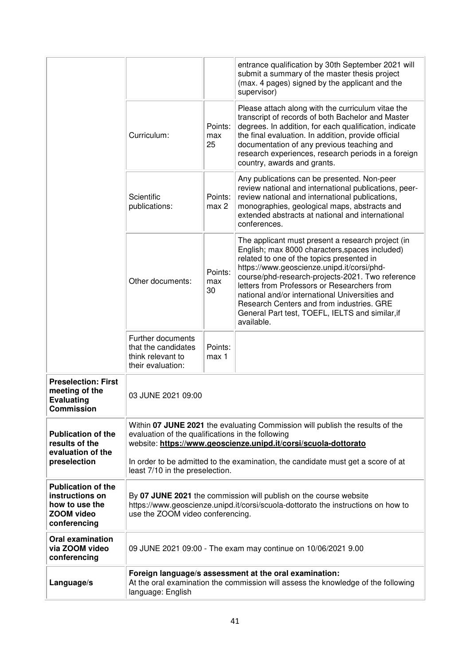|                                                                                                     |                                                                                                                                                                                                       |                      | entrance qualification by 30th September 2021 will<br>submit a summary of the master thesis project<br>(max. 4 pages) signed by the applicant and the<br>supervisor)                                                                                                                                                                                                                                                                                              |
|-----------------------------------------------------------------------------------------------------|-------------------------------------------------------------------------------------------------------------------------------------------------------------------------------------------------------|----------------------|-------------------------------------------------------------------------------------------------------------------------------------------------------------------------------------------------------------------------------------------------------------------------------------------------------------------------------------------------------------------------------------------------------------------------------------------------------------------|
|                                                                                                     | Curriculum:                                                                                                                                                                                           | Points:<br>max<br>25 | Please attach along with the curriculum vitae the<br>transcript of records of both Bachelor and Master<br>degrees. In addition, for each qualification, indicate<br>the final evaluation. In addition, provide official<br>documentation of any previous teaching and<br>research experiences, research periods in a foreign<br>country, awards and grants.                                                                                                       |
|                                                                                                     | Scientific<br>publications:                                                                                                                                                                           | Points:<br>max 2     | Any publications can be presented. Non-peer<br>review national and international publications, peer-<br>review national and international publications,<br>monographies, geological maps, abstracts and<br>extended abstracts at national and international<br>conferences.                                                                                                                                                                                       |
|                                                                                                     | Other documents:                                                                                                                                                                                      | Points:<br>max<br>30 | The applicant must present a research project (in<br>English; max 8000 characters, spaces included)<br>related to one of the topics presented in<br>https://www.geoscienze.unipd.it/corsi/phd-<br>course/phd-research-projects-2021. Two reference<br>letters from Professors or Researchers from<br>national and/or international Universities and<br>Research Centers and from industries. GRE<br>General Part test, TOEFL, IELTS and similar, if<br>available. |
|                                                                                                     | Further documents<br>that the candidates<br>think relevant to<br>their evaluation:                                                                                                                    | Points:<br>max 1     |                                                                                                                                                                                                                                                                                                                                                                                                                                                                   |
| <b>Preselection: First</b><br>meeting of the<br><b>Evaluating</b><br><b>Commission</b>              | 03 JUNE 2021 09:00                                                                                                                                                                                    |                      |                                                                                                                                                                                                                                                                                                                                                                                                                                                                   |
| <b>Publication of the</b><br>results of the<br>evaluation of the                                    | Within 07 JUNE 2021 the evaluating Commission will publish the results of the<br>evaluation of the qualifications in the following<br>website: https://www.geoscienze.unipd.it/corsi/scuola-dottorato |                      |                                                                                                                                                                                                                                                                                                                                                                                                                                                                   |
| preselection                                                                                        | In order to be admitted to the examination, the candidate must get a score of at<br>least 7/10 in the preselection.                                                                                   |                      |                                                                                                                                                                                                                                                                                                                                                                                                                                                                   |
| <b>Publication of the</b><br>instructions on<br>how to use the<br><b>ZOOM video</b><br>conferencing | By 07 JUNE 2021 the commission will publish on the course website<br>https://www.geoscienze.unipd.it/corsi/scuola-dottorato the instructions on how to<br>use the ZOOM video conferencing.            |                      |                                                                                                                                                                                                                                                                                                                                                                                                                                                                   |
| <b>Oral examination</b><br>via ZOOM video<br>conferencing                                           |                                                                                                                                                                                                       |                      | 09 JUNE 2021 09:00 - The exam may continue on 10/06/2021 9.00                                                                                                                                                                                                                                                                                                                                                                                                     |
| Language/s                                                                                          | Foreign language/s assessment at the oral examination:<br>At the oral examination the commission will assess the knowledge of the following<br>language: English                                      |                      |                                                                                                                                                                                                                                                                                                                                                                                                                                                                   |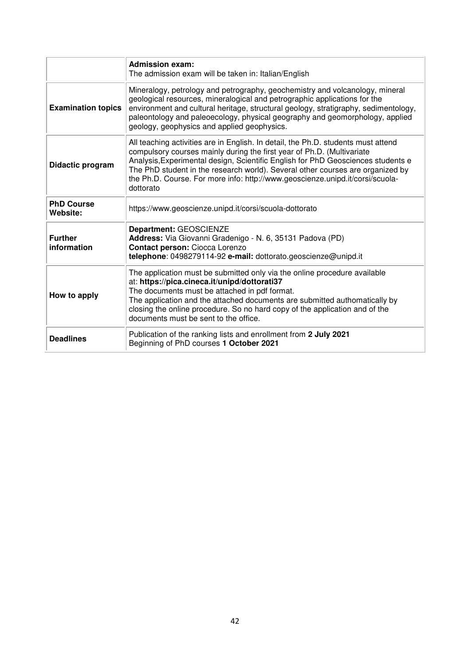|                               | <b>Admission exam:</b><br>The admission exam will be taken in: Italian/English                                                                                                                                                                                                                                                                                                                                                  |
|-------------------------------|---------------------------------------------------------------------------------------------------------------------------------------------------------------------------------------------------------------------------------------------------------------------------------------------------------------------------------------------------------------------------------------------------------------------------------|
| <b>Examination topics</b>     | Mineralogy, petrology and petrography, geochemistry and volcanology, mineral<br>geological resources, mineralogical and petrographic applications for the<br>environment and cultural heritage, structural geology, stratigraphy, sedimentology,<br>paleontology and paleoecology, physical geography and geomorphology, applied<br>geology, geophysics and applied geophysics.                                                 |
| Didactic program              | All teaching activities are in English. In detail, the Ph.D. students must attend<br>compulsory courses mainly during the first year of Ph.D. (Multivariate<br>Analysis, Experimental design, Scientific English for PhD Geosciences students e<br>The PhD student in the research world). Several other courses are organized by<br>the Ph.D. Course. For more info: http://www.geoscienze.unipd.it/corsi/scuola-<br>dottorato |
| <b>PhD Course</b><br>Website: | https://www.geoscienze.unipd.it/corsi/scuola-dottorato                                                                                                                                                                                                                                                                                                                                                                          |
| <b>Further</b><br>information | Department: GEOSCIENZE<br>Address: Via Giovanni Gradenigo - N. 6, 35131 Padova (PD)<br>Contact person: Ciocca Lorenzo<br>telephone: 0498279114-92 e-mail: dottorato.geoscienze@unipd.it                                                                                                                                                                                                                                         |
| How to apply                  | The application must be submitted only via the online procedure available<br>at: https://pica.cineca.it/unipd/dottorati37<br>The documents must be attached in pdf format.<br>The application and the attached documents are submitted authomatically by<br>closing the online procedure. So no hard copy of the application and of the<br>documents must be sent to the office.                                                |
| <b>Deadlines</b>              | Publication of the ranking lists and enrollment from 2 July 2021<br>Beginning of PhD courses 1 October 2021                                                                                                                                                                                                                                                                                                                     |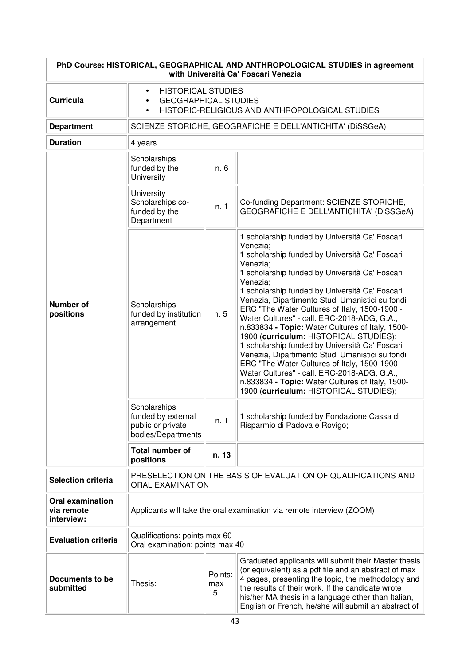| PhD Course: HISTORICAL, GEOGRAPHICAL AND ANTHROPOLOGICAL STUDIES in agreement<br>with Università Ca' Foscari Venezia |                                                                                                                                                                                                                                                                                                                                                                           |       |                                                                                                                                                                                                                                                                                                                                                                                                                                                                                                                                                                                                                                                                                                                                                                                                                                             |  |
|----------------------------------------------------------------------------------------------------------------------|---------------------------------------------------------------------------------------------------------------------------------------------------------------------------------------------------------------------------------------------------------------------------------------------------------------------------------------------------------------------------|-------|---------------------------------------------------------------------------------------------------------------------------------------------------------------------------------------------------------------------------------------------------------------------------------------------------------------------------------------------------------------------------------------------------------------------------------------------------------------------------------------------------------------------------------------------------------------------------------------------------------------------------------------------------------------------------------------------------------------------------------------------------------------------------------------------------------------------------------------------|--|
| <b>Curricula</b>                                                                                                     | <b>HISTORICAL STUDIES</b><br><b>GEOGRAPHICAL STUDIES</b><br>HISTORIC-RELIGIOUS AND ANTHROPOLOGICAL STUDIES                                                                                                                                                                                                                                                                |       |                                                                                                                                                                                                                                                                                                                                                                                                                                                                                                                                                                                                                                                                                                                                                                                                                                             |  |
| <b>Department</b>                                                                                                    |                                                                                                                                                                                                                                                                                                                                                                           |       | SCIENZE STORICHE, GEOGRAFICHE E DELL'ANTICHITA' (DISSGeA)                                                                                                                                                                                                                                                                                                                                                                                                                                                                                                                                                                                                                                                                                                                                                                                   |  |
| <b>Duration</b>                                                                                                      | 4 years                                                                                                                                                                                                                                                                                                                                                                   |       |                                                                                                                                                                                                                                                                                                                                                                                                                                                                                                                                                                                                                                                                                                                                                                                                                                             |  |
|                                                                                                                      | Scholarships<br>funded by the<br>University                                                                                                                                                                                                                                                                                                                               | n. 6  |                                                                                                                                                                                                                                                                                                                                                                                                                                                                                                                                                                                                                                                                                                                                                                                                                                             |  |
|                                                                                                                      | University<br>Scholarships co-<br>funded by the<br>Department                                                                                                                                                                                                                                                                                                             | n. 1  | Co-funding Department: SCIENZE STORICHE,<br>GEOGRAFICHE E DELL'ANTICHITA' (DISSGeA)                                                                                                                                                                                                                                                                                                                                                                                                                                                                                                                                                                                                                                                                                                                                                         |  |
| <b>Number of</b><br>positions                                                                                        | Scholarships<br>funded by institution<br>arrangement<br>Scholarships<br>funded by external                                                                                                                                                                                                                                                                                | n. 5  | 1 scholarship funded by Università Ca' Foscari<br>Venezia;<br>1 scholarship funded by Università Ca' Foscari<br>Venezia;<br>1 scholarship funded by Università Ca' Foscari<br>Venezia;<br>1 scholarship funded by Università Ca' Foscari<br>Venezia, Dipartimento Studi Umanistici su fondi<br>ERC "The Water Cultures of Italy, 1500-1900 -<br>Water Cultures" - call. ERC-2018-ADG, G.A.,<br>n.833834 - Topic: Water Cultures of Italy, 1500-<br>1900 (curriculum: HISTORICAL STUDIES);<br>1 scholarship funded by Università Ca' Foscari<br>Venezia, Dipartimento Studi Umanistici su fondi<br>ERC "The Water Cultures of Italy, 1500-1900 -<br>Water Cultures" - call. ERC-2018-ADG, G.A.,<br>n.833834 - Topic: Water Cultures of Italy, 1500-<br>1900 (curriculum: HISTORICAL STUDIES);<br>1 scholarship funded by Fondazione Cassa di |  |
|                                                                                                                      | public or private<br>bodies/Departments                                                                                                                                                                                                                                                                                                                                   | n. 1  | Risparmio di Padova e Rovigo;                                                                                                                                                                                                                                                                                                                                                                                                                                                                                                                                                                                                                                                                                                                                                                                                               |  |
|                                                                                                                      | <b>Total number of</b><br>positions                                                                                                                                                                                                                                                                                                                                       | n. 13 |                                                                                                                                                                                                                                                                                                                                                                                                                                                                                                                                                                                                                                                                                                                                                                                                                                             |  |
| <b>Selection criteria</b>                                                                                            | PRESELECTION ON THE BASIS OF EVALUATION OF QUALIFICATIONS AND<br><b>ORAL EXAMINATION</b>                                                                                                                                                                                                                                                                                  |       |                                                                                                                                                                                                                                                                                                                                                                                                                                                                                                                                                                                                                                                                                                                                                                                                                                             |  |
| <b>Oral examination</b><br>via remote<br>interview:                                                                  | Applicants will take the oral examination via remote interview (ZOOM)                                                                                                                                                                                                                                                                                                     |       |                                                                                                                                                                                                                                                                                                                                                                                                                                                                                                                                                                                                                                                                                                                                                                                                                                             |  |
| <b>Evaluation criteria</b>                                                                                           | Qualifications: points max 60<br>Oral examination: points max 40                                                                                                                                                                                                                                                                                                          |       |                                                                                                                                                                                                                                                                                                                                                                                                                                                                                                                                                                                                                                                                                                                                                                                                                                             |  |
| Documents to be<br>submitted                                                                                         | Graduated applicants will submit their Master thesis<br>(or equivalent) as a pdf file and an abstract of max<br>Points:<br>4 pages, presenting the topic, the methodology and<br>Thesis:<br>max<br>the results of their work. If the candidate wrote<br>15<br>his/her MA thesis in a language other than Italian,<br>English or French, he/she will submit an abstract of |       |                                                                                                                                                                                                                                                                                                                                                                                                                                                                                                                                                                                                                                                                                                                                                                                                                                             |  |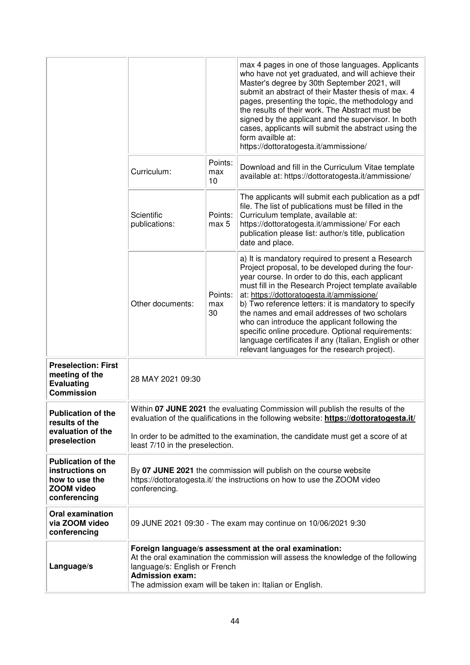|                                                                                              |                                                         |                      | max 4 pages in one of those languages. Applicants<br>who have not yet graduated, and will achieve their<br>Master's degree by 30th September 2021, will<br>submit an abstract of their Master thesis of max. 4<br>pages, presenting the topic, the methodology and<br>the results of their work. The Abstract must be<br>signed by the applicant and the supervisor. In both<br>cases, applicants will submit the abstract using the<br>form availble at:<br>https://dottoratogesta.it/ammissione/                                                                                          |
|----------------------------------------------------------------------------------------------|---------------------------------------------------------|----------------------|---------------------------------------------------------------------------------------------------------------------------------------------------------------------------------------------------------------------------------------------------------------------------------------------------------------------------------------------------------------------------------------------------------------------------------------------------------------------------------------------------------------------------------------------------------------------------------------------|
|                                                                                              | Curriculum:                                             | Points:<br>max<br>10 | Download and fill in the Curriculum Vitae template<br>available at: https://dottoratogesta.it/ammissione/                                                                                                                                                                                                                                                                                                                                                                                                                                                                                   |
|                                                                                              | Scientific<br>publications:                             | Points:<br>max 5     | The applicants will submit each publication as a pdf<br>file. The list of publications must be filled in the<br>Curriculum template, available at:<br>https://dottoratogesta.it/ammissione/ For each<br>publication please list: author/s title, publication<br>date and place.                                                                                                                                                                                                                                                                                                             |
|                                                                                              | Other documents:                                        | Points:<br>max<br>30 | a) It is mandatory required to present a Research<br>Project proposal, to be developed during the four-<br>year course. In order to do this, each applicant<br>must fill in the Research Project template available<br>at: https://dottoratogesta.it/ammissione/<br>b) Two reference letters: it is mandatory to specify<br>the names and email addresses of two scholars<br>who can introduce the applicant following the<br>specific online procedure. Optional requirements:<br>language certificates if any (Italian, English or other<br>relevant languages for the research project). |
| <b>Preselection: First</b><br>meeting of the<br><b>Evaluating</b><br><b>Commission</b>       | 28 MAY 2021 09:30                                       |                      |                                                                                                                                                                                                                                                                                                                                                                                                                                                                                                                                                                                             |
| <b>Publication of the</b><br>results of the<br>evaluation of the<br>preselection             | least 7/10 in the preselection.                         |                      | Within 07 JUNE 2021 the evaluating Commission will publish the results of the<br>evaluation of the qualifications in the following website: https://dottoratogesta.it/<br>In order to be admitted to the examination, the candidate must get a score of at                                                                                                                                                                                                                                                                                                                                  |
| <b>Publication of the</b><br>instructions on<br>how to use the<br>ZOOM video<br>conferencing | conferencing.                                           |                      | By 07 JUNE 2021 the commission will publish on the course website<br>https://dottoratogesta.it/ the instructions on how to use the ZOOM video                                                                                                                                                                                                                                                                                                                                                                                                                                               |
| <b>Oral examination</b><br>via ZOOM video<br>conferencing                                    |                                                         |                      | 09 JUNE 2021 09:30 - The exam may continue on 10/06/2021 9:30                                                                                                                                                                                                                                                                                                                                                                                                                                                                                                                               |
| Language/s                                                                                   | language/s: English or French<br><b>Admission exam:</b> |                      | Foreign language/s assessment at the oral examination:<br>At the oral examination the commission will assess the knowledge of the following<br>The admission exam will be taken in: Italian or English.                                                                                                                                                                                                                                                                                                                                                                                     |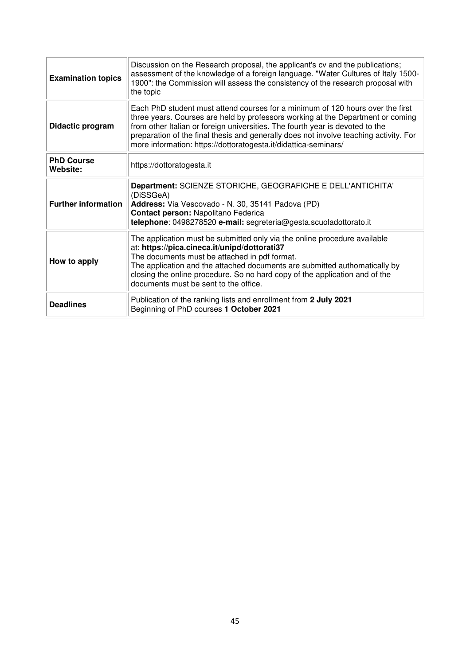| <b>Examination topics</b>     | Discussion on the Research proposal, the applicant's cv and the publications;<br>assessment of the knowledge of a foreign language. "Water Cultures of Italy 1500-<br>1900": the Commission will assess the consistency of the research proposal with<br>the topic                                                                                                                                             |
|-------------------------------|----------------------------------------------------------------------------------------------------------------------------------------------------------------------------------------------------------------------------------------------------------------------------------------------------------------------------------------------------------------------------------------------------------------|
| Didactic program              | Each PhD student must attend courses for a minimum of 120 hours over the first<br>three years. Courses are held by professors working at the Department or coming<br>from other Italian or foreign universities. The fourth year is devoted to the<br>preparation of the final thesis and generally does not involve teaching activity. For<br>more information: https://dottoratogesta.it/didattica-seminars/ |
| <b>PhD Course</b><br>Website: | https://dottoratogesta.it                                                                                                                                                                                                                                                                                                                                                                                      |
| <b>Further information</b>    | Department: SCIENZE STORICHE, GEOGRAFICHE E DELL'ANTICHITA'<br>(DiSSGeA)<br>Address: Via Vescovado - N. 30, 35141 Padova (PD)<br>Contact person: Napolitano Federica<br>telephone: 0498278520 e-mail: segreteria@gesta.scuoladottorato.it                                                                                                                                                                      |
| How to apply                  | The application must be submitted only via the online procedure available<br>at: https://pica.cineca.it/unipd/dottorati37<br>The documents must be attached in pdf format.<br>The application and the attached documents are submitted authomatically by<br>closing the online procedure. So no hard copy of the application and of the<br>documents must be sent to the office.                               |
| <b>Deadlines</b>              | Publication of the ranking lists and enrollment from 2 July 2021<br>Beginning of PhD courses 1 October 2021                                                                                                                                                                                                                                                                                                    |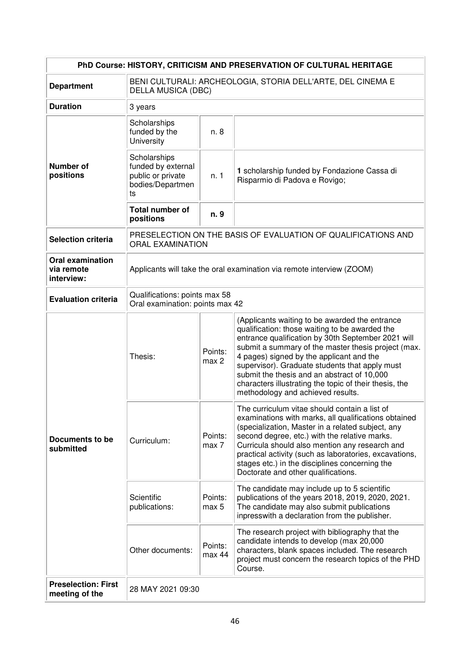| PhD Course: HISTORY, CRITICISM AND PRESERVATION OF CULTURAL HERITAGE |                                                                                          |                                                                       |                                                                                                                                                                                                                                                                                                                                                                                                                                                           |  |
|----------------------------------------------------------------------|------------------------------------------------------------------------------------------|-----------------------------------------------------------------------|-----------------------------------------------------------------------------------------------------------------------------------------------------------------------------------------------------------------------------------------------------------------------------------------------------------------------------------------------------------------------------------------------------------------------------------------------------------|--|
| <b>Department</b>                                                    | BENI CULTURALI: ARCHEOLOGIA, STORIA DELL'ARTE, DEL CINEMA E<br><b>DELLA MUSICA (DBC)</b> |                                                                       |                                                                                                                                                                                                                                                                                                                                                                                                                                                           |  |
| <b>Duration</b>                                                      | 3 years                                                                                  |                                                                       |                                                                                                                                                                                                                                                                                                                                                                                                                                                           |  |
|                                                                      | Scholarships<br>funded by the<br>University                                              | n. 8                                                                  |                                                                                                                                                                                                                                                                                                                                                                                                                                                           |  |
| <b>Number of</b><br>positions                                        | Scholarships<br>funded by external<br>public or private<br>bodies/Departmen<br>ts        | n. 1                                                                  | 1 scholarship funded by Fondazione Cassa di<br>Risparmio di Padova e Rovigo;                                                                                                                                                                                                                                                                                                                                                                              |  |
|                                                                      | <b>Total number of</b><br>positions                                                      | n. 9                                                                  |                                                                                                                                                                                                                                                                                                                                                                                                                                                           |  |
| <b>Selection criteria</b>                                            | <b>ORAL EXAMINATION</b>                                                                  |                                                                       | PRESELECTION ON THE BASIS OF EVALUATION OF QUALIFICATIONS AND                                                                                                                                                                                                                                                                                                                                                                                             |  |
| <b>Oral examination</b><br>via remote<br>interview:                  |                                                                                          | Applicants will take the oral examination via remote interview (ZOOM) |                                                                                                                                                                                                                                                                                                                                                                                                                                                           |  |
| <b>Evaluation criteria</b>                                           | Qualifications: points max 58<br>Oral examination: points max 42                         |                                                                       |                                                                                                                                                                                                                                                                                                                                                                                                                                                           |  |
| Documents to be<br>submitted                                         | Thesis:                                                                                  | Points:<br>max 2                                                      | (Applicants waiting to be awarded the entrance<br>qualification: those waiting to be awarded the<br>entrance qualification by 30th September 2021 will<br>submit a summary of the master thesis project (max.<br>4 pages) signed by the applicant and the<br>supervisor). Graduate students that apply must<br>submit the thesis and an abstract of 10,000<br>characters illustrating the topic of their thesis, the<br>methodology and achieved results. |  |
|                                                                      | Curriculum:                                                                              | Points:<br>max 7                                                      | The curriculum vitae should contain a list of<br>examinations with marks, all qualifications obtained<br>(specialization, Master in a related subject, any<br>second degree, etc.) with the relative marks.<br>Curricula should also mention any research and<br>practical activity (such as laboratories, excavations,<br>stages etc.) in the disciplines concerning the<br>Doctorate and other qualifications.                                          |  |
|                                                                      | Scientific<br>publications:                                                              | Points:<br>max 5                                                      | The candidate may include up to 5 scientific<br>publications of the years 2018, 2019, 2020, 2021.<br>The candidate may also submit publications<br>inpresswith a declaration from the publisher.                                                                                                                                                                                                                                                          |  |
|                                                                      | Other documents:                                                                         | Points:<br>max 44                                                     | The research project with bibliography that the<br>candidate intends to develop (max 20,000<br>characters, blank spaces included. The research<br>project must concern the research topics of the PHD<br>Course.                                                                                                                                                                                                                                          |  |
| <b>Preselection: First</b><br>meeting of the                         | 28 MAY 2021 09:30                                                                        |                                                                       |                                                                                                                                                                                                                                                                                                                                                                                                                                                           |  |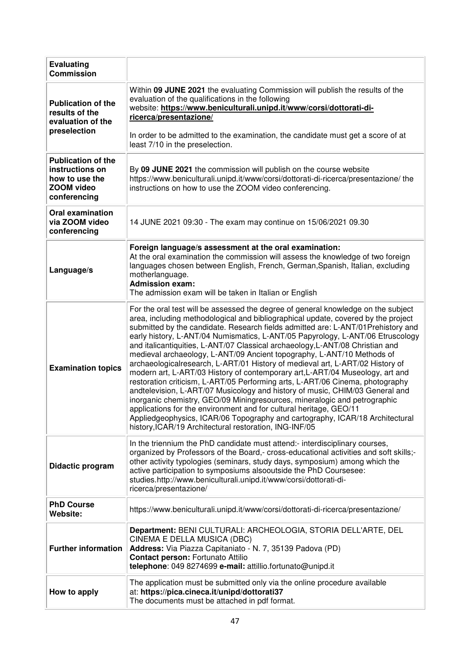| <b>Evaluating</b><br><b>Commission</b>                                                              |                                                                                                                                                                                                                                                                                                                                                                                                                                                                                                                                                                                                                                                                                                                                                                                                                                                                                                                                                                                                                                                                                                                                          |
|-----------------------------------------------------------------------------------------------------|------------------------------------------------------------------------------------------------------------------------------------------------------------------------------------------------------------------------------------------------------------------------------------------------------------------------------------------------------------------------------------------------------------------------------------------------------------------------------------------------------------------------------------------------------------------------------------------------------------------------------------------------------------------------------------------------------------------------------------------------------------------------------------------------------------------------------------------------------------------------------------------------------------------------------------------------------------------------------------------------------------------------------------------------------------------------------------------------------------------------------------------|
| <b>Publication of the</b><br>results of the<br>evaluation of the<br>preselection                    | Within 09 JUNE 2021 the evaluating Commission will publish the results of the<br>evaluation of the qualifications in the following<br>website: https://www.beniculturali.unipd.it/www/corsi/dottorati-di-<br>ricerca/presentazione/<br>In order to be admitted to the examination, the candidate must get a score of at<br>least 7/10 in the preselection.                                                                                                                                                                                                                                                                                                                                                                                                                                                                                                                                                                                                                                                                                                                                                                               |
| <b>Publication of the</b><br>instructions on<br>how to use the<br><b>ZOOM video</b><br>conferencing | By 09 JUNE 2021 the commission will publish on the course website<br>https://www.beniculturali.unipd.it/www/corsi/dottorati-di-ricerca/presentazione/ the<br>instructions on how to use the ZOOM video conferencing.                                                                                                                                                                                                                                                                                                                                                                                                                                                                                                                                                                                                                                                                                                                                                                                                                                                                                                                     |
| <b>Oral examination</b><br>via ZOOM video<br>conferencing                                           | 14 JUNE 2021 09:30 - The exam may continue on 15/06/2021 09.30                                                                                                                                                                                                                                                                                                                                                                                                                                                                                                                                                                                                                                                                                                                                                                                                                                                                                                                                                                                                                                                                           |
| Language/s                                                                                          | Foreign language/s assessment at the oral examination:<br>At the oral examination the commission will assess the knowledge of two foreign<br>languages chosen between English, French, German, Spanish, Italian, excluding<br>motherlanguage.<br><b>Admission exam:</b><br>The admission exam will be taken in Italian or English                                                                                                                                                                                                                                                                                                                                                                                                                                                                                                                                                                                                                                                                                                                                                                                                        |
| <b>Examination topics</b>                                                                           | For the oral test will be assessed the degree of general knowledge on the subject<br>area, including methodological and bibliographical update, covered by the project<br>submitted by the candidate. Research fields admitted are: L-ANT/01 Prehistory and<br>early history, L-ANT/04 Numismatics, L-ANT/05 Papyrology, L-ANT/06 Etruscology<br>and italicantiquities, L-ANT/07 Classical archaeology, L-ANT/08 Christian and<br>medieval archaeology, L-ANT/09 Ancient topography, L-ANT/10 Methods of<br>archaeologicalresearch, L-ART/01 History of medieval art, L-ART/02 History of<br>modern art, L-ART/03 History of contemporary art, L-ART/04 Museology, art and<br>restoration criticism, L-ART/05 Performing arts, L-ART/06 Cinema, photography<br>andtelevision, L-ART/07 Musicology and history of music, CHIM/03 General and<br>inorganic chemistry, GEO/09 Miningresources, mineralogic and petrographic<br>applications for the environment and for cultural heritage, GEO/11<br>Appliedgeophysics, ICAR/06 Topography and cartography, ICAR/18 Architectural<br>history, ICAR/19 Architectural restoration, ING-INF/05 |
| Didactic program                                                                                    | In the triennium the PhD candidate must attend:- interdisciplinary courses,<br>organized by Professors of the Board,- cross-educational activities and soft skills;-<br>other activity typologies (seminars, study days, symposium) among which the<br>active participation to symposiums alsooutside the PhD Coursesee:<br>studies.http://www.beniculturali.unipd.it/www/corsi/dottorati-di-<br>ricerca/presentazione/                                                                                                                                                                                                                                                                                                                                                                                                                                                                                                                                                                                                                                                                                                                  |
| <b>PhD Course</b><br>Website:                                                                       | https://www.beniculturali.unipd.it/www/corsi/dottorati-di-ricerca/presentazione/                                                                                                                                                                                                                                                                                                                                                                                                                                                                                                                                                                                                                                                                                                                                                                                                                                                                                                                                                                                                                                                         |
| <b>Further information</b>                                                                          | Department: BENI CULTURALI: ARCHEOLOGIA, STORIA DELL'ARTE, DEL<br>CINEMA E DELLA MUSICA (DBC)<br>Address: Via Piazza Capitaniato - N. 7, 35139 Padova (PD)<br>Contact person: Fortunato Attilio<br>telephone: 049 8274699 e-mail: attillio.fortunato@unipd.it                                                                                                                                                                                                                                                                                                                                                                                                                                                                                                                                                                                                                                                                                                                                                                                                                                                                            |
| How to apply                                                                                        | The application must be submitted only via the online procedure available<br>at: https://pica.cineca.it/unipd/dottorati37<br>The documents must be attached in pdf format.                                                                                                                                                                                                                                                                                                                                                                                                                                                                                                                                                                                                                                                                                                                                                                                                                                                                                                                                                               |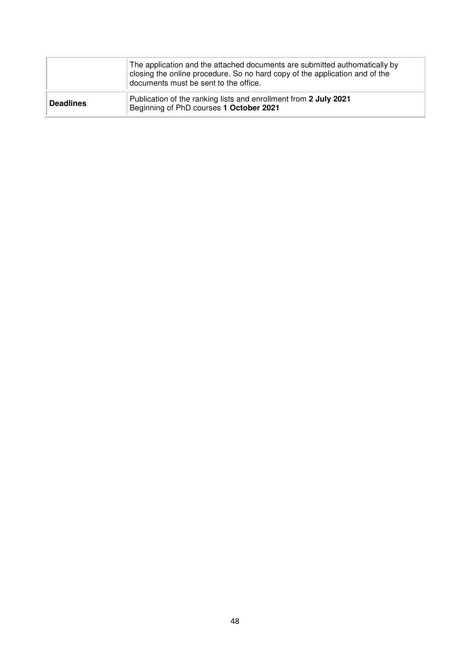|                  | The application and the attached documents are submitted authomatically by<br>closing the online procedure. So no hard copy of the application and of the<br>documents must be sent to the office. |
|------------------|----------------------------------------------------------------------------------------------------------------------------------------------------------------------------------------------------|
| <b>Deadlines</b> | Publication of the ranking lists and enrollment from 2 July 2021<br>Beginning of PhD courses 1 October 2021                                                                                        |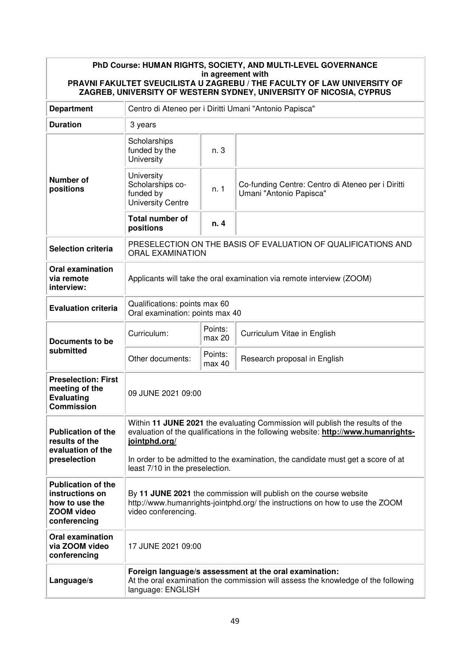| PhD Course: HUMAN RIGHTS, SOCIETY, AND MULTI-LEVEL GOVERNANCE<br>in agreement with<br>PRAVNI FAKULTET SVEUCILISTA U ZAGREBU / THE FACULTY OF LAW UNIVERSITY OF<br>ZAGREB, UNIVERSITY OF WESTERN SYDNEY, UNIVERSITY OF NICOSIA, CYPRUS |                                                                                                                                                                                      |                                                                                                                     |                                                                              |  |  |  |
|---------------------------------------------------------------------------------------------------------------------------------------------------------------------------------------------------------------------------------------|--------------------------------------------------------------------------------------------------------------------------------------------------------------------------------------|---------------------------------------------------------------------------------------------------------------------|------------------------------------------------------------------------------|--|--|--|
| <b>Department</b>                                                                                                                                                                                                                     | Centro di Ateneo per i Diritti Umani "Antonio Papisca"                                                                                                                               |                                                                                                                     |                                                                              |  |  |  |
| <b>Duration</b>                                                                                                                                                                                                                       | 3 years                                                                                                                                                                              |                                                                                                                     |                                                                              |  |  |  |
|                                                                                                                                                                                                                                       | Scholarships<br>funded by the<br>University                                                                                                                                          | n. 3                                                                                                                |                                                                              |  |  |  |
| <b>Number of</b><br>positions                                                                                                                                                                                                         | University<br>Scholarships co-<br>funded by<br><b>University Centre</b>                                                                                                              | n.1                                                                                                                 | Co-funding Centre: Centro di Ateneo per i Diritti<br>Umani "Antonio Papisca" |  |  |  |
|                                                                                                                                                                                                                                       | <b>Total number of</b><br>positions                                                                                                                                                  | n. 4                                                                                                                |                                                                              |  |  |  |
| <b>Selection criteria</b>                                                                                                                                                                                                             | <b>ORAL EXAMINATION</b>                                                                                                                                                              |                                                                                                                     | PRESELECTION ON THE BASIS OF EVALUATION OF QUALIFICATIONS AND                |  |  |  |
| <b>Oral examination</b><br>via remote<br>interview:                                                                                                                                                                                   | Applicants will take the oral examination via remote interview (ZOOM)                                                                                                                |                                                                                                                     |                                                                              |  |  |  |
| <b>Evaluation criteria</b>                                                                                                                                                                                                            | Qualifications: points max 60<br>Oral examination: points max 40                                                                                                                     |                                                                                                                     |                                                                              |  |  |  |
| Documents to be                                                                                                                                                                                                                       | Curriculum:                                                                                                                                                                          | Points:<br>max 20                                                                                                   | Curriculum Vitae in English                                                  |  |  |  |
| submitted                                                                                                                                                                                                                             | Other documents:                                                                                                                                                                     | Points:<br>max 40                                                                                                   | Research proposal in English                                                 |  |  |  |
| <b>Preselection: First</b><br>meeting of the<br><b>Evaluating</b><br><b>Commission</b>                                                                                                                                                | 09 JUNE 2021 09:00                                                                                                                                                                   |                                                                                                                     |                                                                              |  |  |  |
| <b>Publication of the</b><br>results of the<br>evaluation of the                                                                                                                                                                      | Within 11 JUNE 2021 the evaluating Commission will publish the results of the<br>evaluation of the qualifications in the following website: http://www.humanrights-<br>jointphd.org/ |                                                                                                                     |                                                                              |  |  |  |
| preselection                                                                                                                                                                                                                          |                                                                                                                                                                                      | In order to be admitted to the examination, the candidate must get a score of at<br>least 7/10 in the preselection. |                                                                              |  |  |  |
| <b>Publication of the</b><br>instructions on<br>how to use the<br><b>ZOOM video</b><br>conferencing                                                                                                                                   | By 11 JUNE 2021 the commission will publish on the course website<br>http://www.humanrights-jointphd.org/ the instructions on how to use the ZOOM<br>video conferencing.             |                                                                                                                     |                                                                              |  |  |  |
| <b>Oral examination</b><br>via ZOOM video<br>conferencing                                                                                                                                                                             | 17 JUNE 2021 09:00                                                                                                                                                                   |                                                                                                                     |                                                                              |  |  |  |
| Language/s                                                                                                                                                                                                                            | Foreign language/s assessment at the oral examination:<br>At the oral examination the commission will assess the knowledge of the following<br>language: ENGLISH                     |                                                                                                                     |                                                                              |  |  |  |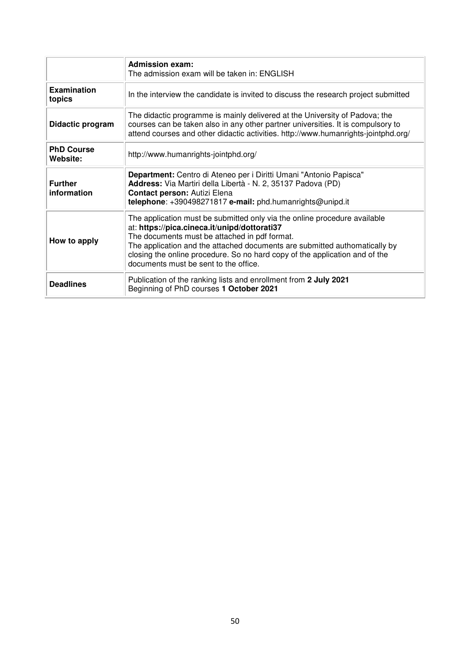|                               | <b>Admission exam:</b><br>The admission exam will be taken in: ENGLISH                                                                                                                                                                                                                                                                                                           |
|-------------------------------|----------------------------------------------------------------------------------------------------------------------------------------------------------------------------------------------------------------------------------------------------------------------------------------------------------------------------------------------------------------------------------|
| Examination<br>topics         | In the interview the candidate is invited to discuss the research project submitted                                                                                                                                                                                                                                                                                              |
| Didactic program              | The didactic programme is mainly delivered at the University of Padova; the<br>courses can be taken also in any other partner universities. It is compulsory to<br>attend courses and other didactic activities. http://www.humanrights-jointphd.org/                                                                                                                            |
| <b>PhD Course</b><br>Website: | http://www.humanrights-jointphd.org/                                                                                                                                                                                                                                                                                                                                             |
| <b>Further</b><br>information | Department: Centro di Ateneo per i Diritti Umani "Antonio Papisca"<br>Address: Via Martiri della Libertà - N. 2, 35137 Padova (PD)<br>Contact person: Autizi Elena<br>telephone: +390498271817 e-mail: phd.humanrights@unipd.it                                                                                                                                                  |
| How to apply                  | The application must be submitted only via the online procedure available<br>at: https://pica.cineca.it/unipd/dottorati37<br>The documents must be attached in pdf format.<br>The application and the attached documents are submitted authomatically by<br>closing the online procedure. So no hard copy of the application and of the<br>documents must be sent to the office. |
| <b>Deadlines</b>              | Publication of the ranking lists and enrollment from 2 July 2021<br>Beginning of PhD courses 1 October 2021                                                                                                                                                                                                                                                                      |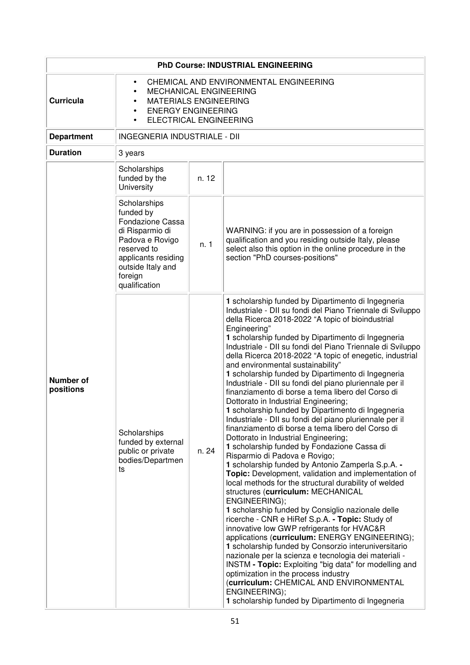|                               | PhD Course: INDUSTRIAL ENGINEERING                                                                                                                                                             |       |                                                                                                                                                                                                                                                                                                                                                                                                                                                                                                                                                                                                                                                                                                                                                                                                                                                                                                                                                                                                                                                                                                                                                                                                                                                                                                                                                                                                                                                                                                                                                                                                                                                                                                         |  |
|-------------------------------|------------------------------------------------------------------------------------------------------------------------------------------------------------------------------------------------|-------|---------------------------------------------------------------------------------------------------------------------------------------------------------------------------------------------------------------------------------------------------------------------------------------------------------------------------------------------------------------------------------------------------------------------------------------------------------------------------------------------------------------------------------------------------------------------------------------------------------------------------------------------------------------------------------------------------------------------------------------------------------------------------------------------------------------------------------------------------------------------------------------------------------------------------------------------------------------------------------------------------------------------------------------------------------------------------------------------------------------------------------------------------------------------------------------------------------------------------------------------------------------------------------------------------------------------------------------------------------------------------------------------------------------------------------------------------------------------------------------------------------------------------------------------------------------------------------------------------------------------------------------------------------------------------------------------------------|--|
| <b>Curricula</b>              | CHEMICAL AND ENVIRONMENTAL ENGINEERING<br>$\bullet$<br>MECHANICAL ENGINEERING<br><b>MATERIALS ENGINEERING</b><br><b>ENERGY ENGINEERING</b><br>$\bullet$<br>ELECTRICAL ENGINEERING<br>$\bullet$ |       |                                                                                                                                                                                                                                                                                                                                                                                                                                                                                                                                                                                                                                                                                                                                                                                                                                                                                                                                                                                                                                                                                                                                                                                                                                                                                                                                                                                                                                                                                                                                                                                                                                                                                                         |  |
| <b>Department</b>             | INGEGNERIA INDUSTRIALE - DII                                                                                                                                                                   |       |                                                                                                                                                                                                                                                                                                                                                                                                                                                                                                                                                                                                                                                                                                                                                                                                                                                                                                                                                                                                                                                                                                                                                                                                                                                                                                                                                                                                                                                                                                                                                                                                                                                                                                         |  |
| <b>Duration</b>               | 3 years                                                                                                                                                                                        |       |                                                                                                                                                                                                                                                                                                                                                                                                                                                                                                                                                                                                                                                                                                                                                                                                                                                                                                                                                                                                                                                                                                                                                                                                                                                                                                                                                                                                                                                                                                                                                                                                                                                                                                         |  |
|                               | Scholarships<br>funded by the<br>University                                                                                                                                                    | n. 12 |                                                                                                                                                                                                                                                                                                                                                                                                                                                                                                                                                                                                                                                                                                                                                                                                                                                                                                                                                                                                                                                                                                                                                                                                                                                                                                                                                                                                                                                                                                                                                                                                                                                                                                         |  |
|                               | Scholarships<br>funded by<br>Fondazione Cassa<br>di Risparmio di<br>Padova e Rovigo<br>reserved to<br>applicants residing<br>outside Italy and<br>foreign<br>qualification                     | n.1   | WARNING: if you are in possession of a foreign<br>qualification and you residing outside Italy, please<br>select also this option in the online procedure in the<br>section "PhD courses-positions"                                                                                                                                                                                                                                                                                                                                                                                                                                                                                                                                                                                                                                                                                                                                                                                                                                                                                                                                                                                                                                                                                                                                                                                                                                                                                                                                                                                                                                                                                                     |  |
| <b>Number of</b><br>positions | Scholarships<br>funded by external<br>public or private<br>bodies/Departmen<br>ts                                                                                                              | n. 24 | 1 scholarship funded by Dipartimento di Ingegneria<br>Industriale - DII su fondi del Piano Triennale di Sviluppo<br>della Ricerca 2018-2022 "A topic of bioindustrial<br>Engineering"<br>1 scholarship funded by Dipartimento di Ingegneria<br>Industriale - DII su fondi del Piano Triennale di Sviluppo<br>della Ricerca 2018-2022 "A topic of enegetic, industrial<br>and environmental sustainability"<br>1 scholarship funded by Dipartimento di Ingegneria<br>Industriale - DII su fondi del piano pluriennale per il<br>finanziamento di borse a tema libero del Corso di<br>Dottorato in Industrial Engineering;<br>1 scholarship funded by Dipartimento di Ingegneria<br>Industriale - DII su fondi del piano pluriennale per il<br>finanziamento di borse a tema libero del Corso di<br>Dottorato in Industrial Engineering;<br>1 scholarship funded by Fondazione Cassa di<br>Risparmio di Padova e Rovigo;<br>1 scholarship funded by Antonio Zamperla S.p.A. -<br>Topic: Development, validation and implementation of<br>local methods for the structural durability of welded<br>structures (curriculum: MECHANICAL<br>ENGINEERING);<br>1 scholarship funded by Consiglio nazionale delle<br>ricerche - CNR e HiRef S.p.A. - Topic: Study of<br>innovative low GWP refrigerants for HVAC&R<br>applications (curriculum: ENERGY ENGINEERING);<br>1 scholarship funded by Consorzio interuniversitario<br>nazionale per la scienza e tecnologia dei materiali -<br><b>INSTM - Topic:</b> Exploiting "big data" for modelling and<br>optimization in the process industry<br>(curriculum: CHEMICAL AND ENVIRONMENTAL<br>ENGINEERING);<br>1 scholarship funded by Dipartimento di Ingegneria |  |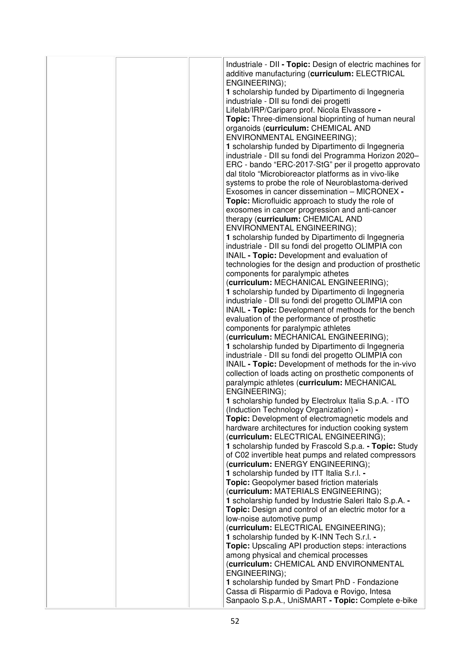|  | Industriale - DII - Topic: Design of electric machines for<br>additive manufacturing (curriculum: ELECTRICAL<br>ENGINEERING); |
|--|-------------------------------------------------------------------------------------------------------------------------------|
|  | 1 scholarship funded by Dipartimento di Ingegneria<br>industriale - DII su fondi dei progetti                                 |
|  | Lifelab/IRP/Cariparo prof. Nicola Elvassore -                                                                                 |
|  | Topic: Three-dimensional bioprinting of human neural                                                                          |
|  | organoids (curriculum: CHEMICAL AND                                                                                           |
|  | ENVIRONMENTAL ENGINEERING);                                                                                                   |
|  | 1 scholarship funded by Dipartimento di Ingegneria                                                                            |
|  | industriale - DII su fondi del Programma Horizon 2020-                                                                        |
|  | ERC - bando "ERC-2017-StG" per il progetto approvato                                                                          |
|  | dal titolo "Microbioreactor platforms as in vivo-like                                                                         |
|  | systems to probe the role of Neuroblastoma-derived<br>Exosomes in cancer dissemination - MICRONEX -                           |
|  | Topic: Microfluidic approach to study the role of                                                                             |
|  | exosomes in cancer progression and anti-cancer                                                                                |
|  | therapy (curriculum: CHEMICAL AND                                                                                             |
|  | ENVIRONMENTAL ENGINEERING);                                                                                                   |
|  | 1 scholarship funded by Dipartimento di Ingegneria                                                                            |
|  | industriale - DII su fondi del progetto OLIMPIA con                                                                           |
|  | INAIL - Topic: Development and evaluation of                                                                                  |
|  | technologies for the design and production of prosthetic                                                                      |
|  | components for paralympic athetes<br>(curriculum: MECHANICAL ENGINEERING);                                                    |
|  | 1 scholarship funded by Dipartimento di Ingegneria                                                                            |
|  | industriale - DII su fondi del progetto OLIMPIA con                                                                           |
|  | INAIL - Topic: Development of methods for the bench                                                                           |
|  | evaluation of the performance of prosthetic                                                                                   |
|  | components for paralympic athletes                                                                                            |
|  | (curriculum: MECHANICAL ENGINEERING);                                                                                         |
|  | 1 scholarship funded by Dipartimento di Ingegneria                                                                            |
|  | industriale - DII su fondi del progetto OLIMPIA con<br>INAIL - Topic: Development of methods for the in-vivo                  |
|  | collection of loads acting on prosthetic components of                                                                        |
|  | paralympic athletes (curriculum: MECHANICAL                                                                                   |
|  | ENGINEERING);                                                                                                                 |
|  | 1 scholarship funded by Electrolux Italia S.p.A. - ITO                                                                        |
|  | (Induction Technology Organization) -                                                                                         |
|  | Topic: Development of electromagnetic models and                                                                              |
|  | hardware architectures for induction cooking system<br>(curriculum: ELECTRICAL ENGINEERING);                                  |
|  | 1 scholarship funded by Frascold S.p.a. - Topic: Study                                                                        |
|  | of C02 invertible heat pumps and related compressors                                                                          |
|  | (curriculum: ENERGY ENGINEERING);                                                                                             |
|  | 1 scholarship funded by ITT Italia S.r.l. -                                                                                   |
|  | Topic: Geopolymer based friction materials                                                                                    |
|  | (curriculum: MATERIALS ENGINEERING);                                                                                          |
|  | 1 scholarship funded by Industrie Saleri Italo S.p.A. -<br>Topic: Design and control of an electric motor for a               |
|  | low-noise automotive pump                                                                                                     |
|  | (curriculum: ELECTRICAL ENGINEERING);                                                                                         |
|  | 1 scholarship funded by K-INN Tech S.r.l. -                                                                                   |
|  | <b>Topic:</b> Upscaling API production steps: interactions                                                                    |
|  | among physical and chemical processes                                                                                         |
|  | (curriculum: CHEMICAL AND ENVIRONMENTAL                                                                                       |
|  | ENGINEERING);                                                                                                                 |
|  | 1 scholarship funded by Smart PhD - Fondazione                                                                                |
|  | Cassa di Risparmio di Padova e Rovigo, Intesa<br>Sanpaolo S.p.A., UniSMART - Topic: Complete e-bike                           |
|  |                                                                                                                               |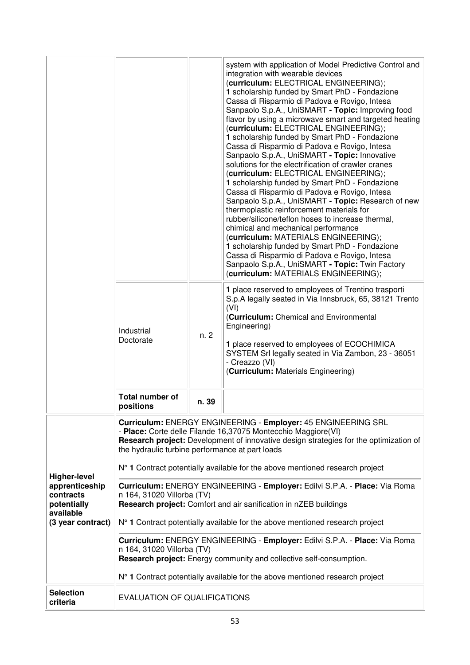|                                                                                                     |                                                                               |       | system with application of Model Predictive Control and<br>integration with wearable devices<br>(curriculum: ELECTRICAL ENGINEERING);<br>1 scholarship funded by Smart PhD - Fondazione<br>Cassa di Risparmio di Padova e Rovigo, Intesa<br>Sanpaolo S.p.A., UniSMART - Topic: Improving food<br>flavor by using a microwave smart and targeted heating<br>(curriculum: ELECTRICAL ENGINEERING);<br>1 scholarship funded by Smart PhD - Fondazione<br>Cassa di Risparmio di Padova e Rovigo, Intesa<br>Sanpaolo S.p.A., UniSMART - Topic: Innovative<br>solutions for the electrification of crawler cranes<br>(curriculum: ELECTRICAL ENGINEERING);<br>1 scholarship funded by Smart PhD - Fondazione<br>Cassa di Risparmio di Padova e Rovigo, Intesa<br>Sanpaolo S.p.A., UniSMART - Topic: Research of new<br>thermoplastic reinforcement materials for<br>rubber/silicone/teflon hoses to increase thermal,<br>chimical and mechanical performance<br>(curriculum: MATERIALS ENGINEERING);<br>1 scholarship funded by Smart PhD - Fondazione<br>Cassa di Risparmio di Padova e Rovigo, Intesa<br>Sanpaolo S.p.A., UniSMART - Topic: Twin Factory<br>(curriculum: MATERIALS ENGINEERING); |
|-----------------------------------------------------------------------------------------------------|-------------------------------------------------------------------------------|-------|----------------------------------------------------------------------------------------------------------------------------------------------------------------------------------------------------------------------------------------------------------------------------------------------------------------------------------------------------------------------------------------------------------------------------------------------------------------------------------------------------------------------------------------------------------------------------------------------------------------------------------------------------------------------------------------------------------------------------------------------------------------------------------------------------------------------------------------------------------------------------------------------------------------------------------------------------------------------------------------------------------------------------------------------------------------------------------------------------------------------------------------------------------------------------------------------|
|                                                                                                     | Industrial<br>Doctorate                                                       | n.2   | 1 place reserved to employees of Trentino trasporti<br>S.p.A legally seated in Via Innsbruck, 65, 38121 Trento<br>(VI)<br>(Curriculum: Chemical and Environmental<br>Engineering)<br>1 place reserved to employees of ECOCHIMICA<br>SYSTEM Srl legally seated in Via Zambon, 23 - 36051<br>- Creazzo (VI)<br>(Curriculum: Materials Engineering)                                                                                                                                                                                                                                                                                                                                                                                                                                                                                                                                                                                                                                                                                                                                                                                                                                             |
|                                                                                                     | <b>Total number of</b><br>positions                                           | n. 39 |                                                                                                                                                                                                                                                                                                                                                                                                                                                                                                                                                                                                                                                                                                                                                                                                                                                                                                                                                                                                                                                                                                                                                                                              |
| <b>Higher-level</b><br>apprenticeship<br>contracts<br>potentially<br>available<br>(3 year contract) | the hydraulic turbine performance at part loads<br>n 164, 31020 Villorba (TV) |       | Curriculum: ENERGY ENGINEERING - Employer: 45 ENGINEERING SRL<br>- Place: Corte delle Filande 16,37075 Montecchio Maggiore(VI)<br>Research project: Development of innovative design strategies for the optimization of<br>N° 1 Contract potentially available for the above mentioned research project<br>Curriculum: ENERGY ENGINEERING - Employer: Edilvi S.P.A. - Place: Via Roma<br>Research project: Comfort and air sanification in nZEB buildings<br>N° 1 Contract potentially available for the above mentioned research project                                                                                                                                                                                                                                                                                                                                                                                                                                                                                                                                                                                                                                                    |
|                                                                                                     | n 164, 31020 Villorba (TV)                                                    |       | Curriculum: ENERGY ENGINEERING - Employer: Edilvi S.P.A. - Place: Via Roma<br>Research project: Energy community and collective self-consumption.                                                                                                                                                                                                                                                                                                                                                                                                                                                                                                                                                                                                                                                                                                                                                                                                                                                                                                                                                                                                                                            |
|                                                                                                     |                                                                               |       | N° 1 Contract potentially available for the above mentioned research project                                                                                                                                                                                                                                                                                                                                                                                                                                                                                                                                                                                                                                                                                                                                                                                                                                                                                                                                                                                                                                                                                                                 |
| <b>Selection</b><br>criteria                                                                        | <b>EVALUATION OF QUALIFICATIONS</b>                                           |       |                                                                                                                                                                                                                                                                                                                                                                                                                                                                                                                                                                                                                                                                                                                                                                                                                                                                                                                                                                                                                                                                                                                                                                                              |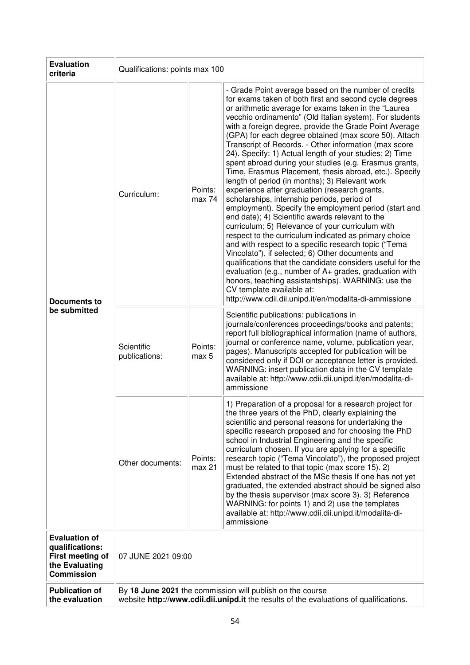| <b>Evaluation</b><br>criteria                                                                      | Qualifications: points max 100                                                                                                                      |                              |                                                                                                                                                                                                                                                                                                                                                                                                                                                                                                                                                                                                                                                                                                                                                                                                                                                                                                                                                                                                                                                                                                                                                                                                                                                                                                                                                          |
|----------------------------------------------------------------------------------------------------|-----------------------------------------------------------------------------------------------------------------------------------------------------|------------------------------|----------------------------------------------------------------------------------------------------------------------------------------------------------------------------------------------------------------------------------------------------------------------------------------------------------------------------------------------------------------------------------------------------------------------------------------------------------------------------------------------------------------------------------------------------------------------------------------------------------------------------------------------------------------------------------------------------------------------------------------------------------------------------------------------------------------------------------------------------------------------------------------------------------------------------------------------------------------------------------------------------------------------------------------------------------------------------------------------------------------------------------------------------------------------------------------------------------------------------------------------------------------------------------------------------------------------------------------------------------|
| Documents to                                                                                       | Curriculum:                                                                                                                                         | Points:<br>max 74            | - Grade Point average based on the number of credits<br>for exams taken of both first and second cycle degrees<br>or arithmetic average for exams taken in the "Laurea<br>vecchio ordinamento" (Old Italian system). For students<br>with a foreign degree, provide the Grade Point Average<br>(GPA) for each degree obtained (max score 50). Attach<br>Transcript of Records. - Other information (max score<br>24). Specify: 1) Actual length of your studies; 2) Time<br>spent abroad during your studies (e.g. Erasmus grants,<br>Time, Erasmus Placement, thesis abroad, etc.). Specify<br>length of period (in months); 3) Relevant work<br>experience after graduation (research grants,<br>scholarships, internship periods, period of<br>employment). Specify the employment period (start and<br>end date); 4) Scientific awards relevant to the<br>curriculum; 5) Relevance of your curriculum with<br>respect to the curriculum indicated as primary choice<br>and with respect to a specific research topic ("Tema<br>Vincolato"), if selected; 6) Other documents and<br>qualifications that the candidate considers useful for the<br>evaluation (e.g., number of A+ grades, graduation with<br>honors, teaching assistantships). WARNING: use the<br>CV template available at:<br>http://www.cdii.dii.unipd.it/en/modalita-di-ammissione |
| be submitted                                                                                       | Scientific<br>publications:                                                                                                                         | Points:<br>max 5             | Scientific publications: publications in<br>journals/conferences proceedings/books and patents;<br>report full bibliographical information (name of authors,<br>journal or conference name, volume, publication year,<br>pages). Manuscripts accepted for publication will be<br>considered only if DOI or acceptance letter is provided.<br>WARNING: insert publication data in the CV template<br>available at: http://www.cdii.dii.unipd.it/en/modalita-di-<br>ammissione                                                                                                                                                                                                                                                                                                                                                                                                                                                                                                                                                                                                                                                                                                                                                                                                                                                                             |
|                                                                                                    | Other documents:                                                                                                                                    | Points:<br>max <sub>21</sub> | 1) Preparation of a proposal for a research project for<br>the three years of the PhD, clearly explaining the<br>scientific and personal reasons for undertaking the<br>specific research proposed and for choosing the PhD<br>school in Industrial Engineering and the specific<br>curriculum chosen. If you are applying for a specific<br>research topic ("Tema Vincolato"), the proposed project<br>must be related to that topic (max score 15). 2)<br>Extended abstract of the MSc thesis If one has not yet<br>graduated, the extended abstract should be signed also<br>by the thesis supervisor (max score 3). 3) Reference<br>WARNING: for points 1) and 2) use the templates<br>available at: http://www.cdii.dii.unipd.it/modalita-di-<br>ammissione                                                                                                                                                                                                                                                                                                                                                                                                                                                                                                                                                                                         |
| <b>Evaluation of</b><br>qualifications:<br>First meeting of<br>the Evaluating<br><b>Commission</b> | 07 JUNE 2021 09:00                                                                                                                                  |                              |                                                                                                                                                                                                                                                                                                                                                                                                                                                                                                                                                                                                                                                                                                                                                                                                                                                                                                                                                                                                                                                                                                                                                                                                                                                                                                                                                          |
| <b>Publication of</b><br>the evaluation                                                            | By 18 June 2021 the commission will publish on the course<br>website http://www.cdii.dii.unipd.it the results of the evaluations of qualifications. |                              |                                                                                                                                                                                                                                                                                                                                                                                                                                                                                                                                                                                                                                                                                                                                                                                                                                                                                                                                                                                                                                                                                                                                                                                                                                                                                                                                                          |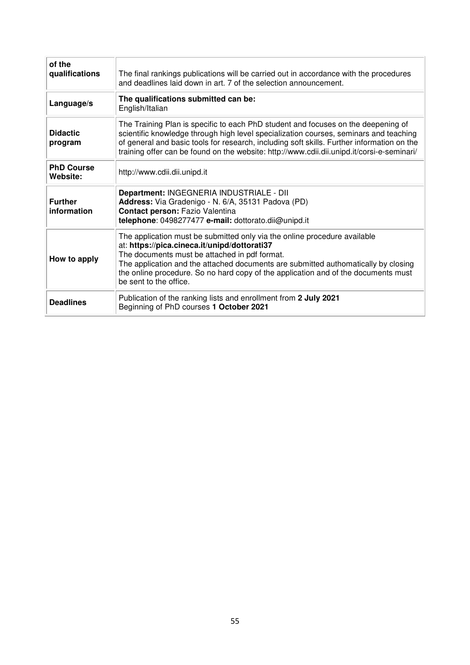| of the<br>qualifications      | The final rankings publications will be carried out in accordance with the procedures<br>and deadlines laid down in art. 7 of the selection announcement.                                                                                                                                                                                                                        |
|-------------------------------|----------------------------------------------------------------------------------------------------------------------------------------------------------------------------------------------------------------------------------------------------------------------------------------------------------------------------------------------------------------------------------|
| Language/s                    | The qualifications submitted can be:<br>English/Italian                                                                                                                                                                                                                                                                                                                          |
| <b>Didactic</b><br>program    | The Training Plan is specific to each PhD student and focuses on the deepening of<br>scientific knowledge through high level specialization courses, seminars and teaching<br>of general and basic tools for research, including soft skills. Further information on the<br>training offer can be found on the website: http://www.cdii.dii.unipd.it/corsi-e-seminari/           |
| <b>PhD Course</b><br>Website: | http://www.cdii.dii.unipd.it                                                                                                                                                                                                                                                                                                                                                     |
| <b>Further</b><br>information | Department: INGEGNERIA INDUSTRIALE - DII<br>Address: Via Gradenigo - N. 6/A, 35131 Padova (PD)<br>Contact person: Fazio Valentina<br>telephone: 0498277477 e-mail: dottorato.dii@unipd.it                                                                                                                                                                                        |
| How to apply                  | The application must be submitted only via the online procedure available<br>at: https://pica.cineca.it/unipd/dottorati37<br>The documents must be attached in pdf format.<br>The application and the attached documents are submitted authomatically by closing<br>the online procedure. So no hard copy of the application and of the documents must<br>be sent to the office. |
| <b>Deadlines</b>              | Publication of the ranking lists and enrollment from 2 July 2021<br>Beginning of PhD courses 1 October 2021                                                                                                                                                                                                                                                                      |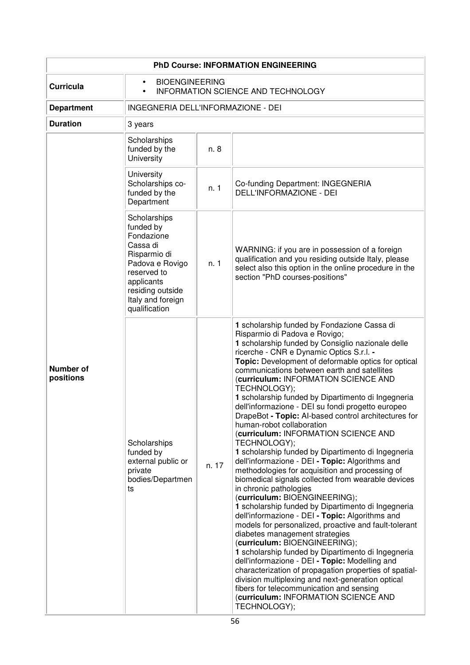| <b>PhD Course: INFORMATION ENGINEERING</b> |                                                                                                                                                                               |       |                                                                                                                                                                                                                                                                                                                                                                                                                                                                                                                                                                                                                                                                                                                                                                                                                                                                                                                                                                                                                                                                                                                                                                                                                                                                                                                                                                                                                                                  |
|--------------------------------------------|-------------------------------------------------------------------------------------------------------------------------------------------------------------------------------|-------|--------------------------------------------------------------------------------------------------------------------------------------------------------------------------------------------------------------------------------------------------------------------------------------------------------------------------------------------------------------------------------------------------------------------------------------------------------------------------------------------------------------------------------------------------------------------------------------------------------------------------------------------------------------------------------------------------------------------------------------------------------------------------------------------------------------------------------------------------------------------------------------------------------------------------------------------------------------------------------------------------------------------------------------------------------------------------------------------------------------------------------------------------------------------------------------------------------------------------------------------------------------------------------------------------------------------------------------------------------------------------------------------------------------------------------------------------|
| <b>Curricula</b>                           | <b>BIOENGINEERING</b><br>$\bullet$<br>INFORMATION SCIENCE AND TECHNOLOGY<br>$\bullet$                                                                                         |       |                                                                                                                                                                                                                                                                                                                                                                                                                                                                                                                                                                                                                                                                                                                                                                                                                                                                                                                                                                                                                                                                                                                                                                                                                                                                                                                                                                                                                                                  |
| <b>Department</b>                          | INGEGNERIA DELL'INFORMAZIONE - DEI                                                                                                                                            |       |                                                                                                                                                                                                                                                                                                                                                                                                                                                                                                                                                                                                                                                                                                                                                                                                                                                                                                                                                                                                                                                                                                                                                                                                                                                                                                                                                                                                                                                  |
| <b>Duration</b>                            | 3 years                                                                                                                                                                       |       |                                                                                                                                                                                                                                                                                                                                                                                                                                                                                                                                                                                                                                                                                                                                                                                                                                                                                                                                                                                                                                                                                                                                                                                                                                                                                                                                                                                                                                                  |
|                                            | Scholarships<br>funded by the<br>University                                                                                                                                   | n. 8  |                                                                                                                                                                                                                                                                                                                                                                                                                                                                                                                                                                                                                                                                                                                                                                                                                                                                                                                                                                                                                                                                                                                                                                                                                                                                                                                                                                                                                                                  |
|                                            | University<br>Scholarships co-<br>funded by the<br>Department                                                                                                                 | n. 1  | Co-funding Department: INGEGNERIA<br>DELL'INFORMAZIONE - DEI                                                                                                                                                                                                                                                                                                                                                                                                                                                                                                                                                                                                                                                                                                                                                                                                                                                                                                                                                                                                                                                                                                                                                                                                                                                                                                                                                                                     |
|                                            | Scholarships<br>funded by<br>Fondazione<br>Cassa di<br>Risparmio di<br>Padova e Rovigo<br>reserved to<br>applicants<br>residing outside<br>Italy and foreign<br>qualification | n. 1  | WARNING: if you are in possession of a foreign<br>qualification and you residing outside Italy, please<br>select also this option in the online procedure in the<br>section "PhD courses-positions"                                                                                                                                                                                                                                                                                                                                                                                                                                                                                                                                                                                                                                                                                                                                                                                                                                                                                                                                                                                                                                                                                                                                                                                                                                              |
| Number of<br>positions                     | Scholarships<br>funded by<br>external public or<br>private<br>bodies/Departmen<br>ts                                                                                          | n. 17 | 1 scholarship funded by Fondazione Cassa di<br>Risparmio di Padova e Rovigo;<br>1 scholarship funded by Consiglio nazionale delle<br>ricerche - CNR e Dynamic Optics S.r.l. -<br>Topic: Development of deformable optics for optical<br>communications between earth and satellites<br>(curriculum: INFORMATION SCIENCE AND<br>TECHNOLOGY);<br>1 scholarship funded by Dipartimento di Ingegneria<br>dell'informazione - DEI su fondi progetto europeo<br>DrapeBot - Topic: Al-based control architectures for<br>human-robot collaboration<br>(curriculum: INFORMATION SCIENCE AND<br>TECHNOLOGY);<br>1 scholarship funded by Dipartimento di Ingegneria<br>dell'informazione - DEI - Topic: Algorithms and<br>methodologies for acquisition and processing of<br>biomedical signals collected from wearable devices<br>in chronic pathologies<br>(curriculum: BIOENGINEERING);<br>1 scholarship funded by Dipartimento di Ingegneria<br>dell'informazione - DEI - Topic: Algorithms and<br>models for personalized, proactive and fault-tolerant<br>diabetes management strategies<br>(curriculum: BIOENGINEERING);<br>1 scholarship funded by Dipartimento di Ingegneria<br>dell'informazione - DEI - Topic: Modelling and<br>characterization of propagation properties of spatial-<br>division multiplexing and next-generation optical<br>fibers for telecommunication and sensing<br>(curriculum: INFORMATION SCIENCE AND<br>TECHNOLOGY); |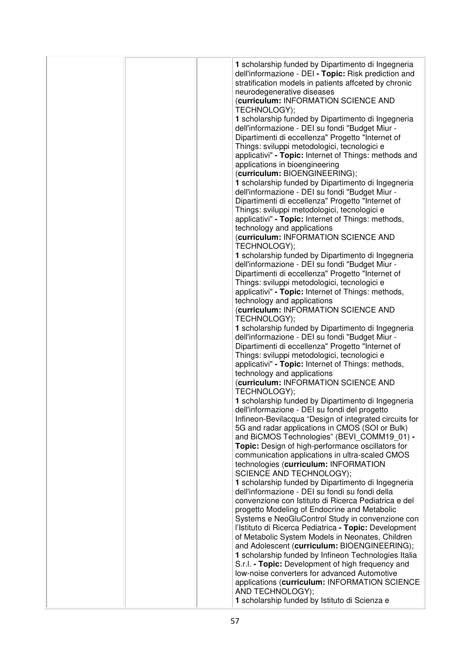|  | 1 scholarship funded by Dipartimento di Ingegneria<br>dell'informazione - DEI - Topic: Risk prediction and<br>stratification models in patients affceted by chronic<br>neurodegenerative diseases<br>(curriculum: INFORMATION SCIENCE AND<br>TECHNOLOGY);<br>1 scholarship funded by Dipartimento di Ingegneria<br>dell'informazione - DEI su fondi "Budget Miur -<br>Dipartimenti di eccellenza" Progetto "Internet of<br>Things: sviluppi metodologici, tecnologici e<br>applicativi" - Topic: Internet of Things: methods and<br>applications in bioengineering<br>(curriculum: BIOENGINEERING);<br>1 scholarship funded by Dipartimento di Ingegneria<br>dell'informazione - DEI su fondi "Budget Miur -<br>Dipartimenti di eccellenza" Progetto "Internet of<br>Things: sviluppi metodologici, tecnologici e<br>applicativi" - Topic: Internet of Things: methods,<br>technology and applications<br>(curriculum: INFORMATION SCIENCE AND<br>TECHNOLOGY);<br>1 scholarship funded by Dipartimento di Ingegneria<br>dell'informazione - DEI su fondi "Budget Miur -<br>Dipartimenti di eccellenza" Progetto "Internet of<br>Things: sviluppi metodologici, tecnologici e<br>applicativi" - Topic: Internet of Things: methods,<br>technology and applications<br>(curriculum: INFORMATION SCIENCE AND<br>TECHNOLOGY);<br>1 scholarship funded by Dipartimento di Ingegneria<br>dell'informazione - DEI su fondi "Budget Miur -<br>Dipartimenti di eccellenza" Progetto "Internet of<br>Things: sviluppi metodologici, tecnologici e<br>applicativi" - Topic: Internet of Things: methods,<br>technology and applications<br>(curriculum: INFORMATION SCIENCE AND<br>TECHNOLOGY);<br>1 scholarship funded by Dipartimento di Ingegneria<br>dell'informazione - DEI su fondi del progetto<br>Infineon-Bevilacqua "Design of integrated circuits for<br>5G and radar applications in CMOS (SOI or Bulk)<br>and BiCMOS Technologies" (BEVI_COMM19_01) -<br>Topic: Design of high-performance oscillators for<br>communication applications in ultra-scaled CMOS<br>technologies (curriculum: INFORMATION<br><b>SCIENCE AND TECHNOLOGY);</b><br>1 scholarship funded by Dipartimento di Ingegneria<br>dell'informazione - DEI su fondi su fondi della<br>convenzione con Istituto di Ricerca Pediatrica e del<br>progetto Modeling of Endocrine and Metabolic<br>Systems e NeoGluControl Study in convenzione con |
|--|------------------------------------------------------------------------------------------------------------------------------------------------------------------------------------------------------------------------------------------------------------------------------------------------------------------------------------------------------------------------------------------------------------------------------------------------------------------------------------------------------------------------------------------------------------------------------------------------------------------------------------------------------------------------------------------------------------------------------------------------------------------------------------------------------------------------------------------------------------------------------------------------------------------------------------------------------------------------------------------------------------------------------------------------------------------------------------------------------------------------------------------------------------------------------------------------------------------------------------------------------------------------------------------------------------------------------------------------------------------------------------------------------------------------------------------------------------------------------------------------------------------------------------------------------------------------------------------------------------------------------------------------------------------------------------------------------------------------------------------------------------------------------------------------------------------------------------------------------------------------------------------------------------------------------------------------------------------------------------------------------------------------------------------------------------------------------------------------------------------------------------------------------------------------------------------------------------------------------------------------------------------------------------------------------------------------------------------------------------------------------------------------------------------|
|  |                                                                                                                                                                                                                                                                                                                                                                                                                                                                                                                                                                                                                                                                                                                                                                                                                                                                                                                                                                                                                                                                                                                                                                                                                                                                                                                                                                                                                                                                                                                                                                                                                                                                                                                                                                                                                                                                                                                                                                                                                                                                                                                                                                                                                                                                                                                                                                                                                  |
|  | l'Istituto di Ricerca Pediatrica - Topic: Development<br>of Metabolic System Models in Neonates, Children<br>and Adolescent (curriculum: BIOENGINEERING);<br>1 scholarship funded by Infineon Technologies Italia                                                                                                                                                                                                                                                                                                                                                                                                                                                                                                                                                                                                                                                                                                                                                                                                                                                                                                                                                                                                                                                                                                                                                                                                                                                                                                                                                                                                                                                                                                                                                                                                                                                                                                                                                                                                                                                                                                                                                                                                                                                                                                                                                                                                |
|  | S.r.l. - Topic: Development of high frequency and<br>Iow-noise converters for advanced Automotive<br>applications (curriculum: INFORMATION SCIENCE<br>AND TECHNOLOGY);<br>1 scholarship funded by Istituto di Scienza e                                                                                                                                                                                                                                                                                                                                                                                                                                                                                                                                                                                                                                                                                                                                                                                                                                                                                                                                                                                                                                                                                                                                                                                                                                                                                                                                                                                                                                                                                                                                                                                                                                                                                                                                                                                                                                                                                                                                                                                                                                                                                                                                                                                          |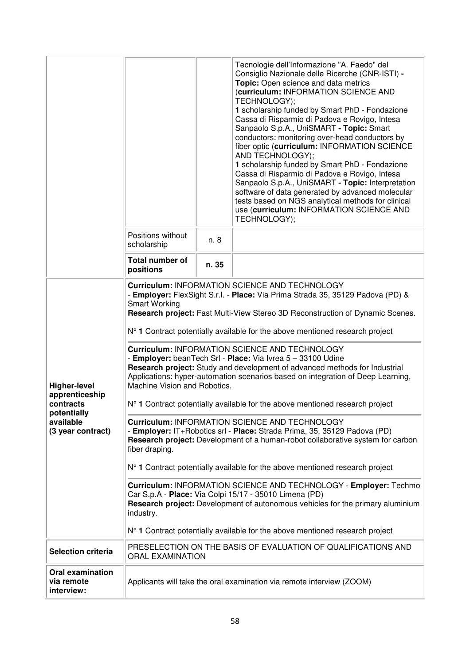|                                                                                                     |                                                                                                                                                                                                                                                                                                                                                                                                                                                                                                                                                                                                                                                                                                                                                                                                                                                                                                                                                                                                                                                                                                                                                                                                                                                                                                                                                                                  |       | Tecnologie dell'Informazione "A. Faedo" del<br>Consiglio Nazionale delle Ricerche (CNR-ISTI) -<br>Topic: Open science and data metrics<br>(curriculum: INFORMATION SCIENCE AND<br>TECHNOLOGY);<br>1 scholarship funded by Smart PhD - Fondazione<br>Cassa di Risparmio di Padova e Rovigo, Intesa<br>Sanpaolo S.p.A., UniSMART - Topic: Smart<br>conductors: monitoring over-head conductors by<br>fiber optic (curriculum: INFORMATION SCIENCE<br>AND TECHNOLOGY);<br>1 scholarship funded by Smart PhD - Fondazione<br>Cassa di Risparmio di Padova e Rovigo, Intesa<br>Sanpaolo S.p.A., UniSMART - Topic: Interpretation<br>software of data generated by advanced molecular<br>tests based on NGS analytical methods for clinical<br>use (curriculum: INFORMATION SCIENCE AND<br>TECHNOLOGY); |  |
|-----------------------------------------------------------------------------------------------------|----------------------------------------------------------------------------------------------------------------------------------------------------------------------------------------------------------------------------------------------------------------------------------------------------------------------------------------------------------------------------------------------------------------------------------------------------------------------------------------------------------------------------------------------------------------------------------------------------------------------------------------------------------------------------------------------------------------------------------------------------------------------------------------------------------------------------------------------------------------------------------------------------------------------------------------------------------------------------------------------------------------------------------------------------------------------------------------------------------------------------------------------------------------------------------------------------------------------------------------------------------------------------------------------------------------------------------------------------------------------------------|-------|---------------------------------------------------------------------------------------------------------------------------------------------------------------------------------------------------------------------------------------------------------------------------------------------------------------------------------------------------------------------------------------------------------------------------------------------------------------------------------------------------------------------------------------------------------------------------------------------------------------------------------------------------------------------------------------------------------------------------------------------------------------------------------------------------|--|
|                                                                                                     | Positions without<br>scholarship                                                                                                                                                                                                                                                                                                                                                                                                                                                                                                                                                                                                                                                                                                                                                                                                                                                                                                                                                                                                                                                                                                                                                                                                                                                                                                                                                 | n. 8  |                                                                                                                                                                                                                                                                                                                                                                                                                                                                                                                                                                                                                                                                                                                                                                                                   |  |
|                                                                                                     | Total number of<br>positions                                                                                                                                                                                                                                                                                                                                                                                                                                                                                                                                                                                                                                                                                                                                                                                                                                                                                                                                                                                                                                                                                                                                                                                                                                                                                                                                                     | n. 35 |                                                                                                                                                                                                                                                                                                                                                                                                                                                                                                                                                                                                                                                                                                                                                                                                   |  |
| <b>Higher-level</b><br>apprenticeship<br>contracts<br>potentially<br>available<br>(3 year contract) | <b>Curriculum: INFORMATION SCIENCE AND TECHNOLOGY</b><br>- Employer: FlexSight S.r.l. - Place: Via Prima Strada 35, 35129 Padova (PD) &<br><b>Smart Working</b><br>Research project: Fast Multi-View Stereo 3D Reconstruction of Dynamic Scenes.<br>N° 1 Contract potentially available for the above mentioned research project<br><b>Curriculum: INFORMATION SCIENCE AND TECHNOLOGY</b><br>- Employer: beanTech Srl - Place: Via Ivrea 5 - 33100 Udine<br>Research project: Study and development of advanced methods for Industrial<br>Applications: hyper-automation scenarios based on integration of Deep Learning,<br>Machine Vision and Robotics.<br>N° 1 Contract potentially available for the above mentioned research project<br><b>Curriculum: INFORMATION SCIENCE AND TECHNOLOGY</b><br>- Employer: IT+Robotics srl - Place: Strada Prima, 35, 35129 Padova (PD)<br>Research project: Development of a human-robot collaborative system for carbon<br>fiber draping.<br>N° 1 Contract potentially available for the above mentioned research project<br>Curriculum: INFORMATION SCIENCE AND TECHNOLOGY - Employer: Techmo<br>Car S.p.A - Place: Via Colpi 15/17 - 35010 Limena (PD)<br>Research project: Development of autonomous vehicles for the primary aluminium<br>industry.<br>N° 1 Contract potentially available for the above mentioned research project |       |                                                                                                                                                                                                                                                                                                                                                                                                                                                                                                                                                                                                                                                                                                                                                                                                   |  |
| <b>Selection criteria</b>                                                                           | <b>ORAL EXAMINATION</b>                                                                                                                                                                                                                                                                                                                                                                                                                                                                                                                                                                                                                                                                                                                                                                                                                                                                                                                                                                                                                                                                                                                                                                                                                                                                                                                                                          |       | PRESELECTION ON THE BASIS OF EVALUATION OF QUALIFICATIONS AND                                                                                                                                                                                                                                                                                                                                                                                                                                                                                                                                                                                                                                                                                                                                     |  |
| <b>Oral examination</b><br>via remote<br>interview:                                                 |                                                                                                                                                                                                                                                                                                                                                                                                                                                                                                                                                                                                                                                                                                                                                                                                                                                                                                                                                                                                                                                                                                                                                                                                                                                                                                                                                                                  |       | Applicants will take the oral examination via remote interview (ZOOM)                                                                                                                                                                                                                                                                                                                                                                                                                                                                                                                                                                                                                                                                                                                             |  |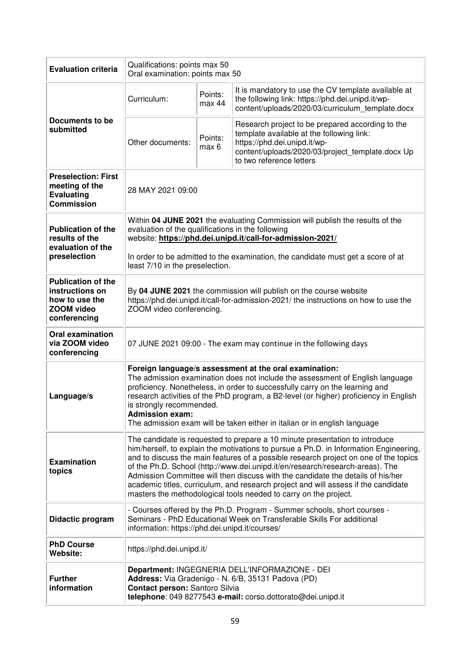| <b>Evaluation criteria</b>                                                                          | Qualifications: points max 50<br>Oral examination: points max 50                                                                                                                                                                                                                                                                                                                                                                                                                                                                                                                           |                                                                                                                                                                                                     |                                                                                                                                                                                                               |  |
|-----------------------------------------------------------------------------------------------------|--------------------------------------------------------------------------------------------------------------------------------------------------------------------------------------------------------------------------------------------------------------------------------------------------------------------------------------------------------------------------------------------------------------------------------------------------------------------------------------------------------------------------------------------------------------------------------------------|-----------------------------------------------------------------------------------------------------------------------------------------------------------------------------------------------------|---------------------------------------------------------------------------------------------------------------------------------------------------------------------------------------------------------------|--|
|                                                                                                     | Curriculum:                                                                                                                                                                                                                                                                                                                                                                                                                                                                                                                                                                                | Points:<br>max 44                                                                                                                                                                                   | It is mandatory to use the CV template available at<br>the following link: https://phd.dei.unipd.it/wp-<br>content/uploads/2020/03/curriculum template.docx                                                   |  |
| Documents to be<br>submitted                                                                        | Other documents:                                                                                                                                                                                                                                                                                                                                                                                                                                                                                                                                                                           | Points:<br>max 6                                                                                                                                                                                    | Research project to be prepared according to the<br>template available at the following link:<br>https://phd.dei.unipd.it/wp-<br>content/uploads/2020/03/project template.docx Up<br>to two reference letters |  |
| <b>Preselection: First</b><br>meeting of the<br><b>Evaluating</b><br><b>Commission</b>              | 28 MAY 2021 09:00                                                                                                                                                                                                                                                                                                                                                                                                                                                                                                                                                                          |                                                                                                                                                                                                     |                                                                                                                                                                                                               |  |
| <b>Publication of the</b><br>results of the<br>evaluation of the                                    |                                                                                                                                                                                                                                                                                                                                                                                                                                                                                                                                                                                            | Within 04 JUNE 2021 the evaluating Commission will publish the results of the<br>evaluation of the qualifications in the following<br>website: https://phd.dei.unipd.it/call-for-admission-2021/    |                                                                                                                                                                                                               |  |
| preselection                                                                                        | least 7/10 in the preselection.                                                                                                                                                                                                                                                                                                                                                                                                                                                                                                                                                            |                                                                                                                                                                                                     | In order to be admitted to the examination, the candidate must get a score of at                                                                                                                              |  |
| <b>Publication of the</b><br>instructions on<br>how to use the<br><b>ZOOM video</b><br>conferencing | By 04 JUNE 2021 the commission will publish on the course website<br>https://phd.dei.unipd.it/call-for-admission-2021/ the instructions on how to use the<br>ZOOM video conferencing.                                                                                                                                                                                                                                                                                                                                                                                                      |                                                                                                                                                                                                     |                                                                                                                                                                                                               |  |
| <b>Oral examination</b><br>via ZOOM video<br>conferencing                                           |                                                                                                                                                                                                                                                                                                                                                                                                                                                                                                                                                                                            | 07 JUNE 2021 09:00 - The exam may continue in the following days                                                                                                                                    |                                                                                                                                                                                                               |  |
| Language/s                                                                                          | Foreign language/s assessment at the oral examination:<br>The admission examination does not include the assessment of English language<br>proficiency. Nonetheless, in order to successfully carry on the learning and<br>research activities of the PhD program, a B2-level (or higher) proficiency in English<br>is strongly recommended.<br><b>Admission exam:</b><br>The admission exam will be taken either in italian or in english language                                                                                                                                        |                                                                                                                                                                                                     |                                                                                                                                                                                                               |  |
| <b>Examination</b><br>topics                                                                        | The candidate is requested to prepare a 10 minute presentation to introduce<br>him/herself, to explain the motivations to pursue a Ph.D. in Information Engineering,<br>and to discuss the main features of a possible research project on one of the topics<br>of the Ph.D. School (http://www.dei.unipd.it/en/research/research-areas). The<br>Admission Committee will then discuss with the candidate the details of his/her<br>academic titles, curriculum, and research project and will assess if the candidate<br>masters the methodological tools needed to carry on the project. |                                                                                                                                                                                                     |                                                                                                                                                                                                               |  |
| Didactic program                                                                                    |                                                                                                                                                                                                                                                                                                                                                                                                                                                                                                                                                                                            | - Courses offered by the Ph.D. Program - Summer schools, short courses -<br>Seminars - PhD Educational Week on Transferable Skills For additional<br>information: https://phd.dei.unipd.it/courses/ |                                                                                                                                                                                                               |  |
| <b>PhD Course</b><br>Website:                                                                       | https://phd.dei.unipd.it/                                                                                                                                                                                                                                                                                                                                                                                                                                                                                                                                                                  |                                                                                                                                                                                                     |                                                                                                                                                                                                               |  |
| <b>Further</b><br>information                                                                       | Department: INGEGNERIA DELL'INFORMAZIONE - DEI<br>Address: Via Gradenigo - N. 6/B, 35131 Padova (PD)<br>Contact person: Santoro Silvia<br>telephone: 049 8277543 e-mail: corso.dottorato@dei.unipd.it                                                                                                                                                                                                                                                                                                                                                                                      |                                                                                                                                                                                                     |                                                                                                                                                                                                               |  |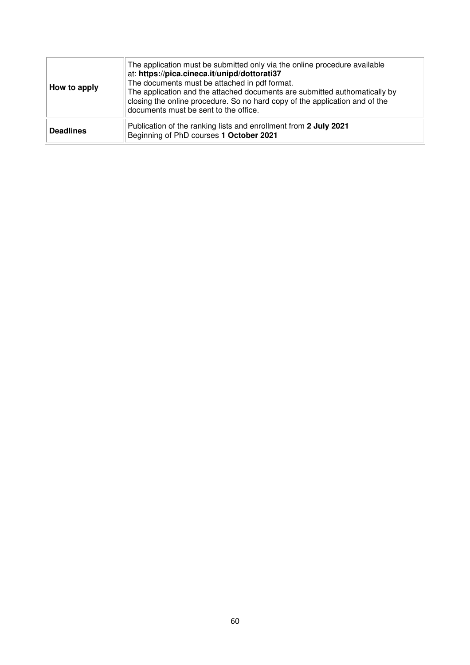| How to apply     | The application must be submitted only via the online procedure available<br>at: https://pica.cineca.it/unipd/dottorati37<br>The documents must be attached in pdf format.<br>The application and the attached documents are submitted authomatically by<br>closing the online procedure. So no hard copy of the application and of the<br>documents must be sent to the office. |
|------------------|----------------------------------------------------------------------------------------------------------------------------------------------------------------------------------------------------------------------------------------------------------------------------------------------------------------------------------------------------------------------------------|
| <b>Deadlines</b> | Publication of the ranking lists and enrollment from 2 July 2021<br>Beginning of PhD courses 1 October 2021                                                                                                                                                                                                                                                                      |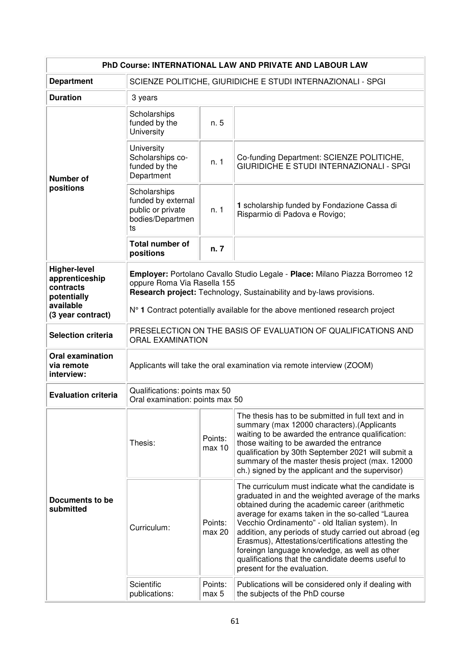| PhD Course: INTERNATIONAL LAW AND PRIVATE AND LABOUR LAW                                            |                                                                                                                                                                                                                                                                     |                   |                                                                                                                                                                                                                                                                                                                                                                                                                                                                                                                        |  |
|-----------------------------------------------------------------------------------------------------|---------------------------------------------------------------------------------------------------------------------------------------------------------------------------------------------------------------------------------------------------------------------|-------------------|------------------------------------------------------------------------------------------------------------------------------------------------------------------------------------------------------------------------------------------------------------------------------------------------------------------------------------------------------------------------------------------------------------------------------------------------------------------------------------------------------------------------|--|
| <b>Department</b>                                                                                   | SCIENZE POLITICHE, GIURIDICHE E STUDI INTERNAZIONALI - SPGI                                                                                                                                                                                                         |                   |                                                                                                                                                                                                                                                                                                                                                                                                                                                                                                                        |  |
| <b>Duration</b>                                                                                     | 3 years                                                                                                                                                                                                                                                             |                   |                                                                                                                                                                                                                                                                                                                                                                                                                                                                                                                        |  |
| <b>Number of</b><br>positions                                                                       | Scholarships<br>funded by the<br>University                                                                                                                                                                                                                         | n. 5              |                                                                                                                                                                                                                                                                                                                                                                                                                                                                                                                        |  |
|                                                                                                     | University<br>Scholarships co-<br>funded by the<br>Department                                                                                                                                                                                                       | n. 1              | Co-funding Department: SCIENZE POLITICHE,<br>GIURIDICHE E STUDI INTERNAZIONALI - SPGI                                                                                                                                                                                                                                                                                                                                                                                                                                  |  |
|                                                                                                     | Scholarships<br>funded by external<br>public or private<br>bodies/Departmen<br>ts                                                                                                                                                                                   | n.1               | 1 scholarship funded by Fondazione Cassa di<br>Risparmio di Padova e Rovigo;                                                                                                                                                                                                                                                                                                                                                                                                                                           |  |
|                                                                                                     | <b>Total number of</b><br>positions                                                                                                                                                                                                                                 | n. 7              |                                                                                                                                                                                                                                                                                                                                                                                                                                                                                                                        |  |
| <b>Higher-level</b><br>apprenticeship<br>contracts<br>potentially<br>available<br>(3 year contract) | Employer: Portolano Cavallo Studio Legale - Place: Milano Piazza Borromeo 12<br>oppure Roma Via Rasella 155<br>Research project: Technology, Sustainability and by-laws provisions.<br>N° 1 Contract potentially available for the above mentioned research project |                   |                                                                                                                                                                                                                                                                                                                                                                                                                                                                                                                        |  |
| <b>Selection criteria</b>                                                                           | PRESELECTION ON THE BASIS OF EVALUATION OF QUALIFICATIONS AND<br><b>ORAL EXAMINATION</b>                                                                                                                                                                            |                   |                                                                                                                                                                                                                                                                                                                                                                                                                                                                                                                        |  |
| <b>Oral examination</b><br>via remote<br>interview:                                                 | Applicants will take the oral examination via remote interview (ZOOM)                                                                                                                                                                                               |                   |                                                                                                                                                                                                                                                                                                                                                                                                                                                                                                                        |  |
| <b>Evaluation criteria</b>                                                                          | Qualifications: points max 50<br>Oral examination: points max 50                                                                                                                                                                                                    |                   |                                                                                                                                                                                                                                                                                                                                                                                                                                                                                                                        |  |
| Documents to be<br>submitted                                                                        | Thesis:                                                                                                                                                                                                                                                             | Points:<br>max 10 | The thesis has to be submitted in full text and in<br>summary (max 12000 characters). (Applicants<br>waiting to be awarded the entrance qualification:<br>those waiting to be awarded the entrance<br>qualification by 30th September 2021 will submit a<br>summary of the master thesis project (max. 12000<br>ch.) signed by the applicant and the supervisor)                                                                                                                                                       |  |
|                                                                                                     | Curriculum:                                                                                                                                                                                                                                                         | Points:<br>max 20 | The curriculum must indicate what the candidate is<br>graduated in and the weighted average of the marks<br>obtained during the academic career (arithmetic<br>average for exams taken in the so-called "Laurea<br>Vecchio Ordinamento" - old Italian system). In<br>addition, any periods of study carried out abroad (eg<br>Erasmus), Attestations/certifications attesting the<br>foreingn language knowledge, as well as other<br>qualifications that the candidate deems useful to<br>present for the evaluation. |  |
|                                                                                                     | Scientific<br>publications:                                                                                                                                                                                                                                         | Points:<br>max 5  | Publications will be considered only if dealing with<br>the subjects of the PhD course                                                                                                                                                                                                                                                                                                                                                                                                                                 |  |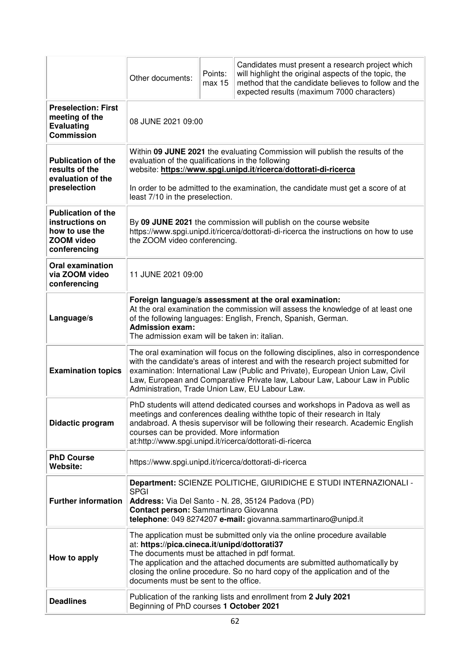|                                                                                              | Other documents:                                                                                                                                                                                                                                                                                                                                                                               | Points:<br>max 15 | Candidates must present a research project which<br>will highlight the original aspects of the topic, the<br>method that the candidate believes to follow and the<br>expected results (maximum 7000 characters) |  |  |
|----------------------------------------------------------------------------------------------|------------------------------------------------------------------------------------------------------------------------------------------------------------------------------------------------------------------------------------------------------------------------------------------------------------------------------------------------------------------------------------------------|-------------------|-----------------------------------------------------------------------------------------------------------------------------------------------------------------------------------------------------------------|--|--|
| <b>Preselection: First</b><br>meeting of the<br><b>Evaluating</b><br><b>Commission</b>       | 08 JUNE 2021 09:00                                                                                                                                                                                                                                                                                                                                                                             |                   |                                                                                                                                                                                                                 |  |  |
| <b>Publication of the</b><br>results of the<br>evaluation of the<br>preselection             | Within 09 JUNE 2021 the evaluating Commission will publish the results of the<br>evaluation of the qualifications in the following<br>website: https://www.spgi.unipd.it/ricerca/dottorati-di-ricerca<br>In order to be admitted to the examination, the candidate must get a score of at<br>least 7/10 in the preselection.                                                                   |                   |                                                                                                                                                                                                                 |  |  |
| <b>Publication of the</b><br>instructions on<br>how to use the<br>ZOOM video<br>conferencing | By 09 JUNE 2021 the commission will publish on the course website<br>https://www.spgi.unipd.it/ricerca/dottorati-di-ricerca the instructions on how to use<br>the ZOOM video conferencing.                                                                                                                                                                                                     |                   |                                                                                                                                                                                                                 |  |  |
| <b>Oral examination</b><br>via ZOOM video<br>conferencing                                    | 11 JUNE 2021 09:00                                                                                                                                                                                                                                                                                                                                                                             |                   |                                                                                                                                                                                                                 |  |  |
| Language/s                                                                                   | Foreign language/s assessment at the oral examination:<br>At the oral examination the commission will assess the knowledge of at least one<br>of the following languages: English, French, Spanish, German.<br><b>Admission exam:</b><br>The admission exam will be taken in: italian.                                                                                                         |                   |                                                                                                                                                                                                                 |  |  |
| <b>Examination topics</b>                                                                    | The oral examination will focus on the following disciplines, also in correspondence<br>with the candidate's areas of interest and with the research project submitted for<br>examination: International Law (Public and Private), European Union Law, Civil<br>Law, European and Comparative Private law, Labour Law, Labour Law in Public<br>Administration, Trade Union Law, EU Labour Law. |                   |                                                                                                                                                                                                                 |  |  |
| Didactic program                                                                             | PhD students will attend dedicated courses and workshops in Padova as well as<br>meetings and conferences dealing with the topic of their research in Italy<br>andabroad. A thesis supervisor will be following their research. Academic English<br>courses can be provided. More information<br>at:http://www.spgi.unipd.it/ricerca/dottorati-di-ricerca                                      |                   |                                                                                                                                                                                                                 |  |  |
| <b>PhD Course</b><br>Website:                                                                | https://www.spgi.unipd.it/ricerca/dottorati-di-ricerca                                                                                                                                                                                                                                                                                                                                         |                   |                                                                                                                                                                                                                 |  |  |
| <b>Further information</b>                                                                   | Department: SCIENZE POLITICHE, GIURIDICHE E STUDI INTERNAZIONALI -<br><b>SPGI</b><br>Address: Via Del Santo - N. 28, 35124 Padova (PD)<br>Contact person: Sammartinaro Giovanna<br>telephone: 049 8274207 e-mail: giovanna.sammartinaro@unipd.it                                                                                                                                               |                   |                                                                                                                                                                                                                 |  |  |
| How to apply                                                                                 | The application must be submitted only via the online procedure available<br>at: https://pica.cineca.it/unipd/dottorati37<br>The documents must be attached in pdf format.<br>The application and the attached documents are submitted authomatically by<br>closing the online procedure. So no hard copy of the application and of the<br>documents must be sent to the office.               |                   |                                                                                                                                                                                                                 |  |  |
| <b>Deadlines</b>                                                                             | Publication of the ranking lists and enrollment from 2 July 2021<br>Beginning of PhD courses 1 October 2021                                                                                                                                                                                                                                                                                    |                   |                                                                                                                                                                                                                 |  |  |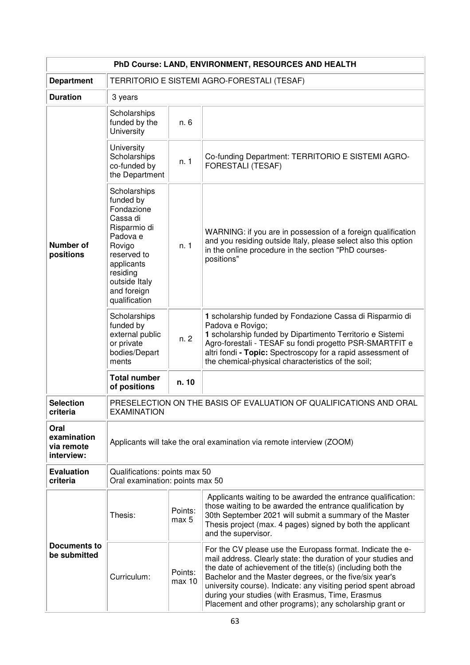| PhD Course: LAND, ENVIRONMENT, RESOURCES AND HEALTH |                                                                                                                                                                                     |                   |                                                                                                                                                                                                                                                                                                                                                                                                                                        |  |
|-----------------------------------------------------|-------------------------------------------------------------------------------------------------------------------------------------------------------------------------------------|-------------------|----------------------------------------------------------------------------------------------------------------------------------------------------------------------------------------------------------------------------------------------------------------------------------------------------------------------------------------------------------------------------------------------------------------------------------------|--|
| <b>Department</b>                                   | TERRITORIO E SISTEMI AGRO-FORESTALI (TESAF)                                                                                                                                         |                   |                                                                                                                                                                                                                                                                                                                                                                                                                                        |  |
| <b>Duration</b>                                     | 3 years                                                                                                                                                                             |                   |                                                                                                                                                                                                                                                                                                                                                                                                                                        |  |
| Number of<br>positions                              | Scholarships<br>funded by the<br>University                                                                                                                                         | n. 6              |                                                                                                                                                                                                                                                                                                                                                                                                                                        |  |
|                                                     | University<br>Scholarships<br>co-funded by<br>the Department                                                                                                                        | n. 1              | Co-funding Department: TERRITORIO E SISTEMI AGRO-<br><b>FORESTALI (TESAF)</b>                                                                                                                                                                                                                                                                                                                                                          |  |
|                                                     | Scholarships<br>funded by<br>Fondazione<br>Cassa di<br>Risparmio di<br>Padova e<br>Rovigo<br>reserved to<br>applicants<br>residing<br>outside Italy<br>and foreign<br>qualification | n. 1              | WARNING: if you are in possession of a foreign qualification<br>and you residing outside Italy, please select also this option<br>in the online procedure in the section "PhD courses-<br>positions"                                                                                                                                                                                                                                   |  |
|                                                     | Scholarships<br>funded by<br>external public<br>or private<br>bodies/Depart<br>ments                                                                                                | n.2               | 1 scholarship funded by Fondazione Cassa di Risparmio di<br>Padova e Rovigo;<br>1 scholarship funded by Dipartimento Territorio e Sistemi<br>Agro-forestali - TESAF su fondi progetto PSR-SMARTFIT e<br>altri fondi - Topic: Spectroscopy for a rapid assessment of<br>the chemical-physical characteristics of the soil;                                                                                                              |  |
|                                                     | <b>Total number</b><br>of positions                                                                                                                                                 | n. 10             |                                                                                                                                                                                                                                                                                                                                                                                                                                        |  |
| <b>Selection</b><br>criteria                        | PRESELECTION ON THE BASIS OF EVALUATION OF QUALIFICATIONS AND ORAL<br><b>EXAMINATION</b>                                                                                            |                   |                                                                                                                                                                                                                                                                                                                                                                                                                                        |  |
| Oral<br>examination<br>via remote<br>interview:     | Applicants will take the oral examination via remote interview (ZOOM)                                                                                                               |                   |                                                                                                                                                                                                                                                                                                                                                                                                                                        |  |
| <b>Evaluation</b><br>criteria                       | Qualifications: points max 50<br>Oral examination: points max 50                                                                                                                    |                   |                                                                                                                                                                                                                                                                                                                                                                                                                                        |  |
| Documents to<br>be submitted                        | Thesis:                                                                                                                                                                             | Points:<br>max 5  | Applicants waiting to be awarded the entrance qualification:<br>those waiting to be awarded the entrance qualification by<br>30th September 2021 will submit a summary of the Master<br>Thesis project (max. 4 pages) signed by both the applicant<br>and the supervisor.                                                                                                                                                              |  |
|                                                     | Curriculum:                                                                                                                                                                         | Points:<br>max 10 | For the CV please use the Europass format. Indicate the e-<br>mail address. Clearly state: the duration of your studies and<br>the date of achievement of the title(s) (including both the<br>Bachelor and the Master degrees, or the five/six year's<br>university course). Indicate: any visiting period spent abroad<br>during your studies (with Erasmus, Time, Erasmus<br>Placement and other programs); any scholarship grant or |  |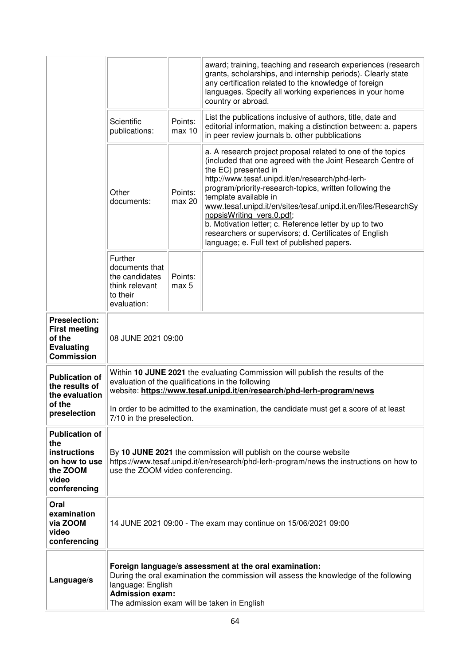|                                                                                                    |                                                                                                                                                                                                                                               |                   | award; training, teaching and research experiences (research<br>grants, scholarships, and internship periods). Clearly state<br>any certification related to the knowledge of foreign<br>languages. Specify all working experiences in your home<br>country or abroad.                                                                                                                                                                                                                                                                                      |
|----------------------------------------------------------------------------------------------------|-----------------------------------------------------------------------------------------------------------------------------------------------------------------------------------------------------------------------------------------------|-------------------|-------------------------------------------------------------------------------------------------------------------------------------------------------------------------------------------------------------------------------------------------------------------------------------------------------------------------------------------------------------------------------------------------------------------------------------------------------------------------------------------------------------------------------------------------------------|
|                                                                                                    | Scientific<br>publications:                                                                                                                                                                                                                   | Points:<br>max 10 | List the publications inclusive of authors, title, date and<br>editorial information, making a distinction between: a. papers<br>in peer review journals b. other pubblications                                                                                                                                                                                                                                                                                                                                                                             |
|                                                                                                    | Other<br>documents:                                                                                                                                                                                                                           | Points:<br>max 20 | a. A research project proposal related to one of the topics<br>(included that one agreed with the Joint Research Centre of<br>the EC) presented in<br>http://www.tesaf.unipd.it/en/research/phd-lerh-<br>program/priority-research-topics, written following the<br>template available in<br>www.tesaf.unipd.it/en/sites/tesaf.unipd.it.en/files/ResearchSy<br>nopsisWriting vers.0.pdf;<br>b. Motivation letter; c. Reference letter by up to two<br>researchers or supervisors; d. Certificates of English<br>language; e. Full text of published papers. |
|                                                                                                    | Further<br>documents that<br>the candidates<br>think relevant<br>to their<br>evaluation:                                                                                                                                                      | Points:<br>max 5  |                                                                                                                                                                                                                                                                                                                                                                                                                                                                                                                                                             |
| <b>Preselection:</b><br><b>First meeting</b><br>of the<br><b>Evaluating</b><br><b>Commission</b>   | 08 JUNE 2021 09:00                                                                                                                                                                                                                            |                   |                                                                                                                                                                                                                                                                                                                                                                                                                                                                                                                                                             |
| <b>Publication of</b><br>the results of<br>the evaluation                                          | Within 10 JUNE 2021 the evaluating Commission will publish the results of the<br>evaluation of the qualifications in the following<br>website: https://www.tesaf.unipd.it/en/research/phd-lerh-program/news                                   |                   |                                                                                                                                                                                                                                                                                                                                                                                                                                                                                                                                                             |
| of the<br>preselection                                                                             | In order to be admitted to the examination, the candidate must get a score of at least<br>7/10 in the preselection.                                                                                                                           |                   |                                                                                                                                                                                                                                                                                                                                                                                                                                                                                                                                                             |
| <b>Publication of</b><br>the<br>instructions<br>on how to use<br>the ZOOM<br>video<br>conferencing | By 10 JUNE 2021 the commission will publish on the course website<br>https://www.tesaf.unipd.it/en/research/phd-lerh-program/news the instructions on how to<br>use the ZOOM video conferencing.                                              |                   |                                                                                                                                                                                                                                                                                                                                                                                                                                                                                                                                                             |
| Oral<br>examination<br>via ZOOM<br>video<br>conferencing                                           | 14 JUNE 2021 09:00 - The exam may continue on 15/06/2021 09:00                                                                                                                                                                                |                   |                                                                                                                                                                                                                                                                                                                                                                                                                                                                                                                                                             |
| Language/s                                                                                         | Foreign language/s assessment at the oral examination:<br>During the oral examination the commission will assess the knowledge of the following<br>language: English<br><b>Admission exam:</b><br>The admission exam will be taken in English |                   |                                                                                                                                                                                                                                                                                                                                                                                                                                                                                                                                                             |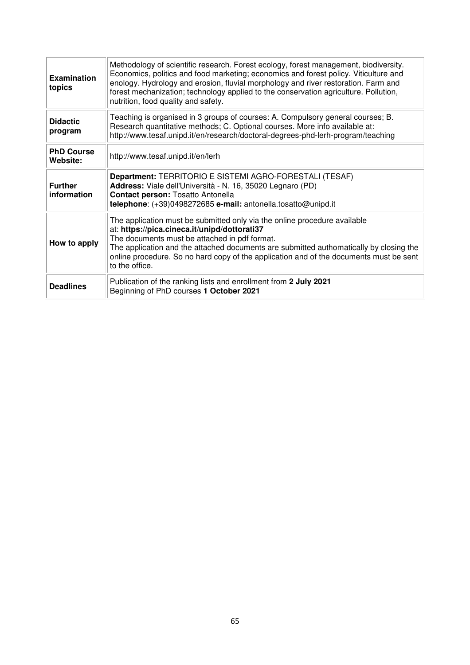| <b>Examination</b><br>topics  | Methodology of scientific research. Forest ecology, forest management, biodiversity.<br>Economics, politics and food marketing; economics and forest policy. Viticulture and<br>enology. Hydrology and erosion, fluvial morphology and river restoration. Farm and<br>forest mechanization; technology applied to the conservation agriculture. Pollution,<br>nutrition, food quality and safety. |
|-------------------------------|---------------------------------------------------------------------------------------------------------------------------------------------------------------------------------------------------------------------------------------------------------------------------------------------------------------------------------------------------------------------------------------------------|
| <b>Didactic</b><br>program    | Teaching is organised in 3 groups of courses: A. Compulsory general courses; B.<br>Research quantitative methods; C. Optional courses. More info available at:<br>http://www.tesaf.unipd.it/en/research/doctoral-degrees-phd-lerh-program/teaching                                                                                                                                                |
| <b>PhD Course</b><br>Website: | http://www.tesaf.unipd.it/en/lerh                                                                                                                                                                                                                                                                                                                                                                 |
| <b>Further</b><br>information | Department: TERRITORIO E SISTEMI AGRO-FORESTALI (TESAF)<br>Address: Viale dell'Università - N. 16, 35020 Legnaro (PD)<br><b>Contact person: Tosatto Antonella</b><br>telephone: (+39)0498272685 e-mail: antonella.tosatto@unipd.it                                                                                                                                                                |
| How to apply                  | The application must be submitted only via the online procedure available<br>at: https://pica.cineca.it/unipd/dottorati37<br>The documents must be attached in pdf format.<br>The application and the attached documents are submitted authomatically by closing the<br>online procedure. So no hard copy of the application and of the documents must be sent<br>to the office.                  |
| <b>Deadlines</b>              | Publication of the ranking lists and enrollment from 2 July 2021<br>Beginning of PhD courses 1 October 2021                                                                                                                                                                                                                                                                                       |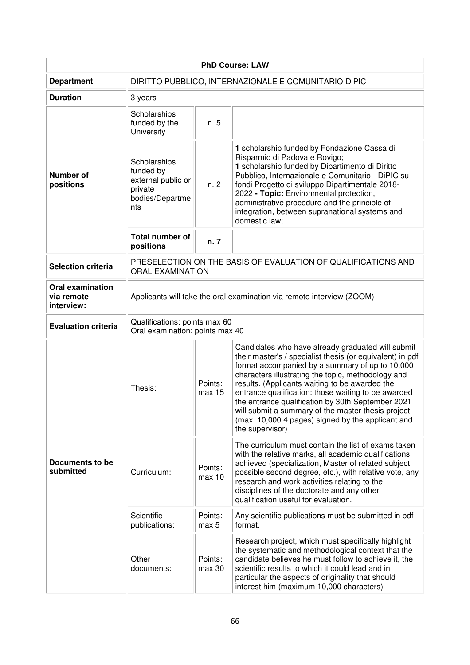| <b>PhD Course: LAW</b>                              |                                                                                          |                   |                                                                                                                                                                                                                                                                                                                                                                                                                                                                                                                     |  |
|-----------------------------------------------------|------------------------------------------------------------------------------------------|-------------------|---------------------------------------------------------------------------------------------------------------------------------------------------------------------------------------------------------------------------------------------------------------------------------------------------------------------------------------------------------------------------------------------------------------------------------------------------------------------------------------------------------------------|--|
| <b>Department</b>                                   | DIRITTO PUBBLICO, INTERNAZIONALE E COMUNITARIO-DIPIC                                     |                   |                                                                                                                                                                                                                                                                                                                                                                                                                                                                                                                     |  |
| <b>Duration</b>                                     | 3 years                                                                                  |                   |                                                                                                                                                                                                                                                                                                                                                                                                                                                                                                                     |  |
| Number of<br>positions                              | Scholarships<br>funded by the<br>University                                              | n. 5              |                                                                                                                                                                                                                                                                                                                                                                                                                                                                                                                     |  |
|                                                     | Scholarships<br>funded by<br>external public or<br>private<br>bodies/Departme<br>nts     | n. 2              | 1 scholarship funded by Fondazione Cassa di<br>Risparmio di Padova e Rovigo;<br>1 scholarship funded by Dipartimento di Diritto<br>Pubblico, Internazionale e Comunitario - DiPIC su<br>fondi Progetto di sviluppo Dipartimentale 2018-<br>2022 - Topic: Environmental protection,<br>administrative procedure and the principle of<br>integration, between supranational systems and<br>domestic law;                                                                                                              |  |
|                                                     | Total number of<br>positions                                                             | n. 7              |                                                                                                                                                                                                                                                                                                                                                                                                                                                                                                                     |  |
| <b>Selection criteria</b>                           | PRESELECTION ON THE BASIS OF EVALUATION OF QUALIFICATIONS AND<br><b>ORAL EXAMINATION</b> |                   |                                                                                                                                                                                                                                                                                                                                                                                                                                                                                                                     |  |
| <b>Oral examination</b><br>via remote<br>interview: | Applicants will take the oral examination via remote interview (ZOOM)                    |                   |                                                                                                                                                                                                                                                                                                                                                                                                                                                                                                                     |  |
| <b>Evaluation criteria</b>                          | Qualifications: points max 60<br>Oral examination: points max 40                         |                   |                                                                                                                                                                                                                                                                                                                                                                                                                                                                                                                     |  |
| Documents to be<br>submitted                        | Thesis:                                                                                  | Points:<br>max 15 | Candidates who have already graduated will submit<br>their master's / specialist thesis (or equivalent) in pdf<br>format accompanied by a summary of up to 10,000<br>characters illustrating the topic, methodology and<br>results. (Applicants waiting to be awarded the<br>entrance qualification: those waiting to be awarded<br>the entrance qualification by 30th September 2021<br>will submit a summary of the master thesis project<br>(max. 10,000 4 pages) signed by the applicant and<br>the supervisor) |  |
|                                                     | Curriculum:                                                                              | Points:<br>max 10 | The curriculum must contain the list of exams taken<br>with the relative marks, all academic qualifications<br>achieved (specialization, Master of related subject,<br>possible second degree, etc.), with relative vote, any<br>research and work activities relating to the<br>disciplines of the doctorate and any other<br>qualification useful for evaluation.                                                                                                                                                 |  |
|                                                     | Scientific<br>publications:                                                              | Points:<br>max 5  | Any scientific publications must be submitted in pdf<br>format.                                                                                                                                                                                                                                                                                                                                                                                                                                                     |  |
|                                                     | Other<br>documents:                                                                      | Points:<br>max 30 | Research project, which must specifically highlight<br>the systematic and methodological context that the<br>candidate believes he must follow to achieve it, the<br>scientific results to which it could lead and in<br>particular the aspects of originality that should<br>interest him (maximum 10,000 characters)                                                                                                                                                                                              |  |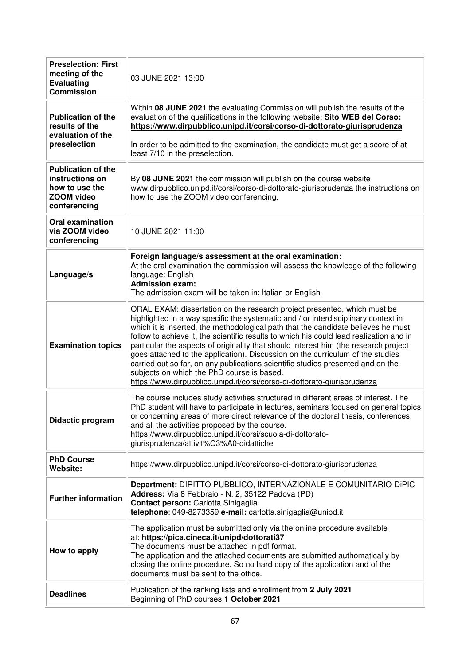| <b>Preselection: First</b><br>meeting of the<br><b>Evaluating</b><br><b>Commission</b>       | 03 JUNE 2021 13:00                                                                                                                                                                                                                                                                                                                                                                                                                                                                                                                                                                                                                                                                                                                    |  |
|----------------------------------------------------------------------------------------------|---------------------------------------------------------------------------------------------------------------------------------------------------------------------------------------------------------------------------------------------------------------------------------------------------------------------------------------------------------------------------------------------------------------------------------------------------------------------------------------------------------------------------------------------------------------------------------------------------------------------------------------------------------------------------------------------------------------------------------------|--|
| <b>Publication of the</b><br>results of the<br>evaluation of the                             | Within 08 JUNE 2021 the evaluating Commission will publish the results of the<br>evaluation of the qualifications in the following website: Sito WEB del Corso:<br>https://www.dirpubblico.unipd.it/corsi/corso-di-dottorato-giurisprudenza                                                                                                                                                                                                                                                                                                                                                                                                                                                                                           |  |
| preselection                                                                                 | In order to be admitted to the examination, the candidate must get a score of at<br>least 7/10 in the preselection.                                                                                                                                                                                                                                                                                                                                                                                                                                                                                                                                                                                                                   |  |
| <b>Publication of the</b><br>instructions on<br>how to use the<br>ZOOM video<br>conferencing | By 08 JUNE 2021 the commission will publish on the course website<br>www.dirpubblico.unipd.it/corsi/corso-di-dottorato-giurisprudenza the instructions on<br>how to use the ZOOM video conferencing.                                                                                                                                                                                                                                                                                                                                                                                                                                                                                                                                  |  |
| <b>Oral examination</b><br>via ZOOM video<br>conferencing                                    | 10 JUNE 2021 11:00                                                                                                                                                                                                                                                                                                                                                                                                                                                                                                                                                                                                                                                                                                                    |  |
| Language/s                                                                                   | Foreign language/s assessment at the oral examination:<br>At the oral examination the commission will assess the knowledge of the following<br>language: English<br><b>Admission exam:</b><br>The admission exam will be taken in: Italian or English                                                                                                                                                                                                                                                                                                                                                                                                                                                                                 |  |
| <b>Examination topics</b>                                                                    | ORAL EXAM: dissertation on the research project presented, which must be<br>highlighted in a way specific the systematic and / or interdisciplinary context in<br>which it is inserted, the methodological path that the candidate believes he must<br>follow to achieve it, the scientific results to which his could lead realization and in<br>particular the aspects of originality that should interest him (the research project<br>goes attached to the application). Discussion on the curriculum of the studies<br>carried out so far, on any publications scientific studies presented and on the<br>subjects on which the PhD course is based.<br>https://www.dirpubblico.unipd.it/corsi/corso-di-dottorato-giurisprudenza |  |
| Didactic program                                                                             | The course includes study activities structured in different areas of interest. The<br>PhD student will have to participate in lectures, seminars focused on general topics<br>or concerning areas of more direct relevance of the doctoral thesis, conferences,<br>and all the activities proposed by the course.<br>https://www.dirpubblico.unipd.it/corsi/scuola-di-dottorato-<br>giurisprudenza/attivit%C3%A0-didattiche                                                                                                                                                                                                                                                                                                          |  |
| <b>PhD Course</b><br>Website:                                                                | https://www.dirpubblico.unipd.it/corsi/corso-di-dottorato-giurisprudenza                                                                                                                                                                                                                                                                                                                                                                                                                                                                                                                                                                                                                                                              |  |
| <b>Further information</b>                                                                   | Department: DIRITTO PUBBLICO, INTERNAZIONALE E COMUNITARIO-DIPIC<br>Address: Via 8 Febbraio - N. 2, 35122 Padova (PD)<br>Contact person: Carlotta Sinigaglia<br>telephone: 049-8273359 e-mail: carlotta.sinigaglia@unipd.it                                                                                                                                                                                                                                                                                                                                                                                                                                                                                                           |  |
| How to apply                                                                                 | The application must be submitted only via the online procedure available<br>at: https://pica.cineca.it/unipd/dottorati37<br>The documents must be attached in pdf format.<br>The application and the attached documents are submitted authomatically by<br>closing the online procedure. So no hard copy of the application and of the<br>documents must be sent to the office.                                                                                                                                                                                                                                                                                                                                                      |  |
| <b>Deadlines</b>                                                                             | Publication of the ranking lists and enrollment from 2 July 2021<br>Beginning of PhD courses 1 October 2021                                                                                                                                                                                                                                                                                                                                                                                                                                                                                                                                                                                                                           |  |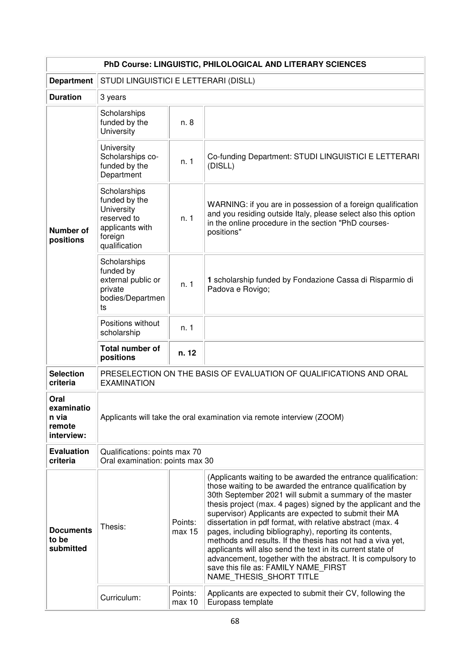| PhD Course: LINGUISTIC, PHILOLOGICAL AND LITERARY SCIENCES             |                                                                                                           |                                                                                                                                                                                                                                                                                                                                                                                                                                                                                                                                                                                                                                                                                                          |                                                                                                                                                                                                      |  |
|------------------------------------------------------------------------|-----------------------------------------------------------------------------------------------------------|----------------------------------------------------------------------------------------------------------------------------------------------------------------------------------------------------------------------------------------------------------------------------------------------------------------------------------------------------------------------------------------------------------------------------------------------------------------------------------------------------------------------------------------------------------------------------------------------------------------------------------------------------------------------------------------------------------|------------------------------------------------------------------------------------------------------------------------------------------------------------------------------------------------------|--|
| <b>Department</b>                                                      | STUDI LINGUISTICI E LETTERARI (DISLL)                                                                     |                                                                                                                                                                                                                                                                                                                                                                                                                                                                                                                                                                                                                                                                                                          |                                                                                                                                                                                                      |  |
| <b>Duration</b>                                                        | 3 years                                                                                                   |                                                                                                                                                                                                                                                                                                                                                                                                                                                                                                                                                                                                                                                                                                          |                                                                                                                                                                                                      |  |
| <b>Number of</b><br>positions                                          | Scholarships<br>funded by the<br>University                                                               | n. 8                                                                                                                                                                                                                                                                                                                                                                                                                                                                                                                                                                                                                                                                                                     |                                                                                                                                                                                                      |  |
|                                                                        | University<br>Scholarships co-<br>funded by the<br>Department                                             | n.1                                                                                                                                                                                                                                                                                                                                                                                                                                                                                                                                                                                                                                                                                                      | Co-funding Department: STUDI LINGUISTICI E LETTERARI<br>(DISLL)                                                                                                                                      |  |
|                                                                        | Scholarships<br>funded by the<br>University<br>reserved to<br>applicants with<br>foreign<br>qualification | n.1                                                                                                                                                                                                                                                                                                                                                                                                                                                                                                                                                                                                                                                                                                      | WARNING: if you are in possession of a foreign qualification<br>and you residing outside Italy, please select also this option<br>in the online procedure in the section "PhD courses-<br>positions" |  |
|                                                                        | Scholarships<br>funded by<br>external public or<br>private<br>bodies/Departmen<br>ts                      | n.1                                                                                                                                                                                                                                                                                                                                                                                                                                                                                                                                                                                                                                                                                                      | 1 scholarship funded by Fondazione Cassa di Risparmio di<br>Padova e Rovigo;                                                                                                                         |  |
|                                                                        | Positions without<br>scholarship                                                                          | n. 1                                                                                                                                                                                                                                                                                                                                                                                                                                                                                                                                                                                                                                                                                                     |                                                                                                                                                                                                      |  |
|                                                                        | <b>Total number of</b><br>positions                                                                       | n. 12                                                                                                                                                                                                                                                                                                                                                                                                                                                                                                                                                                                                                                                                                                    |                                                                                                                                                                                                      |  |
| <b>Selection</b><br>criteria                                           | PRESELECTION ON THE BASIS OF EVALUATION OF QUALIFICATIONS AND ORAL<br><b>EXAMINATION</b>                  |                                                                                                                                                                                                                                                                                                                                                                                                                                                                                                                                                                                                                                                                                                          |                                                                                                                                                                                                      |  |
| Oral<br>examinatio<br>n via<br>remote<br>interview:                    | Applicants will take the oral examination via remote interview (ZOOM)                                     |                                                                                                                                                                                                                                                                                                                                                                                                                                                                                                                                                                                                                                                                                                          |                                                                                                                                                                                                      |  |
| <b>Evaluation</b><br>criteria                                          | Qualifications: points max 70<br>Oral examination: points max 30                                          |                                                                                                                                                                                                                                                                                                                                                                                                                                                                                                                                                                                                                                                                                                          |                                                                                                                                                                                                      |  |
| Points:<br>Thesis:<br><b>Documents</b><br>max 15<br>to be<br>submitted |                                                                                                           | (Applicants waiting to be awarded the entrance qualification:<br>those waiting to be awarded the entrance qualification by<br>30th September 2021 will submit a summary of the master<br>thesis project (max. 4 pages) signed by the applicant and the<br>supervisor) Applicants are expected to submit their MA<br>dissertation in pdf format, with relative abstract (max. 4<br>pages, including bibliography), reporting its contents,<br>methods and results. If the thesis has not had a viva yet,<br>applicants will also send the text in its current state of<br>advancement, together with the abstract. It is compulsory to<br>save this file as: FAMILY NAME FIRST<br>NAME_THESIS_SHORT TITLE |                                                                                                                                                                                                      |  |
|                                                                        | Curriculum:                                                                                               | Points:<br>max 10                                                                                                                                                                                                                                                                                                                                                                                                                                                                                                                                                                                                                                                                                        | Applicants are expected to submit their CV, following the<br>Europass template                                                                                                                       |  |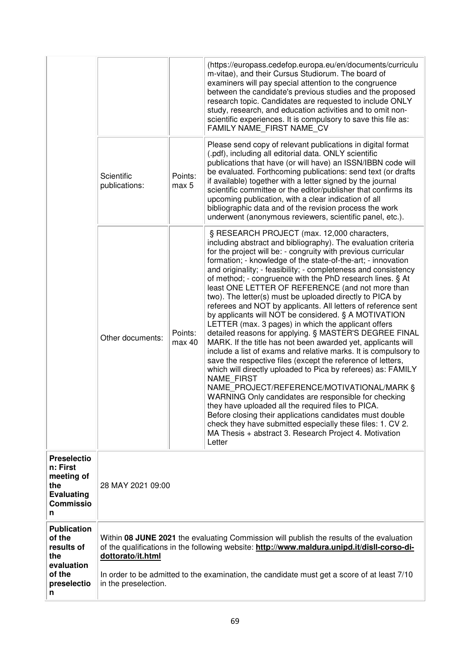|                                                                                                   |                                                                                                                                                                                                                                                                                                                                     |                   | (https://europass.cedefop.europa.eu/en/documents/curriculu<br>m-vitae), and their Cursus Studiorum. The board of<br>examiners will pay special attention to the congruence<br>between the candidate's previous studies and the proposed<br>research topic. Candidates are requested to include ONLY<br>study, research, and education activities and to omit non-<br>scientific experiences. It is compulsory to save this file as:<br>FAMILY NAME_FIRST NAME CV<br>Please send copy of relevant publications in digital format                                                                                                                                                                                                                                                                                                                                                                                                                                                                                                                                                                                                                                                                                                                                                                                                                                                         |
|---------------------------------------------------------------------------------------------------|-------------------------------------------------------------------------------------------------------------------------------------------------------------------------------------------------------------------------------------------------------------------------------------------------------------------------------------|-------------------|-----------------------------------------------------------------------------------------------------------------------------------------------------------------------------------------------------------------------------------------------------------------------------------------------------------------------------------------------------------------------------------------------------------------------------------------------------------------------------------------------------------------------------------------------------------------------------------------------------------------------------------------------------------------------------------------------------------------------------------------------------------------------------------------------------------------------------------------------------------------------------------------------------------------------------------------------------------------------------------------------------------------------------------------------------------------------------------------------------------------------------------------------------------------------------------------------------------------------------------------------------------------------------------------------------------------------------------------------------------------------------------------|
|                                                                                                   | Scientific<br>publications:                                                                                                                                                                                                                                                                                                         | Points:<br>max 5  | (.pdf), including all editorial data. ONLY scientific<br>publications that have (or will have) an ISSN/IBBN code will<br>be evaluated. Forthcoming publications: send text (or drafts<br>if available) together with a letter signed by the journal<br>scientific committee or the editor/publisher that confirms its<br>upcoming publication, with a clear indication of all<br>bibliographic data and of the revision process the work<br>underwent (anonymous reviewers, scientific panel, etc.).                                                                                                                                                                                                                                                                                                                                                                                                                                                                                                                                                                                                                                                                                                                                                                                                                                                                                    |
|                                                                                                   | Other documents:                                                                                                                                                                                                                                                                                                                    | Points:<br>max 40 | § RESEARCH PROJECT (max. 12,000 characters,<br>including abstract and bibliography). The evaluation criteria<br>for the project will be: - congruity with previous curricular<br>formation; - knowledge of the state-of-the-art; - innovation<br>and originality; - feasibility; - completeness and consistency<br>of method; - congruence with the PhD research lines. § At<br>least ONE LETTER OF REFERENCE (and not more than<br>two). The letter(s) must be uploaded directly to PICA by<br>referees and NOT by applicants. All letters of reference sent<br>by applicants will NOT be considered. § A MOTIVATION<br>LETTER (max. 3 pages) in which the applicant offers<br>detailed reasons for applying. § MASTER'S DEGREE FINAL<br>MARK. If the title has not been awarded yet, applicants will<br>include a list of exams and relative marks. It is compulsory to<br>save the respective files (except the reference of letters,<br>which will directly uploaded to Pica by referees) as: FAMILY<br><b>NAME FIRST</b><br>NAME PROJECT/REFERENCE/MOTIVATIONAL/MARK §<br>WARNING Only candidates are responsible for checking<br>they have uploaded all the required files to PICA.<br>Before closing their applications candidates must double<br>check they have submitted especially these files: 1. CV 2.<br>MA Thesis + abstract 3. Research Project 4. Motivation<br>Letter |
| <b>Preselectio</b><br>n: First<br>meeting of<br>the<br><b>Evaluating</b><br><b>Commissio</b><br>n | 28 MAY 2021 09:00                                                                                                                                                                                                                                                                                                                   |                   |                                                                                                                                                                                                                                                                                                                                                                                                                                                                                                                                                                                                                                                                                                                                                                                                                                                                                                                                                                                                                                                                                                                                                                                                                                                                                                                                                                                         |
| <b>Publication</b><br>of the<br>results of<br>the<br>evaluation<br>of the<br>preselectio<br>n     | Within 08 JUNE 2021 the evaluating Commission will publish the results of the evaluation<br>of the qualifications in the following website: http://www.maldura.unipd.it/disll-corso-di-<br>dottorato/it.html<br>In order to be admitted to the examination, the candidate must get a score of at least 7/10<br>in the preselection. |                   |                                                                                                                                                                                                                                                                                                                                                                                                                                                                                                                                                                                                                                                                                                                                                                                                                                                                                                                                                                                                                                                                                                                                                                                                                                                                                                                                                                                         |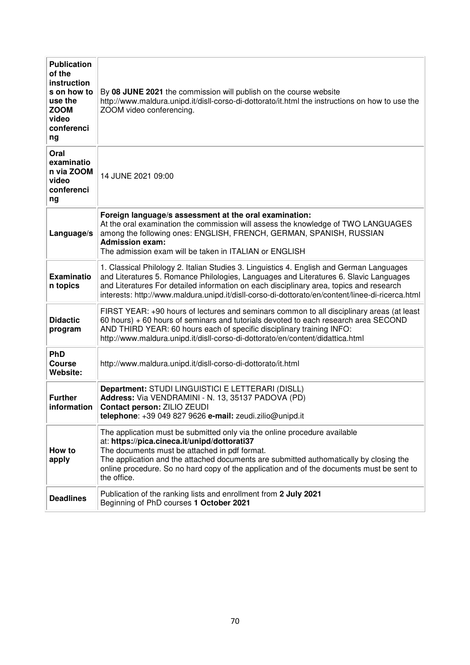| <b>Publication</b><br>of the<br>instruction<br>s on how to<br>use the<br><b>ZOOM</b><br>video<br>conferenci<br>ng | By 08 JUNE 2021 the commission will publish on the course website<br>http://www.maldura.unipd.it/disll-corso-di-dottorato/it.html the instructions on how to use the<br>ZOOM video conferencing.                                                                                                                                                                                 |
|-------------------------------------------------------------------------------------------------------------------|----------------------------------------------------------------------------------------------------------------------------------------------------------------------------------------------------------------------------------------------------------------------------------------------------------------------------------------------------------------------------------|
| Oral<br>examinatio<br>n via ZOOM<br>video<br>conferenci<br>ng                                                     | 14 JUNE 2021 09:00                                                                                                                                                                                                                                                                                                                                                               |
| Language/s                                                                                                        | Foreign language/s assessment at the oral examination:<br>At the oral examination the commission will assess the knowledge of TWO LANGUAGES<br>among the following ones: ENGLISH, FRENCH, GERMAN, SPANISH, RUSSIAN<br><b>Admission exam:</b><br>The admission exam will be taken in ITALIAN or ENGLISH                                                                           |
| <b>Examinatio</b><br>n topics                                                                                     | 1. Classical Philology 2. Italian Studies 3. Linguistics 4. English and German Languages<br>and Literatures 5. Romance Philologies, Languages and Literatures 6. Slavic Languages<br>and Literatures For detailed information on each disciplinary area, topics and research<br>interests: http://www.maldura.unipd.it/disll-corso-di-dottorato/en/content/linee-di-ricerca.html |
| <b>Didactic</b><br>program                                                                                        | FIRST YEAR: +90 hours of lectures and seminars common to all disciplinary areas (at least<br>60 hours) + 60 hours of seminars and tutorials devoted to each research area SECOND<br>AND THIRD YEAR: 60 hours each of specific disciplinary training INFO:<br>http://www.maldura.unipd.it/disll-corso-di-dottorato/en/content/didattica.html                                      |
| <b>PhD</b><br>Course<br>Website:                                                                                  | http://www.maldura.unipd.it/disll-corso-di-dottorato/it.html                                                                                                                                                                                                                                                                                                                     |
| <b>Further</b><br>information                                                                                     | Department: STUDI LINGUISTICI E LETTERARI (DISLL)<br>Address: Via VENDRAMINI - N. 13, 35137 PADOVA (PD)<br>Contact person: ZILIO ZEUDI<br>telephone: +39 049 827 9626 e-mail: zeudi.zilio@unipd.it                                                                                                                                                                               |
| How to<br>apply                                                                                                   | The application must be submitted only via the online procedure available<br>at: https://pica.cineca.it/unipd/dottorati37<br>The documents must be attached in pdf format.<br>The application and the attached documents are submitted authomatically by closing the<br>online procedure. So no hard copy of the application and of the documents must be sent to<br>the office. |
| <b>Deadlines</b>                                                                                                  | Publication of the ranking lists and enrollment from 2 July 2021<br>Beginning of PhD courses 1 October 2021                                                                                                                                                                                                                                                                      |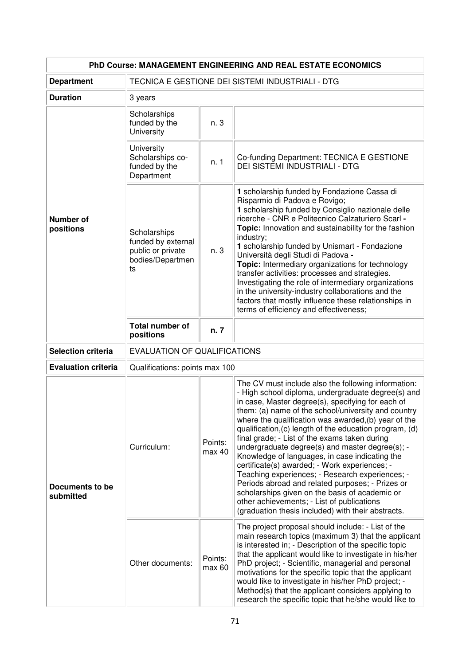| PhD Course: MANAGEMENT ENGINEERING AND REAL ESTATE ECONOMICS |                                                                                   |                                     |                                                                                                                                                                                                                                                                                                                                                                                                                                                                                                                                                                                                                                                                                                                                                                                                              |  |  |
|--------------------------------------------------------------|-----------------------------------------------------------------------------------|-------------------------------------|--------------------------------------------------------------------------------------------------------------------------------------------------------------------------------------------------------------------------------------------------------------------------------------------------------------------------------------------------------------------------------------------------------------------------------------------------------------------------------------------------------------------------------------------------------------------------------------------------------------------------------------------------------------------------------------------------------------------------------------------------------------------------------------------------------------|--|--|
| <b>Department</b>                                            | TECNICA E GESTIONE DEI SISTEMI INDUSTRIALI - DTG                                  |                                     |                                                                                                                                                                                                                                                                                                                                                                                                                                                                                                                                                                                                                                                                                                                                                                                                              |  |  |
| <b>Duration</b>                                              | 3 years                                                                           |                                     |                                                                                                                                                                                                                                                                                                                                                                                                                                                                                                                                                                                                                                                                                                                                                                                                              |  |  |
|                                                              | Scholarships<br>funded by the<br>University                                       | n. 3                                |                                                                                                                                                                                                                                                                                                                                                                                                                                                                                                                                                                                                                                                                                                                                                                                                              |  |  |
|                                                              | University<br>Scholarships co-<br>funded by the<br>Department                     | n. 1                                | Co-funding Department: TECNICA E GESTIONE<br>DEI SISTEMI INDUSTRIALI - DTG                                                                                                                                                                                                                                                                                                                                                                                                                                                                                                                                                                                                                                                                                                                                   |  |  |
| <b>Number of</b><br>positions                                | Scholarships<br>funded by external<br>public or private<br>bodies/Departmen<br>ts | n. 3                                | 1 scholarship funded by Fondazione Cassa di<br>Risparmio di Padova e Rovigo;<br>1 scholarship funded by Consiglio nazionale delle<br>ricerche - CNR e Politecnico Calzaturiero Scarl -<br>Topic: Innovation and sustainability for the fashion<br>industry;<br>1 scholarship funded by Unismart - Fondazione<br>Università degli Studi di Padova -<br>Topic: Intermediary organizations for technology<br>transfer activities: processes and strategies.<br>Investigating the role of intermediary organizations<br>in the university-industry collaborations and the<br>factors that mostly influence these relationships in<br>terms of efficiency and effectiveness;                                                                                                                                      |  |  |
|                                                              | <b>Total number of</b><br>positions                                               | n. 7                                |                                                                                                                                                                                                                                                                                                                                                                                                                                                                                                                                                                                                                                                                                                                                                                                                              |  |  |
| <b>Selection criteria</b>                                    |                                                                                   | <b>EVALUATION OF QUALIFICATIONS</b> |                                                                                                                                                                                                                                                                                                                                                                                                                                                                                                                                                                                                                                                                                                                                                                                                              |  |  |
| <b>Evaluation criteria</b>                                   | Qualifications: points max 100                                                    |                                     |                                                                                                                                                                                                                                                                                                                                                                                                                                                                                                                                                                                                                                                                                                                                                                                                              |  |  |
| <b>Documents to be</b><br>submitted                          | Curriculum:                                                                       | Points:<br>max 40                   | The CV must include also the following information:<br>- High school diploma, undergraduate degree(s) and<br>in case, Master degree(s), specifying for each of<br>them: (a) name of the school/university and country<br>where the qualification was awarded, (b) year of the<br>qualification, (c) length of the education program, (d)<br>final grade; - List of the exams taken during<br>undergraduate degree(s) and master degree(s); -<br>Knowledge of languages, in case indicating the<br>certificate(s) awarded; - Work experiences; -<br>Teaching experiences; - Research experiences; -<br>Periods abroad and related purposes; - Prizes or<br>scholarships given on the basis of academic or<br>other achievements; - List of publications<br>(graduation thesis included) with their abstracts. |  |  |
|                                                              | Other documents:                                                                  | Points:<br>max 60                   | The project proposal should include: - List of the<br>main research topics (maximum 3) that the applicant<br>is interested in; - Description of the specific topic<br>that the applicant would like to investigate in his/her<br>PhD project; - Scientific, managerial and personal<br>motivations for the specific topic that the applicant<br>would like to investigate in his/her PhD project; -<br>Method(s) that the applicant considers applying to<br>research the specific topic that he/she would like to                                                                                                                                                                                                                                                                                           |  |  |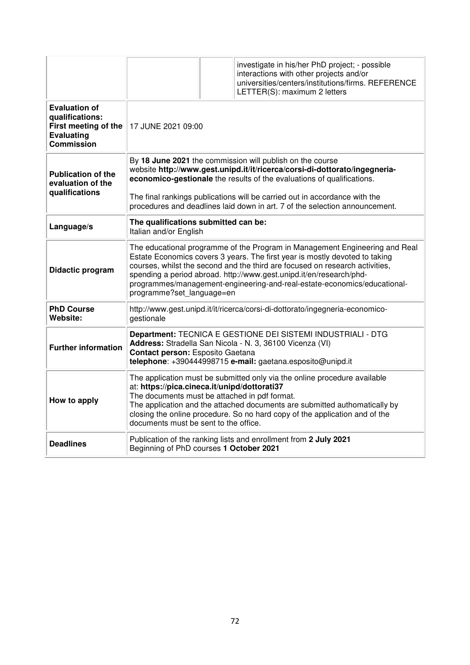|                                                                                                    |                                                                                                                                                                                                                                                                                                                                                                                                                            |  | investigate in his/her PhD project; - possible<br>interactions with other projects and/or<br>universities/centers/institutions/firms. REFERENCE<br>LETTER(S): maximum 2 letters |  |
|----------------------------------------------------------------------------------------------------|----------------------------------------------------------------------------------------------------------------------------------------------------------------------------------------------------------------------------------------------------------------------------------------------------------------------------------------------------------------------------------------------------------------------------|--|---------------------------------------------------------------------------------------------------------------------------------------------------------------------------------|--|
| <b>Evaluation of</b><br>qualifications:<br>First meeting of the<br><b>Evaluating</b><br>Commission | 17 JUNE 2021 09:00                                                                                                                                                                                                                                                                                                                                                                                                         |  |                                                                                                                                                                                 |  |
| <b>Publication of the</b><br>evaluation of the<br>qualifications                                   | By 18 June 2021 the commission will publish on the course<br>website http://www.gest.unipd.it/it/ricerca/corsi-di-dottorato/ingegneria-<br>economico-gestionale the results of the evaluations of qualifications.<br>The final rankings publications will be carried out in accordance with the<br>procedures and deadlines laid down in art. 7 of the selection announcement.                                             |  |                                                                                                                                                                                 |  |
| Language/s                                                                                         | The qualifications submitted can be:<br>Italian and/or English                                                                                                                                                                                                                                                                                                                                                             |  |                                                                                                                                                                                 |  |
| Didactic program                                                                                   | The educational programme of the Program in Management Engineering and Real<br>Estate Economics covers 3 years. The first year is mostly devoted to taking<br>courses, whilst the second and the third are focused on research activities,<br>spending a period abroad. http://www.gest.unipd.it/en/research/phd-<br>programmes/management-engineering-and-real-estate-economics/educational-<br>programme?set language=en |  |                                                                                                                                                                                 |  |
| <b>PhD Course</b><br>Website:                                                                      | http://www.gest.unipd.it/it/ricerca/corsi-di-dottorato/ingegneria-economico-<br>gestionale                                                                                                                                                                                                                                                                                                                                 |  |                                                                                                                                                                                 |  |
| <b>Further information</b>                                                                         | Department: TECNICA E GESTIONE DEI SISTEMI INDUSTRIALI - DTG<br>Address: Stradella San Nicola - N. 3, 36100 Vicenza (VI)<br>Contact person: Esposito Gaetana<br>telephone: +390444998715 e-mail: gaetana.esposito@unipd.it                                                                                                                                                                                                 |  |                                                                                                                                                                                 |  |
| How to apply                                                                                       | The application must be submitted only via the online procedure available<br>at: https://pica.cineca.it/unipd/dottorati37<br>The documents must be attached in pdf format.<br>The application and the attached documents are submitted authomatically by<br>closing the online procedure. So no hard copy of the application and of the<br>documents must be sent to the office.                                           |  |                                                                                                                                                                                 |  |
| <b>Deadlines</b>                                                                                   | Publication of the ranking lists and enrollment from 2 July 2021<br>Beginning of PhD courses 1 October 2021                                                                                                                                                                                                                                                                                                                |  |                                                                                                                                                                                 |  |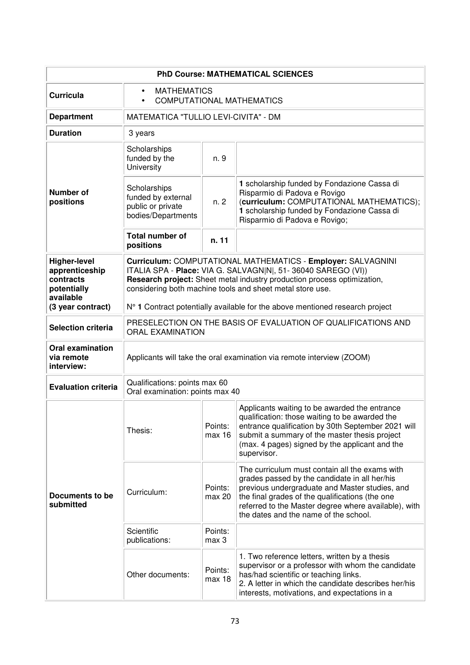| <b>PhD Course: MATHEMATICAL SCIENCES</b>                                       |                                                                                                                                                                                                                                                                      |                   |                                                                                                                                                                                                                                                                                                       |  |
|--------------------------------------------------------------------------------|----------------------------------------------------------------------------------------------------------------------------------------------------------------------------------------------------------------------------------------------------------------------|-------------------|-------------------------------------------------------------------------------------------------------------------------------------------------------------------------------------------------------------------------------------------------------------------------------------------------------|--|
| <b>Curricula</b>                                                               | <b>MATHEMATICS</b><br>$\bullet$<br>COMPUTATIONAL MATHEMATICS<br>$\bullet$                                                                                                                                                                                            |                   |                                                                                                                                                                                                                                                                                                       |  |
| <b>Department</b>                                                              | MATEMATICA "TULLIO LEVI-CIVITA" - DM                                                                                                                                                                                                                                 |                   |                                                                                                                                                                                                                                                                                                       |  |
| <b>Duration</b>                                                                | 3 years                                                                                                                                                                                                                                                              |                   |                                                                                                                                                                                                                                                                                                       |  |
|                                                                                | Scholarships<br>funded by the<br>University                                                                                                                                                                                                                          | n. 9              |                                                                                                                                                                                                                                                                                                       |  |
| <b>Number of</b><br>positions                                                  | Scholarships<br>funded by external<br>public or private<br>bodies/Departments                                                                                                                                                                                        | n. 2              | 1 scholarship funded by Fondazione Cassa di<br>Risparmio di Padova e Rovigo<br>(curriculum: COMPUTATIONAL MATHEMATICS);<br>1 scholarship funded by Fondazione Cassa di<br>Risparmio di Padova e Rovigo;                                                                                               |  |
|                                                                                | <b>Total number of</b><br>positions                                                                                                                                                                                                                                  | n. 11             |                                                                                                                                                                                                                                                                                                       |  |
| <b>Higher-level</b><br>apprenticeship<br>contracts<br>potentially<br>available | Curriculum: COMPUTATIONAL MATHEMATICS - Employer: SALVAGNINI<br>ITALIA SPA - Place: VIA G. SALVAGN N , 51-36040 SAREGO (VI))<br>Research project: Sheet metal industry production process optimization,<br>considering both machine tools and sheet metal store use. |                   |                                                                                                                                                                                                                                                                                                       |  |
| (3 year contract)                                                              | N° 1 Contract potentially available for the above mentioned research project                                                                                                                                                                                         |                   |                                                                                                                                                                                                                                                                                                       |  |
| <b>Selection criteria</b>                                                      | PRESELECTION ON THE BASIS OF EVALUATION OF QUALIFICATIONS AND<br><b>ORAL EXAMINATION</b>                                                                                                                                                                             |                   |                                                                                                                                                                                                                                                                                                       |  |
| <b>Oral examination</b><br>via remote<br>interview:                            | Applicants will take the oral examination via remote interview (ZOOM)                                                                                                                                                                                                |                   |                                                                                                                                                                                                                                                                                                       |  |
| <b>Evaluation criteria</b>                                                     | Qualifications: points max 60<br>Oral examination: points max 40                                                                                                                                                                                                     |                   |                                                                                                                                                                                                                                                                                                       |  |
|                                                                                | Thesis:                                                                                                                                                                                                                                                              | Points:<br>max 16 | Applicants waiting to be awarded the entrance<br>qualification: those waiting to be awarded the<br>entrance qualification by 30th September 2021 will<br>submit a summary of the master thesis project<br>(max. 4 pages) signed by the applicant and the<br>supervisor.                               |  |
| Documents to be<br>submitted                                                   | Curriculum:                                                                                                                                                                                                                                                          | Points:<br>max 20 | The curriculum must contain all the exams with<br>grades passed by the candidate in all her/his<br>previous undergraduate and Master studies, and<br>the final grades of the qualifications (the one<br>referred to the Master degree where available), with<br>the dates and the name of the school. |  |
|                                                                                | Scientific<br>publications:                                                                                                                                                                                                                                          | Points:<br>max 3  |                                                                                                                                                                                                                                                                                                       |  |
|                                                                                | Other documents:                                                                                                                                                                                                                                                     | Points:<br>max 18 | 1. Two reference letters, written by a thesis<br>supervisor or a professor with whom the candidate<br>has/had scientific or teaching links.<br>2. A letter in which the candidate describes her/his<br>interests, motivations, and expectations in a                                                  |  |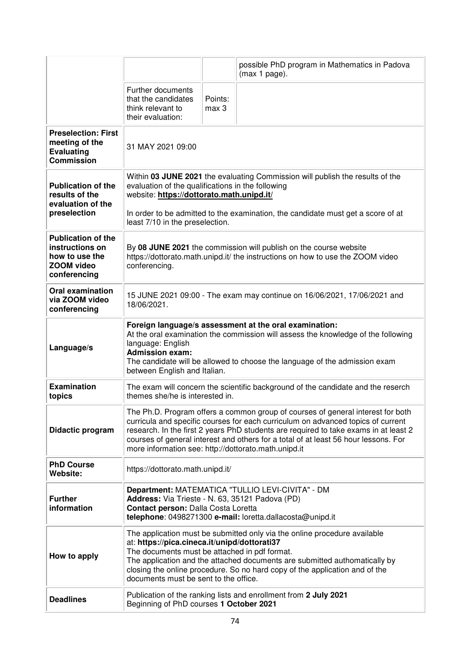|                                                                                                     |                                                                                                                                                                                                                                                                                                                                                                                                            |                                                                                                                                                     | possible PhD program in Mathematics in Padova<br>(max 1 page).                   |  |
|-----------------------------------------------------------------------------------------------------|------------------------------------------------------------------------------------------------------------------------------------------------------------------------------------------------------------------------------------------------------------------------------------------------------------------------------------------------------------------------------------------------------------|-----------------------------------------------------------------------------------------------------------------------------------------------------|----------------------------------------------------------------------------------|--|
|                                                                                                     | Further documents<br>that the candidates<br>think relevant to<br>their evaluation:                                                                                                                                                                                                                                                                                                                         | Points:<br>max 3                                                                                                                                    |                                                                                  |  |
| <b>Preselection: First</b><br>meeting of the<br><b>Evaluating</b><br><b>Commission</b>              | 31 MAY 2021 09:00                                                                                                                                                                                                                                                                                                                                                                                          |                                                                                                                                                     |                                                                                  |  |
| <b>Publication of the</b><br>results of the<br>evaluation of the                                    | Within 03 JUNE 2021 the evaluating Commission will publish the results of the<br>evaluation of the qualifications in the following<br>website: https://dottorato.math.unipd.it/                                                                                                                                                                                                                            |                                                                                                                                                     |                                                                                  |  |
| preselection                                                                                        | least 7/10 in the preselection.                                                                                                                                                                                                                                                                                                                                                                            |                                                                                                                                                     | In order to be admitted to the examination, the candidate must get a score of at |  |
| <b>Publication of the</b><br>instructions on<br>how to use the<br><b>ZOOM video</b><br>conferencing | conferencing.                                                                                                                                                                                                                                                                                                                                                                                              | By 08 JUNE 2021 the commission will publish on the course website<br>https://dottorato.math.unipd.it/ the instructions on how to use the ZOOM video |                                                                                  |  |
| <b>Oral examination</b><br>via ZOOM video<br>conferencing                                           | 15 JUNE 2021 09:00 - The exam may continue on 16/06/2021, 17/06/2021 and<br>18/06/2021.                                                                                                                                                                                                                                                                                                                    |                                                                                                                                                     |                                                                                  |  |
| Language/s                                                                                          | Foreign language/s assessment at the oral examination:<br>At the oral examination the commission will assess the knowledge of the following<br>language: English<br><b>Admission exam:</b><br>The candidate will be allowed to choose the language of the admission exam<br>between English and Italian.                                                                                                   |                                                                                                                                                     |                                                                                  |  |
| <b>Examination</b><br>topics                                                                        | The exam will concern the scientific background of the candidate and the reserch<br>themes she/he is interested in.                                                                                                                                                                                                                                                                                        |                                                                                                                                                     |                                                                                  |  |
| Didactic program                                                                                    | The Ph.D. Program offers a common group of courses of general interest for both<br>curricula and specific courses for each curriculum on advanced topics of current<br>research. In the first 2 years PhD students are required to take exams in at least 2<br>courses of general interest and others for a total of at least 56 hour lessons. For<br>more information see: http://dottorato.math.unipd.it |                                                                                                                                                     |                                                                                  |  |
| <b>PhD Course</b><br>Website:                                                                       | https://dottorato.math.unipd.it/                                                                                                                                                                                                                                                                                                                                                                           |                                                                                                                                                     |                                                                                  |  |
| <b>Further</b><br>information                                                                       | Department: MATEMATICA "TULLIO LEVI-CIVITA" - DM<br>Address: Via Trieste - N. 63, 35121 Padova (PD)<br>Contact person: Dalla Costa Loretta<br>telephone: 0498271300 e-mail: loretta.dallacosta@unipd.it                                                                                                                                                                                                    |                                                                                                                                                     |                                                                                  |  |
| How to apply                                                                                        | The application must be submitted only via the online procedure available<br>at: https://pica.cineca.it/unipd/dottorati37<br>The documents must be attached in pdf format.<br>The application and the attached documents are submitted authomatically by<br>closing the online procedure. So no hard copy of the application and of the<br>documents must be sent to the office.                           |                                                                                                                                                     |                                                                                  |  |
| <b>Deadlines</b>                                                                                    | Publication of the ranking lists and enrollment from 2 July 2021<br>Beginning of PhD courses 1 October 2021                                                                                                                                                                                                                                                                                                |                                                                                                                                                     |                                                                                  |  |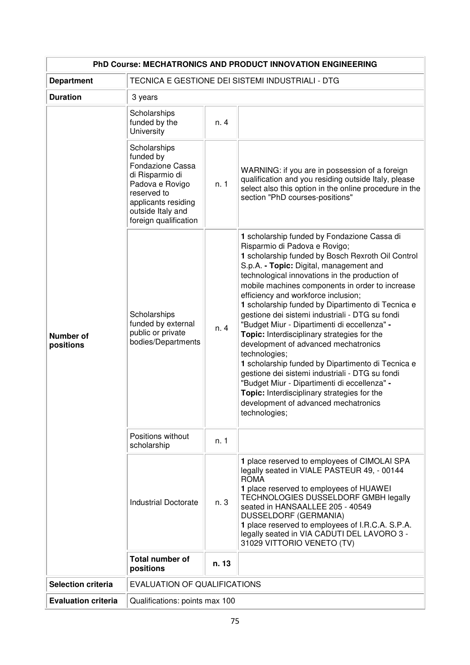| PhD Course: MECHATRONICS AND PRODUCT INNOVATION ENGINEERING |                                                                                                                                                                         |                                                  |                                                                                                                                                                                                                                                                                                                                                                                                                                                                                                                                                                                                                                                                                                                                                                                                                                                          |  |
|-------------------------------------------------------------|-------------------------------------------------------------------------------------------------------------------------------------------------------------------------|--------------------------------------------------|----------------------------------------------------------------------------------------------------------------------------------------------------------------------------------------------------------------------------------------------------------------------------------------------------------------------------------------------------------------------------------------------------------------------------------------------------------------------------------------------------------------------------------------------------------------------------------------------------------------------------------------------------------------------------------------------------------------------------------------------------------------------------------------------------------------------------------------------------------|--|
| <b>Department</b>                                           |                                                                                                                                                                         | TECNICA E GESTIONE DEI SISTEMI INDUSTRIALI - DTG |                                                                                                                                                                                                                                                                                                                                                                                                                                                                                                                                                                                                                                                                                                                                                                                                                                                          |  |
| <b>Duration</b>                                             | 3 years                                                                                                                                                                 |                                                  |                                                                                                                                                                                                                                                                                                                                                                                                                                                                                                                                                                                                                                                                                                                                                                                                                                                          |  |
| <b>Number of</b><br>positions                               | Scholarships<br>funded by the<br>University                                                                                                                             | n. 4                                             |                                                                                                                                                                                                                                                                                                                                                                                                                                                                                                                                                                                                                                                                                                                                                                                                                                                          |  |
|                                                             | Scholarships<br>funded by<br>Fondazione Cassa<br>di Risparmio di<br>Padova e Rovigo<br>reserved to<br>applicants residing<br>outside Italy and<br>foreign qualification | n. 1                                             | WARNING: if you are in possession of a foreign<br>qualification and you residing outside Italy, please<br>select also this option in the online procedure in the<br>section "PhD courses-positions"                                                                                                                                                                                                                                                                                                                                                                                                                                                                                                                                                                                                                                                      |  |
|                                                             | Scholarships<br>funded by external<br>public or private<br>bodies/Departments                                                                                           | n. 4                                             | 1 scholarship funded by Fondazione Cassa di<br>Risparmio di Padova e Rovigo;<br>1 scholarship funded by Bosch Rexroth Oil Control<br>S.p.A. - Topic: Digital, management and<br>technological innovations in the production of<br>mobile machines components in order to increase<br>efficiency and workforce inclusion;<br>1 scholarship funded by Dipartimento di Tecnica e<br>gestione dei sistemi industriali - DTG su fondi<br>"Budget Miur - Dipartimenti di eccellenza" -<br>Topic: Interdisciplinary strategies for the<br>development of advanced mechatronics<br>technologies;<br>1 scholarship funded by Dipartimento di Tecnica e<br>gestione dei sistemi industriali - DTG su fondi<br>"Budget Miur - Dipartimenti di eccellenza" -<br>Topic: Interdisciplinary strategies for the<br>development of advanced mechatronics<br>technologies; |  |
|                                                             | Positions without<br>scholarship                                                                                                                                        | n. 1                                             |                                                                                                                                                                                                                                                                                                                                                                                                                                                                                                                                                                                                                                                                                                                                                                                                                                                          |  |
|                                                             | <b>Industrial Doctorate</b>                                                                                                                                             | n. 3                                             | 1 place reserved to employees of CIMOLAI SPA<br>legally seated in VIALE PASTEUR 49, - 00144<br><b>ROMA</b><br>1 place reserved to employees of HUAWEI<br>TECHNOLOGIES DUSSELDORF GMBH legally<br>seated in HANSAALLEE 205 - 40549<br>DUSSELDORF (GERMANIA)<br>1 place reserved to employees of I.R.C.A. S.P.A.<br>legally seated in VIA CADUTI DEL LAVORO 3 -<br>31029 VITTORIO VENETO (TV)                                                                                                                                                                                                                                                                                                                                                                                                                                                              |  |
|                                                             | <b>Total number of</b><br>positions                                                                                                                                     | n. 13                                            |                                                                                                                                                                                                                                                                                                                                                                                                                                                                                                                                                                                                                                                                                                                                                                                                                                                          |  |
| <b>Selection criteria</b>                                   | <b>EVALUATION OF QUALIFICATIONS</b>                                                                                                                                     |                                                  |                                                                                                                                                                                                                                                                                                                                                                                                                                                                                                                                                                                                                                                                                                                                                                                                                                                          |  |
| <b>Evaluation criteria</b>                                  | Qualifications: points max 100                                                                                                                                          |                                                  |                                                                                                                                                                                                                                                                                                                                                                                                                                                                                                                                                                                                                                                                                                                                                                                                                                                          |  |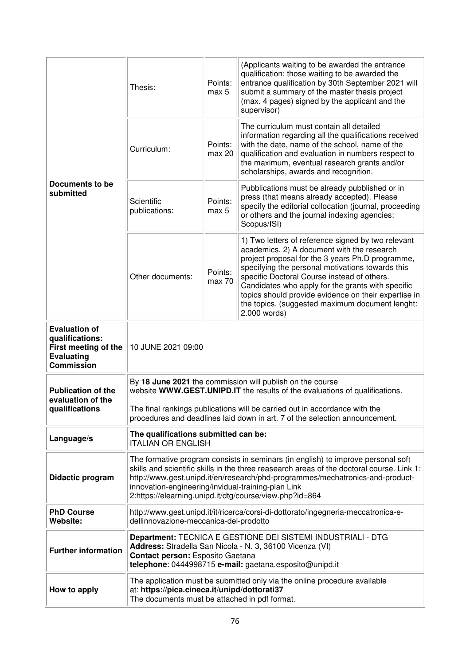| Documents to be<br>submitted                                                                              | Thesis:                                                                                                                                                                                                                                                                                                                                                                         | Points:<br>max 5  | (Applicants waiting to be awarded the entrance<br>qualification: those waiting to be awarded the<br>entrance qualification by 30th September 2021 will<br>submit a summary of the master thesis project<br>(max. 4 pages) signed by the applicant and the<br>supervisor)                                                                                                                                                                |
|-----------------------------------------------------------------------------------------------------------|---------------------------------------------------------------------------------------------------------------------------------------------------------------------------------------------------------------------------------------------------------------------------------------------------------------------------------------------------------------------------------|-------------------|-----------------------------------------------------------------------------------------------------------------------------------------------------------------------------------------------------------------------------------------------------------------------------------------------------------------------------------------------------------------------------------------------------------------------------------------|
|                                                                                                           | Curriculum:                                                                                                                                                                                                                                                                                                                                                                     | Points:<br>max 20 | The curriculum must contain all detailed<br>information regarding all the qualifications received<br>with the date, name of the school, name of the<br>qualification and evaluation in numbers respect to<br>the maximum, eventual research grants and/or<br>scholarships, awards and recognition.                                                                                                                                      |
|                                                                                                           | Scientific<br>publications:                                                                                                                                                                                                                                                                                                                                                     | Points:<br>max 5  | Pubblications must be already pubblished or in<br>press (that means already accepted). Please<br>specify the editorial collocation (journal, proceeding<br>or others and the journal indexing agencies:<br>Scopus/ISI)                                                                                                                                                                                                                  |
|                                                                                                           | Other documents:                                                                                                                                                                                                                                                                                                                                                                | Points:<br>max 70 | 1) Two letters of reference signed by two relevant<br>academics. 2) A document with the research<br>project proposal for the 3 years Ph.D programme,<br>specifying the personal motivations towards this<br>specific Doctoral Course instead of others.<br>Candidates who apply for the grants with specific<br>topics should provide evidence on their expertise in<br>the topics. (suggested maximum document lenght:<br>2.000 words) |
| <b>Evaluation of</b><br>qualifications:<br>First meeting of the<br><b>Evaluating</b><br><b>Commission</b> | 10 JUNE 2021 09:00                                                                                                                                                                                                                                                                                                                                                              |                   |                                                                                                                                                                                                                                                                                                                                                                                                                                         |
| <b>Publication of the</b><br>evaluation of the<br>qualifications                                          | By 18 June 2021 the commission will publish on the course<br>website WWW.GEST.UNIPD.IT the results of the evaluations of qualifications.<br>The final rankings publications will be carried out in accordance with the<br>procedures and deadlines laid down in art. 7 of the selection announcement.                                                                           |                   |                                                                                                                                                                                                                                                                                                                                                                                                                                         |
| Language/s                                                                                                | The qualifications submitted can be:<br><b>ITALIAN OR ENGLISH</b>                                                                                                                                                                                                                                                                                                               |                   |                                                                                                                                                                                                                                                                                                                                                                                                                                         |
| <b>Didactic program</b>                                                                                   | The formative program consists in seminars (in english) to improve personal soft<br>skills and scientific skills in the three reasearch areas of the doctoral course. Link 1:<br>http://www.gest.unipd.it/en/research/phd-programmes/mechatronics-and-product-<br>innovation-engineering/invidual-training-plan Link<br>2:https://elearning.unipd.it/dtg/course/view.php?id=864 |                   |                                                                                                                                                                                                                                                                                                                                                                                                                                         |
| <b>PhD Course</b><br>Website:                                                                             | dellinnovazione-meccanica-del-prodotto                                                                                                                                                                                                                                                                                                                                          |                   | http://www.gest.unipd.it/it/ricerca/corsi-di-dottorato/ingegneria-meccatronica-e-                                                                                                                                                                                                                                                                                                                                                       |
| <b>Further information</b>                                                                                | Department: TECNICA E GESTIONE DEI SISTEMI INDUSTRIALI - DTG<br>Address: Stradella San Nicola - N. 3, 36100 Vicenza (VI)<br>Contact person: Esposito Gaetana<br>telephone: 0444998715 e-mail: gaetana.esposito@unipd.it                                                                                                                                                         |                   |                                                                                                                                                                                                                                                                                                                                                                                                                                         |
| How to apply                                                                                              | The application must be submitted only via the online procedure available<br>at: https://pica.cineca.it/unipd/dottorati37<br>The documents must be attached in pdf format.                                                                                                                                                                                                      |                   |                                                                                                                                                                                                                                                                                                                                                                                                                                         |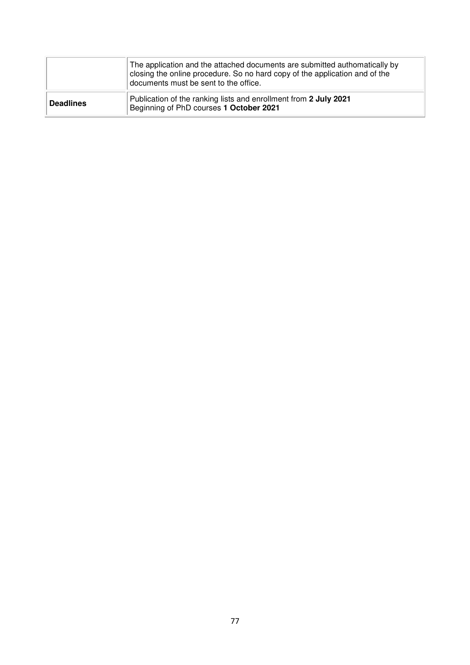|                  | The application and the attached documents are submitted authomatically by<br>closing the online procedure. So no hard copy of the application and of the<br>documents must be sent to the office. |
|------------------|----------------------------------------------------------------------------------------------------------------------------------------------------------------------------------------------------|
| <b>Deadlines</b> | Publication of the ranking lists and enrollment from 2 July 2021<br>Beginning of PhD courses 1 October 2021                                                                                        |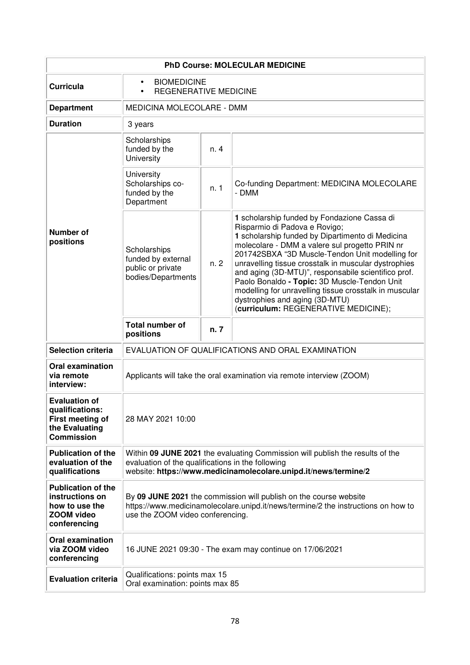| <b>PhD Course: MOLECULAR MEDICINE</b>                                                               |                                                                                                                                                                                                       |      |                                                                                                                                                                                                                                                                                                                                                                                                                                                                                                                                          |  |
|-----------------------------------------------------------------------------------------------------|-------------------------------------------------------------------------------------------------------------------------------------------------------------------------------------------------------|------|------------------------------------------------------------------------------------------------------------------------------------------------------------------------------------------------------------------------------------------------------------------------------------------------------------------------------------------------------------------------------------------------------------------------------------------------------------------------------------------------------------------------------------------|--|
| <b>Curricula</b>                                                                                    | <b>BIOMEDICINE</b><br>$\bullet$<br><b>REGENERATIVE MEDICINE</b><br>$\bullet$                                                                                                                          |      |                                                                                                                                                                                                                                                                                                                                                                                                                                                                                                                                          |  |
| <b>Department</b>                                                                                   | MEDICINA MOLECOLARE - DMM                                                                                                                                                                             |      |                                                                                                                                                                                                                                                                                                                                                                                                                                                                                                                                          |  |
| <b>Duration</b>                                                                                     | 3 years                                                                                                                                                                                               |      |                                                                                                                                                                                                                                                                                                                                                                                                                                                                                                                                          |  |
|                                                                                                     | Scholarships<br>funded by the<br><b>University</b>                                                                                                                                                    | n. 4 |                                                                                                                                                                                                                                                                                                                                                                                                                                                                                                                                          |  |
| <b>Number of</b><br>positions                                                                       | University<br>Scholarships co-<br>funded by the<br>Department                                                                                                                                         | n. 1 | Co-funding Department: MEDICINA MOLECOLARE<br>- DMM                                                                                                                                                                                                                                                                                                                                                                                                                                                                                      |  |
|                                                                                                     | Scholarships<br>funded by external<br>public or private<br>bodies/Departments                                                                                                                         | n.2  | 1 scholarship funded by Fondazione Cassa di<br>Risparmio di Padova e Rovigo;<br>1 scholarship funded by Dipartimento di Medicina<br>molecolare - DMM a valere sul progetto PRIN nr<br>201742SBXA "3D Muscle-Tendon Unit modelling for<br>unravelling tissue crosstalk in muscular dystrophies<br>and aging (3D-MTU)", responsabile scientifico prof.<br>Paolo Bonaldo - Topic: 3D Muscle-Tendon Unit<br>modelling for unravelling tissue crosstalk in muscular<br>dystrophies and aging (3D-MTU)<br>(curriculum: REGENERATIVE MEDICINE); |  |
|                                                                                                     | <b>Total number of</b><br>positions                                                                                                                                                                   | n. 7 |                                                                                                                                                                                                                                                                                                                                                                                                                                                                                                                                          |  |
| <b>Selection criteria</b>                                                                           |                                                                                                                                                                                                       |      | EVALUATION OF QUALIFICATIONS AND ORAL EXAMINATION                                                                                                                                                                                                                                                                                                                                                                                                                                                                                        |  |
| <b>Oral examination</b><br>via remote<br>interview:                                                 |                                                                                                                                                                                                       |      | Applicants will take the oral examination via remote interview (ZOOM)                                                                                                                                                                                                                                                                                                                                                                                                                                                                    |  |
| <b>Evaluation of</b><br>qualifications:<br>First meeting of<br>the Evaluating<br><b>Commission</b>  | 28 MAY 2021 10:00                                                                                                                                                                                     |      |                                                                                                                                                                                                                                                                                                                                                                                                                                                                                                                                          |  |
| <b>Publication of the</b><br>evaluation of the<br>qualifications                                    | Within 09 JUNE 2021 the evaluating Commission will publish the results of the<br>evaluation of the qualifications in the following<br>website: https://www.medicinamolecolare.unipd.it/news/termine/2 |      |                                                                                                                                                                                                                                                                                                                                                                                                                                                                                                                                          |  |
| <b>Publication of the</b><br>instructions on<br>how to use the<br><b>ZOOM video</b><br>conferencing | By 09 JUNE 2021 the commission will publish on the course website<br>https://www.medicinamolecolare.unipd.it/news/termine/2 the instructions on how to<br>use the ZOOM video conferencing.            |      |                                                                                                                                                                                                                                                                                                                                                                                                                                                                                                                                          |  |
| <b>Oral examination</b><br>via ZOOM video<br>conferencing                                           |                                                                                                                                                                                                       |      | 16 JUNE 2021 09:30 - The exam may continue on 17/06/2021                                                                                                                                                                                                                                                                                                                                                                                                                                                                                 |  |
| <b>Evaluation criteria</b>                                                                          | Qualifications: points max 15<br>Oral examination: points max 85                                                                                                                                      |      |                                                                                                                                                                                                                                                                                                                                                                                                                                                                                                                                          |  |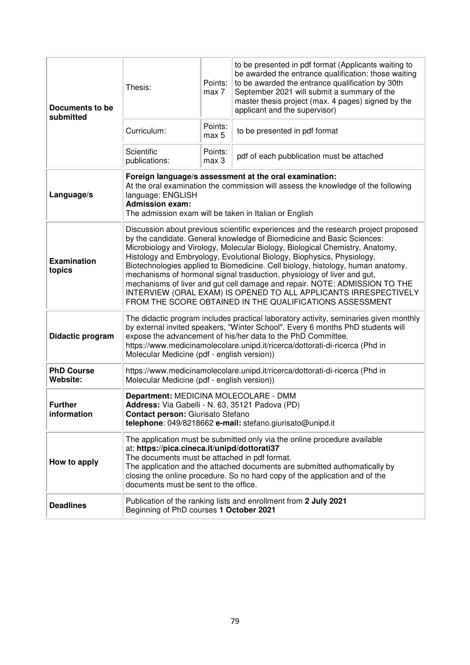| Documents to be<br>submitted  | Thesis:                                                                                                                                                                                                                                                                                                                                                                                                                                                                                                                                                                                                                                                                                            | Points:<br>max 7 | to be presented in pdf format (Applicants waiting to<br>be awarded the entrance qualification: those waiting<br>to be awarded the entrance qualification by 30th<br>September 2021 will submit a summary of the<br>master thesis project (max. 4 pages) signed by the<br>applicant and the supervisor) |
|-------------------------------|----------------------------------------------------------------------------------------------------------------------------------------------------------------------------------------------------------------------------------------------------------------------------------------------------------------------------------------------------------------------------------------------------------------------------------------------------------------------------------------------------------------------------------------------------------------------------------------------------------------------------------------------------------------------------------------------------|------------------|--------------------------------------------------------------------------------------------------------------------------------------------------------------------------------------------------------------------------------------------------------------------------------------------------------|
|                               | Curriculum:                                                                                                                                                                                                                                                                                                                                                                                                                                                                                                                                                                                                                                                                                        | Points:<br>max 5 | to be presented in pdf format                                                                                                                                                                                                                                                                          |
|                               | Scientific<br>publications:                                                                                                                                                                                                                                                                                                                                                                                                                                                                                                                                                                                                                                                                        | Points:<br>max 3 | pdf of each pubblication must be attached                                                                                                                                                                                                                                                              |
| Language/s                    | Foreign language/s assessment at the oral examination:<br>At the oral examination the commission will assess the knowledge of the following<br>language: ENGLISH<br><b>Admission exam:</b><br>The admission exam will be taken in Italian or English                                                                                                                                                                                                                                                                                                                                                                                                                                               |                  |                                                                                                                                                                                                                                                                                                        |
| <b>Examination</b><br>topics  | Discussion about previous scientific experiences and the research project proposed<br>by the candidate. General knowledge of Biomedicine and Basic Sciences:<br>Microbiology and Virology, Molecular Biology, Biological Chemistry, Anatomy,<br>Histology and Embryology, Evolutional Biology, Biophysics, Physiology,<br>Biotechnologies applied to Biomedicine. Cell biology, histology, human anatomy,<br>mechanisms of hormonal signal trasduction, physiology of liver and gut,<br>mechanisms of liver and gut cell damage and repair. NOTE: ADMISSION TO THE<br>INTERVIEW (ORAL EXAM) IS OPENED TO ALL APPLICANTS IRRESPECTIVELY<br>FROM THE SCORE OBTAINED IN THE QUALIFICATIONS ASSESSMENT |                  |                                                                                                                                                                                                                                                                                                        |
| Didactic program              | The didactic program includes practical laboratory activity, seminaries given monthly<br>by external invited speakers, "Winter School". Every 6 months PhD students will<br>expose the advancement of his/her data to the PhD Committee.<br>https://www.medicinamolecolare.unipd.it/ricerca/dottorati-di-ricerca (Phd in<br>Molecular Medicine (pdf - english version))                                                                                                                                                                                                                                                                                                                            |                  |                                                                                                                                                                                                                                                                                                        |
| <b>PhD Course</b><br>Website: | https://www.medicinamolecolare.unipd.it/ricerca/dottorati-di-ricerca (Phd in<br>Molecular Medicine (pdf - english version))                                                                                                                                                                                                                                                                                                                                                                                                                                                                                                                                                                        |                  |                                                                                                                                                                                                                                                                                                        |
| <b>Further</b><br>information | Department: MEDICINA MOLECOLARE - DMM<br>Address: Via Gabelli - N. 63, 35121 Padova (PD)<br>Contact person: Giurisato Stefano<br>telephone: 049/8218662 e-mail: stefano.giurisato@unipd.it                                                                                                                                                                                                                                                                                                                                                                                                                                                                                                         |                  |                                                                                                                                                                                                                                                                                                        |
| How to apply                  | The application must be submitted only via the online procedure available<br>at: https://pica.cineca.it/unipd/dottorati37<br>The documents must be attached in pdf format.<br>The application and the attached documents are submitted authomatically by<br>closing the online procedure. So no hard copy of the application and of the<br>documents must be sent to the office.                                                                                                                                                                                                                                                                                                                   |                  |                                                                                                                                                                                                                                                                                                        |
| <b>Deadlines</b>              | Publication of the ranking lists and enrollment from 2 July 2021<br>Beginning of PhD courses 1 October 2021                                                                                                                                                                                                                                                                                                                                                                                                                                                                                                                                                                                        |                  |                                                                                                                                                                                                                                                                                                        |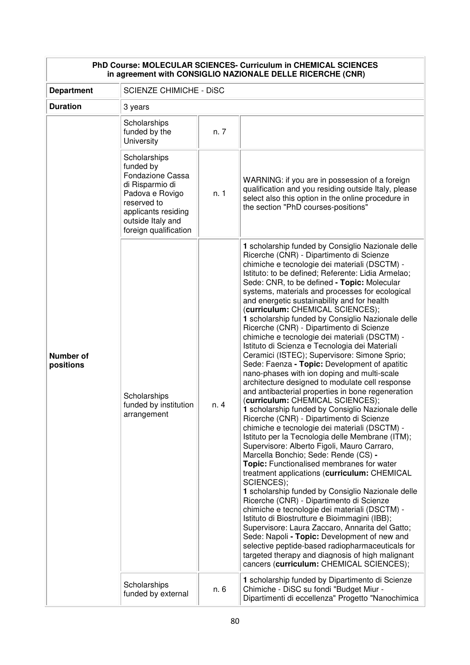| PhD Course: MOLECULAR SCIENCES- Curriculum in CHEMICAL SCIENCES<br>in agreement with CONSIGLIO NAZIONALE DELLE RICERCHE (CNR) |                                                                                                                                                                                |      |                                                                                                                                                                                                                                                                                                                                                                                                                                                                                                                                                                                                                                                                                                                                                                                                                                                                                                                                                                                                                                                                                                                                                                                                                                                                                                                                                                                                                                                                                                                                                                                                                                                                                                                                                             |  |
|-------------------------------------------------------------------------------------------------------------------------------|--------------------------------------------------------------------------------------------------------------------------------------------------------------------------------|------|-------------------------------------------------------------------------------------------------------------------------------------------------------------------------------------------------------------------------------------------------------------------------------------------------------------------------------------------------------------------------------------------------------------------------------------------------------------------------------------------------------------------------------------------------------------------------------------------------------------------------------------------------------------------------------------------------------------------------------------------------------------------------------------------------------------------------------------------------------------------------------------------------------------------------------------------------------------------------------------------------------------------------------------------------------------------------------------------------------------------------------------------------------------------------------------------------------------------------------------------------------------------------------------------------------------------------------------------------------------------------------------------------------------------------------------------------------------------------------------------------------------------------------------------------------------------------------------------------------------------------------------------------------------------------------------------------------------------------------------------------------------|--|
| <b>Department</b>                                                                                                             | <b>SCIENZE CHIMICHE - DISC</b>                                                                                                                                                 |      |                                                                                                                                                                                                                                                                                                                                                                                                                                                                                                                                                                                                                                                                                                                                                                                                                                                                                                                                                                                                                                                                                                                                                                                                                                                                                                                                                                                                                                                                                                                                                                                                                                                                                                                                                             |  |
| <b>Duration</b>                                                                                                               | 3 years                                                                                                                                                                        |      |                                                                                                                                                                                                                                                                                                                                                                                                                                                                                                                                                                                                                                                                                                                                                                                                                                                                                                                                                                                                                                                                                                                                                                                                                                                                                                                                                                                                                                                                                                                                                                                                                                                                                                                                                             |  |
| <b>Number of</b><br>positions                                                                                                 | Scholarships<br>funded by the<br>University                                                                                                                                    | n. 7 |                                                                                                                                                                                                                                                                                                                                                                                                                                                                                                                                                                                                                                                                                                                                                                                                                                                                                                                                                                                                                                                                                                                                                                                                                                                                                                                                                                                                                                                                                                                                                                                                                                                                                                                                                             |  |
|                                                                                                                               | Scholarships<br>funded by<br><b>Fondazione Cassa</b><br>di Risparmio di<br>Padova e Rovigo<br>reserved to<br>applicants residing<br>outside Italy and<br>foreign qualification | n. 1 | WARNING: if you are in possession of a foreign<br>qualification and you residing outside Italy, please<br>select also this option in the online procedure in<br>the section "PhD courses-positions"                                                                                                                                                                                                                                                                                                                                                                                                                                                                                                                                                                                                                                                                                                                                                                                                                                                                                                                                                                                                                                                                                                                                                                                                                                                                                                                                                                                                                                                                                                                                                         |  |
|                                                                                                                               | Scholarships<br>funded by institution<br>arrangement                                                                                                                           | n. 4 | 1 scholarship funded by Consiglio Nazionale delle<br>Ricerche (CNR) - Dipartimento di Scienze<br>chimiche e tecnologie dei materiali (DSCTM) -<br>Istituto: to be defined; Referente: Lidia Armelao;<br>Sede: CNR, to be defined - Topic: Molecular<br>systems, materials and processes for ecological<br>and energetic sustainability and for health<br>(curriculum: CHEMICAL SCIENCES);<br>1 scholarship funded by Consiglio Nazionale delle<br>Ricerche (CNR) - Dipartimento di Scienze<br>chimiche e tecnologie dei materiali (DSCTM) -<br>Istituto di Scienza e Tecnologia dei Materiali<br>Ceramici (ISTEC); Supervisore: Simone Sprio;<br>Sede: Faenza - Topic: Development of apatitic<br>nano-phases with ion doping and multi-scale<br>architecture designed to modulate cell response<br>and antibacterial properties in bone regeneration<br>(curriculum: CHEMICAL SCIENCES);<br>1 scholarship funded by Consiglio Nazionale delle<br>Ricerche (CNR) - Dipartimento di Scienze<br>chimiche e tecnologie dei materiali (DSCTM) -<br>Istituto per la Tecnologia delle Membrane (ITM);<br>Supervisore: Alberto Figoli, Mauro Carraro,<br>Marcella Bonchio; Sede: Rende (CS) -<br>Topic: Functionalised membranes for water<br>treatment applications (curriculum: CHEMICAL<br>SCIENCES);<br>1 scholarship funded by Consiglio Nazionale delle<br>Ricerche (CNR) - Dipartimento di Scienze<br>chimiche e tecnologie dei materiali (DSCTM) -<br>Istituto di Biostrutture e Bioimmagini (IBB);<br>Supervisore: Laura Zaccaro, Annarita del Gatto;<br>Sede: Napoli - Topic: Development of new and<br>selective peptide-based radiopharmaceuticals for<br>targeted therapy and diagnosis of high malignant<br>cancers (curriculum: CHEMICAL SCIENCES); |  |
|                                                                                                                               | Scholarships<br>funded by external                                                                                                                                             | n. 6 | 1 scholarship funded by Dipartimento di Scienze<br>Chimiche - DiSC su fondi "Budget Miur -<br>Dipartimenti di eccellenza" Progetto "Nanochimica                                                                                                                                                                                                                                                                                                                                                                                                                                                                                                                                                                                                                                                                                                                                                                                                                                                                                                                                                                                                                                                                                                                                                                                                                                                                                                                                                                                                                                                                                                                                                                                                             |  |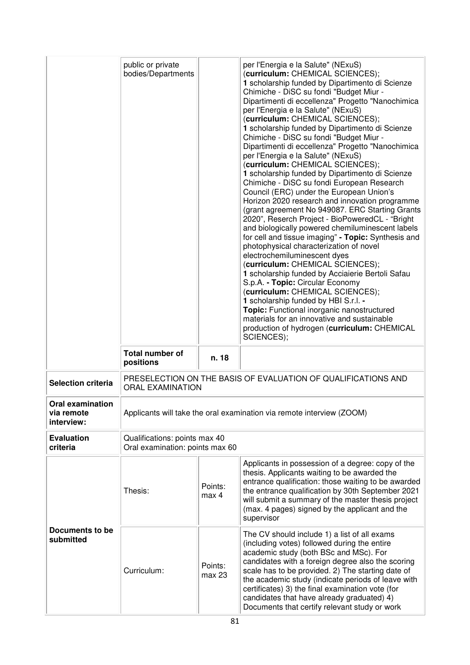|                                                     | public or private<br>bodies/Departments                          |                   | per l'Energia e la Salute" (NExuS)<br>(curriculum: CHEMICAL SCIENCES);<br>1 scholarship funded by Dipartimento di Scienze<br>Chimiche - DiSC su fondi "Budget Miur -<br>Dipartimenti di eccellenza" Progetto "Nanochimica<br>per l'Energia e la Salute" (NExuS)<br>(curriculum: CHEMICAL SCIENCES);<br>1 scholarship funded by Dipartimento di Scienze<br>Chimiche - DiSC su fondi "Budget Miur -<br>Dipartimenti di eccellenza" Progetto "Nanochimica<br>per l'Energia e la Salute" (NExuS)<br>(curriculum: CHEMICAL SCIENCES);<br>1 scholarship funded by Dipartimento di Scienze<br>Chimiche - DiSC su fondi European Research<br>Council (ERC) under the European Union's<br>Horizon 2020 research and innovation programme<br>(grant agreement No 949087. ERC Starting Grants<br>2020", Reserch Project - BioPoweredCL - "Bright<br>and biologically powered chemiluminescent labels<br>for cell and tissue imaging" - Topic: Synthesis and<br>photophysical characterization of novel<br>electrochemiluminescent dyes<br>(curriculum: CHEMICAL SCIENCES);<br>1 scholarship funded by Acciaierie Bertoli Safau<br>S.p.A. - Topic: Circular Economy<br>(curriculum: CHEMICAL SCIENCES);<br>1 scholarship funded by HBI S.r.l. -<br>Topic: Functional inorganic nanostructured<br>materials for an innovative and sustainable<br>production of hydrogen (curriculum: CHEMICAL<br>SCIENCES); |
|-----------------------------------------------------|------------------------------------------------------------------|-------------------|------------------------------------------------------------------------------------------------------------------------------------------------------------------------------------------------------------------------------------------------------------------------------------------------------------------------------------------------------------------------------------------------------------------------------------------------------------------------------------------------------------------------------------------------------------------------------------------------------------------------------------------------------------------------------------------------------------------------------------------------------------------------------------------------------------------------------------------------------------------------------------------------------------------------------------------------------------------------------------------------------------------------------------------------------------------------------------------------------------------------------------------------------------------------------------------------------------------------------------------------------------------------------------------------------------------------------------------------------------------------------------------------|
|                                                     | <b>Total number of</b><br>positions                              | n. 18             |                                                                                                                                                                                                                                                                                                                                                                                                                                                                                                                                                                                                                                                                                                                                                                                                                                                                                                                                                                                                                                                                                                                                                                                                                                                                                                                                                                                                |
| <b>Selection criteria</b>                           | <b>ORAL EXAMINATION</b>                                          |                   | PRESELECTION ON THE BASIS OF EVALUATION OF QUALIFICATIONS AND                                                                                                                                                                                                                                                                                                                                                                                                                                                                                                                                                                                                                                                                                                                                                                                                                                                                                                                                                                                                                                                                                                                                                                                                                                                                                                                                  |
| <b>Oral examination</b><br>via remote<br>interview: |                                                                  |                   | Applicants will take the oral examination via remote interview (ZOOM)                                                                                                                                                                                                                                                                                                                                                                                                                                                                                                                                                                                                                                                                                                                                                                                                                                                                                                                                                                                                                                                                                                                                                                                                                                                                                                                          |
| <b>Evaluation</b><br>criteria                       | Qualifications: points max 40<br>Oral examination: points max 60 |                   |                                                                                                                                                                                                                                                                                                                                                                                                                                                                                                                                                                                                                                                                                                                                                                                                                                                                                                                                                                                                                                                                                                                                                                                                                                                                                                                                                                                                |
|                                                     | Thesis:                                                          | Points:<br>max 4  | Applicants in possession of a degree: copy of the<br>thesis. Applicants waiting to be awarded the<br>entrance qualification: those waiting to be awarded<br>the entrance qualification by 30th September 2021<br>will submit a summary of the master thesis project<br>(max. 4 pages) signed by the applicant and the<br>supervisor                                                                                                                                                                                                                                                                                                                                                                                                                                                                                                                                                                                                                                                                                                                                                                                                                                                                                                                                                                                                                                                            |
| Documents to be<br>submitted                        | Curriculum:                                                      | Points:<br>max 23 | The CV should include 1) a list of all exams<br>(including votes) followed during the entire<br>academic study (both BSc and MSc). For<br>candidates with a foreign degree also the scoring<br>scale has to be provided. 2) The starting date of<br>the academic study (indicate periods of leave with<br>certificates) 3) the final examination vote (for<br>candidates that have already graduated) 4)<br>Documents that certify relevant study or work                                                                                                                                                                                                                                                                                                                                                                                                                                                                                                                                                                                                                                                                                                                                                                                                                                                                                                                                      |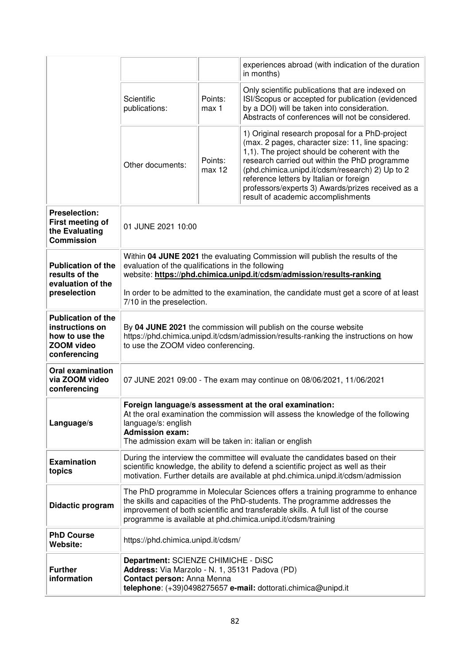|                                                                                                     |                                                                                                                                                                                                                                                                                                                                   |                                                                      | experiences abroad (with indication of the duration<br>in months)                                                                                                                                                                                                                                                                                                                              |  |
|-----------------------------------------------------------------------------------------------------|-----------------------------------------------------------------------------------------------------------------------------------------------------------------------------------------------------------------------------------------------------------------------------------------------------------------------------------|----------------------------------------------------------------------|------------------------------------------------------------------------------------------------------------------------------------------------------------------------------------------------------------------------------------------------------------------------------------------------------------------------------------------------------------------------------------------------|--|
|                                                                                                     | Scientific<br>publications:                                                                                                                                                                                                                                                                                                       | Points:<br>max 1                                                     | Only scientific publications that are indexed on<br>ISI/Scopus or accepted for publication (evidenced<br>by a DOI) will be taken into consideration.<br>Abstracts of conferences will not be considered.                                                                                                                                                                                       |  |
|                                                                                                     | Other documents:                                                                                                                                                                                                                                                                                                                  | Points:<br>max 12                                                    | 1) Original research proposal for a PhD-project<br>(max. 2 pages, character size: 11, line spacing:<br>1,1). The project should be coherent with the<br>research carried out within the PhD programme<br>(phd.chimica.unipd.it/cdsm/research) 2) Up to 2<br>reference letters by Italian or foreign<br>professors/experts 3) Awards/prizes received as a<br>result of academic accomplishments |  |
| <b>Preselection:</b><br>First meeting of<br>the Evaluating<br><b>Commission</b>                     | 01 JUNE 2021 10:00                                                                                                                                                                                                                                                                                                                |                                                                      |                                                                                                                                                                                                                                                                                                                                                                                                |  |
| <b>Publication of the</b><br>results of the<br>evaluation of the<br>preselection                    | Within 04 JUNE 2021 the evaluating Commission will publish the results of the<br>evaluation of the qualifications in the following<br>website: https://phd.chimica.unipd.it/cdsm/admission/results-ranking<br>In order to be admitted to the examination, the candidate must get a score of at least<br>7/10 in the preselection. |                                                                      |                                                                                                                                                                                                                                                                                                                                                                                                |  |
| <b>Publication of the</b><br>instructions on<br>how to use the<br><b>ZOOM video</b><br>conferencing | By 04 JUNE 2021 the commission will publish on the course website<br>https://phd.chimica.unipd.it/cdsm/admission/results-ranking the instructions on how<br>to use the ZOOM video conferencing.                                                                                                                                   |                                                                      |                                                                                                                                                                                                                                                                                                                                                                                                |  |
| <b>Oral examination</b><br>via ZOOM video<br>conferencing                                           |                                                                                                                                                                                                                                                                                                                                   | 07 JUNE 2021 09:00 - The exam may continue on 08/06/2021, 11/06/2021 |                                                                                                                                                                                                                                                                                                                                                                                                |  |
| Language/s                                                                                          | Foreign language/s assessment at the oral examination:<br>At the oral examination the commission will assess the knowledge of the following<br>language/s: english<br><b>Admission exam:</b><br>The admission exam will be taken in: italian or english                                                                           |                                                                      |                                                                                                                                                                                                                                                                                                                                                                                                |  |
| <b>Examination</b><br>topics                                                                        | During the interview the committee will evaluate the candidates based on their<br>scientific knowledge, the ability to defend a scientific project as well as their<br>motivation. Further details are available at phd.chimica.unipd.it/cdsm/admission                                                                           |                                                                      |                                                                                                                                                                                                                                                                                                                                                                                                |  |
| Didactic program                                                                                    | The PhD programme in Molecular Sciences offers a training programme to enhance<br>the skills and capacities of the PhD-students. The programme addresses the<br>improvement of both scientific and transferable skills. A full list of the course<br>programme is available at phd.chimica.unipd.it/cdsm/training                 |                                                                      |                                                                                                                                                                                                                                                                                                                                                                                                |  |
| <b>PhD Course</b><br>Website:                                                                       | https://phd.chimica.unipd.it/cdsm/                                                                                                                                                                                                                                                                                                |                                                                      |                                                                                                                                                                                                                                                                                                                                                                                                |  |
| <b>Further</b><br>information                                                                       | Department: SCIENZE CHIMICHE - DiSC<br>Address: Via Marzolo - N. 1, 35131 Padova (PD)<br>Contact person: Anna Menna<br>telephone: (+39)0498275657 e-mail: dottorati.chimica@unipd.it                                                                                                                                              |                                                                      |                                                                                                                                                                                                                                                                                                                                                                                                |  |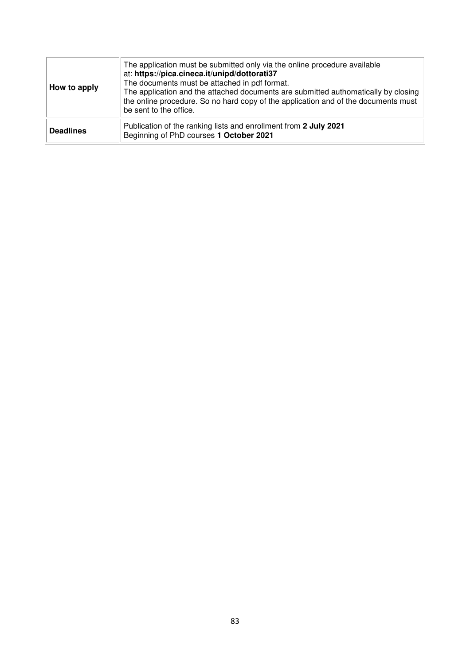| How to apply     | The application must be submitted only via the online procedure available<br>at: https://pica.cineca.it/unipd/dottorati37<br>The documents must be attached in pdf format.<br>The application and the attached documents are submitted authomatically by closing<br>the online procedure. So no hard copy of the application and of the documents must<br>be sent to the office. |
|------------------|----------------------------------------------------------------------------------------------------------------------------------------------------------------------------------------------------------------------------------------------------------------------------------------------------------------------------------------------------------------------------------|
| <b>Deadlines</b> | Publication of the ranking lists and enrollment from 2 July 2021<br>Beginning of PhD courses 1 October 2021                                                                                                                                                                                                                                                                      |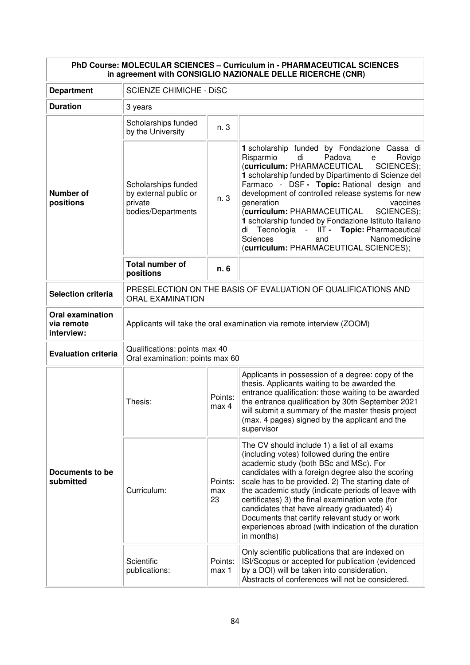| PhD Course: MOLECULAR SCIENCES - Curriculum in - PHARMACEUTICAL SCIENCES<br>in agreement with CONSIGLIO NAZIONALE DELLE RICERCHE (CNR) |                                                                                          |                      |                                                                                                                                                                                                                                                                                                                                                                                                                                                                                                                                                                       |
|----------------------------------------------------------------------------------------------------------------------------------------|------------------------------------------------------------------------------------------|----------------------|-----------------------------------------------------------------------------------------------------------------------------------------------------------------------------------------------------------------------------------------------------------------------------------------------------------------------------------------------------------------------------------------------------------------------------------------------------------------------------------------------------------------------------------------------------------------------|
| <b>Department</b>                                                                                                                      | <b>SCIENZE CHIMICHE - DISC</b>                                                           |                      |                                                                                                                                                                                                                                                                                                                                                                                                                                                                                                                                                                       |
| <b>Duration</b>                                                                                                                        | 3 years                                                                                  |                      |                                                                                                                                                                                                                                                                                                                                                                                                                                                                                                                                                                       |
|                                                                                                                                        | Scholarships funded<br>by the University                                                 | n. 3                 |                                                                                                                                                                                                                                                                                                                                                                                                                                                                                                                                                                       |
| <b>Number of</b><br>positions                                                                                                          | Scholarships funded<br>by external public or<br>private<br>bodies/Departments            | n. 3                 | 1 scholarship funded by Fondazione Cassa di<br>Risparmio<br>di<br>Padova<br>Rovigo<br>e<br>(curriculum: PHARMACEUTICAL<br>SCIENCES);  <br>1 scholarship funded by Dipartimento di Scienze del<br>Farmaco - DSF - Topic: Rational design and<br>development of controlled release systems for new<br>generation<br>vaccines<br>(curriculum: PHARMACEUTICAL<br>SCIENCES);<br>1 scholarship funded by Fondazione Istituto Italiano<br>Tecnologia - IIT - Topic: Pharmaceutical<br>di<br><b>Sciences</b><br>Nanomedicine<br>and<br>(curriculum: PHARMACEUTICAL SCIENCES); |
|                                                                                                                                        | <b>Total number of</b><br>positions                                                      | n. 6                 |                                                                                                                                                                                                                                                                                                                                                                                                                                                                                                                                                                       |
| <b>Selection criteria</b>                                                                                                              | PRESELECTION ON THE BASIS OF EVALUATION OF QUALIFICATIONS AND<br><b>ORAL EXAMINATION</b> |                      |                                                                                                                                                                                                                                                                                                                                                                                                                                                                                                                                                                       |
| <b>Oral examination</b><br>via remote<br>interview:                                                                                    | Applicants will take the oral examination via remote interview (ZOOM)                    |                      |                                                                                                                                                                                                                                                                                                                                                                                                                                                                                                                                                                       |
| <b>Evaluation criteria</b>                                                                                                             | Qualifications: points max 40<br>Oral examination: points max 60                         |                      |                                                                                                                                                                                                                                                                                                                                                                                                                                                                                                                                                                       |
| Documents to be<br>submitted                                                                                                           | Thesis:                                                                                  | Points:<br>max 4     | Applicants in possession of a degree: copy of the<br>thesis. Applicants waiting to be awarded the<br>entrance qualification: those waiting to be awarded<br>the entrance qualification by 30th September 2021<br>will submit a summary of the master thesis project<br>(max. 4 pages) signed by the applicant and the<br>supervisor                                                                                                                                                                                                                                   |
|                                                                                                                                        | Curriculum:                                                                              | Points:<br>max<br>23 | The CV should include 1) a list of all exams<br>(including votes) followed during the entire<br>academic study (both BSc and MSc). For<br>candidates with a foreign degree also the scoring<br>scale has to be provided. 2) The starting date of<br>the academic study (indicate periods of leave with<br>certificates) 3) the final examination vote (for<br>candidates that have already graduated) 4)<br>Documents that certify relevant study or work<br>experiences abroad (with indication of the duration<br>in months)                                        |
|                                                                                                                                        | Scientific<br>publications:                                                              | Points:<br>max 1     | Only scientific publications that are indexed on<br>ISI/Scopus or accepted for publication (evidenced<br>by a DOI) will be taken into consideration.<br>Abstracts of conferences will not be considered.                                                                                                                                                                                                                                                                                                                                                              |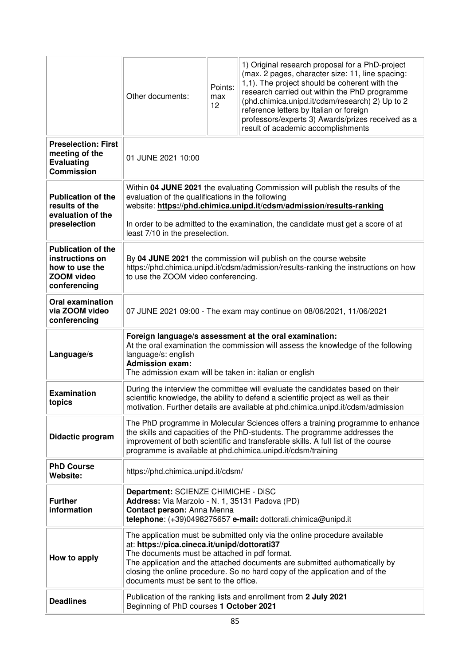|                                                                                              | Other documents:                                                                                                                                                                                                                                                                                                                                                                 | Points:<br>max<br>12 | 1) Original research proposal for a PhD-project<br>(max. 2 pages, character size: 11, line spacing:<br>1,1). The project should be coherent with the<br>research carried out within the PhD programme<br>(phd.chimica.unipd.it/cdsm/research) 2) Up to 2<br>reference letters by Italian or foreign<br>professors/experts 3) Awards/prizes received as a<br>result of academic accomplishments |
|----------------------------------------------------------------------------------------------|----------------------------------------------------------------------------------------------------------------------------------------------------------------------------------------------------------------------------------------------------------------------------------------------------------------------------------------------------------------------------------|----------------------|------------------------------------------------------------------------------------------------------------------------------------------------------------------------------------------------------------------------------------------------------------------------------------------------------------------------------------------------------------------------------------------------|
| <b>Preselection: First</b><br>meeting of the<br><b>Evaluating</b><br><b>Commission</b>       | 01 JUNE 2021 10:00                                                                                                                                                                                                                                                                                                                                                               |                      |                                                                                                                                                                                                                                                                                                                                                                                                |
| <b>Publication of the</b><br>results of the<br>evaluation of the<br>preselection             | Within 04 JUNE 2021 the evaluating Commission will publish the results of the<br>evaluation of the qualifications in the following<br>website: https://phd.chimica.unipd.it/cdsm/admission/results-ranking<br>In order to be admitted to the examination, the candidate must get a score of at                                                                                   |                      |                                                                                                                                                                                                                                                                                                                                                                                                |
|                                                                                              | least 7/10 in the preselection.                                                                                                                                                                                                                                                                                                                                                  |                      |                                                                                                                                                                                                                                                                                                                                                                                                |
| <b>Publication of the</b><br>instructions on<br>how to use the<br>ZOOM video<br>conferencing | By 04 JUNE 2021 the commission will publish on the course website<br>https://phd.chimica.unipd.it/cdsm/admission/results-ranking the instructions on how<br>to use the ZOOM video conferencing.                                                                                                                                                                                  |                      |                                                                                                                                                                                                                                                                                                                                                                                                |
| <b>Oral examination</b><br>via ZOOM video<br>conferencing                                    | 07 JUNE 2021 09:00 - The exam may continue on 08/06/2021, 11/06/2021                                                                                                                                                                                                                                                                                                             |                      |                                                                                                                                                                                                                                                                                                                                                                                                |
| Language/s                                                                                   | Foreign language/s assessment at the oral examination:<br>At the oral examination the commission will assess the knowledge of the following<br>language/s: english<br><b>Admission exam:</b><br>The admission exam will be taken in: italian or english                                                                                                                          |                      |                                                                                                                                                                                                                                                                                                                                                                                                |
| <b>Examination</b><br>topics                                                                 | During the interview the committee will evaluate the candidates based on their<br>scientific knowledge, the ability to defend a scientific project as well as their<br>motivation. Further details are available at phd.chimica.unipd.it/cdsm/admission                                                                                                                          |                      |                                                                                                                                                                                                                                                                                                                                                                                                |
| Didactic program                                                                             | The PhD programme in Molecular Sciences offers a training programme to enhance<br>the skills and capacities of the PhD-students. The programme addresses the<br>improvement of both scientific and transferable skills. A full list of the course<br>programme is available at phd.chimica.unipd.it/cdsm/training                                                                |                      |                                                                                                                                                                                                                                                                                                                                                                                                |
| <b>PhD Course</b><br>Website:                                                                | https://phd.chimica.unipd.it/cdsm/                                                                                                                                                                                                                                                                                                                                               |                      |                                                                                                                                                                                                                                                                                                                                                                                                |
| <b>Further</b><br>information                                                                | Department: SCIENZE CHIMICHE - DiSC<br>Address: Via Marzolo - N. 1, 35131 Padova (PD)<br>Contact person: Anna Menna<br>telephone: (+39)0498275657 e-mail: dottorati.chimica@unipd.it                                                                                                                                                                                             |                      |                                                                                                                                                                                                                                                                                                                                                                                                |
| How to apply                                                                                 | The application must be submitted only via the online procedure available<br>at: https://pica.cineca.it/unipd/dottorati37<br>The documents must be attached in pdf format.<br>The application and the attached documents are submitted authomatically by<br>closing the online procedure. So no hard copy of the application and of the<br>documents must be sent to the office. |                      |                                                                                                                                                                                                                                                                                                                                                                                                |
| <b>Deadlines</b>                                                                             | Publication of the ranking lists and enrollment from 2 July 2021<br>Beginning of PhD courses 1 October 2021                                                                                                                                                                                                                                                                      |                      |                                                                                                                                                                                                                                                                                                                                                                                                |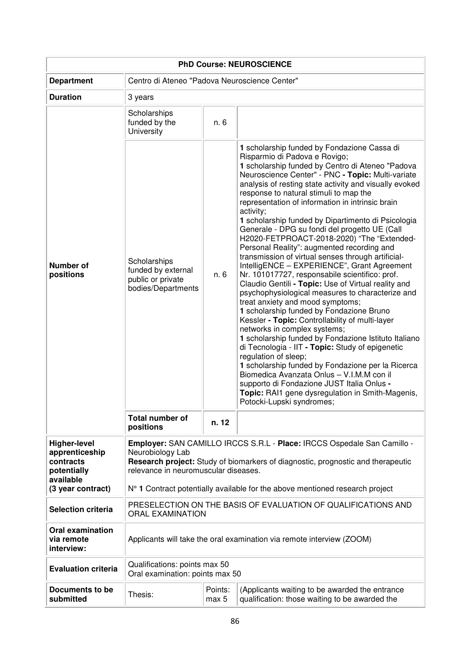| <b>PhD Course: NEUROSCIENCE</b>                                                |                                                                                                                                                                                                                        |       |                                                                                                                                                                                                                                                                                                                                                                                                                                                                                                                                                                                                                                                                                                                                                                                                                                                                                                                                                                                                                                                                                                                                                                                                                                                                                                                                                                         |  |  |
|--------------------------------------------------------------------------------|------------------------------------------------------------------------------------------------------------------------------------------------------------------------------------------------------------------------|-------|-------------------------------------------------------------------------------------------------------------------------------------------------------------------------------------------------------------------------------------------------------------------------------------------------------------------------------------------------------------------------------------------------------------------------------------------------------------------------------------------------------------------------------------------------------------------------------------------------------------------------------------------------------------------------------------------------------------------------------------------------------------------------------------------------------------------------------------------------------------------------------------------------------------------------------------------------------------------------------------------------------------------------------------------------------------------------------------------------------------------------------------------------------------------------------------------------------------------------------------------------------------------------------------------------------------------------------------------------------------------------|--|--|
| <b>Department</b>                                                              | Centro di Ateneo "Padova Neuroscience Center"                                                                                                                                                                          |       |                                                                                                                                                                                                                                                                                                                                                                                                                                                                                                                                                                                                                                                                                                                                                                                                                                                                                                                                                                                                                                                                                                                                                                                                                                                                                                                                                                         |  |  |
| <b>Duration</b>                                                                | 3 years                                                                                                                                                                                                                |       |                                                                                                                                                                                                                                                                                                                                                                                                                                                                                                                                                                                                                                                                                                                                                                                                                                                                                                                                                                                                                                                                                                                                                                                                                                                                                                                                                                         |  |  |
|                                                                                | Scholarships<br>funded by the<br>University                                                                                                                                                                            | n. 6  |                                                                                                                                                                                                                                                                                                                                                                                                                                                                                                                                                                                                                                                                                                                                                                                                                                                                                                                                                                                                                                                                                                                                                                                                                                                                                                                                                                         |  |  |
| <b>Number of</b><br>positions                                                  | Scholarships<br>funded by external<br>public or private<br>bodies/Departments                                                                                                                                          | n. 6  | 1 scholarship funded by Fondazione Cassa di<br>Risparmio di Padova e Rovigo;<br>1 scholarship funded by Centro di Ateneo "Padova<br>Neuroscience Center" - PNC - Topic: Multi-variate<br>analysis of resting state activity and visually evoked<br>response to natural stimuli to map the<br>representation of information in intrinsic brain<br>activity;<br>1 scholarship funded by Dipartimento di Psicologia<br>Generale - DPG su fondi del progetto UE (Call<br>H2020-FETPROACT-2018-2020) "The "Extended-<br>Personal Reality": augmented recording and<br>transmission of virtual senses through artificial-<br>IntelligENCE - EXPERIENCE", Grant Agreement<br>Nr. 101017727, responsabile scientifico: prof.<br>Claudio Gentili - Topic: Use of Virtual reality and<br>psychophysiological measures to characterize and<br>treat anxiety and mood symptoms;<br>1 scholarship funded by Fondazione Bruno<br>Kessler - Topic: Controllability of multi-layer<br>networks in complex systems;<br>1 scholarship funded by Fondazione Istituto Italiano<br>di Tecnologia - IIT - Topic: Study of epigenetic<br>regulation of sleep;<br>1 scholarship funded by Fondazione per la Ricerca<br>Biomedica Avanzata Onlus - V.I.M.M con il<br>supporto di Fondazione JUST Italia Onlus -<br>Topic: RAI1 gene dysregulation in Smith-Magenis,<br>Potocki-Lupski syndromes; |  |  |
|                                                                                | <b>Total number of</b><br>positions                                                                                                                                                                                    | n. 12 |                                                                                                                                                                                                                                                                                                                                                                                                                                                                                                                                                                                                                                                                                                                                                                                                                                                                                                                                                                                                                                                                                                                                                                                                                                                                                                                                                                         |  |  |
| <b>Higher-level</b><br>apprenticeship<br>contracts<br>potentially<br>available | Employer: SAN CAMILLO IRCCS S.R.L - Place: IRCCS Ospedale San Camillo -<br>Neurobiology Lab<br>Research project: Study of biomarkers of diagnostic, prognostic and therapeutic<br>relevance in neuromuscular diseases. |       |                                                                                                                                                                                                                                                                                                                                                                                                                                                                                                                                                                                                                                                                                                                                                                                                                                                                                                                                                                                                                                                                                                                                                                                                                                                                                                                                                                         |  |  |
| (3 year contract)                                                              |                                                                                                                                                                                                                        |       | N° 1 Contract potentially available for the above mentioned research project                                                                                                                                                                                                                                                                                                                                                                                                                                                                                                                                                                                                                                                                                                                                                                                                                                                                                                                                                                                                                                                                                                                                                                                                                                                                                            |  |  |
| <b>Selection criteria</b>                                                      | PRESELECTION ON THE BASIS OF EVALUATION OF QUALIFICATIONS AND<br><b>ORAL EXAMINATION</b>                                                                                                                               |       |                                                                                                                                                                                                                                                                                                                                                                                                                                                                                                                                                                                                                                                                                                                                                                                                                                                                                                                                                                                                                                                                                                                                                                                                                                                                                                                                                                         |  |  |
| <b>Oral examination</b><br>via remote<br>interview:                            | Applicants will take the oral examination via remote interview (ZOOM)                                                                                                                                                  |       |                                                                                                                                                                                                                                                                                                                                                                                                                                                                                                                                                                                                                                                                                                                                                                                                                                                                                                                                                                                                                                                                                                                                                                                                                                                                                                                                                                         |  |  |
| <b>Evaluation criteria</b>                                                     | Qualifications: points max 50<br>Oral examination: points max 50                                                                                                                                                       |       |                                                                                                                                                                                                                                                                                                                                                                                                                                                                                                                                                                                                                                                                                                                                                                                                                                                                                                                                                                                                                                                                                                                                                                                                                                                                                                                                                                         |  |  |
| Documents to be<br>submitted                                                   | Points:<br>(Applicants waiting to be awarded the entrance<br>Thesis:<br>qualification: those waiting to be awarded the<br>max 5                                                                                        |       |                                                                                                                                                                                                                                                                                                                                                                                                                                                                                                                                                                                                                                                                                                                                                                                                                                                                                                                                                                                                                                                                                                                                                                                                                                                                                                                                                                         |  |  |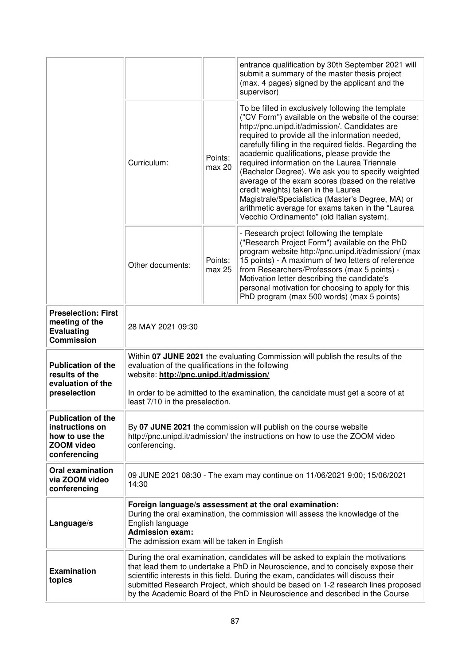|                                                                                                     |                                                                                                                                                                                                                                                                                                                                                                                                                                |                   | entrance qualification by 30th September 2021 will<br>submit a summary of the master thesis project<br>(max. 4 pages) signed by the applicant and the<br>supervisor)                                                                                                                                                                                                                                                                                                                                                                                                                                                                                                              |  |
|-----------------------------------------------------------------------------------------------------|--------------------------------------------------------------------------------------------------------------------------------------------------------------------------------------------------------------------------------------------------------------------------------------------------------------------------------------------------------------------------------------------------------------------------------|-------------------|-----------------------------------------------------------------------------------------------------------------------------------------------------------------------------------------------------------------------------------------------------------------------------------------------------------------------------------------------------------------------------------------------------------------------------------------------------------------------------------------------------------------------------------------------------------------------------------------------------------------------------------------------------------------------------------|--|
|                                                                                                     | Curriculum:                                                                                                                                                                                                                                                                                                                                                                                                                    | Points:<br>max 20 | To be filled in exclusively following the template<br>("CV Form") available on the website of the course:<br>http://pnc.unipd.it/admission/. Candidates are<br>required to provide all the information needed,<br>carefully filling in the required fields. Regarding the<br>academic qualifications, please provide the<br>required information on the Laurea Triennale<br>(Bachelor Degree). We ask you to specify weighted<br>average of the exam scores (based on the relative<br>credit weights) taken in the Laurea<br>Magistrale/Specialistica (Master's Degree, MA) or<br>arithmetic average for exams taken in the "Laurea<br>Vecchio Ordinamento" (old Italian system). |  |
|                                                                                                     | Other documents:                                                                                                                                                                                                                                                                                                                                                                                                               | Points:<br>max 25 | - Research project following the template<br>("Research Project Form") available on the PhD<br>program website http://pnc.unipd.it/admission/ (max<br>15 points) - A maximum of two letters of reference<br>from Researchers/Professors (max 5 points) -<br>Motivation letter describing the candidate's<br>personal motivation for choosing to apply for this<br>PhD program (max 500 words) (max 5 points)                                                                                                                                                                                                                                                                      |  |
| <b>Preselection: First</b><br>meeting of the<br><b>Evaluating</b><br><b>Commission</b>              | 28 MAY 2021 09:30                                                                                                                                                                                                                                                                                                                                                                                                              |                   |                                                                                                                                                                                                                                                                                                                                                                                                                                                                                                                                                                                                                                                                                   |  |
| <b>Publication of the</b><br>results of the<br>evaluation of the<br>preselection                    | Within 07 JUNE 2021 the evaluating Commission will publish the results of the<br>evaluation of the qualifications in the following<br>website: http://pnc.unipd.it/admission/<br>In order to be admitted to the examination, the candidate must get a score of at<br>least 7/10 in the preselection.                                                                                                                           |                   |                                                                                                                                                                                                                                                                                                                                                                                                                                                                                                                                                                                                                                                                                   |  |
| <b>Publication of the</b><br>instructions on<br>how to use the<br><b>ZOOM video</b><br>conferencing | By 07 JUNE 2021 the commission will publish on the course website<br>http://pnc.unipd.it/admission/ the instructions on how to use the ZOOM video<br>conferencing.                                                                                                                                                                                                                                                             |                   |                                                                                                                                                                                                                                                                                                                                                                                                                                                                                                                                                                                                                                                                                   |  |
| <b>Oral examination</b><br>via ZOOM video<br>conferencing                                           | 09 JUNE 2021 08:30 - The exam may continue on 11/06/2021 9:00; 15/06/2021<br>14:30                                                                                                                                                                                                                                                                                                                                             |                   |                                                                                                                                                                                                                                                                                                                                                                                                                                                                                                                                                                                                                                                                                   |  |
| Language/s                                                                                          | Foreign language/s assessment at the oral examination:<br>During the oral examination, the commission will assess the knowledge of the<br>English language<br><b>Admission exam:</b><br>The admission exam will be taken in English                                                                                                                                                                                            |                   |                                                                                                                                                                                                                                                                                                                                                                                                                                                                                                                                                                                                                                                                                   |  |
| <b>Examination</b><br>topics                                                                        | During the oral examination, candidates will be asked to explain the motivations<br>that lead them to undertake a PhD in Neuroscience, and to concisely expose their<br>scientific interests in this field. During the exam, candidates will discuss their<br>submitted Research Project, which should be based on 1-2 research lines proposed<br>by the Academic Board of the PhD in Neuroscience and described in the Course |                   |                                                                                                                                                                                                                                                                                                                                                                                                                                                                                                                                                                                                                                                                                   |  |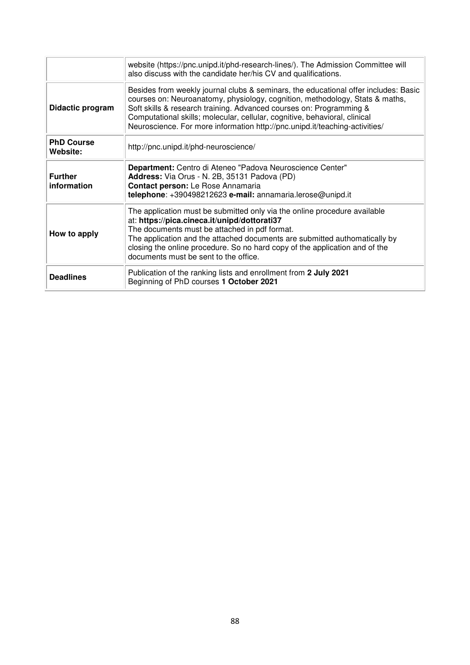|                               | website (https://pnc.unipd.it/phd-research-lines/). The Admission Committee will<br>also discuss with the candidate her/his CV and qualifications.                                                                                                                                                                                                                                                      |
|-------------------------------|---------------------------------------------------------------------------------------------------------------------------------------------------------------------------------------------------------------------------------------------------------------------------------------------------------------------------------------------------------------------------------------------------------|
| Didactic program              | Besides from weekly journal clubs & seminars, the educational offer includes: Basic<br>courses on: Neuroanatomy, physiology, cognition, methodology, Stats & maths,<br>Soft skills & research training. Advanced courses on: Programming &<br>Computational skills; molecular, cellular, cognitive, behavioral, clinical<br>Neuroscience. For more information http://pnc.unipd.it/teaching-activities/ |
| <b>PhD Course</b><br>Website: | http://pnc.unipd.it/phd-neuroscience/                                                                                                                                                                                                                                                                                                                                                                   |
| <b>Further</b><br>information | Department: Centro di Ateneo "Padova Neuroscience Center"<br>Address: Via Orus - N. 2B, 35131 Padova (PD)<br>Contact person: Le Rose Annamaria<br>telephone: +390498212623 e-mail: annamaria.lerose@unipd.it                                                                                                                                                                                            |
| How to apply                  | The application must be submitted only via the online procedure available<br>at: https://pica.cineca.it/unipd/dottorati37<br>The documents must be attached in pdf format.<br>The application and the attached documents are submitted authomatically by<br>closing the online procedure. So no hard copy of the application and of the<br>documents must be sent to the office.                        |
| <b>Deadlines</b>              | Publication of the ranking lists and enrollment from 2 July 2021<br>Beginning of PhD courses 1 October 2021                                                                                                                                                                                                                                                                                             |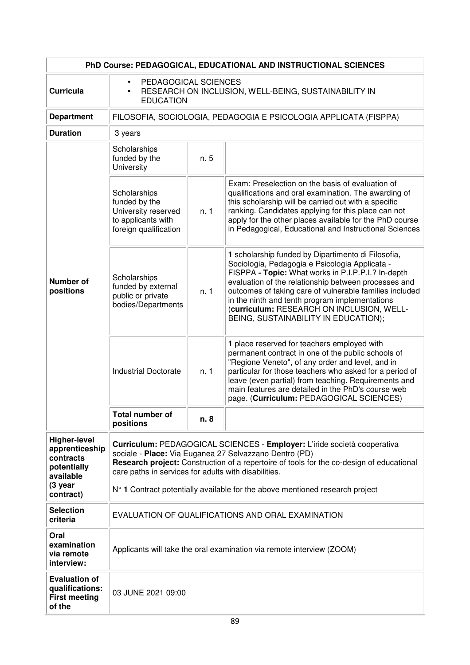| PhD Course: PEDAGOGICAL, EDUCATIONAL AND INSTRUCTIONAL SCIENCES                |                                                                                                                                                                                                                                                                                        |      |                                                                                                                                                                                                                                                                                                                                                                                                                      |  |
|--------------------------------------------------------------------------------|----------------------------------------------------------------------------------------------------------------------------------------------------------------------------------------------------------------------------------------------------------------------------------------|------|----------------------------------------------------------------------------------------------------------------------------------------------------------------------------------------------------------------------------------------------------------------------------------------------------------------------------------------------------------------------------------------------------------------------|--|
| <b>Curricula</b>                                                               | PEDAGOGICAL SCIENCES<br>$\bullet$<br>RESEARCH ON INCLUSION, WELL-BEING, SUSTAINABILITY IN<br>$\bullet$<br><b>EDUCATION</b>                                                                                                                                                             |      |                                                                                                                                                                                                                                                                                                                                                                                                                      |  |
| <b>Department</b>                                                              |                                                                                                                                                                                                                                                                                        |      | FILOSOFIA, SOCIOLOGIA, PEDAGOGIA E PSICOLOGIA APPLICATA (FISPPA)                                                                                                                                                                                                                                                                                                                                                     |  |
| <b>Duration</b>                                                                | 3 years                                                                                                                                                                                                                                                                                |      |                                                                                                                                                                                                                                                                                                                                                                                                                      |  |
|                                                                                | Scholarships<br>funded by the<br>University                                                                                                                                                                                                                                            | n. 5 |                                                                                                                                                                                                                                                                                                                                                                                                                      |  |
| <b>Number of</b><br>positions                                                  | Scholarships<br>funded by the<br>University reserved<br>to applicants with<br>foreign qualification                                                                                                                                                                                    | n. 1 | Exam: Preselection on the basis of evaluation of<br>qualifications and oral examination. The awarding of<br>this scholarship will be carried out with a specific<br>ranking. Candidates applying for this place can not<br>apply for the other places available for the PhD course<br>in Pedagogical, Educational and Instructional Sciences                                                                         |  |
|                                                                                | Scholarships<br>funded by external<br>public or private<br>bodies/Departments                                                                                                                                                                                                          | n.1  | 1 scholarship funded by Dipartimento di Filosofia,<br>Sociologia, Pedagogia e Psicologia Applicata -<br>FISPPA - Topic: What works in P.I.P.P.I.? In-depth<br>evaluation of the relationship between processes and<br>outcomes of taking care of vulnerable families included<br>in the ninth and tenth program implementations<br>(curriculum: RESEARCH ON INCLUSION, WELL-<br>BEING, SUSTAINABILITY IN EDUCATION); |  |
|                                                                                | <b>Industrial Doctorate</b>                                                                                                                                                                                                                                                            | n.1  | 1 place reserved for teachers employed with<br>permanent contract in one of the public schools of<br>"Regione Veneto", of any order and level, and in<br>particular for those teachers who asked for a period of<br>leave (even partial) from teaching. Requirements and<br>main features are detailed in the PhD's course web<br>page. (Curriculum: PEDAGOGICAL SCIENCES)                                           |  |
|                                                                                | <b>Total number of</b><br>positions                                                                                                                                                                                                                                                    | n. 8 |                                                                                                                                                                                                                                                                                                                                                                                                                      |  |
| <b>Higher-level</b><br>apprenticeship<br>contracts<br>potentially<br>available | Curriculum: PEDAGOGICAL SCIENCES - Employer: L'iride società cooperativa<br>sociale - Place: Via Euganea 27 Selvazzano Dentro (PD)<br>Research project: Construction of a repertoire of tools for the co-design of educational<br>care paths in services for adults with disabilities. |      |                                                                                                                                                                                                                                                                                                                                                                                                                      |  |
| (3 year<br>contract)                                                           |                                                                                                                                                                                                                                                                                        |      | N° 1 Contract potentially available for the above mentioned research project                                                                                                                                                                                                                                                                                                                                         |  |
| <b>Selection</b><br>criteria                                                   | EVALUATION OF QUALIFICATIONS AND ORAL EXAMINATION                                                                                                                                                                                                                                      |      |                                                                                                                                                                                                                                                                                                                                                                                                                      |  |
| Oral<br>examination<br>via remote<br>interview:                                | Applicants will take the oral examination via remote interview (ZOOM)                                                                                                                                                                                                                  |      |                                                                                                                                                                                                                                                                                                                                                                                                                      |  |
| <b>Evaluation of</b><br>qualifications:<br><b>First meeting</b><br>of the      | 03 JUNE 2021 09:00                                                                                                                                                                                                                                                                     |      |                                                                                                                                                                                                                                                                                                                                                                                                                      |  |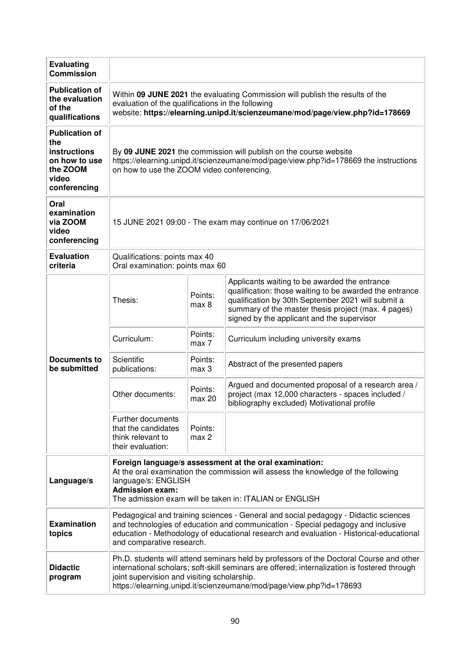| <b>Evaluating</b><br><b>Commission</b>                                                                    |                                                                                                                                                                                                                                                                                                               |                   |                                                                                                                                                                                                                                                                     |  |  |
|-----------------------------------------------------------------------------------------------------------|---------------------------------------------------------------------------------------------------------------------------------------------------------------------------------------------------------------------------------------------------------------------------------------------------------------|-------------------|---------------------------------------------------------------------------------------------------------------------------------------------------------------------------------------------------------------------------------------------------------------------|--|--|
| <b>Publication of</b><br>the evaluation<br>of the<br>qualifications                                       | Within 09 JUNE 2021 the evaluating Commission will publish the results of the<br>evaluation of the qualifications in the following<br>website: https://elearning.unipd.it/scienzeumane/mod/page/view.php?id=178669                                                                                            |                   |                                                                                                                                                                                                                                                                     |  |  |
| <b>Publication of</b><br>the<br><b>instructions</b><br>on how to use<br>the ZOOM<br>video<br>conferencing | By 09 JUNE 2021 the commission will publish on the course website<br>https://elearning.unipd.it/scienzeumane/mod/page/view.php?id=178669 the instructions<br>on how to use the ZOOM video conferencing.                                                                                                       |                   |                                                                                                                                                                                                                                                                     |  |  |
| Oral<br>examination<br>via ZOOM<br>video<br>conferencing                                                  | 15 JUNE 2021 09:00 - The exam may continue on 17/06/2021                                                                                                                                                                                                                                                      |                   |                                                                                                                                                                                                                                                                     |  |  |
| <b>Evaluation</b><br>criteria                                                                             | Qualifications: points max 40<br>Oral examination: points max 60                                                                                                                                                                                                                                              |                   |                                                                                                                                                                                                                                                                     |  |  |
|                                                                                                           | Thesis:                                                                                                                                                                                                                                                                                                       | Points:<br>max 8  | Applicants waiting to be awarded the entrance<br>qualification: those waiting to be awarded the entrance<br>qualification by 30th September 2021 will submit a<br>summary of the master thesis project (max. 4 pages)<br>signed by the applicant and the supervisor |  |  |
|                                                                                                           | Curriculum:                                                                                                                                                                                                                                                                                                   | Points:<br>max 7  | Curriculum including university exams                                                                                                                                                                                                                               |  |  |
| <b>Documents to</b><br>be submitted                                                                       | Scientific<br>Points:<br>Abstract of the presented papers<br>publications:<br>max 3                                                                                                                                                                                                                           |                   |                                                                                                                                                                                                                                                                     |  |  |
|                                                                                                           | Other documents:                                                                                                                                                                                                                                                                                              | Points:<br>max 20 | Argued and documented proposal of a research area /<br>project (max 12,000 characters - spaces included /<br>bibliography excluded) Motivational profile                                                                                                            |  |  |
|                                                                                                           | Further documents<br>that the candidates<br>Points:<br>max 2<br>think relevant to<br>their evaluation:                                                                                                                                                                                                        |                   |                                                                                                                                                                                                                                                                     |  |  |
| Language/s                                                                                                | Foreign language/s assessment at the oral examination:<br>At the oral examination the commission will assess the knowledge of the following<br>language/s: ENGLISH<br><b>Admission exam:</b><br>The admission exam will be taken in: ITALIAN or ENGLISH                                                       |                   |                                                                                                                                                                                                                                                                     |  |  |
| <b>Examination</b><br>topics                                                                              | Pedagogical and training sciences - General and social pedagogy - Didactic sciences<br>and technologies of education and communication - Special pedagogy and inclusive<br>education - Methodology of educational research and evaluation - Historical-educational<br>and comparative research.               |                   |                                                                                                                                                                                                                                                                     |  |  |
| <b>Didactic</b><br>program                                                                                | Ph.D. students will attend seminars held by professors of the Doctoral Course and other<br>international scholars; soft-skill seminars are offered; internalization is fostered through<br>joint supervision and visiting scholarship.<br>https://elearning.unipd.it/scienzeumane/mod/page/view.php?id=178693 |                   |                                                                                                                                                                                                                                                                     |  |  |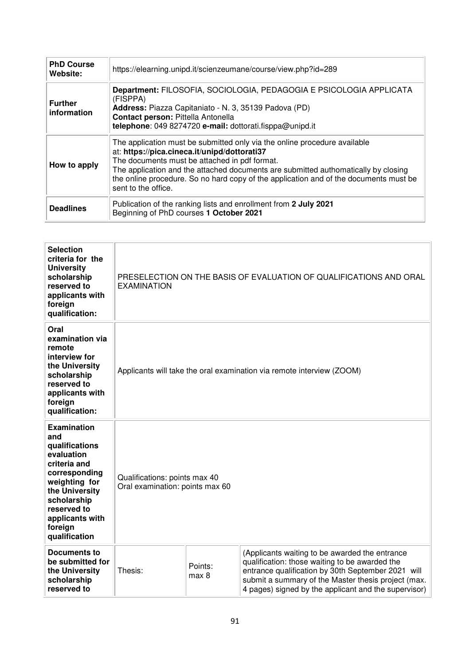| <b>PhD Course</b><br>Website: | https://elearning.unipd.it/scienzeumane/course/view.php?id=289                                                                                                                                                                                                                                                                                                                   |
|-------------------------------|----------------------------------------------------------------------------------------------------------------------------------------------------------------------------------------------------------------------------------------------------------------------------------------------------------------------------------------------------------------------------------|
| <b>Further</b><br>information | Department: FILOSOFIA, SOCIOLOGIA, PEDAGOGIA E PSICOLOGIA APPLICATA<br>(FISPPA)<br>Address: Piazza Capitaniato - N. 3, 35139 Padova (PD)<br>Contact person: Pittella Antonella<br>telephone: 049 8274720 e-mail: dottorati.fisppa@unipd.it                                                                                                                                       |
| How to apply                  | The application must be submitted only via the online procedure available<br>at: https://pica.cineca.it/unipd/dottorati37<br>The documents must be attached in pdf format.<br>The application and the attached documents are submitted authomatically by closing<br>the online procedure. So no hard copy of the application and of the documents must be<br>sent to the office. |
| <b>Deadlines</b>              | Publication of the ranking lists and enrollment from 2 July 2021<br>Beginning of PhD courses 1 October 2021                                                                                                                                                                                                                                                                      |

| <b>Selection</b><br>criteria for the<br><b>University</b><br>scholarship<br>reserved to<br>applicants with<br>foreign<br>qualification:                                                                    | PRESELECTION ON THE BASIS OF EVALUATION OF QUALIFICATIONS AND ORAL<br><b>EXAMINATION</b> |                  |                                                                                                                                                                                                                                                                       |
|------------------------------------------------------------------------------------------------------------------------------------------------------------------------------------------------------------|------------------------------------------------------------------------------------------|------------------|-----------------------------------------------------------------------------------------------------------------------------------------------------------------------------------------------------------------------------------------------------------------------|
| Oral<br>examination via<br>remote<br>interview for<br>the University<br>scholarship<br>reserved to<br>applicants with<br>foreign<br>qualification:                                                         | Applicants will take the oral examination via remote interview (ZOOM)                    |                  |                                                                                                                                                                                                                                                                       |
| <b>Examination</b><br>and<br>qualifications<br>evaluation<br>criteria and<br>corresponding<br>weighting for<br>the University<br>scholarship<br>reserved to<br>applicants with<br>foreign<br>qualification | Qualifications: points max 40<br>Oral examination: points max 60                         |                  |                                                                                                                                                                                                                                                                       |
| <b>Documents to</b><br>be submitted for<br>the University<br>scholarship<br>reserved to                                                                                                                    | Thesis:                                                                                  | Points:<br>max 8 | (Applicants waiting to be awarded the entrance<br>qualification: those waiting to be awarded the<br>entrance qualification by 30th September 2021 will<br>submit a summary of the Master thesis project (max.<br>4 pages) signed by the applicant and the supervisor) |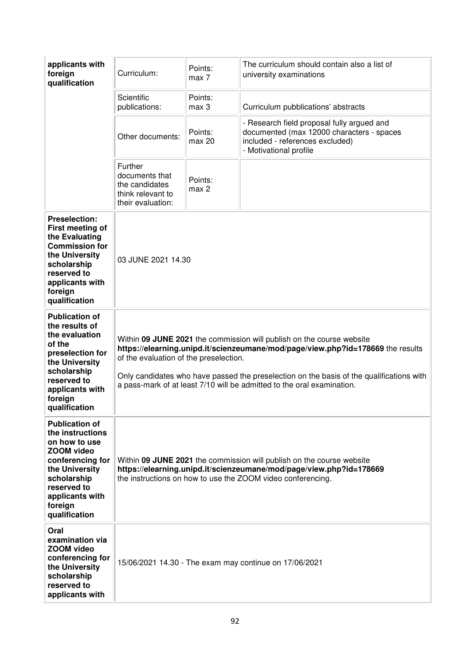| applicants with<br>foreign<br>qualification                                                                                                                                                        | Curriculum:                                                                                                                                                                                                                                                                                                                                                              | Points:<br>max 7  | The curriculum should contain also a list of<br>university examinations                                                                              |
|----------------------------------------------------------------------------------------------------------------------------------------------------------------------------------------------------|--------------------------------------------------------------------------------------------------------------------------------------------------------------------------------------------------------------------------------------------------------------------------------------------------------------------------------------------------------------------------|-------------------|------------------------------------------------------------------------------------------------------------------------------------------------------|
|                                                                                                                                                                                                    | Scientific<br>publications:                                                                                                                                                                                                                                                                                                                                              | Points:<br>max 3  | Curriculum pubblications' abstracts                                                                                                                  |
|                                                                                                                                                                                                    | Other documents:                                                                                                                                                                                                                                                                                                                                                         | Points:<br>max 20 | - Research field proposal fully argued and<br>documented (max 12000 characters - spaces<br>included - references excluded)<br>- Motivational profile |
|                                                                                                                                                                                                    | Further<br>documents that<br>the candidates<br>think relevant to<br>their evaluation:                                                                                                                                                                                                                                                                                    | Points:<br>max 2  |                                                                                                                                                      |
| <b>Preselection:</b><br>First meeting of<br>the Evaluating<br><b>Commission for</b><br>the University<br>scholarship<br>reserved to<br>applicants with<br>foreign<br>qualification                 | 03 JUNE 2021 14.30                                                                                                                                                                                                                                                                                                                                                       |                   |                                                                                                                                                      |
| <b>Publication of</b><br>the results of<br>the evaluation<br>of the<br>preselection for<br>the University<br>scholarship<br>reserved to<br>applicants with<br>foreign<br>qualification             | Within 09 JUNE 2021 the commission will publish on the course website<br>https://elearning.unipd.it/scienzeumane/mod/page/view.php?id=178669 the results<br>of the evaluation of the preselection.<br>Only candidates who have passed the preselection on the basis of the qualifications with<br>a pass-mark of at least 7/10 will be admitted to the oral examination. |                   |                                                                                                                                                      |
| <b>Publication of</b><br>the instructions<br>on how to use<br><b>ZOOM</b> video<br>conferencing for<br>the University<br>scholarship<br>reserved to<br>applicants with<br>foreign<br>qualification | Within 09 JUNE 2021 the commission will publish on the course website<br>https://elearning.unipd.it/scienzeumane/mod/page/view.php?id=178669<br>the instructions on how to use the ZOOM video conferencing.                                                                                                                                                              |                   |                                                                                                                                                      |
| Oral<br>examination via<br>ZOOM video<br>conferencing for<br>the University<br>scholarship<br>reserved to<br>applicants with                                                                       |                                                                                                                                                                                                                                                                                                                                                                          |                   | 15/06/2021 14.30 - The exam may continue on 17/06/2021                                                                                               |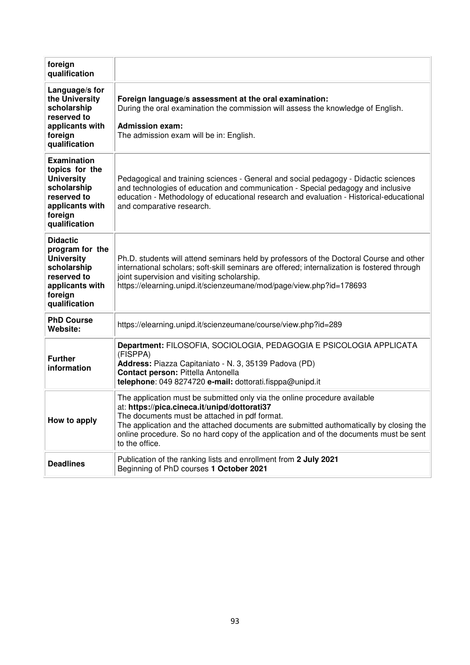| foreign<br>qualification                                                                                                               |                                                                                                                                                                                                                                                                                                                                                                                  |
|----------------------------------------------------------------------------------------------------------------------------------------|----------------------------------------------------------------------------------------------------------------------------------------------------------------------------------------------------------------------------------------------------------------------------------------------------------------------------------------------------------------------------------|
| Language/s for<br>the University<br>scholarship<br>reserved to<br>applicants with<br>foreign<br>qualification                          | Foreign language/s assessment at the oral examination:<br>During the oral examination the commission will assess the knowledge of English.<br><b>Admission exam:</b><br>The admission exam will be in: English.                                                                                                                                                                  |
| <b>Examination</b><br>topics for the<br><b>University</b><br>scholarship<br>reserved to<br>applicants with<br>foreign<br>qualification | Pedagogical and training sciences - General and social pedagogy - Didactic sciences<br>and technologies of education and communication - Special pedagogy and inclusive<br>education - Methodology of educational research and evaluation - Historical-educational<br>and comparative research.                                                                                  |
| <b>Didactic</b><br>program for the<br><b>University</b><br>scholarship<br>reserved to<br>applicants with<br>foreign<br>qualification   | Ph.D. students will attend seminars held by professors of the Doctoral Course and other<br>international scholars; soft-skill seminars are offered; internalization is fostered through<br>joint supervision and visiting scholarship.<br>https://elearning.unipd.it/scienzeumane/mod/page/view.php?id=178693                                                                    |
| <b>PhD Course</b><br>Website:                                                                                                          | https://elearning.unipd.it/scienzeumane/course/view.php?id=289                                                                                                                                                                                                                                                                                                                   |
| <b>Further</b><br>information                                                                                                          | Department: FILOSOFIA, SOCIOLOGIA, PEDAGOGIA E PSICOLOGIA APPLICATA<br>(FISPPA)<br>Address: Piazza Capitaniato - N. 3, 35139 Padova (PD)<br>Contact person: Pittella Antonella<br>telephone: 049 8274720 e-mail: dottorati.fisppa@unipd.it                                                                                                                                       |
| How to apply                                                                                                                           | The application must be submitted only via the online procedure available<br>at: https://pica.cineca.it/unipd/dottorati37<br>The documents must be attached in pdf format.<br>The application and the attached documents are submitted authomatically by closing the<br>online procedure. So no hard copy of the application and of the documents must be sent<br>to the office. |
| <b>Deadlines</b>                                                                                                                       | Publication of the ranking lists and enrollment from 2 July 2021<br>Beginning of PhD courses 1 October 2021                                                                                                                                                                                                                                                                      |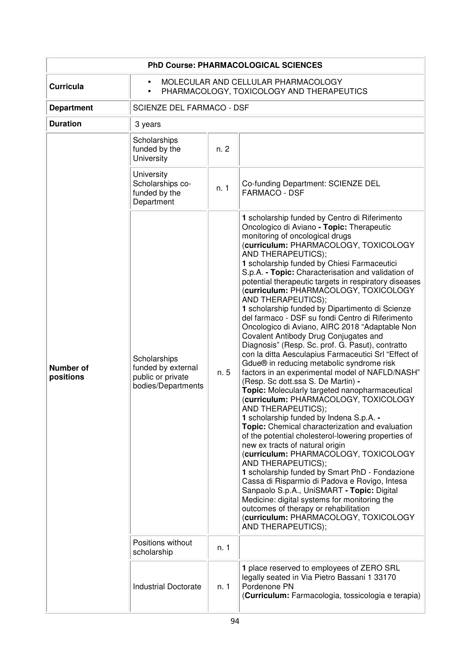| <b>PhD Course: PHARMACOLOGICAL SCIENCES</b> |                                                                                                            |      |                                                                                                                                                                                                                                                                                                                                                                                                                                                                                                                                                                                                                                                                                                                                                                                                                                                                                                                                                                                                                                                                                                                                                                                                                                                                                                                                                                                                                                                                                                                                                                |  |
|---------------------------------------------|------------------------------------------------------------------------------------------------------------|------|----------------------------------------------------------------------------------------------------------------------------------------------------------------------------------------------------------------------------------------------------------------------------------------------------------------------------------------------------------------------------------------------------------------------------------------------------------------------------------------------------------------------------------------------------------------------------------------------------------------------------------------------------------------------------------------------------------------------------------------------------------------------------------------------------------------------------------------------------------------------------------------------------------------------------------------------------------------------------------------------------------------------------------------------------------------------------------------------------------------------------------------------------------------------------------------------------------------------------------------------------------------------------------------------------------------------------------------------------------------------------------------------------------------------------------------------------------------------------------------------------------------------------------------------------------------|--|
| <b>Curricula</b>                            | MOLECULAR AND CELLULAR PHARMACOLOGY<br>$\bullet$<br>PHARMACOLOGY, TOXICOLOGY AND THERAPEUTICS<br>$\bullet$ |      |                                                                                                                                                                                                                                                                                                                                                                                                                                                                                                                                                                                                                                                                                                                                                                                                                                                                                                                                                                                                                                                                                                                                                                                                                                                                                                                                                                                                                                                                                                                                                                |  |
| <b>Department</b>                           | SCIENZE DEL FARMACO - DSF                                                                                  |      |                                                                                                                                                                                                                                                                                                                                                                                                                                                                                                                                                                                                                                                                                                                                                                                                                                                                                                                                                                                                                                                                                                                                                                                                                                                                                                                                                                                                                                                                                                                                                                |  |
| <b>Duration</b>                             | 3 years                                                                                                    |      |                                                                                                                                                                                                                                                                                                                                                                                                                                                                                                                                                                                                                                                                                                                                                                                                                                                                                                                                                                                                                                                                                                                                                                                                                                                                                                                                                                                                                                                                                                                                                                |  |
|                                             | Scholarships<br>funded by the<br>University                                                                | n. 2 |                                                                                                                                                                                                                                                                                                                                                                                                                                                                                                                                                                                                                                                                                                                                                                                                                                                                                                                                                                                                                                                                                                                                                                                                                                                                                                                                                                                                                                                                                                                                                                |  |
|                                             | University<br>Scholarships co-<br>funded by the<br>Department                                              | n. 1 | Co-funding Department: SCIENZE DEL<br><b>FARMACO - DSF</b>                                                                                                                                                                                                                                                                                                                                                                                                                                                                                                                                                                                                                                                                                                                                                                                                                                                                                                                                                                                                                                                                                                                                                                                                                                                                                                                                                                                                                                                                                                     |  |
| <b>Number of</b><br>positions               | Scholarships<br>funded by external<br>public or private<br>bodies/Departments                              | n. 5 | 1 scholarship funded by Centro di Riferimento<br>Oncologico di Aviano - Topic: Therapeutic<br>monitoring of oncological drugs<br>(curriculum: PHARMACOLOGY, TOXICOLOGY<br>AND THERAPEUTICS);<br>1 scholarship funded by Chiesi Farmaceutici<br>S.p.A. - Topic: Characterisation and validation of<br>potential therapeutic targets in respiratory diseases<br>(curriculum: PHARMACOLOGY, TOXICOLOGY<br>AND THERAPEUTICS);<br>1 scholarship funded by Dipartimento di Scienze<br>del farmaco - DSF su fondi Centro di Riferimento<br>Oncologico di Aviano, AIRC 2018 "Adaptable Non<br>Covalent Antibody Drug Conjugates and<br>Diagnosis" (Resp. Sc. prof. G. Pasut), contratto<br>con la ditta Aesculapius Farmaceutici Srl "Effect of<br>Gdue® in reducing metabolic syndrome risk<br>factors in an experimental model of NAFLD/NASH"<br>(Resp. Sc dott.ssa S. De Martin) -<br>Topic: Molecularly targeted nanopharmaceutical<br>(curriculum: PHARMACOLOGY, TOXICOLOGY<br>AND THERAPEUTICS);<br>1 scholarship funded by Indena S.p.A. -<br>Topic: Chemical characterization and evaluation<br>of the potential cholesterol-lowering properties of<br>new ex tracts of natural origin<br>(curriculum: PHARMACOLOGY, TOXICOLOGY<br>AND THERAPEUTICS);<br>1 scholarship funded by Smart PhD - Fondazione<br>Cassa di Risparmio di Padova e Rovigo, Intesa<br>Sanpaolo S.p.A., UniSMART - Topic: Digital<br>Medicine: digital systems for monitoring the<br>outcomes of therapy or rehabilitation<br>(curriculum: PHARMACOLOGY, TOXICOLOGY<br>AND THERAPEUTICS); |  |
|                                             | Positions without<br>scholarship                                                                           | n. 1 |                                                                                                                                                                                                                                                                                                                                                                                                                                                                                                                                                                                                                                                                                                                                                                                                                                                                                                                                                                                                                                                                                                                                                                                                                                                                                                                                                                                                                                                                                                                                                                |  |
|                                             | <b>Industrial Doctorate</b>                                                                                | n. 1 | 1 place reserved to employees of ZERO SRL<br>legally seated in Via Pietro Bassani 1 33170<br>Pordenone PN<br>(Curriculum: Farmacologia, tossicologia e terapia)                                                                                                                                                                                                                                                                                                                                                                                                                                                                                                                                                                                                                                                                                                                                                                                                                                                                                                                                                                                                                                                                                                                                                                                                                                                                                                                                                                                                |  |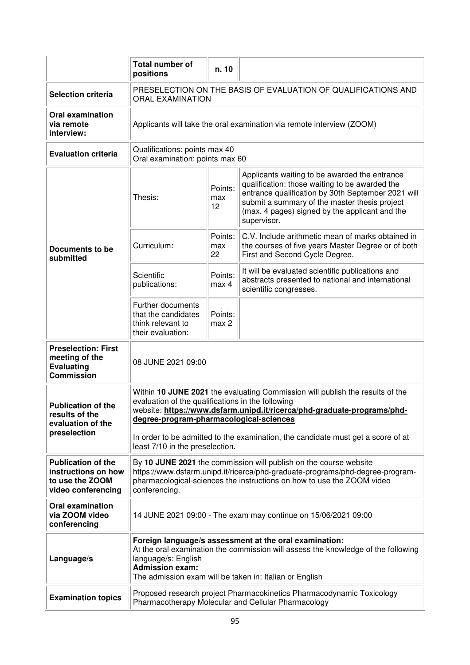|                                                                                           | <b>Total number of</b><br>positions                                                                                                                                                                                                                                                                                                                                             | n. 10                |                                                                                                                                                                                                                                                                         |  |
|-------------------------------------------------------------------------------------------|---------------------------------------------------------------------------------------------------------------------------------------------------------------------------------------------------------------------------------------------------------------------------------------------------------------------------------------------------------------------------------|----------------------|-------------------------------------------------------------------------------------------------------------------------------------------------------------------------------------------------------------------------------------------------------------------------|--|
| <b>Selection criteria</b>                                                                 | PRESELECTION ON THE BASIS OF EVALUATION OF QUALIFICATIONS AND<br><b>ORAL EXAMINATION</b>                                                                                                                                                                                                                                                                                        |                      |                                                                                                                                                                                                                                                                         |  |
| <b>Oral examination</b><br>via remote<br>interview:                                       | Applicants will take the oral examination via remote interview (ZOOM)                                                                                                                                                                                                                                                                                                           |                      |                                                                                                                                                                                                                                                                         |  |
| <b>Evaluation criteria</b>                                                                | Qualifications: points max 40<br>Oral examination: points max 60                                                                                                                                                                                                                                                                                                                |                      |                                                                                                                                                                                                                                                                         |  |
|                                                                                           | Thesis:                                                                                                                                                                                                                                                                                                                                                                         | Points:<br>max<br>12 | Applicants waiting to be awarded the entrance<br>qualification: those waiting to be awarded the<br>entrance qualification by 30th September 2021 will<br>submit a summary of the master thesis project<br>(max. 4 pages) signed by the applicant and the<br>supervisor. |  |
| Documents to be<br>submitted                                                              | Curriculum:                                                                                                                                                                                                                                                                                                                                                                     | Points:<br>max<br>22 | C.V. Include arithmetic mean of marks obtained in<br>the courses of five years Master Degree or of both<br>First and Second Cycle Degree.                                                                                                                               |  |
|                                                                                           | Scientific<br>publications:                                                                                                                                                                                                                                                                                                                                                     | Points:<br>max 4     | It will be evaluated scientific publications and<br>abstracts presented to national and international<br>scientific congresses.                                                                                                                                         |  |
|                                                                                           | Further documents<br>that the candidates<br>think relevant to<br>their evaluation:                                                                                                                                                                                                                                                                                              | Points:<br>max 2     |                                                                                                                                                                                                                                                                         |  |
| <b>Preselection: First</b><br>meeting of the<br><b>Evaluating</b><br><b>Commission</b>    | 08 JUNE 2021 09:00                                                                                                                                                                                                                                                                                                                                                              |                      |                                                                                                                                                                                                                                                                         |  |
| <b>Publication of the</b><br>results of the<br>evaluation of the<br>preselection          | Within 10 JUNE 2021 the evaluating Commission will publish the results of the<br>evaluation of the qualifications in the following<br>website: https://www.dsfarm.unipd.it/ricerca/phd-graduate-programs/phd-<br>degree-program-pharmacological-sciences<br>In order to be admitted to the examination, the candidate must get a score of at<br>least 7/10 in the preselection. |                      |                                                                                                                                                                                                                                                                         |  |
| <b>Publication of the</b><br>instructions on how<br>to use the ZOOM<br>video conferencing | By 10 JUNE 2021 the commission will publish on the course website<br>https://www.dsfarm.unipd.it/ricerca/phd-graduate-programs/phd-degree-program-<br>pharmacological-sciences the instructions on how to use the ZOOM video<br>conferencing.                                                                                                                                   |                      |                                                                                                                                                                                                                                                                         |  |
| <b>Oral examination</b><br>via ZOOM video<br>conferencing                                 | 14 JUNE 2021 09:00 - The exam may continue on 15/06/2021 09:00                                                                                                                                                                                                                                                                                                                  |                      |                                                                                                                                                                                                                                                                         |  |
| Language/s                                                                                | Foreign language/s assessment at the oral examination:<br>At the oral examination the commission will assess the knowledge of the following<br>language/s: English<br><b>Admission exam:</b><br>The admission exam will be taken in: Italian or English                                                                                                                         |                      |                                                                                                                                                                                                                                                                         |  |
| <b>Examination topics</b>                                                                 | Proposed research project Pharmacokinetics Pharmacodynamic Toxicology<br>Pharmacotherapy Molecular and Cellular Pharmacology                                                                                                                                                                                                                                                    |                      |                                                                                                                                                                                                                                                                         |  |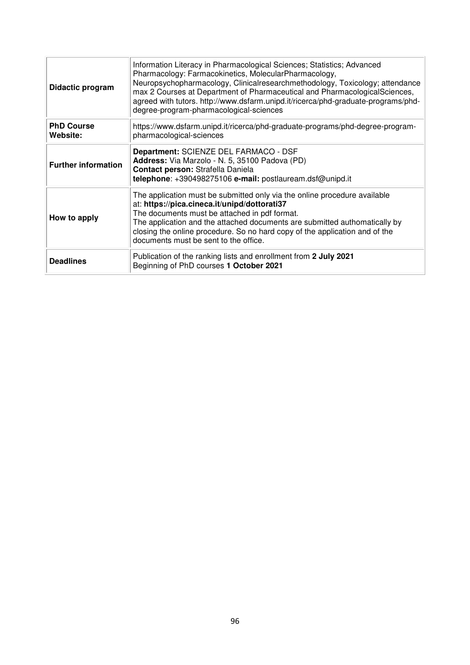| Didactic program                     | Information Literacy in Pharmacological Sciences; Statistics; Advanced<br>Pharmacology: Farmacokinetics, MolecularPharmacology,<br>Neuropsychopharmacology, Clinicalresearchmethodology, Toxicology; attendance<br>max 2 Courses at Department of Pharmaceutical and PharmacologicalSciences,<br>agreed with tutors. http://www.dsfarm.unipd.it/ricerca/phd-graduate-programs/phd-<br>degree-program-pharmacological-sciences |  |  |  |  |  |
|--------------------------------------|-------------------------------------------------------------------------------------------------------------------------------------------------------------------------------------------------------------------------------------------------------------------------------------------------------------------------------------------------------------------------------------------------------------------------------|--|--|--|--|--|
| <b>PhD Course</b><br><b>Website:</b> | https://www.dsfarm.unipd.it/ricerca/phd-graduate-programs/phd-degree-program-<br>pharmacological-sciences                                                                                                                                                                                                                                                                                                                     |  |  |  |  |  |
| <b>Further information</b>           | Department: SCIENZE DEL FARMACO - DSF<br>Address: Via Marzolo - N. 5, 35100 Padova (PD)<br>Contact person: Strafella Daniela<br>telephone: +390498275106 e-mail: postlauream.dsf@unipd.it                                                                                                                                                                                                                                     |  |  |  |  |  |
| How to apply                         | The application must be submitted only via the online procedure available<br>at: https://pica.cineca.it/unipd/dottorati37<br>The documents must be attached in pdf format.<br>The application and the attached documents are submitted authomatically by<br>closing the online procedure. So no hard copy of the application and of the<br>documents must be sent to the office.                                              |  |  |  |  |  |
| <b>Deadlines</b>                     | Publication of the ranking lists and enrollment from 2 July 2021<br>Beginning of PhD courses 1 October 2021                                                                                                                                                                                                                                                                                                                   |  |  |  |  |  |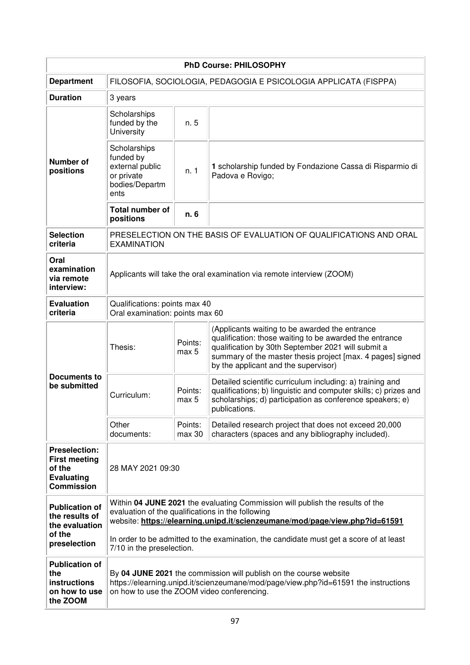| <b>PhD Course: PHILOSOPHY</b>                                                                    |                                                                                                                                                                                                                                                                                                                                          |                   |                                                                                                                                                                                                                                                                       |  |  |
|--------------------------------------------------------------------------------------------------|------------------------------------------------------------------------------------------------------------------------------------------------------------------------------------------------------------------------------------------------------------------------------------------------------------------------------------------|-------------------|-----------------------------------------------------------------------------------------------------------------------------------------------------------------------------------------------------------------------------------------------------------------------|--|--|
| <b>Department</b>                                                                                | FILOSOFIA, SOCIOLOGIA, PEDAGOGIA E PSICOLOGIA APPLICATA (FISPPA)                                                                                                                                                                                                                                                                         |                   |                                                                                                                                                                                                                                                                       |  |  |
| <b>Duration</b>                                                                                  | 3 years                                                                                                                                                                                                                                                                                                                                  |                   |                                                                                                                                                                                                                                                                       |  |  |
| <b>Number of</b><br>positions                                                                    | Scholarships<br>funded by the<br>University                                                                                                                                                                                                                                                                                              | n. 5              |                                                                                                                                                                                                                                                                       |  |  |
|                                                                                                  | Scholarships<br>funded by<br>external public<br>or private<br>bodies/Departm<br>ents                                                                                                                                                                                                                                                     | n. 1              | 1 scholarship funded by Fondazione Cassa di Risparmio di<br>Padova e Rovigo;                                                                                                                                                                                          |  |  |
|                                                                                                  | <b>Total number of</b><br>positions                                                                                                                                                                                                                                                                                                      | n. 6              |                                                                                                                                                                                                                                                                       |  |  |
| <b>Selection</b><br>criteria                                                                     | <b>EXAMINATION</b>                                                                                                                                                                                                                                                                                                                       |                   | PRESELECTION ON THE BASIS OF EVALUATION OF QUALIFICATIONS AND ORAL                                                                                                                                                                                                    |  |  |
| Oral<br>examination<br>via remote<br>interview:                                                  | Applicants will take the oral examination via remote interview (ZOOM)                                                                                                                                                                                                                                                                    |                   |                                                                                                                                                                                                                                                                       |  |  |
| <b>Evaluation</b><br>criteria                                                                    | Qualifications: points max 40<br>Oral examination: points max 60                                                                                                                                                                                                                                                                         |                   |                                                                                                                                                                                                                                                                       |  |  |
| <b>Documents to</b><br>be submitted                                                              | Thesis:                                                                                                                                                                                                                                                                                                                                  | Points:<br>max 5  | (Applicants waiting to be awarded the entrance<br>qualification: those waiting to be awarded the entrance<br>qualification by 30th September 2021 will submit a<br>summary of the master thesis project [max. 4 pages] signed<br>by the applicant and the supervisor) |  |  |
|                                                                                                  | Curriculum:                                                                                                                                                                                                                                                                                                                              | Points:<br>max 5  | Detailed scientific curriculum including: a) training and<br>qualifications; b) linguistic and computer skills; c) prizes and<br>scholarships; d) participation as conference speakers; e)<br>publications                                                            |  |  |
|                                                                                                  | Other<br>documents:                                                                                                                                                                                                                                                                                                                      | Points:<br>max 30 | Detailed research project that does not exceed 20,000<br>characters (spaces and any bibliography included).                                                                                                                                                           |  |  |
| <b>Preselection:</b><br><b>First meeting</b><br>of the<br><b>Evaluating</b><br><b>Commission</b> | 28 MAY 2021 09:30                                                                                                                                                                                                                                                                                                                        |                   |                                                                                                                                                                                                                                                                       |  |  |
| <b>Publication of</b><br>the results of<br>the evaluation<br>of the<br>preselection              | Within 04 JUNE 2021 the evaluating Commission will publish the results of the<br>evaluation of the qualifications in the following<br>website: https://elearning.unipd.it/scienzeumane/mod/page/view.php?id=61591<br>In order to be admitted to the examination, the candidate must get a score of at least<br>7/10 in the preselection. |                   |                                                                                                                                                                                                                                                                       |  |  |
| <b>Publication of</b><br>the<br>instructions<br>on how to use<br>the ZOOM                        | By 04 JUNE 2021 the commission will publish on the course website<br>https://elearning.unipd.it/scienzeumane/mod/page/view.php?id=61591 the instructions<br>on how to use the ZOOM video conferencing.                                                                                                                                   |                   |                                                                                                                                                                                                                                                                       |  |  |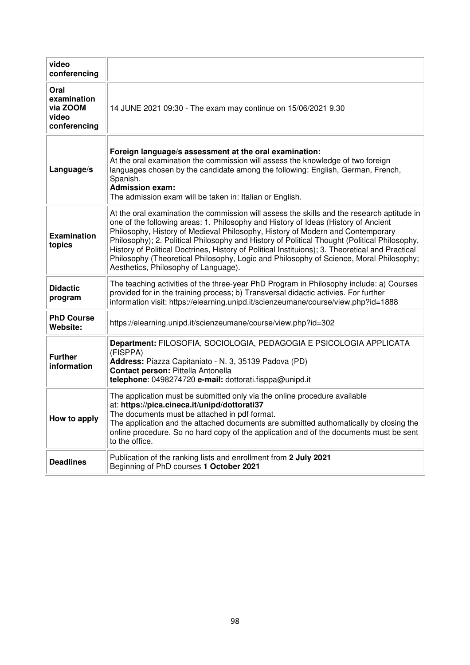| video<br>conferencing                                    |                                                                                                                                                                                                                                                                                                                                                                                                                                                                                                                                                                                                         |
|----------------------------------------------------------|---------------------------------------------------------------------------------------------------------------------------------------------------------------------------------------------------------------------------------------------------------------------------------------------------------------------------------------------------------------------------------------------------------------------------------------------------------------------------------------------------------------------------------------------------------------------------------------------------------|
| Oral<br>examination<br>via ZOOM<br>video<br>conferencing | 14 JUNE 2021 09:30 - The exam may continue on 15/06/2021 9.30                                                                                                                                                                                                                                                                                                                                                                                                                                                                                                                                           |
| Language/s                                               | Foreign language/s assessment at the oral examination:<br>At the oral examination the commission will assess the knowledge of two foreign<br>languages chosen by the candidate among the following: English, German, French,<br>Spanish.<br><b>Admission exam:</b><br>The admission exam will be taken in: Italian or English.                                                                                                                                                                                                                                                                          |
| <b>Examination</b><br>topics                             | At the oral examination the commission will assess the skills and the research aptitude in<br>one of the following areas: 1. Philosophy and History of Ideas (History of Ancient<br>Philosophy, History of Medieval Philosophy, History of Modern and Contemporary<br>Philosophy); 2. Political Philosophy and History of Political Thought (Political Philosophy,<br>History of Political Doctrines, History of Political Instituions); 3. Theoretical and Practical<br>Philosophy (Theoretical Philosophy, Logic and Philosophy of Science, Moral Philosophy;<br>Aesthetics, Philosophy of Language). |
| <b>Didactic</b><br>program                               | The teaching activities of the three-year PhD Program in Philosophy include: a) Courses<br>provided for in the training process; b) Transversal didactic activies. For further<br>information visit: https://elearning.unipd.it/scienzeumane/course/view.php?id=1888                                                                                                                                                                                                                                                                                                                                    |
| <b>PhD Course</b><br><b>Website:</b>                     | https://elearning.unipd.it/scienzeumane/course/view.php?id=302                                                                                                                                                                                                                                                                                                                                                                                                                                                                                                                                          |
| <b>Further</b><br>information                            | Department: FILOSOFIA, SOCIOLOGIA, PEDAGOGIA E PSICOLOGIA APPLICATA<br>(FISPPA)<br>Address: Piazza Capitaniato - N. 3, 35139 Padova (PD)<br>Contact person: Pittella Antonella<br>telephone: 0498274720 e-mail: dottorati.fisppa@unipd.it                                                                                                                                                                                                                                                                                                                                                               |
| How to apply                                             | The application must be submitted only via the online procedure available<br>at: https://pica.cineca.it/unipd/dottorati37<br>The documents must be attached in pdf format.<br>The application and the attached documents are submitted authomatically by closing the<br>online procedure. So no hard copy of the application and of the documents must be sent<br>to the office.                                                                                                                                                                                                                        |
| <b>Deadlines</b>                                         | Publication of the ranking lists and enrollment from 2 July 2021<br>Beginning of PhD courses 1 October 2021                                                                                                                                                                                                                                                                                                                                                                                                                                                                                             |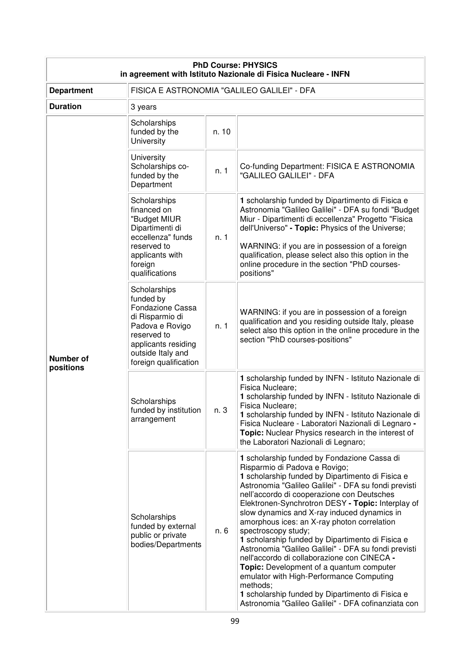| <b>PhD Course: PHYSICS</b><br>in agreement with Istituto Nazionale di Fisica Nucleare - INFN |                                                                                                                                                                         |       |                                                                                                                                                                                                                                                                                                                                                                                                                                                                                                                                                                                                                                                                                                                                                                                            |  |
|----------------------------------------------------------------------------------------------|-------------------------------------------------------------------------------------------------------------------------------------------------------------------------|-------|--------------------------------------------------------------------------------------------------------------------------------------------------------------------------------------------------------------------------------------------------------------------------------------------------------------------------------------------------------------------------------------------------------------------------------------------------------------------------------------------------------------------------------------------------------------------------------------------------------------------------------------------------------------------------------------------------------------------------------------------------------------------------------------------|--|
| <b>Department</b>                                                                            | FISICA E ASTRONOMIA "GALILEO GALILEI" - DFA                                                                                                                             |       |                                                                                                                                                                                                                                                                                                                                                                                                                                                                                                                                                                                                                                                                                                                                                                                            |  |
| <b>Duration</b>                                                                              | 3 years                                                                                                                                                                 |       |                                                                                                                                                                                                                                                                                                                                                                                                                                                                                                                                                                                                                                                                                                                                                                                            |  |
| <b>Number of</b><br>positions                                                                | Scholarships<br>funded by the<br><b>University</b>                                                                                                                      | n. 10 |                                                                                                                                                                                                                                                                                                                                                                                                                                                                                                                                                                                                                                                                                                                                                                                            |  |
|                                                                                              | University<br>Scholarships co-<br>funded by the<br>Department                                                                                                           | n. 1  | Co-funding Department: FISICA E ASTRONOMIA<br>"GALILEO GALILEI" - DFA                                                                                                                                                                                                                                                                                                                                                                                                                                                                                                                                                                                                                                                                                                                      |  |
|                                                                                              | Scholarships<br>financed on<br>"Budget MIUR<br>Dipartimenti di<br>eccellenza" funds<br>reserved to<br>applicants with<br>foreign<br>qualifications                      | n. 1  | 1 scholarship funded by Dipartimento di Fisica e<br>Astronomia "Galileo Galilei" - DFA su fondi "Budget<br>Miur - Dipartimenti di eccellenza" Progetto "Fisica<br>dell'Universo" - Topic: Physics of the Universe;<br>WARNING: if you are in possession of a foreign<br>qualification, please select also this option in the<br>online procedure in the section "PhD courses-<br>positions"                                                                                                                                                                                                                                                                                                                                                                                                |  |
|                                                                                              | Scholarships<br>funded by<br>Fondazione Cassa<br>di Risparmio di<br>Padova e Rovigo<br>reserved to<br>applicants residing<br>outside Italy and<br>foreign qualification | n. 1  | WARNING: if you are in possession of a foreign<br>qualification and you residing outside Italy, please<br>select also this option in the online procedure in the<br>section "PhD courses-positions"                                                                                                                                                                                                                                                                                                                                                                                                                                                                                                                                                                                        |  |
|                                                                                              | Scholarships<br>funded by institution<br>arrangement                                                                                                                    | n. 3  | 1 scholarship funded by INFN - Istituto Nazionale di<br>Fisica Nucleare;<br>1 scholarship funded by INFN - Istituto Nazionale di<br>Fisica Nucleare;<br>1 scholarship funded by INFN - Istituto Nazionale di<br>Fisica Nucleare - Laboratori Nazionali di Legnaro -<br>Topic: Nuclear Physics research in the interest of<br>the Laboratori Nazionali di Legnaro;                                                                                                                                                                                                                                                                                                                                                                                                                          |  |
|                                                                                              | Scholarships<br>funded by external<br>public or private<br>bodies/Departments                                                                                           | n. 6  | 1 scholarship funded by Fondazione Cassa di<br>Risparmio di Padova e Rovigo;<br>1 scholarship funded by Dipartimento di Fisica e<br>Astronomia "Galileo Galilei" - DFA su fondi previsti<br>nell'accordo di cooperazione con Deutsches<br>Elektronen-Synchrotron DESY - Topic: Interplay of<br>slow dynamics and X-ray induced dynamics in<br>amorphous ices: an X-ray photon correlation<br>spectroscopy study;<br>1 scholarship funded by Dipartimento di Fisica e<br>Astronomia "Galileo Galilei" - DFA su fondi previsti<br>nell'accordo di collaborazione con CINECA -<br>Topic: Development of a quantum computer<br>emulator with High-Performance Computing<br>methods;<br>1 scholarship funded by Dipartimento di Fisica e<br>Astronomia "Galileo Galilei" - DFA cofinanziata con |  |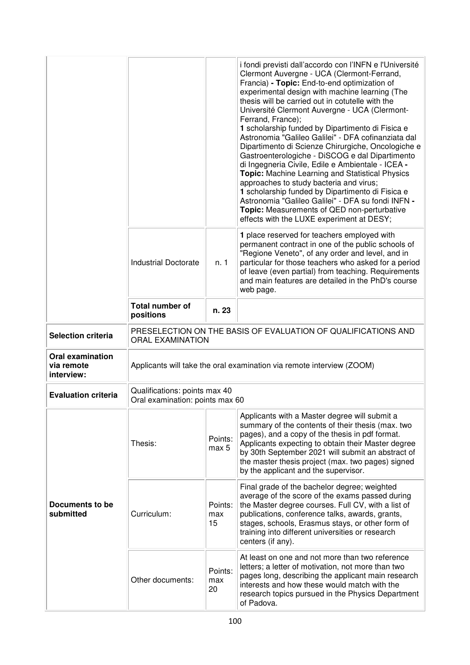|                                                     |                                                                                          |                      | i fondi previsti dall'accordo con l'INFN e l'Université<br>Clermont Auvergne - UCA (Clermont-Ferrand,<br>Francia) - Topic: End-to-end optimization of<br>experimental design with machine learning (The<br>thesis will be carried out in cotutelle with the<br>Université Clermont Auvergne - UCA (Clermont-<br>Ferrand, France);<br>1 scholarship funded by Dipartimento di Fisica e<br>Astronomia "Galileo Galilei" - DFA cofinanziata dal<br>Dipartimento di Scienze Chirurgiche, Oncologiche e<br>Gastroenterologiche - DiSCOG e dal Dipartimento<br>di Ingegneria Civile, Edile e Ambientale - ICEA -<br>Topic: Machine Learning and Statistical Physics<br>approaches to study bacteria and virus;<br>1 scholarship funded by Dipartimento di Fisica e<br>Astronomia "Galileo Galilei" - DFA su fondi INFN -<br>Topic: Measurements of QED non-perturbative<br>effects with the LUXE experiment at DESY; |  |
|-----------------------------------------------------|------------------------------------------------------------------------------------------|----------------------|----------------------------------------------------------------------------------------------------------------------------------------------------------------------------------------------------------------------------------------------------------------------------------------------------------------------------------------------------------------------------------------------------------------------------------------------------------------------------------------------------------------------------------------------------------------------------------------------------------------------------------------------------------------------------------------------------------------------------------------------------------------------------------------------------------------------------------------------------------------------------------------------------------------|--|
|                                                     | <b>Industrial Doctorate</b>                                                              | n. 1                 | 1 place reserved for teachers employed with<br>permanent contract in one of the public schools of<br>"Regione Veneto", of any order and level, and in<br>particular for those teachers who asked for a period<br>of leave (even partial) from teaching. Requirements<br>and main features are detailed in the PhD's course<br>web page.                                                                                                                                                                                                                                                                                                                                                                                                                                                                                                                                                                        |  |
|                                                     | <b>Total number of</b><br>positions                                                      | n. 23                |                                                                                                                                                                                                                                                                                                                                                                                                                                                                                                                                                                                                                                                                                                                                                                                                                                                                                                                |  |
| <b>Selection criteria</b>                           | PRESELECTION ON THE BASIS OF EVALUATION OF QUALIFICATIONS AND<br><b>ORAL EXAMINATION</b> |                      |                                                                                                                                                                                                                                                                                                                                                                                                                                                                                                                                                                                                                                                                                                                                                                                                                                                                                                                |  |
| <b>Oral examination</b><br>via remote<br>interview: | Applicants will take the oral examination via remote interview (ZOOM)                    |                      |                                                                                                                                                                                                                                                                                                                                                                                                                                                                                                                                                                                                                                                                                                                                                                                                                                                                                                                |  |
| <b>Evaluation criteria</b>                          | Qualifications: points max 40<br>Oral examination: points max 60                         |                      |                                                                                                                                                                                                                                                                                                                                                                                                                                                                                                                                                                                                                                                                                                                                                                                                                                                                                                                |  |
|                                                     | Thesis:                                                                                  | Points:<br>max 5     | Applicants with a Master degree will submit a<br>summary of the contents of their thesis (max. two<br>pages), and a copy of the thesis in pdf format.<br>Applicants expecting to obtain their Master degree<br>by 30th September 2021 will submit an abstract of<br>the master thesis project (max. two pages) signed<br>by the applicant and the supervisor.                                                                                                                                                                                                                                                                                                                                                                                                                                                                                                                                                  |  |
| Documents to be<br>submitted                        | Curriculum:                                                                              | Points:<br>max<br>15 | Final grade of the bachelor degree; weighted<br>average of the score of the exams passed during<br>the Master degree courses. Full CV, with a list of<br>publications, conference talks, awards, grants,<br>stages, schools, Erasmus stays, or other form of<br>training into different universities or research<br>centers (if any).                                                                                                                                                                                                                                                                                                                                                                                                                                                                                                                                                                          |  |
|                                                     | Other documents:                                                                         | Points:<br>max<br>20 | At least on one and not more than two reference<br>letters; a letter of motivation, not more than two<br>pages long, describing the applicant main research<br>interests and how these would match with the<br>research topics pursued in the Physics Department<br>of Padova.                                                                                                                                                                                                                                                                                                                                                                                                                                                                                                                                                                                                                                 |  |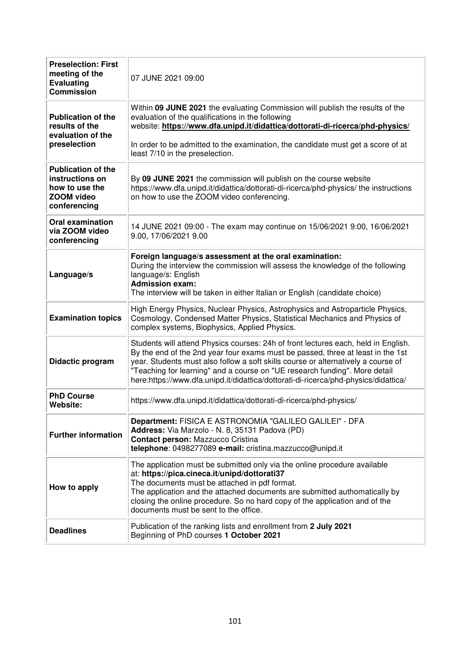| <b>Preselection: First</b><br>meeting of the<br><b>Evaluating</b><br><b>Commission</b>                                                                                                                                                                                                                                                                                                           | 07 JUNE 2021 09:00                                                                                                                                                                                                                                                                                                                                                                                                              |  |  |  |
|--------------------------------------------------------------------------------------------------------------------------------------------------------------------------------------------------------------------------------------------------------------------------------------------------------------------------------------------------------------------------------------------------|---------------------------------------------------------------------------------------------------------------------------------------------------------------------------------------------------------------------------------------------------------------------------------------------------------------------------------------------------------------------------------------------------------------------------------|--|--|--|
| <b>Publication of the</b><br>results of the<br>evaluation of the                                                                                                                                                                                                                                                                                                                                 | Within 09 JUNE 2021 the evaluating Commission will publish the results of the<br>evaluation of the qualifications in the following<br>website: https://www.dfa.unipd.it/didattica/dottorati-di-ricerca/phd-physics/                                                                                                                                                                                                             |  |  |  |
| preselection                                                                                                                                                                                                                                                                                                                                                                                     | In order to be admitted to the examination, the candidate must get a score of at<br>least 7/10 in the preselection.                                                                                                                                                                                                                                                                                                             |  |  |  |
| <b>Publication of the</b><br>instructions on<br>how to use the<br><b>ZOOM</b> video<br>conferencing                                                                                                                                                                                                                                                                                              | By 09 JUNE 2021 the commission will publish on the course website<br>https://www.dfa.unipd.it/didattica/dottorati-di-ricerca/phd-physics/ the instructions<br>on how to use the ZOOM video conferencing.                                                                                                                                                                                                                        |  |  |  |
| <b>Oral examination</b><br>via ZOOM video<br>conferencing                                                                                                                                                                                                                                                                                                                                        | 14 JUNE 2021 09:00 - The exam may continue on 15/06/2021 9:00, 16/06/2021<br>9.00, 17/06/2021 9.00                                                                                                                                                                                                                                                                                                                              |  |  |  |
| Language/s                                                                                                                                                                                                                                                                                                                                                                                       | Foreign language/s assessment at the oral examination:<br>During the interview the commission will assess the knowledge of the following<br>language/s: English<br><b>Admission exam:</b><br>The interview will be taken in either Italian or English (candidate choice)                                                                                                                                                        |  |  |  |
| High Energy Physics, Nuclear Physics, Astrophysics and Astroparticle Physics,<br>Cosmology, Condensed Matter Physics, Statistical Mechanics and Physics of<br><b>Examination topics</b><br>complex systems, Biophysics, Applied Physics.                                                                                                                                                         |                                                                                                                                                                                                                                                                                                                                                                                                                                 |  |  |  |
| Didactic program                                                                                                                                                                                                                                                                                                                                                                                 | Students will attend Physics courses: 24h of front lectures each, held in English.<br>By the end of the 2nd year four exams must be passed, three at least in the 1st<br>year. Students must also follow a soft skills course or alternatively a course of<br>"Teaching for learning" and a course on "UE research funding". More detail<br>here:https://www.dfa.unipd.it/didattica/dottorati-di-ricerca/phd-physics/didattica/ |  |  |  |
| <b>PhD Course</b><br>Website:                                                                                                                                                                                                                                                                                                                                                                    | https://www.dfa.unipd.it/didattica/dottorati-di-ricerca/phd-physics/                                                                                                                                                                                                                                                                                                                                                            |  |  |  |
| <b>Further information</b>                                                                                                                                                                                                                                                                                                                                                                       | Department: FISICA E ASTRONOMIA "GALILEO GALILEI" - DFA<br>Address: Via Marzolo - N. 8, 35131 Padova (PD)<br><b>Contact person: Mazzucco Cristina</b><br>telephone: 0498277089 e-mail: cristina.mazzucco@unipd.it                                                                                                                                                                                                               |  |  |  |
| The application must be submitted only via the online procedure available<br>at: https://pica.cineca.it/unipd/dottorati37<br>The documents must be attached in pdf format.<br>How to apply<br>The application and the attached documents are submitted authomatically by<br>closing the online procedure. So no hard copy of the application and of the<br>documents must be sent to the office. |                                                                                                                                                                                                                                                                                                                                                                                                                                 |  |  |  |
| <b>Deadlines</b>                                                                                                                                                                                                                                                                                                                                                                                 | Publication of the ranking lists and enrollment from 2 July 2021<br>Beginning of PhD courses 1 October 2021                                                                                                                                                                                                                                                                                                                     |  |  |  |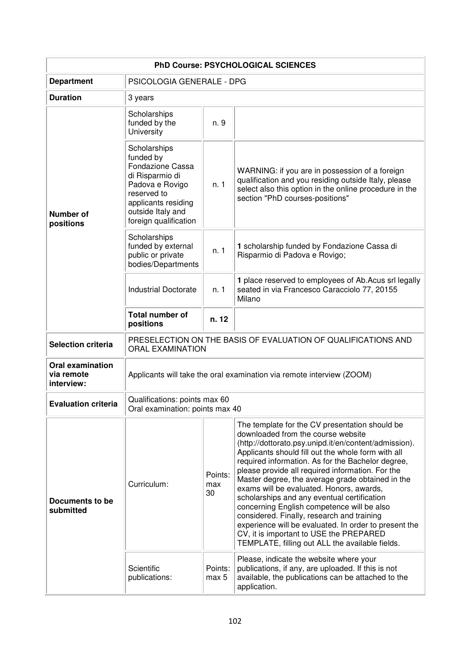| <b>PhD Course: PSYCHOLOGICAL SCIENCES</b>           |                                                                                                                                                                         |                      |                                                                                                                                                                                                                                                                                                                                                                                                                                                                                                                                                                                                                                                                                                                |  |  |
|-----------------------------------------------------|-------------------------------------------------------------------------------------------------------------------------------------------------------------------------|----------------------|----------------------------------------------------------------------------------------------------------------------------------------------------------------------------------------------------------------------------------------------------------------------------------------------------------------------------------------------------------------------------------------------------------------------------------------------------------------------------------------------------------------------------------------------------------------------------------------------------------------------------------------------------------------------------------------------------------------|--|--|
| <b>Department</b>                                   | PSICOLOGIA GENERALE - DPG                                                                                                                                               |                      |                                                                                                                                                                                                                                                                                                                                                                                                                                                                                                                                                                                                                                                                                                                |  |  |
| <b>Duration</b>                                     | 3 years                                                                                                                                                                 |                      |                                                                                                                                                                                                                                                                                                                                                                                                                                                                                                                                                                                                                                                                                                                |  |  |
| Number of<br>positions                              | Scholarships<br>funded by the<br>University                                                                                                                             | n. 9                 |                                                                                                                                                                                                                                                                                                                                                                                                                                                                                                                                                                                                                                                                                                                |  |  |
|                                                     | Scholarships<br>funded by<br>Fondazione Cassa<br>di Risparmio di<br>Padova e Rovigo<br>reserved to<br>applicants residing<br>outside Italy and<br>foreign qualification | n. 1                 | WARNING: if you are in possession of a foreign<br>qualification and you residing outside Italy, please<br>select also this option in the online procedure in the<br>section "PhD courses-positions"                                                                                                                                                                                                                                                                                                                                                                                                                                                                                                            |  |  |
|                                                     | Scholarships<br>funded by external<br>public or private<br>bodies/Departments                                                                                           | n. 1                 | 1 scholarship funded by Fondazione Cassa di<br>Risparmio di Padova e Rovigo;                                                                                                                                                                                                                                                                                                                                                                                                                                                                                                                                                                                                                                   |  |  |
|                                                     | <b>Industrial Doctorate</b>                                                                                                                                             | n. 1                 | 1 place reserved to employees of Ab. Acus srl legally<br>seated in via Francesco Caracciolo 77, 20155<br>Milano                                                                                                                                                                                                                                                                                                                                                                                                                                                                                                                                                                                                |  |  |
|                                                     | <b>Total number of</b><br>positions                                                                                                                                     | n. 12                |                                                                                                                                                                                                                                                                                                                                                                                                                                                                                                                                                                                                                                                                                                                |  |  |
| <b>Selection criteria</b>                           | PRESELECTION ON THE BASIS OF EVALUATION OF QUALIFICATIONS AND<br><b>ORAL EXAMINATION</b>                                                                                |                      |                                                                                                                                                                                                                                                                                                                                                                                                                                                                                                                                                                                                                                                                                                                |  |  |
| <b>Oral examination</b><br>via remote<br>interview: | Applicants will take the oral examination via remote interview (ZOOM)                                                                                                   |                      |                                                                                                                                                                                                                                                                                                                                                                                                                                                                                                                                                                                                                                                                                                                |  |  |
| <b>Evaluation criteria</b>                          | Qualifications: points max 60<br>Oral examination: points max 40                                                                                                        |                      |                                                                                                                                                                                                                                                                                                                                                                                                                                                                                                                                                                                                                                                                                                                |  |  |
| Documents to be<br>submitted                        | Curriculum:                                                                                                                                                             | Points:<br>max<br>30 | The template for the CV presentation should be<br>downloaded from the course website<br>(http://dottorato.psy.unipd.it/en/content/admission).<br>Applicants should fill out the whole form with all<br>required information. As for the Bachelor degree,<br>please provide all required information. For the<br>Master degree, the average grade obtained in the<br>exams will be evaluated. Honors, awards,<br>scholarships and any eventual certification<br>concerning English competence will be also<br>considered. Finally, research and training<br>experience will be evaluated. In order to present the<br>CV, it is important to USE the PREPARED<br>TEMPLATE, filling out ALL the available fields. |  |  |
|                                                     | Scientific<br>publications:                                                                                                                                             | Points:<br>max 5     | Please, indicate the website where your<br>publications, if any, are uploaded. If this is not<br>available, the publications can be attached to the<br>application.                                                                                                                                                                                                                                                                                                                                                                                                                                                                                                                                            |  |  |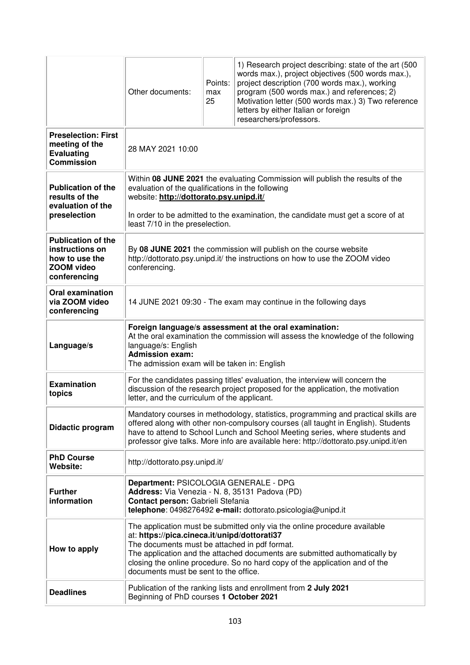|                                                                                                     | Other documents:                                                                                                                                                                                                                                                                                                                                                                 | Points:<br>max<br>25 | 1) Research project describing: state of the art (500<br>words max.), project objectives (500 words max.),<br>project description (700 words max.), working<br>program (500 words max.) and references; 2)<br>Motivation letter (500 words max.) 3) Two reference<br>letters by either Italian or foreign<br>researchers/professors. |  |  |
|-----------------------------------------------------------------------------------------------------|----------------------------------------------------------------------------------------------------------------------------------------------------------------------------------------------------------------------------------------------------------------------------------------------------------------------------------------------------------------------------------|----------------------|--------------------------------------------------------------------------------------------------------------------------------------------------------------------------------------------------------------------------------------------------------------------------------------------------------------------------------------|--|--|
| <b>Preselection: First</b><br>meeting of the<br><b>Evaluating</b><br><b>Commission</b>              | 28 MAY 2021 10:00                                                                                                                                                                                                                                                                                                                                                                |                      |                                                                                                                                                                                                                                                                                                                                      |  |  |
| <b>Publication of the</b><br>results of the<br>evaluation of the<br>preselection                    | Within 08 JUNE 2021 the evaluating Commission will publish the results of the<br>evaluation of the qualifications in the following<br>website: http://dottorato.psy.unipd.it/<br>In order to be admitted to the examination, the candidate must get a score of at<br>least 7/10 in the preselection.                                                                             |                      |                                                                                                                                                                                                                                                                                                                                      |  |  |
| <b>Publication of the</b><br>instructions on<br>how to use the<br><b>ZOOM video</b><br>conferencing | By 08 JUNE 2021 the commission will publish on the course website<br>http://dottorato.psy.unipd.it/ the instructions on how to use the ZOOM video<br>conferencing.                                                                                                                                                                                                               |                      |                                                                                                                                                                                                                                                                                                                                      |  |  |
| <b>Oral examination</b><br>via ZOOM video<br>conferencing                                           | 14 JUNE 2021 09:30 - The exam may continue in the following days                                                                                                                                                                                                                                                                                                                 |                      |                                                                                                                                                                                                                                                                                                                                      |  |  |
| Language/s                                                                                          | Foreign language/s assessment at the oral examination:<br>At the oral examination the commission will assess the knowledge of the following<br>language/s: English<br><b>Admission exam:</b><br>The admission exam will be taken in: English                                                                                                                                     |                      |                                                                                                                                                                                                                                                                                                                                      |  |  |
| <b>Examination</b><br>topics                                                                        | For the candidates passing titles' evaluation, the interview will concern the<br>discussion of the research project proposed for the application, the motivation<br>letter, and the curriculum of the applicant.                                                                                                                                                                 |                      |                                                                                                                                                                                                                                                                                                                                      |  |  |
| Didactic program                                                                                    | Mandatory courses in methodology, statistics, programming and practical skills are<br>offered along with other non-compulsory courses (all taught in English). Students<br>have to attend to School Lunch and School Meeting series, where students and<br>professor give talks. More info are available here: http://dottorato.psy.unipd.it/en                                  |                      |                                                                                                                                                                                                                                                                                                                                      |  |  |
| <b>PhD Course</b><br>Website:                                                                       | http://dottorato.psy.unipd.it/                                                                                                                                                                                                                                                                                                                                                   |                      |                                                                                                                                                                                                                                                                                                                                      |  |  |
| <b>Further</b><br>information                                                                       | Department: PSICOLOGIA GENERALE - DPG<br>Address: Via Venezia - N. 8, 35131 Padova (PD)<br>Contact person: Gabrieli Stefania<br>telephone: 0498276492 e-mail: dottorato.psicologia@unipd.it                                                                                                                                                                                      |                      |                                                                                                                                                                                                                                                                                                                                      |  |  |
| How to apply                                                                                        | The application must be submitted only via the online procedure available<br>at: https://pica.cineca.it/unipd/dottorati37<br>The documents must be attached in pdf format.<br>The application and the attached documents are submitted authomatically by<br>closing the online procedure. So no hard copy of the application and of the<br>documents must be sent to the office. |                      |                                                                                                                                                                                                                                                                                                                                      |  |  |
| <b>Deadlines</b>                                                                                    | Publication of the ranking lists and enrollment from 2 July 2021<br>Beginning of PhD courses 1 October 2021                                                                                                                                                                                                                                                                      |                      |                                                                                                                                                                                                                                                                                                                                      |  |  |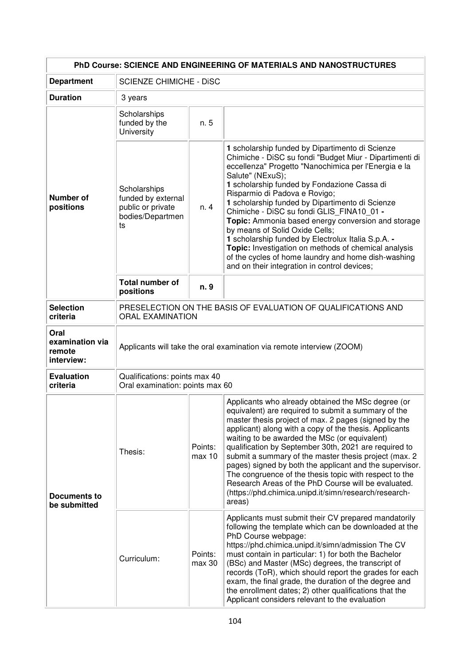| PhD Course: SCIENCE AND ENGINEERING OF MATERIALS AND NANOSTRUCTURES |                                                                                          |                   |                                                                                                                                                                                                                                                                                                                                                                                                                                                                                                                                                                                                                                                                                     |  |
|---------------------------------------------------------------------|------------------------------------------------------------------------------------------|-------------------|-------------------------------------------------------------------------------------------------------------------------------------------------------------------------------------------------------------------------------------------------------------------------------------------------------------------------------------------------------------------------------------------------------------------------------------------------------------------------------------------------------------------------------------------------------------------------------------------------------------------------------------------------------------------------------------|--|
| <b>Department</b>                                                   | <b>SCIENZE CHIMICHE - DISC</b>                                                           |                   |                                                                                                                                                                                                                                                                                                                                                                                                                                                                                                                                                                                                                                                                                     |  |
| <b>Duration</b>                                                     | 3 years                                                                                  |                   |                                                                                                                                                                                                                                                                                                                                                                                                                                                                                                                                                                                                                                                                                     |  |
| Number of<br>positions                                              | Scholarships<br>funded by the<br>University                                              | n. 5              |                                                                                                                                                                                                                                                                                                                                                                                                                                                                                                                                                                                                                                                                                     |  |
|                                                                     | Scholarships<br>funded by external<br>public or private<br>bodies/Departmen<br>ts        | n. 4              | 1 scholarship funded by Dipartimento di Scienze<br>Chimiche - DiSC su fondi "Budget Miur - Dipartimenti di<br>eccellenza" Progetto "Nanochimica per l'Energia e la<br>Salute" (NExuS);<br>1 scholarship funded by Fondazione Cassa di<br>Risparmio di Padova e Rovigo;<br>1 scholarship funded by Dipartimento di Scienze<br>Chimiche - DiSC su fondi GLIS_FINA10 01 -<br>Topic: Ammonia based energy conversion and storage<br>by means of Solid Oxide Cells;<br>1 scholarship funded by Electrolux Italia S.p.A. -<br>Topic: Investigation on methods of chemical analysis<br>of the cycles of home laundry and home dish-washing<br>and on their integration in control devices; |  |
|                                                                     | Total number of<br>positions                                                             | n. 9              |                                                                                                                                                                                                                                                                                                                                                                                                                                                                                                                                                                                                                                                                                     |  |
| <b>Selection</b><br>criteria                                        | PRESELECTION ON THE BASIS OF EVALUATION OF QUALIFICATIONS AND<br><b>ORAL EXAMINATION</b> |                   |                                                                                                                                                                                                                                                                                                                                                                                                                                                                                                                                                                                                                                                                                     |  |
| Oral<br>examination via<br>remote<br>interview:                     | Applicants will take the oral examination via remote interview (ZOOM)                    |                   |                                                                                                                                                                                                                                                                                                                                                                                                                                                                                                                                                                                                                                                                                     |  |
| <b>Evaluation</b><br>criteria                                       | Qualifications: points max 40<br>Oral examination: points max 60                         |                   |                                                                                                                                                                                                                                                                                                                                                                                                                                                                                                                                                                                                                                                                                     |  |
| Documents to<br>be submitted                                        | Thesis:                                                                                  | Points:<br>max 10 | Applicants who already obtained the MSc degree (or<br>equivalent) are required to submit a summary of the<br>master thesis project of max. 2 pages (signed by the<br>applicant) along with a copy of the thesis. Applicants<br>waiting to be awarded the MSc (or equivalent)<br>qualification by September 30th, 2021 are required to<br>submit a summary of the master thesis project (max. 2<br>pages) signed by both the applicant and the supervisor.<br>The congruence of the thesis topic with respect to the<br>Research Areas of the PhD Course will be evaluated.<br>(https://phd.chimica.unipd.it/simn/research/research-<br>areas)                                       |  |
|                                                                     | Curriculum:                                                                              | Points:<br>max 30 | Applicants must submit their CV prepared mandatorily<br>following the template which can be downloaded at the<br>PhD Course webpage:<br>https://phd.chimica.unipd.it/simn/admission The CV<br>must contain in particular: 1) for both the Bachelor<br>(BSc) and Master (MSc) degrees, the transcript of<br>records (ToR), which should report the grades for each<br>exam, the final grade, the duration of the degree and<br>the enrollment dates; 2) other qualifications that the<br>Applicant considers relevant to the evaluation                                                                                                                                              |  |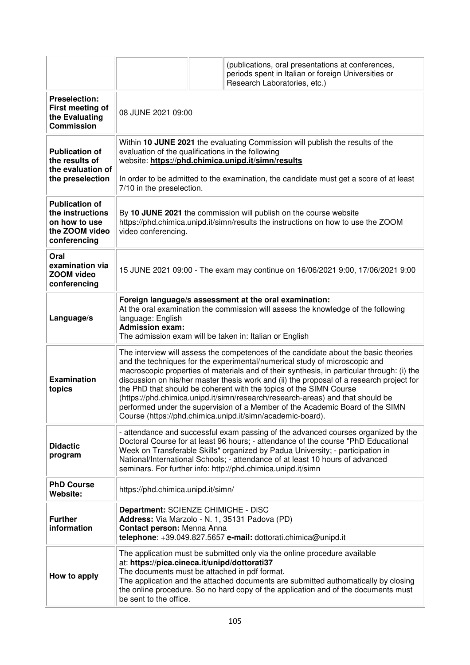|                                                                                              |                                                                                                                                                                                                                                                                                                                                                                                                                                                                                                                                                                                                                                                                    |  | (publications, oral presentations at conferences,<br>periods spent in Italian or foreign Universities or<br>Research Laboratories, etc.) |  |
|----------------------------------------------------------------------------------------------|--------------------------------------------------------------------------------------------------------------------------------------------------------------------------------------------------------------------------------------------------------------------------------------------------------------------------------------------------------------------------------------------------------------------------------------------------------------------------------------------------------------------------------------------------------------------------------------------------------------------------------------------------------------------|--|------------------------------------------------------------------------------------------------------------------------------------------|--|
| <b>Preselection:</b><br>First meeting of<br>the Evaluating<br><b>Commission</b>              | 08 JUNE 2021 09:00                                                                                                                                                                                                                                                                                                                                                                                                                                                                                                                                                                                                                                                 |  |                                                                                                                                          |  |
| <b>Publication of</b><br>the results of<br>the evaluation of                                 | Within 10 JUNE 2021 the evaluating Commission will publish the results of the<br>evaluation of the qualifications in the following<br>website: https://phd.chimica.unipd.it/simn/results                                                                                                                                                                                                                                                                                                                                                                                                                                                                           |  |                                                                                                                                          |  |
| the preselection                                                                             | 7/10 in the preselection.                                                                                                                                                                                                                                                                                                                                                                                                                                                                                                                                                                                                                                          |  | In order to be admitted to the examination, the candidate must get a score of at least                                                   |  |
| <b>Publication of</b><br>the instructions<br>on how to use<br>the ZOOM video<br>conferencing | By 10 JUNE 2021 the commission will publish on the course website<br>https://phd.chimica.unipd.it/simn/results the instructions on how to use the ZOOM<br>video conferencing.                                                                                                                                                                                                                                                                                                                                                                                                                                                                                      |  |                                                                                                                                          |  |
| Oral<br>examination via<br><b>ZOOM video</b><br>conferencing                                 | 15 JUNE 2021 09:00 - The exam may continue on 16/06/2021 9:00, 17/06/2021 9:00                                                                                                                                                                                                                                                                                                                                                                                                                                                                                                                                                                                     |  |                                                                                                                                          |  |
| Language/s                                                                                   | Foreign language/s assessment at the oral examination:<br>At the oral examination the commission will assess the knowledge of the following<br>language: English<br><b>Admission exam:</b><br>The admission exam will be taken in: Italian or English                                                                                                                                                                                                                                                                                                                                                                                                              |  |                                                                                                                                          |  |
| <b>Examination</b><br>topics                                                                 | The interview will assess the competences of the candidate about the basic theories<br>and the techniques for the experimental/numerical study of microscopic and<br>macroscopic properties of materials and of their synthesis, in particular through: (i) the<br>discussion on his/her master thesis work and (ii) the proposal of a research project for<br>the PhD that should be coherent with the topics of the SIMN Course<br>(https://phd.chimica.unipd.it/simn/research/research-areas) and that should be<br>performed under the supervision of a Member of the Academic Board of the SIMN<br>Course (https://phd.chimica.unipd.it/simn/academic-board). |  |                                                                                                                                          |  |
| <b>Didactic</b><br>program                                                                   | - attendance and successful exam passing of the advanced courses organized by the<br>Doctoral Course for at least 96 hours; - attendance of the course "PhD Educational<br>Week on Transferable Skills" organized by Padua University; - participation in<br>National/International Schools; - attendance of at least 10 hours of advanced<br>seminars. For further info: http://phd.chimica.unipd.it/simn                                                                                                                                                                                                                                                         |  |                                                                                                                                          |  |
| <b>PhD Course</b><br>Website:                                                                | https://phd.chimica.unipd.it/simn/                                                                                                                                                                                                                                                                                                                                                                                                                                                                                                                                                                                                                                 |  |                                                                                                                                          |  |
| <b>Further</b><br>information                                                                | Department: SCIENZE CHIMICHE - DISC<br>Address: Via Marzolo - N. 1, 35131 Padova (PD)<br>Contact person: Menna Anna<br>telephone: +39.049.827.5657 e-mail: dottorati.chimica@unipd.it                                                                                                                                                                                                                                                                                                                                                                                                                                                                              |  |                                                                                                                                          |  |
| How to apply                                                                                 | The application must be submitted only via the online procedure available<br>at: https://pica.cineca.it/unipd/dottorati37<br>The documents must be attached in pdf format.<br>The application and the attached documents are submitted authomatically by closing<br>the online procedure. So no hard copy of the application and of the documents must<br>be sent to the office.                                                                                                                                                                                                                                                                                   |  |                                                                                                                                          |  |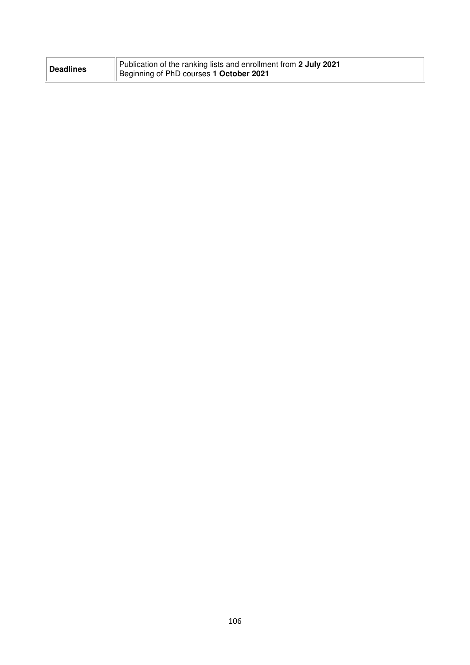| <b>Deadlines</b> | Publication of the ranking lists and enrollment from 2 July 2021<br>Beginning of PhD courses 1 October 2021 |
|------------------|-------------------------------------------------------------------------------------------------------------|
|------------------|-------------------------------------------------------------------------------------------------------------|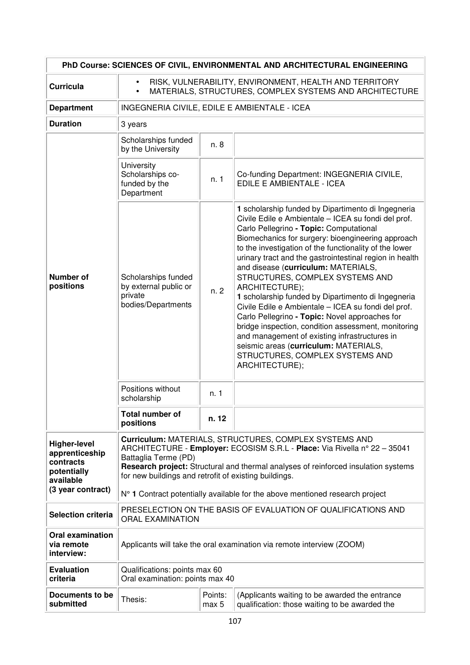| PhD Course: SCIENCES OF CIVIL, ENVIRONMENTAL AND ARCHITECTURAL ENGINEERING                          |                                                                                                                                                                                                                                                                                                            |                                                                                |                                                                                                                                                                                                                                                                                                                                                                                                                                                                                                                                                                                                                                                                                                                                                                                                 |  |  |  |
|-----------------------------------------------------------------------------------------------------|------------------------------------------------------------------------------------------------------------------------------------------------------------------------------------------------------------------------------------------------------------------------------------------------------------|--------------------------------------------------------------------------------|-------------------------------------------------------------------------------------------------------------------------------------------------------------------------------------------------------------------------------------------------------------------------------------------------------------------------------------------------------------------------------------------------------------------------------------------------------------------------------------------------------------------------------------------------------------------------------------------------------------------------------------------------------------------------------------------------------------------------------------------------------------------------------------------------|--|--|--|
| <b>Curricula</b>                                                                                    | RISK, VULNERABILITY, ENVIRONMENT, HEALTH AND TERRITORY<br>$\bullet$<br>MATERIALS, STRUCTURES, COMPLEX SYSTEMS AND ARCHITECTURE<br>$\bullet$                                                                                                                                                                |                                                                                |                                                                                                                                                                                                                                                                                                                                                                                                                                                                                                                                                                                                                                                                                                                                                                                                 |  |  |  |
| <b>Department</b>                                                                                   | INGEGNERIA CIVILE, EDILE E AMBIENTALE - ICEA                                                                                                                                                                                                                                                               |                                                                                |                                                                                                                                                                                                                                                                                                                                                                                                                                                                                                                                                                                                                                                                                                                                                                                                 |  |  |  |
| <b>Duration</b>                                                                                     | 3 years                                                                                                                                                                                                                                                                                                    |                                                                                |                                                                                                                                                                                                                                                                                                                                                                                                                                                                                                                                                                                                                                                                                                                                                                                                 |  |  |  |
|                                                                                                     | Scholarships funded<br>by the University                                                                                                                                                                                                                                                                   | n. 8                                                                           |                                                                                                                                                                                                                                                                                                                                                                                                                                                                                                                                                                                                                                                                                                                                                                                                 |  |  |  |
| <b>Number of</b><br>positions                                                                       | University<br>Scholarships co-<br>funded by the<br>Department                                                                                                                                                                                                                                              | n.1                                                                            | Co-funding Department: INGEGNERIA CIVILE,<br>EDILE E AMBIENTALE - ICEA                                                                                                                                                                                                                                                                                                                                                                                                                                                                                                                                                                                                                                                                                                                          |  |  |  |
|                                                                                                     | Scholarships funded<br>by external public or<br>private<br>bodies/Departments                                                                                                                                                                                                                              | n.2                                                                            | 1 scholarship funded by Dipartimento di Ingegneria<br>Civile Edile e Ambientale - ICEA su fondi del prof.<br>Carlo Pellegrino - Topic: Computational<br>Biomechanics for surgery: bioengineering approach<br>to the investigation of the functionality of the lower<br>urinary tract and the gastrointestinal region in health<br>and disease (curriculum: MATERIALS,<br>STRUCTURES, COMPLEX SYSTEMS AND<br>ARCHITECTURE);<br>1 scholarship funded by Dipartimento di Ingegneria<br>Civile Edile e Ambientale - ICEA su fondi del prof.<br>Carlo Pellegrino - Topic: Novel approaches for<br>bridge inspection, condition assessment, monitoring<br>and management of existing infrastructures in<br>seismic areas (curriculum: MATERIALS,<br>STRUCTURES, COMPLEX SYSTEMS AND<br>ARCHITECTURE); |  |  |  |
|                                                                                                     | Positions without<br>scholarship                                                                                                                                                                                                                                                                           | n. 1                                                                           |                                                                                                                                                                                                                                                                                                                                                                                                                                                                                                                                                                                                                                                                                                                                                                                                 |  |  |  |
|                                                                                                     | Total number of<br>positions                                                                                                                                                                                                                                                                               | n. 12                                                                          |                                                                                                                                                                                                                                                                                                                                                                                                                                                                                                                                                                                                                                                                                                                                                                                                 |  |  |  |
| <b>Higher-level</b><br>apprenticeship<br>contracts<br>potentially<br>available<br>(3 year contract) | Curriculum: MATERIALS, STRUCTURES, COMPLEX SYSTEMS AND<br>ARCHITECTURE - Employer: ECOSISM S.R.L - Place: Via Rivella nº 22 - 35041<br>Battaglia Terme (PD)<br>Research project: Structural and thermal analyses of reinforced insulation systems<br>for new buildings and retrofit of existing buildings. |                                                                                |                                                                                                                                                                                                                                                                                                                                                                                                                                                                                                                                                                                                                                                                                                                                                                                                 |  |  |  |
|                                                                                                     |                                                                                                                                                                                                                                                                                                            | $N°$ 1 Contract potentially available for the above mentioned research project |                                                                                                                                                                                                                                                                                                                                                                                                                                                                                                                                                                                                                                                                                                                                                                                                 |  |  |  |
| <b>Selection criteria</b>                                                                           | PRESELECTION ON THE BASIS OF EVALUATION OF QUALIFICATIONS AND<br><b>ORAL EXAMINATION</b>                                                                                                                                                                                                                   |                                                                                |                                                                                                                                                                                                                                                                                                                                                                                                                                                                                                                                                                                                                                                                                                                                                                                                 |  |  |  |
| <b>Oral examination</b><br>via remote<br>interview:                                                 | Applicants will take the oral examination via remote interview (ZOOM)                                                                                                                                                                                                                                      |                                                                                |                                                                                                                                                                                                                                                                                                                                                                                                                                                                                                                                                                                                                                                                                                                                                                                                 |  |  |  |
| <b>Evaluation</b><br>criteria                                                                       | Qualifications: points max 60<br>Oral examination: points max 40                                                                                                                                                                                                                                           |                                                                                |                                                                                                                                                                                                                                                                                                                                                                                                                                                                                                                                                                                                                                                                                                                                                                                                 |  |  |  |
| Documents to be<br>submitted                                                                        | Points:<br>(Applicants waiting to be awarded the entrance<br>Thesis:<br>qualification: those waiting to be awarded the<br>max 5                                                                                                                                                                            |                                                                                |                                                                                                                                                                                                                                                                                                                                                                                                                                                                                                                                                                                                                                                                                                                                                                                                 |  |  |  |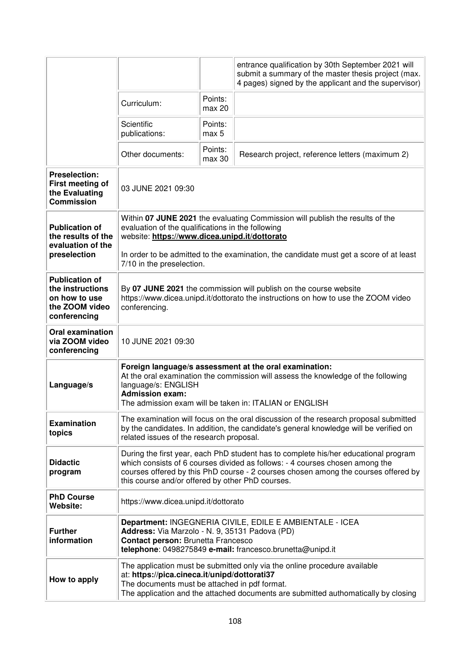|                                                                                              |                                                                                                                                                                                                                                                                                                               |                             | entrance qualification by 30th September 2021 will<br>submit a summary of the master thesis project (max.<br>4 pages) signed by the applicant and the supervisor) |
|----------------------------------------------------------------------------------------------|---------------------------------------------------------------------------------------------------------------------------------------------------------------------------------------------------------------------------------------------------------------------------------------------------------------|-----------------------------|-------------------------------------------------------------------------------------------------------------------------------------------------------------------|
|                                                                                              | Curriculum:                                                                                                                                                                                                                                                                                                   | Points:<br>max 20           |                                                                                                                                                                   |
|                                                                                              | Scientific<br>publications:                                                                                                                                                                                                                                                                                   | Points:<br>max <sub>5</sub> |                                                                                                                                                                   |
|                                                                                              | Other documents:                                                                                                                                                                                                                                                                                              | Points:<br>max 30           | Research project, reference letters (maximum 2)                                                                                                                   |
| <b>Preselection:</b><br>First meeting of<br>the Evaluating<br><b>Commission</b>              | 03 JUNE 2021 09:30                                                                                                                                                                                                                                                                                            |                             |                                                                                                                                                                   |
| <b>Publication of</b><br>the results of the<br>evaluation of the<br>preselection             | Within 07 JUNE 2021 the evaluating Commission will publish the results of the<br>evaluation of the qualifications in the following<br>website: https://www.dicea.unipd.it/dottorato                                                                                                                           |                             |                                                                                                                                                                   |
|                                                                                              | In order to be admitted to the examination, the candidate must get a score of at least<br>7/10 in the preselection.                                                                                                                                                                                           |                             |                                                                                                                                                                   |
| <b>Publication of</b><br>the instructions<br>on how to use<br>the ZOOM video<br>conferencing | By 07 JUNE 2021 the commission will publish on the course website<br>https://www.dicea.unipd.it/dottorato the instructions on how to use the ZOOM video<br>conferencing.                                                                                                                                      |                             |                                                                                                                                                                   |
| <b>Oral examination</b><br>via ZOOM video<br>conferencing                                    | 10 JUNE 2021 09:30                                                                                                                                                                                                                                                                                            |                             |                                                                                                                                                                   |
| Language/s                                                                                   | Foreign language/s assessment at the oral examination:<br>At the oral examination the commission will assess the knowledge of the following<br>language/s: ENGLISH<br><b>Admission exam:</b><br>The admission exam will be taken in: ITALIAN or ENGLISH                                                       |                             |                                                                                                                                                                   |
| <b>Examination</b><br>topics                                                                 | The examination will focus on the oral discussion of the research proposal submitted<br>by the candidates. In addition, the candidate's general knowledge will be verified on<br>related issues of the research proposal.                                                                                     |                             |                                                                                                                                                                   |
| <b>Didactic</b><br>program                                                                   | During the first year, each PhD student has to complete his/her educational program<br>which consists of 6 courses divided as follows: - 4 courses chosen among the<br>courses offered by this PhD course - 2 courses chosen among the courses offered by<br>this course and/or offered by other PhD courses. |                             |                                                                                                                                                                   |
| <b>PhD Course</b><br><b>Website:</b>                                                         | https://www.dicea.unipd.it/dottorato                                                                                                                                                                                                                                                                          |                             |                                                                                                                                                                   |
| <b>Further</b><br>information                                                                | Department: INGEGNERIA CIVILE, EDILE E AMBIENTALE - ICEA<br>Address: Via Marzolo - N. 9, 35131 Padova (PD)<br><b>Contact person: Brunetta Francesco</b><br>telephone: 0498275849 e-mail: francesco.brunetta@unipd.it                                                                                          |                             |                                                                                                                                                                   |
| How to apply                                                                                 | The application must be submitted only via the online procedure available<br>at: https://pica.cineca.it/unipd/dottorati37<br>The documents must be attached in pdf format.<br>The application and the attached documents are submitted authomatically by closing                                              |                             |                                                                                                                                                                   |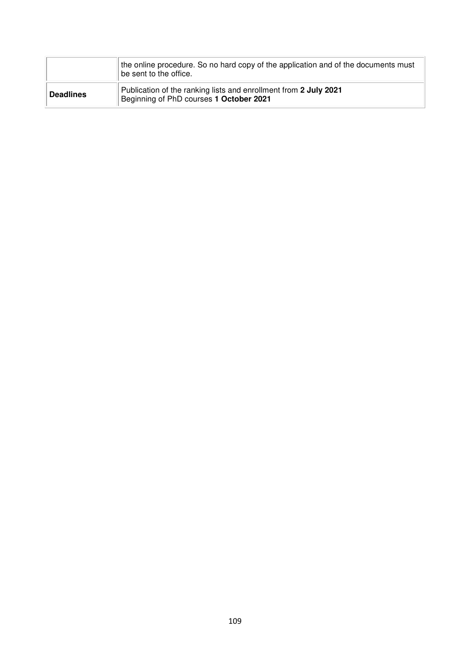|                  | the online procedure. So no hard copy of the application and of the documents must<br>be sent to the office. |
|------------------|--------------------------------------------------------------------------------------------------------------|
| <b>Deadlines</b> | Publication of the ranking lists and enrollment from 2 July 2021<br>Beginning of PhD courses 1 October 2021  |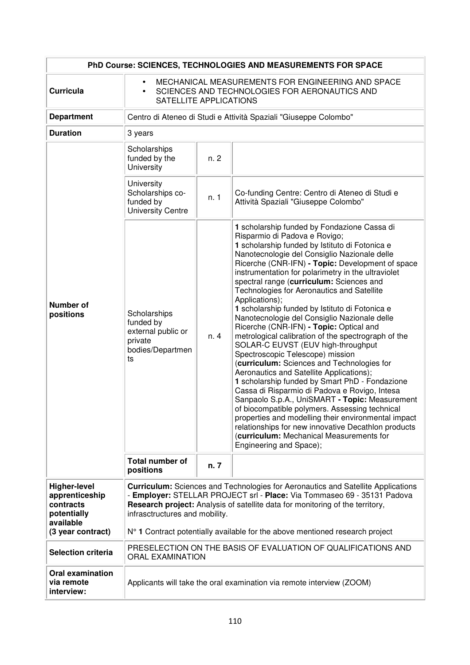| PhD Course: SCIENCES, TECHNOLOGIES AND MEASUREMENTS FOR SPACE                                       |                                                                                                                                                                                                                                                                                                                                                                         |      |                                                                                                                                                                                                                                                                                                                                                                                                                                                                                                                                                                                                                                                                                                                                                                                                                                                                                                                                                                                                                                                                                                                                                                          |  |
|-----------------------------------------------------------------------------------------------------|-------------------------------------------------------------------------------------------------------------------------------------------------------------------------------------------------------------------------------------------------------------------------------------------------------------------------------------------------------------------------|------|--------------------------------------------------------------------------------------------------------------------------------------------------------------------------------------------------------------------------------------------------------------------------------------------------------------------------------------------------------------------------------------------------------------------------------------------------------------------------------------------------------------------------------------------------------------------------------------------------------------------------------------------------------------------------------------------------------------------------------------------------------------------------------------------------------------------------------------------------------------------------------------------------------------------------------------------------------------------------------------------------------------------------------------------------------------------------------------------------------------------------------------------------------------------------|--|
| <b>Curricula</b>                                                                                    | MECHANICAL MEASUREMENTS FOR ENGINEERING AND SPACE<br>$\bullet$<br>SCIENCES AND TECHNOLOGIES FOR AERONAUTICS AND<br>$\bullet$<br>SATELLITE APPLICATIONS                                                                                                                                                                                                                  |      |                                                                                                                                                                                                                                                                                                                                                                                                                                                                                                                                                                                                                                                                                                                                                                                                                                                                                                                                                                                                                                                                                                                                                                          |  |
| <b>Department</b>                                                                                   |                                                                                                                                                                                                                                                                                                                                                                         |      | Centro di Ateneo di Studi e Attività Spaziali "Giuseppe Colombo"                                                                                                                                                                                                                                                                                                                                                                                                                                                                                                                                                                                                                                                                                                                                                                                                                                                                                                                                                                                                                                                                                                         |  |
| <b>Duration</b>                                                                                     | 3 years                                                                                                                                                                                                                                                                                                                                                                 |      |                                                                                                                                                                                                                                                                                                                                                                                                                                                                                                                                                                                                                                                                                                                                                                                                                                                                                                                                                                                                                                                                                                                                                                          |  |
|                                                                                                     | Scholarships<br>funded by the<br>University                                                                                                                                                                                                                                                                                                                             | n.2  |                                                                                                                                                                                                                                                                                                                                                                                                                                                                                                                                                                                                                                                                                                                                                                                                                                                                                                                                                                                                                                                                                                                                                                          |  |
|                                                                                                     | <b>University</b><br>Scholarships co-<br>funded by<br><b>University Centre</b>                                                                                                                                                                                                                                                                                          | n. 1 | Co-funding Centre: Centro di Ateneo di Studi e<br>Attività Spaziali "Giuseppe Colombo"                                                                                                                                                                                                                                                                                                                                                                                                                                                                                                                                                                                                                                                                                                                                                                                                                                                                                                                                                                                                                                                                                   |  |
| <b>Number of</b><br>positions                                                                       | Scholarships<br>funded by<br>external public or<br>private<br>bodies/Departmen<br>ts                                                                                                                                                                                                                                                                                    | n. 4 | 1 scholarship funded by Fondazione Cassa di<br>Risparmio di Padova e Rovigo;<br>1 scholarship funded by Istituto di Fotonica e<br>Nanotecnologie del Consiglio Nazionale delle<br>Ricerche (CNR-IFN) - Topic: Development of space<br>instrumentation for polarimetry in the ultraviolet<br>spectral range (curriculum: Sciences and<br>Technologies for Aeronautics and Satellite<br>Applications);<br>1 scholarship funded by Istituto di Fotonica e<br>Nanotecnologie del Consiglio Nazionale delle<br>Ricerche (CNR-IFN) - Topic: Optical and<br>metrological calibration of the spectrograph of the<br>SOLAR-C EUVST (EUV high-throughput<br>Spectroscopic Telescope) mission<br>(curriculum: Sciences and Technologies for<br>Aeronautics and Satellite Applications);<br>1 scholarship funded by Smart PhD - Fondazione<br>Cassa di Risparmio di Padova e Rovigo, Intesa<br>Sanpaolo S.p.A., UniSMART - Topic: Measurement<br>of biocompatible polymers. Assessing technical<br>properties and modelling their environmental impact<br>relationships for new innovative Decathlon products<br>(curriculum: Mechanical Measurements for<br>Engineering and Space); |  |
|                                                                                                     | <b>Total number of</b><br>positions                                                                                                                                                                                                                                                                                                                                     | n. 7 |                                                                                                                                                                                                                                                                                                                                                                                                                                                                                                                                                                                                                                                                                                                                                                                                                                                                                                                                                                                                                                                                                                                                                                          |  |
| <b>Higher-level</b><br>apprenticeship<br>contracts<br>potentially<br>available<br>(3 year contract) | <b>Curriculum:</b> Sciences and Technologies for Aeronautics and Satellite Applications<br>- Employer: STELLAR PROJECT srl - Place: Via Tommaseo 69 - 35131 Padova<br>Research project: Analysis of satellite data for monitoring of the territory,<br>infrasctructures and mobility.<br>$N°$ 1 Contract potentially available for the above mentioned research project |      |                                                                                                                                                                                                                                                                                                                                                                                                                                                                                                                                                                                                                                                                                                                                                                                                                                                                                                                                                                                                                                                                                                                                                                          |  |
| <b>Selection criteria</b>                                                                           | PRESELECTION ON THE BASIS OF EVALUATION OF QUALIFICATIONS AND<br><b>ORAL EXAMINATION</b>                                                                                                                                                                                                                                                                                |      |                                                                                                                                                                                                                                                                                                                                                                                                                                                                                                                                                                                                                                                                                                                                                                                                                                                                                                                                                                                                                                                                                                                                                                          |  |
| <b>Oral examination</b><br>via remote<br>interview:                                                 | Applicants will take the oral examination via remote interview (ZOOM)                                                                                                                                                                                                                                                                                                   |      |                                                                                                                                                                                                                                                                                                                                                                                                                                                                                                                                                                                                                                                                                                                                                                                                                                                                                                                                                                                                                                                                                                                                                                          |  |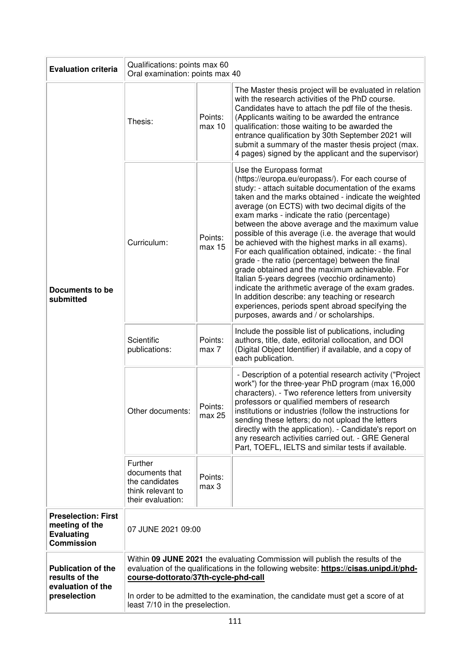| <b>Evaluation criteria</b>                                                             | Qualifications: points max 60<br>Oral examination: points max 40                                                                                                                                                |                   |                                                                                                                                                                                                                                                                                                                                                                                                                                                                                                                                                                                                                                                                                                                                                                                                                                                                                           |  |
|----------------------------------------------------------------------------------------|-----------------------------------------------------------------------------------------------------------------------------------------------------------------------------------------------------------------|-------------------|-------------------------------------------------------------------------------------------------------------------------------------------------------------------------------------------------------------------------------------------------------------------------------------------------------------------------------------------------------------------------------------------------------------------------------------------------------------------------------------------------------------------------------------------------------------------------------------------------------------------------------------------------------------------------------------------------------------------------------------------------------------------------------------------------------------------------------------------------------------------------------------------|--|
| <b>Documents to be</b><br>submitted                                                    | Thesis:                                                                                                                                                                                                         | Points:<br>max 10 | The Master thesis project will be evaluated in relation<br>with the research activities of the PhD course.<br>Candidates have to attach the pdf file of the thesis.<br>(Applicants waiting to be awarded the entrance<br>qualification: those waiting to be awarded the<br>entrance qualification by 30th September 2021 will<br>submit a summary of the master thesis project (max.<br>4 pages) signed by the applicant and the supervisor)                                                                                                                                                                                                                                                                                                                                                                                                                                              |  |
|                                                                                        | Curriculum:                                                                                                                                                                                                     | Points:<br>max 15 | Use the Europass format<br>(https://europa.eu/europass/). For each course of<br>study: - attach suitable documentation of the exams<br>taken and the marks obtained - indicate the weighted<br>average (on ECTS) with two decimal digits of the<br>exam marks - indicate the ratio (percentage)<br>between the above average and the maximum value<br>possible of this average (i.e. the average that would<br>be achieved with the highest marks in all exams).<br>For each qualification obtained, indicate: - the final<br>grade - the ratio (percentage) between the final<br>grade obtained and the maximum achievable. For<br>Italian 5-years degrees (vecchio ordinamento)<br>indicate the arithmetic average of the exam grades.<br>In addition describe: any teaching or research<br>experiences, periods spent abroad specifying the<br>purposes, awards and / or scholarships. |  |
|                                                                                        | Scientific<br>publications:                                                                                                                                                                                     | Points:<br>max 7  | Include the possible list of publications, including<br>authors, title, date, editorial collocation, and DOI<br>(Digital Object Identifier) if available, and a copy of<br>each publication.                                                                                                                                                                                                                                                                                                                                                                                                                                                                                                                                                                                                                                                                                              |  |
|                                                                                        | Other documents:                                                                                                                                                                                                | Points:<br>max 25 | - Description of a potential research activity ("Project"<br>work") for the three-year PhD program (max 16,000<br>characters). - Two reference letters from university<br>professors or qualified members of research<br>institutions or industries (follow the instructions for<br>sending these letters; do not upload the letters<br>directly with the application). - Candidate's report on<br>any research activities carried out. - GRE General<br>Part, TOEFL, IELTS and similar tests if available.                                                                                                                                                                                                                                                                                                                                                                               |  |
|                                                                                        | Further<br>documents that<br>the candidates<br>think relevant to<br>their evaluation:                                                                                                                           | Points:<br>max 3  |                                                                                                                                                                                                                                                                                                                                                                                                                                                                                                                                                                                                                                                                                                                                                                                                                                                                                           |  |
| <b>Preselection: First</b><br>meeting of the<br><b>Evaluating</b><br><b>Commission</b> | 07 JUNE 2021 09:00                                                                                                                                                                                              |                   |                                                                                                                                                                                                                                                                                                                                                                                                                                                                                                                                                                                                                                                                                                                                                                                                                                                                                           |  |
| <b>Publication of the</b><br>results of the<br>evaluation of the                       | Within 09 JUNE 2021 the evaluating Commission will publish the results of the<br>evaluation of the qualifications in the following website: https://cisas.unipd.it/phd-<br>course-dottorato/37th-cycle-phd-call |                   |                                                                                                                                                                                                                                                                                                                                                                                                                                                                                                                                                                                                                                                                                                                                                                                                                                                                                           |  |
| preselection                                                                           | In order to be admitted to the examination, the candidate must get a score of at<br>least 7/10 in the preselection.                                                                                             |                   |                                                                                                                                                                                                                                                                                                                                                                                                                                                                                                                                                                                                                                                                                                                                                                                                                                                                                           |  |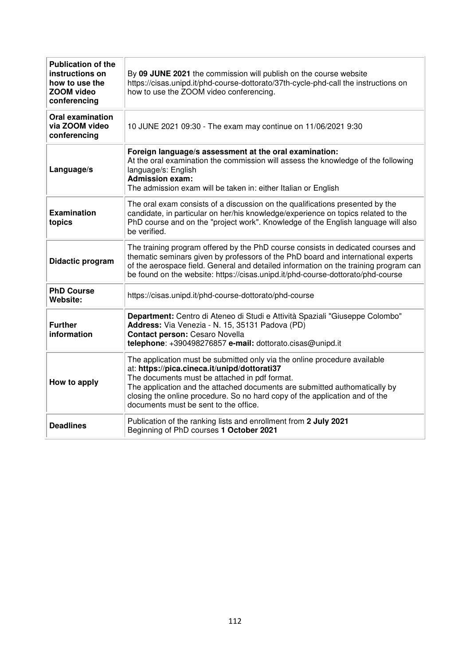| <b>Publication of the</b><br>instructions on<br>how to use the<br>ZOOM video<br>conferencing | By 09 JUNE 2021 the commission will publish on the course website<br>https://cisas.unipd.it/phd-course-dottorato/37th-cycle-phd-call the instructions on<br>how to use the ZOOM video conferencing.                                                                                                                                                                              |  |  |  |
|----------------------------------------------------------------------------------------------|----------------------------------------------------------------------------------------------------------------------------------------------------------------------------------------------------------------------------------------------------------------------------------------------------------------------------------------------------------------------------------|--|--|--|
| <b>Oral examination</b><br>via ZOOM video<br>conferencing                                    | 10 JUNE 2021 09:30 - The exam may continue on 11/06/2021 9:30                                                                                                                                                                                                                                                                                                                    |  |  |  |
| Language/s                                                                                   | Foreign language/s assessment at the oral examination:<br>At the oral examination the commission will assess the knowledge of the following<br>language/s: English<br><b>Admission exam:</b><br>The admission exam will be taken in: either Italian or English                                                                                                                   |  |  |  |
| <b>Examination</b><br>topics                                                                 | The oral exam consists of a discussion on the qualifications presented by the<br>candidate, in particular on her/his knowledge/experience on topics related to the<br>PhD course and on the "project work". Knowledge of the English language will also<br>be verified.                                                                                                          |  |  |  |
| Didactic program                                                                             | The training program offered by the PhD course consists in dedicated courses and<br>thematic seminars given by professors of the PhD board and international experts<br>of the aerospace field. General and detailed information on the training program can<br>be found on the website: https://cisas.unipd.it/phd-course-dottorato/phd-course                                  |  |  |  |
| <b>PhD Course</b><br>Website:                                                                | https://cisas.unipd.it/phd-course-dottorato/phd-course                                                                                                                                                                                                                                                                                                                           |  |  |  |
| <b>Further</b><br>information                                                                | Department: Centro di Ateneo di Studi e Attività Spaziali "Giuseppe Colombo"<br>Address: Via Venezia - N. 15, 35131 Padova (PD)<br>Contact person: Cesaro Novella<br>telephone: +390498276857 e-mail: dottorato.cisas@unipd.it                                                                                                                                                   |  |  |  |
| How to apply                                                                                 | The application must be submitted only via the online procedure available<br>at: https://pica.cineca.it/unipd/dottorati37<br>The documents must be attached in pdf format.<br>The application and the attached documents are submitted authomatically by<br>closing the online procedure. So no hard copy of the application and of the<br>documents must be sent to the office. |  |  |  |
| <b>Deadlines</b>                                                                             | Publication of the ranking lists and enrollment from 2 July 2021<br>Beginning of PhD courses 1 October 2021                                                                                                                                                                                                                                                                      |  |  |  |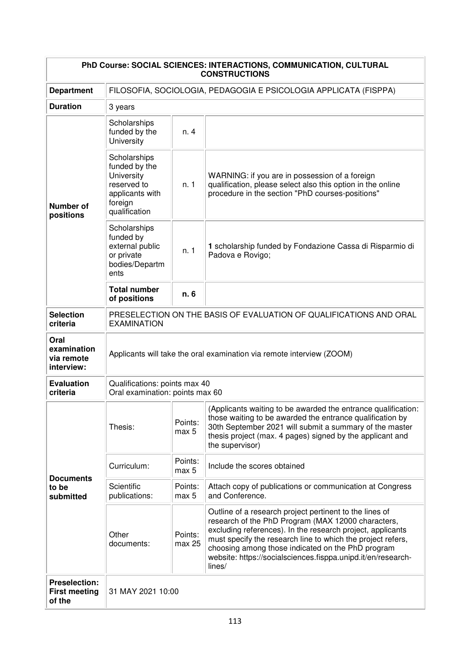| PhD Course: SOCIAL SCIENCES: INTERACTIONS, COMMUNICATION, CULTURAL<br><b>CONSTRUCTIONS</b> |                                                                                                           |                   |                                                                                                                                                                                                                                                                                                                                                                           |  |  |  |
|--------------------------------------------------------------------------------------------|-----------------------------------------------------------------------------------------------------------|-------------------|---------------------------------------------------------------------------------------------------------------------------------------------------------------------------------------------------------------------------------------------------------------------------------------------------------------------------------------------------------------------------|--|--|--|
| <b>Department</b>                                                                          | FILOSOFIA, SOCIOLOGIA, PEDAGOGIA E PSICOLOGIA APPLICATA (FISPPA)                                          |                   |                                                                                                                                                                                                                                                                                                                                                                           |  |  |  |
| <b>Duration</b>                                                                            | 3 years                                                                                                   |                   |                                                                                                                                                                                                                                                                                                                                                                           |  |  |  |
|                                                                                            | Scholarships<br>funded by the<br>University                                                               | n. 4              |                                                                                                                                                                                                                                                                                                                                                                           |  |  |  |
| <b>Number of</b><br>positions                                                              | Scholarships<br>funded by the<br>University<br>reserved to<br>applicants with<br>foreign<br>qualification | n. 1              | WARNING: if you are in possession of a foreign<br>qualification, please select also this option in the online<br>procedure in the section "PhD courses-positions"                                                                                                                                                                                                         |  |  |  |
|                                                                                            | Scholarships<br>funded by<br>external public<br>or private<br>bodies/Departm<br>ents                      | n. 1              | 1 scholarship funded by Fondazione Cassa di Risparmio di<br>Padova e Rovigo;                                                                                                                                                                                                                                                                                              |  |  |  |
|                                                                                            | <b>Total number</b><br>of positions                                                                       | n. 6              |                                                                                                                                                                                                                                                                                                                                                                           |  |  |  |
| <b>Selection</b><br>criteria                                                               | PRESELECTION ON THE BASIS OF EVALUATION OF QUALIFICATIONS AND ORAL<br><b>EXAMINATION</b>                  |                   |                                                                                                                                                                                                                                                                                                                                                                           |  |  |  |
| Oral<br>examination<br>via remote<br>interview:                                            | Applicants will take the oral examination via remote interview (ZOOM)                                     |                   |                                                                                                                                                                                                                                                                                                                                                                           |  |  |  |
| <b>Evaluation</b><br>criteria                                                              | Qualifications: points max 40<br>Oral examination: points max 60                                          |                   |                                                                                                                                                                                                                                                                                                                                                                           |  |  |  |
|                                                                                            | Thesis:                                                                                                   | Points:<br>max 5  | (Applicants waiting to be awarded the entrance qualification:<br>those waiting to be awarded the entrance qualification by<br>30th September 2021 will submit a summary of the master<br>thesis project (max. 4 pages) signed by the applicant and<br>the supervisor)                                                                                                     |  |  |  |
| <b>Documents</b>                                                                           | Curriculum:                                                                                               | Points:<br>max 5  | Include the scores obtained                                                                                                                                                                                                                                                                                                                                               |  |  |  |
| to be<br>submitted                                                                         | Scientific<br>publications:                                                                               | Points:<br>max 5  | Attach copy of publications or communication at Congress<br>and Conference.                                                                                                                                                                                                                                                                                               |  |  |  |
|                                                                                            | Other<br>documents:                                                                                       | Points:<br>max 25 | Outline of a research project pertinent to the lines of<br>research of the PhD Program (MAX 12000 characters,<br>excluding references). In the research project, applicants<br>must specify the research line to which the project refers,<br>choosing among those indicated on the PhD program<br>website: https://socialsciences.fisppa.unipd.it/en/research-<br>lines/ |  |  |  |
| <b>Preselection:</b><br><b>First meeting</b><br>of the                                     | 31 MAY 2021 10:00                                                                                         |                   |                                                                                                                                                                                                                                                                                                                                                                           |  |  |  |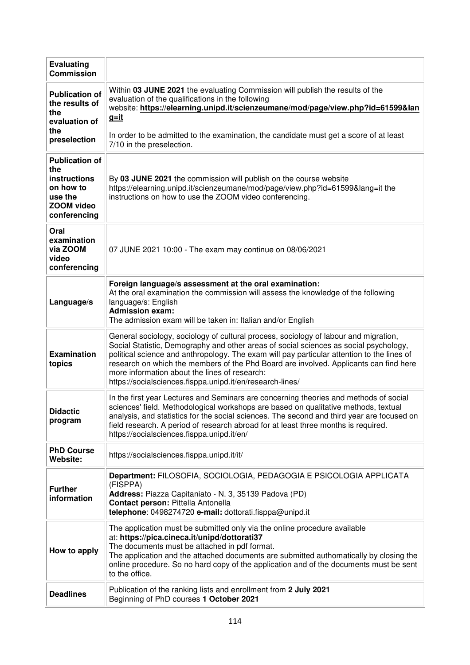| <b>Evaluating</b><br><b>Commission</b>                                           |                                                                                                                                                                                                                                                                                                                                                                                                                                                                                    |
|----------------------------------------------------------------------------------|------------------------------------------------------------------------------------------------------------------------------------------------------------------------------------------------------------------------------------------------------------------------------------------------------------------------------------------------------------------------------------------------------------------------------------------------------------------------------------|
| <b>Publication of</b><br>the results of<br>the<br>evaluation of<br>the           | Within 03 JUNE 2021 the evaluating Commission will publish the results of the<br>evaluation of the qualifications in the following<br>website: https://elearning.unipd.it/scienzeumane/mod/page/view.php?id=61599&lan<br><u>g=it</u>                                                                                                                                                                                                                                               |
| preselection                                                                     | In order to be admitted to the examination, the candidate must get a score of at least<br>7/10 in the preselection.                                                                                                                                                                                                                                                                                                                                                                |
| <b>Publication of</b><br>the                                                     |                                                                                                                                                                                                                                                                                                                                                                                                                                                                                    |
| <b>instructions</b><br>on how to<br>use the<br><b>ZOOM video</b><br>conferencing | By 03 JUNE 2021 the commission will publish on the course website<br>https://elearning.unipd.it/scienzeumane/mod/page/view.php?id=61599⟨=it the<br>instructions on how to use the ZOOM video conferencing.                                                                                                                                                                                                                                                                         |
| Oral<br>examination<br>via ZOOM<br>video<br>conferencing                         | 07 JUNE 2021 10:00 - The exam may continue on 08/06/2021                                                                                                                                                                                                                                                                                                                                                                                                                           |
| Language/s                                                                       | Foreign language/s assessment at the oral examination:<br>At the oral examination the commission will assess the knowledge of the following<br>language/s: English<br><b>Admission exam:</b><br>The admission exam will be taken in: Italian and/or English                                                                                                                                                                                                                        |
| <b>Examination</b><br>topics                                                     | General sociology, sociology of cultural process, sociology of labour and migration,<br>Social Statistic, Demography and other areas of social sciences as social psychology,<br>political science and anthropology. The exam will pay particular attention to the lines of<br>research on which the members of the Phd Board are involved. Applicants can find here<br>more information about the lines of research:<br>https://socialsciences.fisppa.unipd.it/en/research-lines/ |
| <b>Didactic</b><br>program                                                       | In the first year Lectures and Seminars are concerning theories and methods of social<br>sciences' field. Methodological workshops are based on qualitative methods, textual<br>analysis, and statistics for the social sciences. The second and third year are focused on<br>field research. A period of research abroad for at least three months is required.<br>https://socialsciences.fisppa.unipd.it/en/                                                                     |
| <b>PhD Course</b><br>Website:                                                    | https://socialsciences.fisppa.unipd.it/it/                                                                                                                                                                                                                                                                                                                                                                                                                                         |
| <b>Further</b><br>information                                                    | Department: FILOSOFIA, SOCIOLOGIA, PEDAGOGIA E PSICOLOGIA APPLICATA<br>(FISPPA)<br>Address: Piazza Capitaniato - N. 3, 35139 Padova (PD)<br>Contact person: Pittella Antonella<br>telephone: 0498274720 e-mail: dottorati.fisppa@unipd.it                                                                                                                                                                                                                                          |
| How to apply                                                                     | The application must be submitted only via the online procedure available<br>at: https://pica.cineca.it/unipd/dottorati37<br>The documents must be attached in pdf format.<br>The application and the attached documents are submitted authomatically by closing the<br>online procedure. So no hard copy of the application and of the documents must be sent<br>to the office.                                                                                                   |
| <b>Deadlines</b>                                                                 | Publication of the ranking lists and enrollment from 2 July 2021<br>Beginning of PhD courses 1 October 2021                                                                                                                                                                                                                                                                                                                                                                        |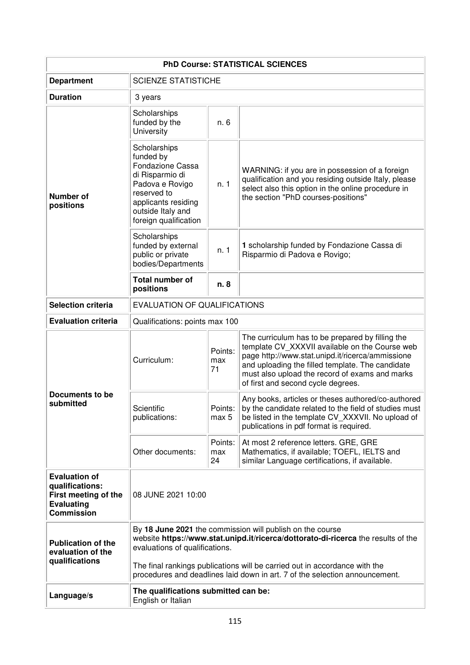| <b>PhD Course: STATISTICAL SCIENCES</b>                                                                   |                                                                                                                                                                                  |                      |                                                                                                                                                                                                                                                                                                    |  |  |
|-----------------------------------------------------------------------------------------------------------|----------------------------------------------------------------------------------------------------------------------------------------------------------------------------------|----------------------|----------------------------------------------------------------------------------------------------------------------------------------------------------------------------------------------------------------------------------------------------------------------------------------------------|--|--|
| <b>Department</b>                                                                                         | <b>SCIENZE STATISTICHE</b>                                                                                                                                                       |                      |                                                                                                                                                                                                                                                                                                    |  |  |
| <b>Duration</b>                                                                                           | 3 years                                                                                                                                                                          |                      |                                                                                                                                                                                                                                                                                                    |  |  |
|                                                                                                           | Scholarships<br>funded by the<br>University                                                                                                                                      | n. 6                 |                                                                                                                                                                                                                                                                                                    |  |  |
| <b>Number of</b><br>positions                                                                             | Scholarships<br>funded by<br>Fondazione Cassa<br>di Risparmio di<br>Padova e Rovigo<br>reserved to<br>applicants residing<br>outside Italy and<br>foreign qualification          | n. 1                 | WARNING: if you are in possession of a foreign<br>qualification and you residing outside Italy, please<br>select also this option in the online procedure in<br>the section "PhD courses-positions"                                                                                                |  |  |
|                                                                                                           | Scholarships<br>funded by external<br>public or private<br>bodies/Departments                                                                                                    | n. 1                 | 1 scholarship funded by Fondazione Cassa di<br>Risparmio di Padova e Rovigo;                                                                                                                                                                                                                       |  |  |
|                                                                                                           | <b>Total number of</b><br>positions                                                                                                                                              | n. 8                 |                                                                                                                                                                                                                                                                                                    |  |  |
| <b>Selection criteria</b>                                                                                 | <b>EVALUATION OF QUALIFICATIONS</b>                                                                                                                                              |                      |                                                                                                                                                                                                                                                                                                    |  |  |
| <b>Evaluation criteria</b>                                                                                | Qualifications: points max 100                                                                                                                                                   |                      |                                                                                                                                                                                                                                                                                                    |  |  |
|                                                                                                           | Curriculum:                                                                                                                                                                      | Points:<br>max<br>71 | The curriculum has to be prepared by filling the<br>template CV_XXXVII available on the Course web<br>page http://www.stat.unipd.it/ricerca/ammissione<br>and uploading the filled template. The candidate<br>must also upload the record of exams and marks<br>of first and second cycle degrees. |  |  |
| Documents to be<br>submitted                                                                              | Scientific<br>publications:                                                                                                                                                      | Points:<br>max 5     | Any books, articles or theses authored/co-authored<br>by the candidate related to the field of studies must<br>be listed in the template CV_XXXVII. No upload of<br>publications in pdf format is required.                                                                                        |  |  |
|                                                                                                           | Other documents:                                                                                                                                                                 | Points:<br>max<br>24 | At most 2 reference letters. GRE, GRE<br>Mathematics, if available; TOEFL, IELTS and<br>similar Language certifications, if available.                                                                                                                                                             |  |  |
| <b>Evaluation of</b><br>qualifications:<br>First meeting of the<br><b>Evaluating</b><br><b>Commission</b> | 08 JUNE 2021 10:00                                                                                                                                                               |                      |                                                                                                                                                                                                                                                                                                    |  |  |
| <b>Publication of the</b><br>evaluation of the                                                            | By 18 June 2021 the commission will publish on the course<br>website https://www.stat.unipd.it/ricerca/dottorato-di-ricerca the results of the<br>evaluations of qualifications. |                      |                                                                                                                                                                                                                                                                                                    |  |  |
| qualifications                                                                                            | The final rankings publications will be carried out in accordance with the<br>procedures and deadlines laid down in art. 7 of the selection announcement.                        |                      |                                                                                                                                                                                                                                                                                                    |  |  |
| Language/s                                                                                                | The qualifications submitted can be:<br>English or Italian                                                                                                                       |                      |                                                                                                                                                                                                                                                                                                    |  |  |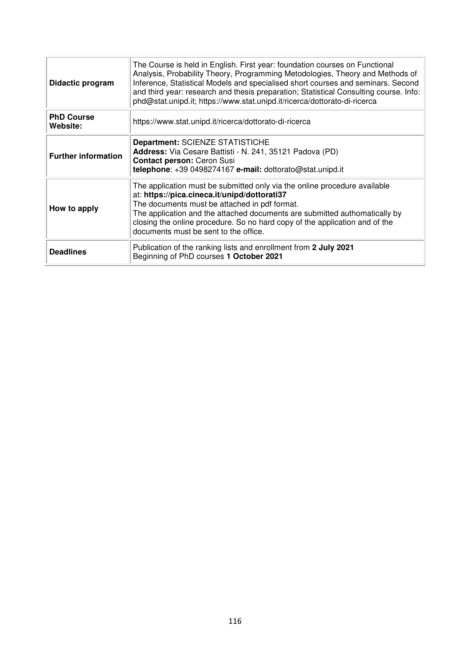| Didactic program              | The Course is held in English. First year: foundation courses on Functional<br>Analysis, Probability Theory, Programming Metodologies, Theory and Methods of<br>Inference, Statistical Models and specialised short courses and seminars. Second<br>and third year: research and thesis preparation; Statistical Consulting course. Info:<br>phd@stat.unipd.it; https://www.stat.unipd.it/ricerca/dottorato-di-ricerca |  |  |  |  |  |
|-------------------------------|------------------------------------------------------------------------------------------------------------------------------------------------------------------------------------------------------------------------------------------------------------------------------------------------------------------------------------------------------------------------------------------------------------------------|--|--|--|--|--|
| <b>PhD Course</b><br>Website: | https://www.stat.unipd.it/ricerca/dottorato-di-ricerca                                                                                                                                                                                                                                                                                                                                                                 |  |  |  |  |  |
| <b>Further information</b>    | <b>Department: SCIENZE STATISTICHE</b><br>Address: Via Cesare Battisti - N. 241, 35121 Padova (PD)<br><b>Contact person: Ceron Susi</b><br>telephone: +39 0498274167 e-mail: dottorato@stat.unipd.it                                                                                                                                                                                                                   |  |  |  |  |  |
| How to apply                  | The application must be submitted only via the online procedure available<br>at: https://pica.cineca.it/unipd/dottorati37<br>The documents must be attached in pdf format.<br>The application and the attached documents are submitted authomatically by<br>closing the online procedure. So no hard copy of the application and of the<br>documents must be sent to the office.                                       |  |  |  |  |  |
| <b>Deadlines</b>              | Publication of the ranking lists and enrollment from 2 July 2021<br>Beginning of PhD courses 1 October 2021                                                                                                                                                                                                                                                                                                            |  |  |  |  |  |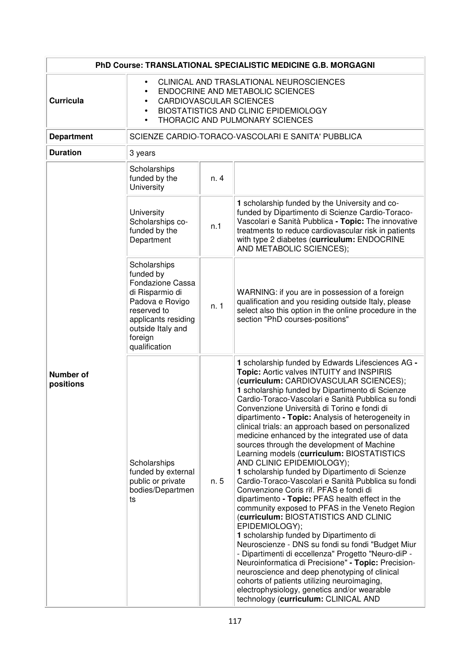| PhD Course: TRANSLATIONAL SPECIALISTIC MEDICINE G.B. MORGAGNI |                                                                                                                                                                                           |      |                                                                                                                                                                                                                                                                                                                                                                                                                                                                                                                                                                                                                                                                                                                                                                                                                                                                                                                                                                                                                                                                                                                                                                                                                                                                                                                  |  |
|---------------------------------------------------------------|-------------------------------------------------------------------------------------------------------------------------------------------------------------------------------------------|------|------------------------------------------------------------------------------------------------------------------------------------------------------------------------------------------------------------------------------------------------------------------------------------------------------------------------------------------------------------------------------------------------------------------------------------------------------------------------------------------------------------------------------------------------------------------------------------------------------------------------------------------------------------------------------------------------------------------------------------------------------------------------------------------------------------------------------------------------------------------------------------------------------------------------------------------------------------------------------------------------------------------------------------------------------------------------------------------------------------------------------------------------------------------------------------------------------------------------------------------------------------------------------------------------------------------|--|
| <b>Curricula</b>                                              | CLINICAL AND TRASLATIONAL NEUROSCIENCES<br>ENDOCRINE AND METABOLIC SCIENCES<br><b>CARDIOVASCULAR SCIENCES</b><br>BIOSTATISTICS AND CLINIC EPIDEMIOLOGY<br>THORACIC AND PULMONARY SCIENCES |      |                                                                                                                                                                                                                                                                                                                                                                                                                                                                                                                                                                                                                                                                                                                                                                                                                                                                                                                                                                                                                                                                                                                                                                                                                                                                                                                  |  |
| <b>Department</b>                                             |                                                                                                                                                                                           |      | SCIENZE CARDIO-TORACO-VASCOLARI E SANITA' PUBBLICA                                                                                                                                                                                                                                                                                                                                                                                                                                                                                                                                                                                                                                                                                                                                                                                                                                                                                                                                                                                                                                                                                                                                                                                                                                                               |  |
| <b>Duration</b>                                               | 3 years                                                                                                                                                                                   |      |                                                                                                                                                                                                                                                                                                                                                                                                                                                                                                                                                                                                                                                                                                                                                                                                                                                                                                                                                                                                                                                                                                                                                                                                                                                                                                                  |  |
|                                                               | Scholarships<br>funded by the<br>University                                                                                                                                               | n. 4 |                                                                                                                                                                                                                                                                                                                                                                                                                                                                                                                                                                                                                                                                                                                                                                                                                                                                                                                                                                                                                                                                                                                                                                                                                                                                                                                  |  |
|                                                               | University<br>Scholarships co-<br>funded by the<br>Department                                                                                                                             | n.1  | 1 scholarship funded by the University and co-<br>funded by Dipartimento di Scienze Cardio-Toraco-<br>Vascolari e Sanità Pubblica - Topic: The innovative<br>treatments to reduce cardiovascular risk in patients<br>with type 2 diabetes (curriculum: ENDOCRINE<br>AND METABOLIC SCIENCES);                                                                                                                                                                                                                                                                                                                                                                                                                                                                                                                                                                                                                                                                                                                                                                                                                                                                                                                                                                                                                     |  |
|                                                               | Scholarships<br>funded by<br><b>Fondazione Cassa</b><br>di Risparmio di<br>Padova e Rovigo<br>reserved to<br>applicants residing<br>outside Italy and<br>foreign<br>qualification         | n. 1 | WARNING: if you are in possession of a foreign<br>qualification and you residing outside Italy, please<br>select also this option in the online procedure in the<br>section "PhD courses-positions"                                                                                                                                                                                                                                                                                                                                                                                                                                                                                                                                                                                                                                                                                                                                                                                                                                                                                                                                                                                                                                                                                                              |  |
| <b>Number of</b><br>positions                                 | Scholarships<br>funded by external<br>public or private<br>bodies/Departmen<br>ts                                                                                                         | n. 5 | 1 scholarship funded by Edwards Lifesciences AG -<br>Topic: Aortic valves INTUITY and INSPIRIS<br>(curriculum: CARDIOVASCULAR SCIENCES);<br>1 scholarship funded by Dipartimento di Scienze<br>Cardio-Toraco-Vascolari e Sanità Pubblica su fondi<br>Convenzione Università di Torino e fondi di<br>dipartimento - Topic: Analysis of heterogeneity in<br>clinical trials: an approach based on personalized<br>medicine enhanced by the integrated use of data<br>sources through the development of Machine<br>Learning models (curriculum: BIOSTATISTICS<br>AND CLINIC EPIDEMIOLOGY);<br>1 scholarship funded by Dipartimento di Scienze<br>Cardio-Toraco-Vascolari e Sanità Pubblica su fondi<br>Convenzione Coris rif. PFAS e fondi di<br>dipartimento - Topic: PFAS health effect in the<br>community exposed to PFAS in the Veneto Region<br>(curriculum: BIOSTATISTICS AND CLINIC<br>EPIDEMIOLOGY);<br>1 scholarship funded by Dipartimento di<br>Neuroscienze - DNS su fondi su fondi "Budget Miur<br>- Dipartimenti di eccellenza" Progetto "Neuro-diP -<br>Neuroinformatica di Precisione" - Topic: Precision-<br>neuroscience and deep phenotyping of clinical<br>cohorts of patients utilizing neuroimaging,<br>electrophysiology, genetics and/or wearable<br>technology (curriculum: CLINICAL AND |  |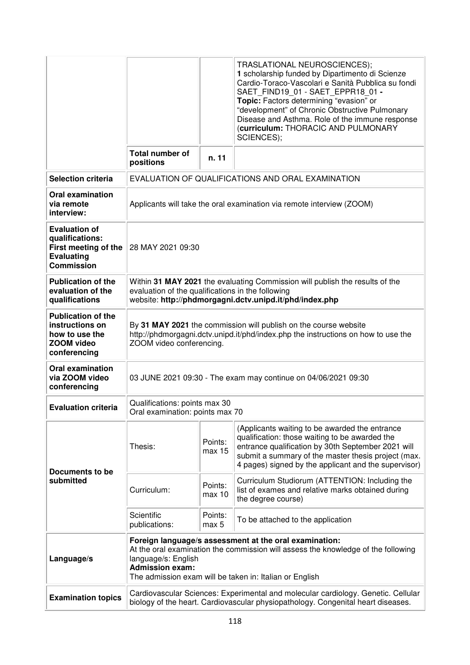|                                                                                                           |                                                                                                                                                                                                                                                         |                   | TRASLATIONAL NEUROSCIENCES);<br>1 scholarship funded by Dipartimento di Scienze<br>Cardio-Toraco-Vascolari e Sanità Pubblica su fondi<br>SAET FIND19 01 - SAET EPPR18 01 -<br>Topic: Factors determining "evasion" or<br>"development" of Chronic Obstructive Pulmonary<br>Disease and Asthma. Role of the immune response<br>(curriculum: THORACIC AND PULMONARY<br>SCIENCES); |
|-----------------------------------------------------------------------------------------------------------|---------------------------------------------------------------------------------------------------------------------------------------------------------------------------------------------------------------------------------------------------------|-------------------|---------------------------------------------------------------------------------------------------------------------------------------------------------------------------------------------------------------------------------------------------------------------------------------------------------------------------------------------------------------------------------|
|                                                                                                           | Total number of<br>positions                                                                                                                                                                                                                            | n. 11             |                                                                                                                                                                                                                                                                                                                                                                                 |
| <b>Selection criteria</b>                                                                                 | EVALUATION OF QUALIFICATIONS AND ORAL EXAMINATION                                                                                                                                                                                                       |                   |                                                                                                                                                                                                                                                                                                                                                                                 |
| <b>Oral examination</b><br>via remote<br>interview:                                                       | Applicants will take the oral examination via remote interview (ZOOM)                                                                                                                                                                                   |                   |                                                                                                                                                                                                                                                                                                                                                                                 |
| <b>Evaluation of</b><br>qualifications:<br>First meeting of the<br><b>Evaluating</b><br><b>Commission</b> | 28 MAY 2021 09:30                                                                                                                                                                                                                                       |                   |                                                                                                                                                                                                                                                                                                                                                                                 |
| <b>Publication of the</b><br>evaluation of the<br>qualifications                                          | Within 31 MAY 2021 the evaluating Commission will publish the results of the<br>evaluation of the qualifications in the following<br>website: http://phdmorgagni.dctv.unipd.it/phd/index.php                                                            |                   |                                                                                                                                                                                                                                                                                                                                                                                 |
| <b>Publication of the</b><br>instructions on<br>how to use the<br>ZOOM video<br>conferencing              | By 31 MAY 2021 the commission will publish on the course website<br>http://phdmorgagni.dctv.unipd.it/phd/index.php the instructions on how to use the<br>ZOOM video conferencing.                                                                       |                   |                                                                                                                                                                                                                                                                                                                                                                                 |
| <b>Oral examination</b><br>via ZOOM video<br>conferencing                                                 | 03 JUNE 2021 09:30 - The exam may continue on 04/06/2021 09:30                                                                                                                                                                                          |                   |                                                                                                                                                                                                                                                                                                                                                                                 |
| <b>Evaluation criteria</b>                                                                                | Qualifications: points max 30<br>Oral examination: points max 70                                                                                                                                                                                        |                   |                                                                                                                                                                                                                                                                                                                                                                                 |
| Documents to be<br>submitted                                                                              | Thesis:                                                                                                                                                                                                                                                 | Points:<br>max 15 | (Applicants waiting to be awarded the entrance<br>qualification: those waiting to be awarded the<br>entrance qualification by 30th September 2021 will<br>submit a summary of the master thesis project (max.<br>4 pages) signed by the applicant and the supervisor)                                                                                                           |
|                                                                                                           | Curriculum:                                                                                                                                                                                                                                             | Points:<br>max 10 | Curriculum Studiorum (ATTENTION: Including the<br>list of exames and relative marks obtained during<br>the degree course)                                                                                                                                                                                                                                                       |
|                                                                                                           | Scientific<br>publications:                                                                                                                                                                                                                             | Points:<br>max 5  | To be attached to the application                                                                                                                                                                                                                                                                                                                                               |
| Language/s                                                                                                | Foreign language/s assessment at the oral examination:<br>At the oral examination the commission will assess the knowledge of the following<br>language/s: English<br><b>Admission exam:</b><br>The admission exam will be taken in: Italian or English |                   |                                                                                                                                                                                                                                                                                                                                                                                 |
| <b>Examination topics</b>                                                                                 | Cardiovascular Sciences: Experimental and molecular cardiology. Genetic. Cellular<br>biology of the heart. Cardiovascular physiopathology. Congenital heart diseases.                                                                                   |                   |                                                                                                                                                                                                                                                                                                                                                                                 |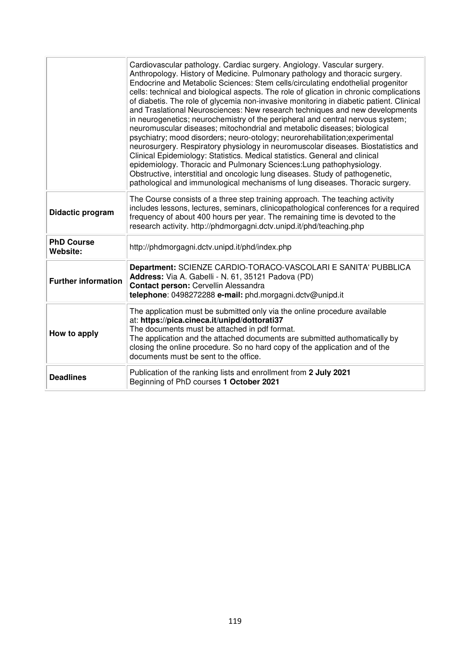|                                      | Cardiovascular pathology. Cardiac surgery. Angiology. Vascular surgery.<br>Anthropology. History of Medicine. Pulmonary pathology and thoracic surgery.<br>Endocrine and Metabolic Sciences: Stem cells/circulating endothelial progenitor<br>cells: technical and biological aspects. The role of glication in chronic complications<br>of diabetis. The role of glycemia non-invasive monitoring in diabetic patient. Clinical<br>and Traslational Neurosciences: New research techniques and new developments<br>in neurogenetics; neurochemistry of the peripheral and central nervous system;<br>neuromuscular diseases; mitochondrial and metabolic diseases; biological<br>psychiatry; mood disorders; neuro-otology; neurorehabilitation; experimental<br>neurosurgery. Respiratory physiology in neuromuscolar diseases. Biostatistics and<br>Clinical Epidemiology: Statistics. Medical statistics. General and clinical<br>epidemiology. Thoracic and Pulmonary Sciences: Lung pathophysiology.<br>Obstructive, interstitial and oncologic lung diseases. Study of pathogenetic,<br>pathological and immunological mechanisms of lung diseases. Thoracic surgery. |
|--------------------------------------|------------------------------------------------------------------------------------------------------------------------------------------------------------------------------------------------------------------------------------------------------------------------------------------------------------------------------------------------------------------------------------------------------------------------------------------------------------------------------------------------------------------------------------------------------------------------------------------------------------------------------------------------------------------------------------------------------------------------------------------------------------------------------------------------------------------------------------------------------------------------------------------------------------------------------------------------------------------------------------------------------------------------------------------------------------------------------------------------------------------------------------------------------------------------------|
| Didactic program                     | The Course consists of a three step training approach. The teaching activity<br>includes lessons, lectures, seminars, clinicopathological conferences for a required<br>frequency of about 400 hours per year. The remaining time is devoted to the<br>research activity. http://phdmorgagni.dctv.unipd.it/phd/teaching.php                                                                                                                                                                                                                                                                                                                                                                                                                                                                                                                                                                                                                                                                                                                                                                                                                                                  |
| <b>PhD Course</b><br><b>Website:</b> | http://phdmorgagni.dctv.unipd.it/phd/index.php                                                                                                                                                                                                                                                                                                                                                                                                                                                                                                                                                                                                                                                                                                                                                                                                                                                                                                                                                                                                                                                                                                                               |
| <b>Further information</b>           | Department: SCIENZE CARDIO-TORACO-VASCOLARI E SANITA' PUBBLICA<br>Address: Via A. Gabelli - N. 61, 35121 Padova (PD)<br>Contact person: Cervellin Alessandra<br>telephone: 0498272288 e-mail: phd.morgagni.dctv@unipd.it                                                                                                                                                                                                                                                                                                                                                                                                                                                                                                                                                                                                                                                                                                                                                                                                                                                                                                                                                     |
| How to apply                         | The application must be submitted only via the online procedure available<br>at: https://pica.cineca.it/unipd/dottorati37<br>The documents must be attached in pdf format.<br>The application and the attached documents are submitted authomatically by<br>closing the online procedure. So no hard copy of the application and of the<br>documents must be sent to the office.                                                                                                                                                                                                                                                                                                                                                                                                                                                                                                                                                                                                                                                                                                                                                                                             |
| <b>Deadlines</b>                     | Publication of the ranking lists and enrollment from 2 July 2021<br>Beginning of PhD courses 1 October 2021                                                                                                                                                                                                                                                                                                                                                                                                                                                                                                                                                                                                                                                                                                                                                                                                                                                                                                                                                                                                                                                                  |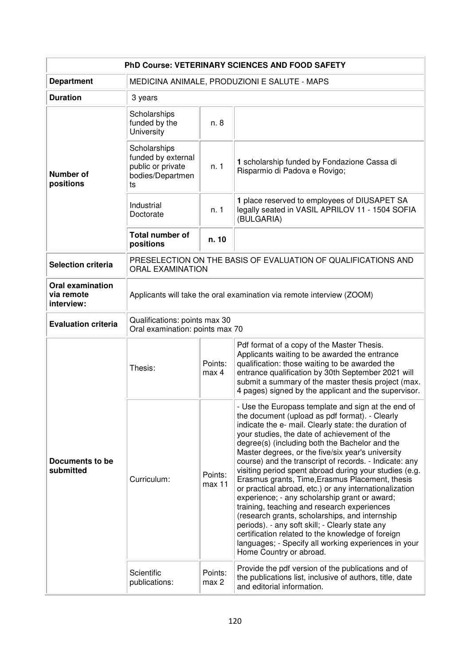| PhD Course: VETERINARY SCIENCES AND FOOD SAFETY     |                                                                                          |                   |                                                                                                                                                                                                                                                                                                                                                                                                                                                                                                                                                                                                                                                                                                                                                                                                                                                                                                                                                         |  |
|-----------------------------------------------------|------------------------------------------------------------------------------------------|-------------------|---------------------------------------------------------------------------------------------------------------------------------------------------------------------------------------------------------------------------------------------------------------------------------------------------------------------------------------------------------------------------------------------------------------------------------------------------------------------------------------------------------------------------------------------------------------------------------------------------------------------------------------------------------------------------------------------------------------------------------------------------------------------------------------------------------------------------------------------------------------------------------------------------------------------------------------------------------|--|
| <b>Department</b>                                   | MEDICINA ANIMALE, PRODUZIONI E SALUTE - MAPS                                             |                   |                                                                                                                                                                                                                                                                                                                                                                                                                                                                                                                                                                                                                                                                                                                                                                                                                                                                                                                                                         |  |
| <b>Duration</b>                                     | 3 years                                                                                  |                   |                                                                                                                                                                                                                                                                                                                                                                                                                                                                                                                                                                                                                                                                                                                                                                                                                                                                                                                                                         |  |
| <b>Number of</b><br>positions                       | Scholarships<br>funded by the<br>University                                              | n. 8              |                                                                                                                                                                                                                                                                                                                                                                                                                                                                                                                                                                                                                                                                                                                                                                                                                                                                                                                                                         |  |
|                                                     | Scholarships<br>funded by external<br>public or private<br>bodies/Departmen<br>ts        | n. 1              | 1 scholarship funded by Fondazione Cassa di<br>Risparmio di Padova e Rovigo;                                                                                                                                                                                                                                                                                                                                                                                                                                                                                                                                                                                                                                                                                                                                                                                                                                                                            |  |
|                                                     | Industrial<br>Doctorate                                                                  | n. 1              | 1 place reserved to employees of DIUSAPET SA<br>legally seated in VASIL APRILOV 11 - 1504 SOFIA<br>(BULGARIA)                                                                                                                                                                                                                                                                                                                                                                                                                                                                                                                                                                                                                                                                                                                                                                                                                                           |  |
|                                                     | Total number of<br>positions                                                             | n. 10             |                                                                                                                                                                                                                                                                                                                                                                                                                                                                                                                                                                                                                                                                                                                                                                                                                                                                                                                                                         |  |
| <b>Selection criteria</b>                           | PRESELECTION ON THE BASIS OF EVALUATION OF QUALIFICATIONS AND<br><b>ORAL EXAMINATION</b> |                   |                                                                                                                                                                                                                                                                                                                                                                                                                                                                                                                                                                                                                                                                                                                                                                                                                                                                                                                                                         |  |
| <b>Oral examination</b><br>via remote<br>interview: | Applicants will take the oral examination via remote interview (ZOOM)                    |                   |                                                                                                                                                                                                                                                                                                                                                                                                                                                                                                                                                                                                                                                                                                                                                                                                                                                                                                                                                         |  |
| <b>Evaluation criteria</b>                          | Qualifications: points max 30<br>Oral examination: points max 70                         |                   |                                                                                                                                                                                                                                                                                                                                                                                                                                                                                                                                                                                                                                                                                                                                                                                                                                                                                                                                                         |  |
| Documents to be<br>submitted                        | Thesis:                                                                                  | Points:<br>max 4  | Pdf format of a copy of the Master Thesis.<br>Applicants waiting to be awarded the entrance<br>qualification: those waiting to be awarded the<br>entrance qualification by 30th September 2021 will<br>submit a summary of the master thesis project (max.<br>4 pages) signed by the applicant and the supervisor.                                                                                                                                                                                                                                                                                                                                                                                                                                                                                                                                                                                                                                      |  |
|                                                     | Curriculum:                                                                              | Points:<br>max 11 | - Use the Europass template and sign at the end of<br>the document (upload as pdf format). - Clearly<br>indicate the e- mail. Clearly state: the duration of<br>your studies, the date of achievement of the<br>degree(s) (including both the Bachelor and the<br>Master degrees, or the five/six year's university<br>course) and the transcript of records. - Indicate: any<br>visiting period spent abroad during your studies (e.g.<br>Erasmus grants, Time, Erasmus Placement, thesis<br>or practical abroad, etc.) or any internationalization<br>experience; - any scholarship grant or award;<br>training, teaching and research experiences<br>(research grants, scholarships, and internship<br>periods). - any soft skill; - Clearly state any<br>certification related to the knowledge of foreign<br>languages; - Specify all working experiences in your<br>Home Country or abroad.<br>Provide the pdf version of the publications and of |  |
|                                                     | Scientific<br>publications:                                                              | Points:<br>max 2  | the publications list, inclusive of authors, title, date<br>and editorial information.                                                                                                                                                                                                                                                                                                                                                                                                                                                                                                                                                                                                                                                                                                                                                                                                                                                                  |  |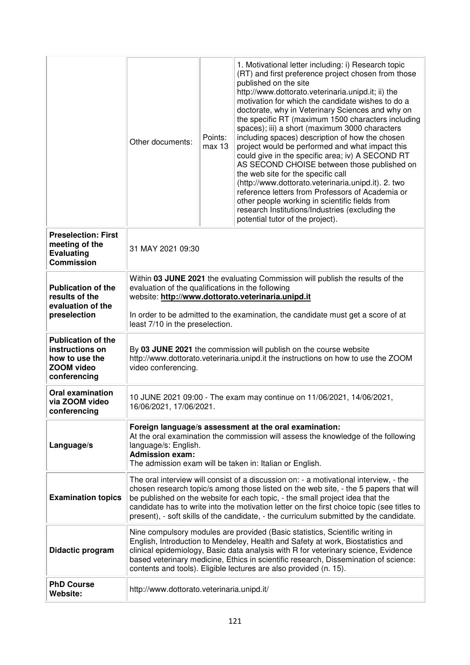|                                                                                                     | Other documents:                                                                                                                                                                                                                                                                                                                                                                                                                                       | Points:<br>max 13 | 1. Motivational letter including: i) Research topic<br>(RT) and first preference project chosen from those<br>published on the site<br>http://www.dottorato.veterinaria.unipd.it; ii) the<br>motivation for which the candidate wishes to do a<br>doctorate, why in Veterinary Sciences and why on<br>the specific RT (maximum 1500 characters including<br>spaces); iii) a short (maximum 3000 characters<br>including spaces) description of how the chosen<br>project would be performed and what impact this<br>could give in the specific area; iv) A SECOND RT<br>AS SECOND CHOISE between those published on<br>the web site for the specific call<br>(http://www.dottorato.veterinaria.unipd.it). 2. two<br>reference letters from Professors of Academia or<br>other people working in scientific fields from<br>research Institutions/Industries (excluding the<br>potential tutor of the project). |  |
|-----------------------------------------------------------------------------------------------------|--------------------------------------------------------------------------------------------------------------------------------------------------------------------------------------------------------------------------------------------------------------------------------------------------------------------------------------------------------------------------------------------------------------------------------------------------------|-------------------|---------------------------------------------------------------------------------------------------------------------------------------------------------------------------------------------------------------------------------------------------------------------------------------------------------------------------------------------------------------------------------------------------------------------------------------------------------------------------------------------------------------------------------------------------------------------------------------------------------------------------------------------------------------------------------------------------------------------------------------------------------------------------------------------------------------------------------------------------------------------------------------------------------------|--|
| <b>Preselection: First</b><br>meeting of the<br><b>Evaluating</b><br><b>Commission</b>              | 31 MAY 2021 09:30                                                                                                                                                                                                                                                                                                                                                                                                                                      |                   |                                                                                                                                                                                                                                                                                                                                                                                                                                                                                                                                                                                                                                                                                                                                                                                                                                                                                                               |  |
| <b>Publication of the</b><br>results of the<br>evaluation of the<br>preselection                    | Within 03 JUNE 2021 the evaluating Commission will publish the results of the<br>evaluation of the qualifications in the following<br>website: http://www.dottorato.veterinaria.unipd.it<br>In order to be admitted to the examination, the candidate must get a score of at<br>least 7/10 in the preselection.                                                                                                                                        |                   |                                                                                                                                                                                                                                                                                                                                                                                                                                                                                                                                                                                                                                                                                                                                                                                                                                                                                                               |  |
| <b>Publication of the</b><br>instructions on<br>how to use the<br><b>ZOOM video</b><br>conferencing | By 03 JUNE 2021 the commission will publish on the course website<br>http://www.dottorato.veterinaria.unipd.it the instructions on how to use the ZOOM<br>video conferencing.                                                                                                                                                                                                                                                                          |                   |                                                                                                                                                                                                                                                                                                                                                                                                                                                                                                                                                                                                                                                                                                                                                                                                                                                                                                               |  |
| <b>Oral examination</b><br>via ZOOM video<br>conferencing                                           | 10 JUNE 2021 09:00 - The exam may continue on 11/06/2021, 14/06/2021,<br>16/06/2021, 17/06/2021.                                                                                                                                                                                                                                                                                                                                                       |                   |                                                                                                                                                                                                                                                                                                                                                                                                                                                                                                                                                                                                                                                                                                                                                                                                                                                                                                               |  |
| Language/s                                                                                          | Foreign language/s assessment at the oral examination:<br>At the oral examination the commission will assess the knowledge of the following<br>language/s: English.<br><b>Admission exam:</b><br>The admission exam will be taken in: Italian or English.                                                                                                                                                                                              |                   |                                                                                                                                                                                                                                                                                                                                                                                                                                                                                                                                                                                                                                                                                                                                                                                                                                                                                                               |  |
| <b>Examination topics</b>                                                                           | The oral interview will consist of a discussion on: - a motivational interview, - the<br>chosen research topic/s among those listed on the web site, - the 5 papers that will<br>be published on the website for each topic, - the small project idea that the<br>candidate has to write into the motivation letter on the first choice topic (see titles to<br>present), - soft skills of the candidate, - the curriculum submitted by the candidate. |                   |                                                                                                                                                                                                                                                                                                                                                                                                                                                                                                                                                                                                                                                                                                                                                                                                                                                                                                               |  |
| Didactic program                                                                                    | Nine compulsory modules are provided (Basic statistics, Scientific writing in<br>English, Introduction to Mendeley, Health and Safety at work, Biostatistics and<br>clinical epidemiology, Basic data analysis with R for veterinary science, Evidence<br>based veterinary medicine, Ethics in scientific research, Dissemination of science:<br>contents and tools). Eligible lectures are also provided (n. 15).                                     |                   |                                                                                                                                                                                                                                                                                                                                                                                                                                                                                                                                                                                                                                                                                                                                                                                                                                                                                                               |  |
| <b>PhD Course</b><br>Website:                                                                       | http://www.dottorato.veterinaria.unipd.it/                                                                                                                                                                                                                                                                                                                                                                                                             |                   |                                                                                                                                                                                                                                                                                                                                                                                                                                                                                                                                                                                                                                                                                                                                                                                                                                                                                                               |  |